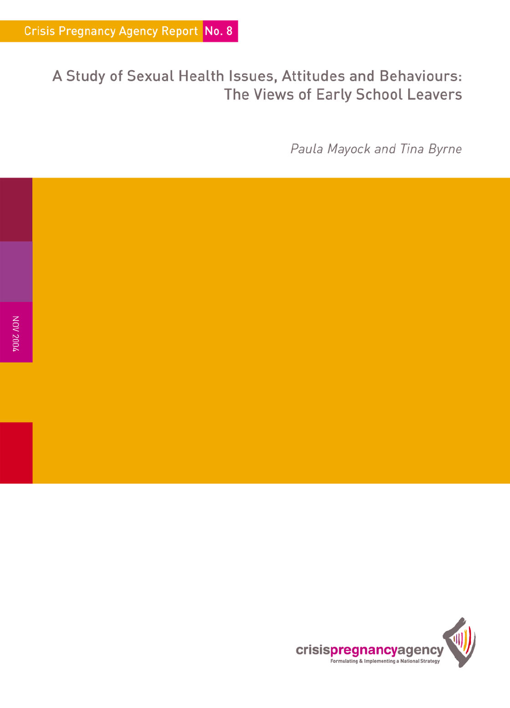# A Study of Sexual Health Issues, Attitudes and Behaviours: The Views of Early School Leavers

Paula Mayock and Tina Byrne

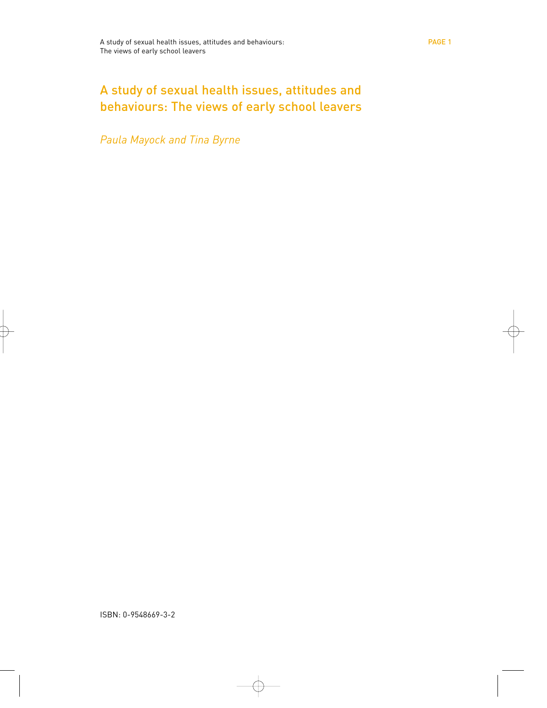# A study of sexual health issues, attitudes and behaviours: The views of early school leavers

*Paula Mayock and Tina Byrne*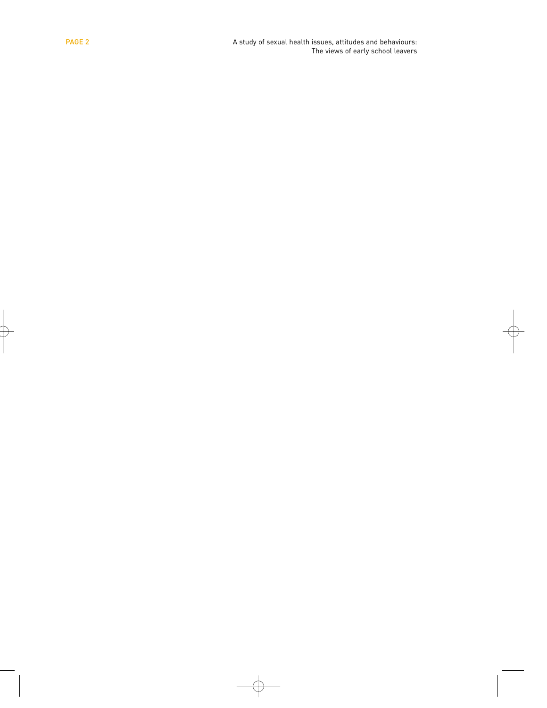PAGE 2 **A study of sexual health issues, attitudes and behaviours:** The views of early school leavers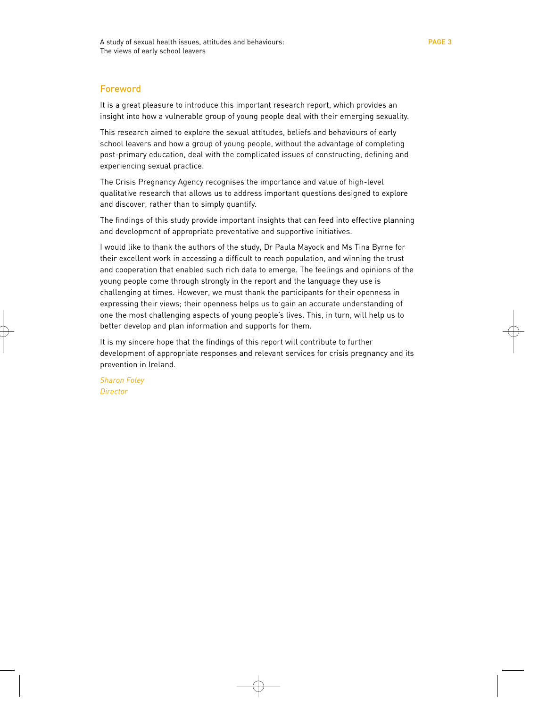### Foreword

It is a great pleasure to introduce this important research report, which provides an insight into how a vulnerable group of young people deal with their emerging sexuality.

This research aimed to explore the sexual attitudes, beliefs and behaviours of early school leavers and how a group of young people, without the advantage of completing post-primary education, deal with the complicated issues of constructing, defining and experiencing sexual practice.

The Crisis Pregnancy Agency recognises the importance and value of high-level qualitative research that allows us to address important questions designed to explore and discover, rather than to simply quantify.

The findings of this study provide important insights that can feed into effective planning and development of appropriate preventative and supportive initiatives.

I would like to thank the authors of the study, Dr Paula Mayock and Ms Tina Byrne for their excellent work in accessing a difficult to reach population, and winning the trust and cooperation that enabled such rich data to emerge. The feelings and opinions of the young people come through strongly in the report and the language they use is challenging at times. However, we must thank the participants for their openness in expressing their views; their openness helps us to gain an accurate understanding of one the most challenging aspects of young people's lives. This, in turn, will help us to better develop and plan information and supports for them.

It is my sincere hope that the findings of this report will contribute to further development of appropriate responses and relevant services for crisis pregnancy and its prevention in Ireland.

*Sharon Foley Director*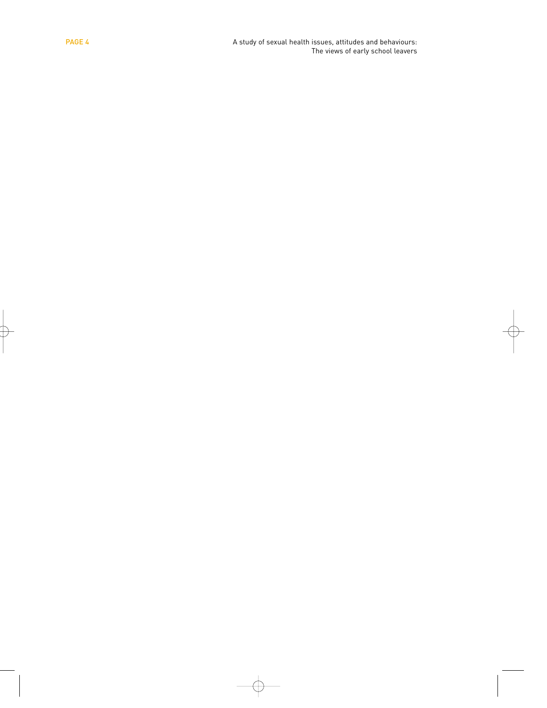PAGE 4 **A study of sexual health issues, attitudes and behaviours:** The views of early school leavers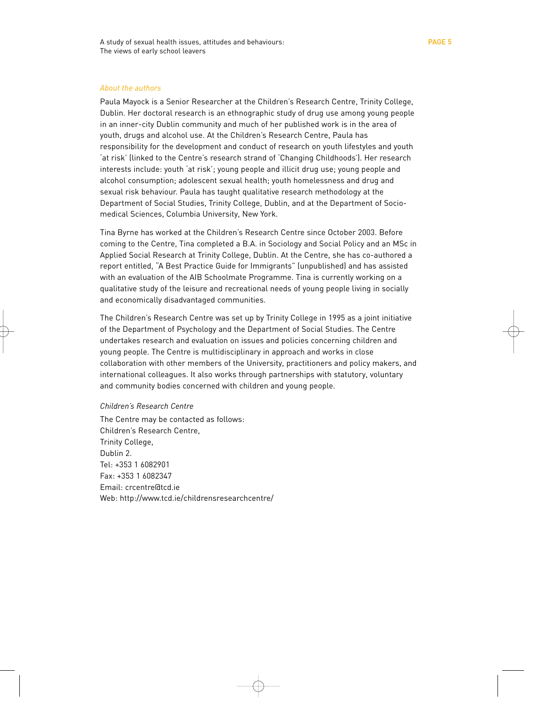### *About the authors*

Paula Mayock is a Senior Researcher at the Children's Research Centre, Trinity College, Dublin. Her doctoral research is an ethnographic study of drug use among young people in an inner-city Dublin community and much of her published work is in the area of youth, drugs and alcohol use. At the Children's Research Centre, Paula has responsibility for the development and conduct of research on youth lifestyles and youth 'at risk' (linked to the Centre's research strand of 'Changing Childhoods'). Her research interests include: youth 'at risk'; young people and illicit drug use; young people and alcohol consumption; adolescent sexual health; youth homelessness and drug and sexual risk behaviour. Paula has taught qualitative research methodology at the Department of Social Studies, Trinity College, Dublin, and at the Department of Sociomedical Sciences, Columbia University, New York.

Tina Byrne has worked at the Children's Research Centre since October 2003. Before coming to the Centre, Tina completed a B.A. in Sociology and Social Policy and an MSc in Applied Social Research at Trinity College, Dublin. At the Centre, she has co-authored a report entitled, "A Best Practice Guide for Immigrants" (unpublished) and has assisted with an evaluation of the AIB Schoolmate Programme. Tina is currently working on a qualitative study of the leisure and recreational needs of young people living in socially and economically disadvantaged communities.

The Children's Research Centre was set up by Trinity College in 1995 as a joint initiative of the Department of Psychology and the Department of Social Studies. The Centre undertakes research and evaluation on issues and policies concerning children and young people. The Centre is multidisciplinary in approach and works in close collaboration with other members of the University, practitioners and policy makers, and international colleagues. It also works through partnerships with statutory, voluntary and community bodies concerned with children and young people.

#### *Children's Research Centre*

The Centre may be contacted as follows: Children's Research Centre, Trinity College, Dublin 2. Tel: +353 1 6082901 Fax: +353 1 6082347 Email: crcentre@tcd.ie Web: http://www.tcd.ie/childrensresearchcentre/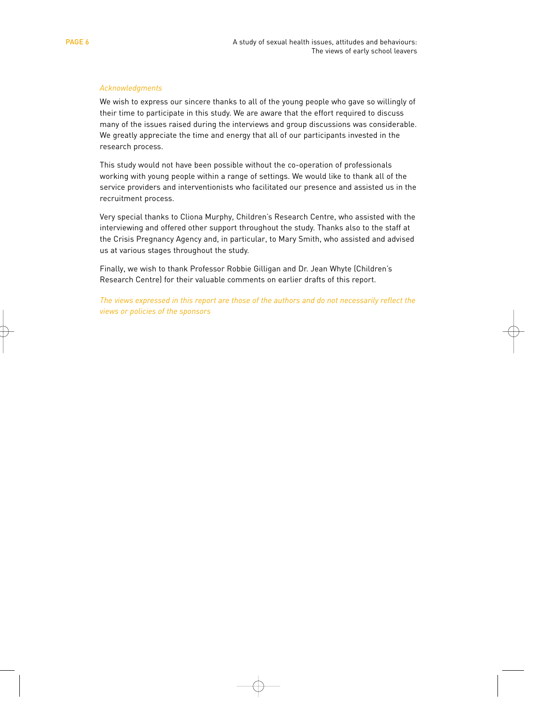### *Acknowledgments*

We wish to express our sincere thanks to all of the young people who gave so willingly of their time to participate in this study. We are aware that the effort required to discuss many of the issues raised during the interviews and group discussions was considerable. We greatly appreciate the time and energy that all of our participants invested in the research process.

This study would not have been possible without the co-operation of professionals working with young people within a range of settings. We would like to thank all of the service providers and interventionists who facilitated our presence and assisted us in the recruitment process.

Very special thanks to Cliona Murphy, Children's Research Centre, who assisted with the interviewing and offered other support throughout the study. Thanks also to the staff at the Crisis Pregnancy Agency and, in particular, to Mary Smith, who assisted and advised us at various stages throughout the study.

Finally, we wish to thank Professor Robbie Gilligan and Dr. Jean Whyte (Children's Research Centre) for their valuable comments on earlier drafts of this report.

*The views expressed in this report are those of the authors and do not necessarily reflect the views or policies of the sponsors*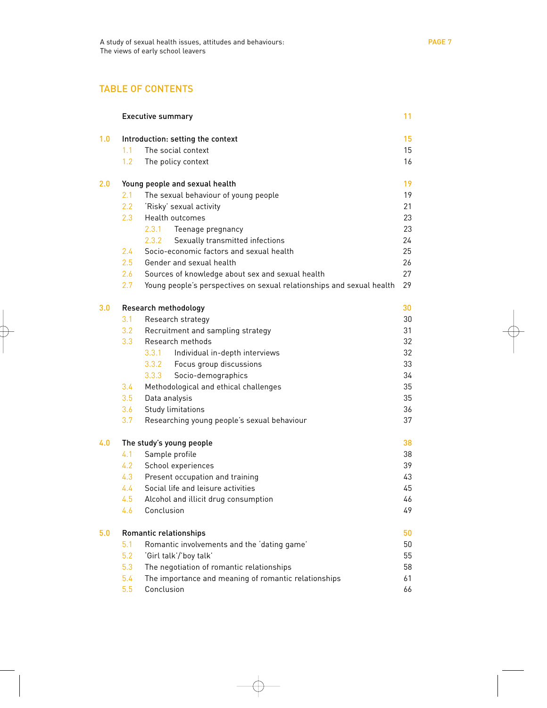## TABLE OF CONTENTS

|     |                                   | <b>Executive summary</b>                                              | 11 |  |  |  |
|-----|-----------------------------------|-----------------------------------------------------------------------|----|--|--|--|
| 1.0 | Introduction: setting the context |                                                                       |    |  |  |  |
|     | 1.1                               | The social context                                                    | 15 |  |  |  |
|     | 1.2                               | The policy context                                                    | 16 |  |  |  |
| 2.0 | Young people and sexual health    |                                                                       |    |  |  |  |
|     | 2.1                               | The sexual behaviour of young people                                  | 19 |  |  |  |
|     | 2.2                               | 'Risky' sexual activity                                               | 21 |  |  |  |
|     | 2.3                               | Health outcomes                                                       | 23 |  |  |  |
|     |                                   | 2.3.1<br>Teenage pregnancy                                            | 23 |  |  |  |
|     |                                   | Sexually transmitted infections<br>2.3.2                              | 24 |  |  |  |
|     | $2.4^{\circ}$                     | Socio-economic factors and sexual health                              | 25 |  |  |  |
|     | 2.5                               | Gender and sexual health                                              | 26 |  |  |  |
|     | 2.6                               | Sources of knowledge about sex and sexual health                      | 27 |  |  |  |
|     | 2.7                               | Young people's perspectives on sexual relationships and sexual health | 29 |  |  |  |
| 3.0 |                                   | Research methodology                                                  |    |  |  |  |
|     | 3.1                               | Research strategy                                                     | 30 |  |  |  |
|     | 3.2                               | Recruitment and sampling strategy                                     | 31 |  |  |  |
|     | 3.3                               | Research methods                                                      | 32 |  |  |  |
|     |                                   | Individual in-depth interviews<br>3.3.1                               | 32 |  |  |  |
|     |                                   | 3.3.2<br>Focus group discussions                                      | 33 |  |  |  |
|     |                                   | Socio-demographics<br>3.3.3                                           | 34 |  |  |  |
|     | 3.4                               | Methodological and ethical challenges                                 | 35 |  |  |  |
|     | 3.5                               | Data analysis                                                         | 35 |  |  |  |
|     | 3.6                               | <b>Study limitations</b>                                              | 36 |  |  |  |
|     | 3.7                               | Researching young people's sexual behaviour                           | 37 |  |  |  |
| 4.0 |                                   | The study's young people                                              | 38 |  |  |  |
|     | 4.1                               | Sample profile                                                        | 38 |  |  |  |
|     | 4.2                               | School experiences                                                    | 39 |  |  |  |
|     | 4.3                               | Present occupation and training                                       | 43 |  |  |  |
|     | 4.4                               | Social life and leisure activities                                    | 45 |  |  |  |
|     | 4.5                               | Alcohol and illicit drug consumption                                  | 46 |  |  |  |
|     | 4.6                               | Conclusion                                                            | 49 |  |  |  |
| 5.0 |                                   | Romantic relationships                                                | 50 |  |  |  |
|     | 5.1                               | Romantic involvements and the 'dating game'                           | 50 |  |  |  |
|     | 5.2                               | 'Girl talk'/'boy talk'                                                | 55 |  |  |  |
|     | 5.3                               | The negotiation of romantic relationships                             | 58 |  |  |  |
|     | 5.4                               | The importance and meaning of romantic relationships                  | 61 |  |  |  |
|     | 5.5                               | Conclusion                                                            | 66 |  |  |  |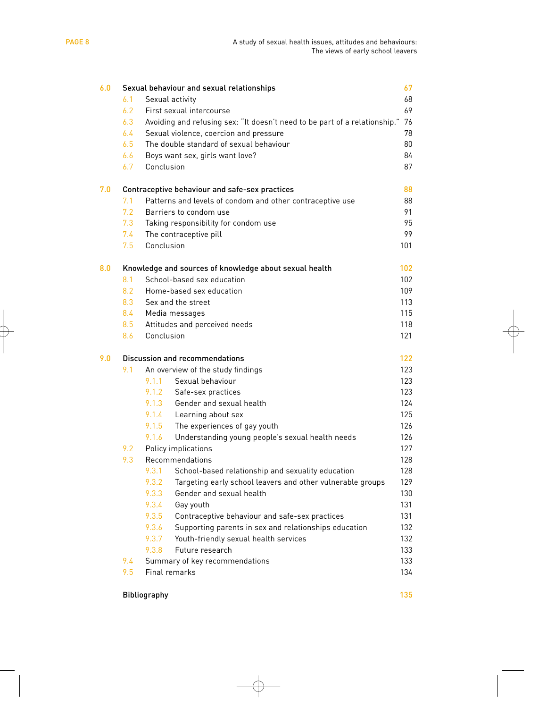| 6.0 | Sexual behaviour and sexual relationships<br>67      |                                                               |                                                                            |     |  |  |
|-----|------------------------------------------------------|---------------------------------------------------------------|----------------------------------------------------------------------------|-----|--|--|
|     | 6.1                                                  |                                                               | Sexual activity                                                            | 68  |  |  |
|     | 6.2                                                  |                                                               | First sexual intercourse                                                   | 69  |  |  |
|     | 6.3                                                  |                                                               | Avoiding and refusing sex: "It doesn't need to be part of a relationship." | 76  |  |  |
|     | 6.4                                                  |                                                               | Sexual violence, coercion and pressure                                     | 78  |  |  |
|     | 6.5                                                  |                                                               | The double standard of sexual behaviour                                    | 80  |  |  |
|     | 6.6                                                  |                                                               | Boys want sex, girls want love?                                            | 84  |  |  |
|     | 6.7                                                  | Conclusion                                                    |                                                                            | 87  |  |  |
| 7.0 | 88<br>Contraceptive behaviour and safe-sex practices |                                                               |                                                                            |     |  |  |
|     | 7.1                                                  |                                                               | Patterns and levels of condom and other contraceptive use                  | 88  |  |  |
|     | 7.2                                                  | Barriers to condom use                                        |                                                                            |     |  |  |
|     | 7.3                                                  |                                                               | Taking responsibility for condom use                                       | 95  |  |  |
|     | 7.4                                                  |                                                               | The contraceptive pill                                                     | 99  |  |  |
|     | 7.5                                                  | Conclusion                                                    |                                                                            | 101 |  |  |
| 0.8 |                                                      | 102<br>Knowledge and sources of knowledge about sexual health |                                                                            |     |  |  |
|     | 8.1                                                  |                                                               | School-based sex education                                                 | 102 |  |  |
|     | 8.2                                                  |                                                               | Home-based sex education                                                   | 109 |  |  |
|     | 8.3                                                  | Sex and the street                                            |                                                                            | 113 |  |  |
|     | 8.4                                                  | Media messages                                                |                                                                            |     |  |  |
|     | 8.5                                                  | Attitudes and perceived needs                                 |                                                                            |     |  |  |
|     | 8.6                                                  | Conclusion                                                    |                                                                            | 121 |  |  |
| 9.0 | 122<br>Discussion and recommendations                |                                                               |                                                                            |     |  |  |
|     | 9.1                                                  |                                                               | An overview of the study findings                                          | 123 |  |  |
|     |                                                      | 9.1.1                                                         | Sexual behaviour                                                           | 123 |  |  |
|     |                                                      | 9.1.2                                                         | Safe-sex practices                                                         | 123 |  |  |
|     |                                                      | 9.1.3                                                         | Gender and sexual health                                                   | 124 |  |  |
|     |                                                      | 9.1.4                                                         | Learning about sex                                                         | 125 |  |  |
|     |                                                      | 9.1.5                                                         | The experiences of gay youth                                               | 126 |  |  |
|     |                                                      | 9.1.6                                                         | Understanding young people's sexual health needs                           | 126 |  |  |
|     | 9.2                                                  |                                                               | Policy implications                                                        | 127 |  |  |
|     | 9.3                                                  |                                                               | Recommendations                                                            | 128 |  |  |
|     |                                                      | 9.3.1                                                         | School-based relationship and sexuality education                          | 128 |  |  |
|     |                                                      | 9.3.2                                                         | Targeting early school leavers and other vulnerable groups                 | 129 |  |  |
|     |                                                      | 9.3.3                                                         | Gender and sexual health                                                   | 130 |  |  |
|     |                                                      | 9.3.4                                                         | Gay youth                                                                  | 131 |  |  |
|     |                                                      | 9.3.5                                                         | Contraceptive behaviour and safe-sex practices                             | 131 |  |  |
|     |                                                      | 9.3.6                                                         | Supporting parents in sex and relationships education                      | 132 |  |  |
|     |                                                      | 9.3.7                                                         | Youth-friendly sexual health services                                      | 132 |  |  |
|     |                                                      | 9.3.8                                                         | Future research                                                            | 133 |  |  |
|     | 9.4                                                  |                                                               | Summary of key recommendations                                             | 133 |  |  |
|     | 9.5                                                  |                                                               | Final remarks                                                              | 134 |  |  |
|     |                                                      |                                                               |                                                                            |     |  |  |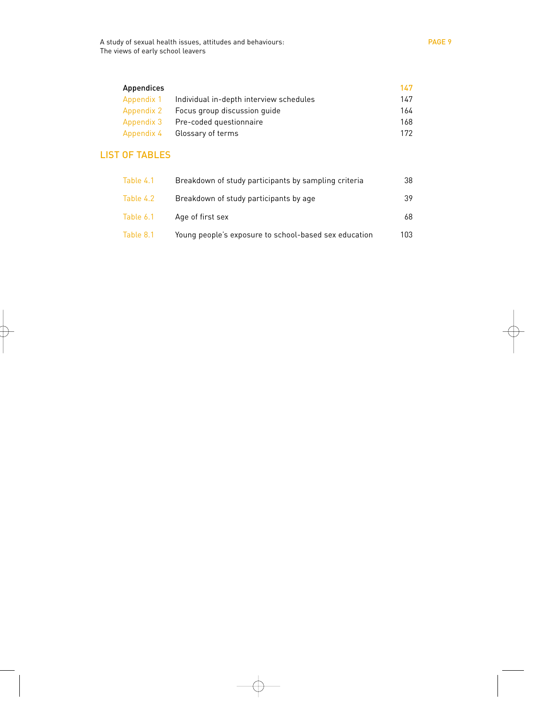| Appendices |                                         | 147 |
|------------|-----------------------------------------|-----|
| Appendix 1 | Individual in-depth interview schedules | 147 |
| Appendix 2 | Focus group discussion quide            | 164 |
|            | Appendix 3 Pre-coded questionnaire      | 168 |
|            | Appendix 4 Glossary of terms            | 172 |

## LIST OF TABLES

| Table 4.1 | Breakdown of study participants by sampling criteria  | 38   |
|-----------|-------------------------------------------------------|------|
| Table 4.2 | Breakdown of study participants by age                | 39   |
| Table 6.1 | Age of first sex                                      | 68   |
| Table 8.1 | Young people's exposure to school-based sex education | 103. |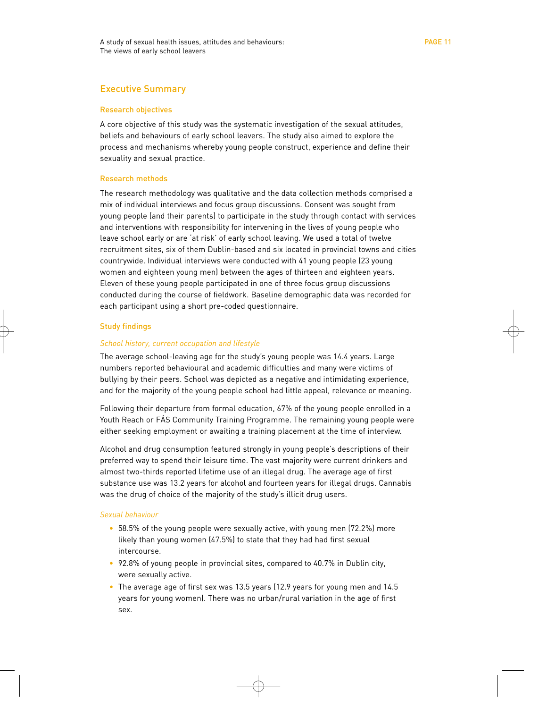### Executive Summary

#### Research objectives

A core objective of this study was the systematic investigation of the sexual attitudes, beliefs and behaviours of early school leavers. The study also aimed to explore the process and mechanisms whereby young people construct, experience and define their sexuality and sexual practice.

#### Research methods

The research methodology was qualitative and the data collection methods comprised a mix of individual interviews and focus group discussions. Consent was sought from young people (and their parents) to participate in the study through contact with services and interventions with responsibility for intervening in the lives of young people who leave school early or are 'at risk' of early school leaving. We used a total of twelve recruitment sites, six of them Dublin-based and six located in provincial towns and cities countrywide. Individual interviews were conducted with 41 young people (23 young women and eighteen young men) between the ages of thirteen and eighteen years. Eleven of these young people participated in one of three focus group discussions conducted during the course of fieldwork. Baseline demographic data was recorded for each participant using a short pre-coded questionnaire.

### Study findings

### *School history, current occupation and lifestyle*

The average school-leaving age for the study's young people was 14.4 years. Large numbers reported behavioural and academic difficulties and many were victims of bullying by their peers. School was depicted as a negative and intimidating experience, and for the majority of the young people school had little appeal, relevance or meaning.

Following their departure from formal education, 67% of the young people enrolled in a Youth Reach or FÁS Community Training Programme. The remaining young people were either seeking employment or awaiting a training placement at the time of interview.

Alcohol and drug consumption featured strongly in young people's descriptions of their preferred way to spend their leisure time. The vast majority were current drinkers and almost two-thirds reported lifetime use of an illegal drug. The average age of first substance use was 13.2 years for alcohol and fourteen years for illegal drugs. Cannabis was the drug of choice of the majority of the study's illicit drug users.

#### *Sexual behaviour*

- 58.5% of the young people were sexually active, with young men (72.2%) more likely than young women (47.5%) to state that they had had first sexual intercourse.
- 92.8% of young people in provincial sites, compared to 40.7% in Dublin city, were sexually active.
- The average age of first sex was 13.5 years (12.9 years for young men and 14.5 years for young women). There was no urban/rural variation in the age of first sex.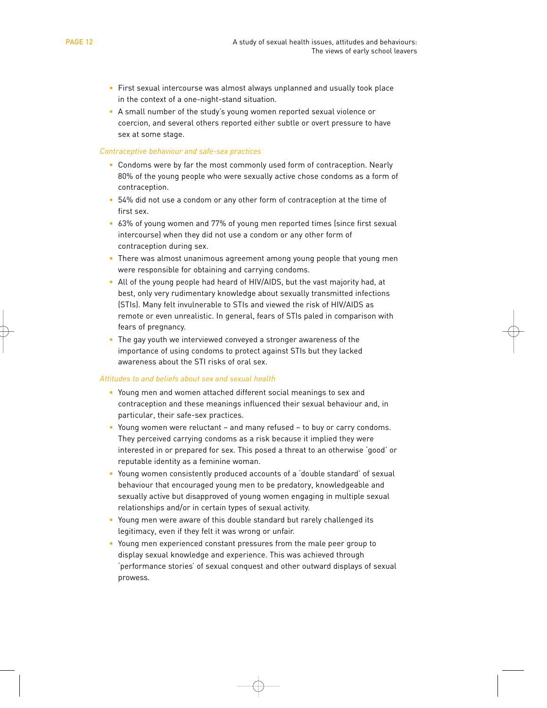- First sexual intercourse was almost always unplanned and usually took place in the context of a one-night-stand situation.
- A small number of the study's young women reported sexual violence or coercion, and several others reported either subtle or overt pressure to have sex at some stage.

### *Contraceptive behaviour and safe-sex practices*

- Condoms were by far the most commonly used form of contraception. Nearly 80% of the young people who were sexually active chose condoms as a form of contraception.
- 54% did not use a condom or any other form of contraception at the time of first sex.
- 63% of young women and 77% of young men reported times (since first sexual intercourse) when they did not use a condom or any other form of contraception during sex.
- There was almost unanimous agreement among young people that young men were responsible for obtaining and carrying condoms.
- All of the young people had heard of HIV/AIDS, but the vast majority had, at best, only very rudimentary knowledge about sexually transmitted infections (STIs). Many felt invulnerable to STIs and viewed the risk of HIV/AIDS as remote or even unrealistic. In general, fears of STIs paled in comparison with fears of pregnancy.
- The gay youth we interviewed conveyed a stronger awareness of the importance of using condoms to protect against STIs but they lacked awareness about the STI risks of oral sex.

### *Attitudes to and beliefs about sex and sexual health*

- Young men and women attached different social meanings to sex and contraception and these meanings influenced their sexual behaviour and, in particular, their safe-sex practices.
- Young women were reluctant and many refused to buy or carry condoms. They perceived carrying condoms as a risk because it implied they were interested in or prepared for sex. This posed a threat to an otherwise 'good' or reputable identity as a feminine woman.
- Young women consistently produced accounts of a 'double standard' of sexual behaviour that encouraged young men to be predatory, knowledgeable and sexually active but disapproved of young women engaging in multiple sexual relationships and/or in certain types of sexual activity.
- Young men were aware of this double standard but rarely challenged its legitimacy, even if they felt it was wrong or unfair.
- Young men experienced constant pressures from the male peer group to display sexual knowledge and experience. This was achieved through 'performance stories' of sexual conquest and other outward displays of sexual prowess.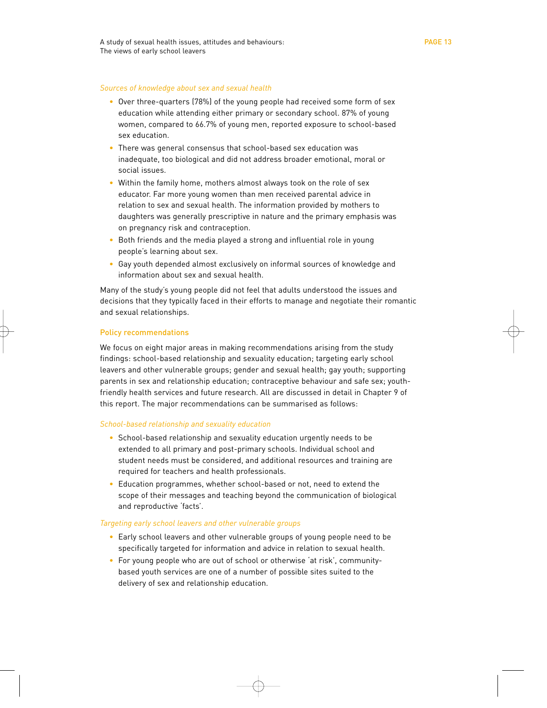### *Sources of knowledge about sex and sexual health*

- Over three-quarters (78%) of the young people had received some form of sex education while attending either primary or secondary school. 87% of young women, compared to 66.7% of young men, reported exposure to school-based sex education.
- There was general consensus that school-based sex education was inadequate, too biological and did not address broader emotional, moral or social issues.
- Within the family home, mothers almost always took on the role of sex educator. Far more young women than men received parental advice in relation to sex and sexual health. The information provided by mothers to daughters was generally prescriptive in nature and the primary emphasis was on pregnancy risk and contraception.
- Both friends and the media played a strong and influential role in young people's learning about sex.
- Gay youth depended almost exclusively on informal sources of knowledge and information about sex and sexual health.

Many of the study's young people did not feel that adults understood the issues and decisions that they typically faced in their efforts to manage and negotiate their romantic and sexual relationships.

#### Policy recommendations

We focus on eight major areas in making recommendations arising from the study findings: school-based relationship and sexuality education; targeting early school leavers and other vulnerable groups; gender and sexual health; gay youth; supporting parents in sex and relationship education; contraceptive behaviour and safe sex; youthfriendly health services and future research. All are discussed in detail in Chapter 9 of this report. The major recommendations can be summarised as follows:

#### *School-based relationship and sexuality education*

- School-based relationship and sexuality education urgently needs to be extended to all primary and post-primary schools. Individual school and student needs must be considered, and additional resources and training are required for teachers and health professionals.
- Education programmes, whether school-based or not, need to extend the scope of their messages and teaching beyond the communication of biological and reproductive 'facts'.

#### *Targeting early school leavers and other vulnerable groups*

- Early school leavers and other vulnerable groups of young people need to be specifically targeted for information and advice in relation to sexual health.
- For young people who are out of school or otherwise 'at risk', communitybased youth services are one of a number of possible sites suited to the delivery of sex and relationship education.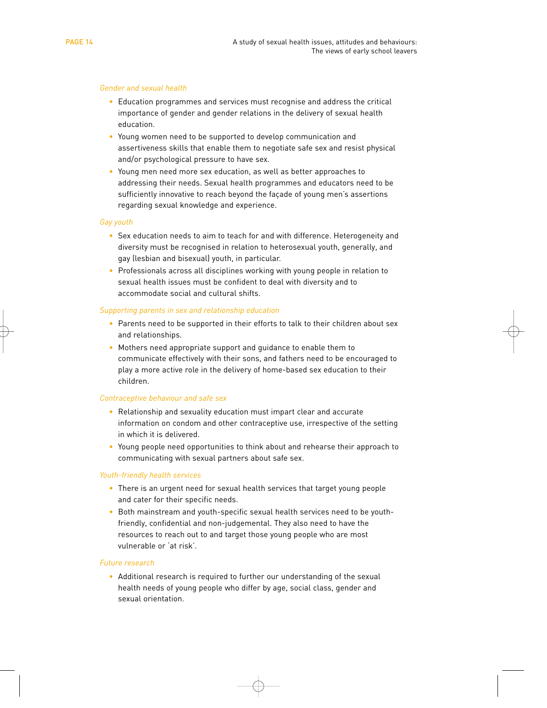### *Gender and sexual health*

- Education programmes and services must recognise and address the critical importance of gender and gender relations in the delivery of sexual health education.
- Young women need to be supported to develop communication and assertiveness skills that enable them to negotiate safe sex and resist physical and/or psychological pressure to have sex.
- Young men need more sex education, as well as better approaches to addressing their needs. Sexual health programmes and educators need to be sufficiently innovative to reach beyond the façade of young men's assertions regarding sexual knowledge and experience.

### *Gay youth*

- Sex education needs to aim to teach for and with difference. Heterogeneity and diversity must be recognised in relation to heterosexual youth, generally, and gay (lesbian and bisexual) youth, in particular.
- Professionals across all disciplines working with young people in relation to sexual health issues must be confident to deal with diversity and to accommodate social and cultural shifts.

#### *Supporting parents in sex and relationship education*

- Parents need to be supported in their efforts to talk to their children about sex and relationships.
- Mothers need appropriate support and guidance to enable them to communicate effectively with their sons, and fathers need to be encouraged to play a more active role in the delivery of home-based sex education to their children.

### *Contraceptive behaviour and safe sex*

- Relationship and sexuality education must impart clear and accurate information on condom and other contraceptive use, irrespective of the setting in which it is delivered.
- Young people need opportunities to think about and rehearse their approach to communicating with sexual partners about safe sex.

#### *Youth-friendly health services*

- There is an urgent need for sexual health services that target young people and cater for their specific needs.
- Both mainstream and youth-specific sexual health services need to be youthfriendly, confidential and non-judgemental. They also need to have the resources to reach out to and target those young people who are most vulnerable or 'at risk'.

#### *Future research*

• Additional research is required to further our understanding of the sexual health needs of young people who differ by age, social class, gender and sexual orientation.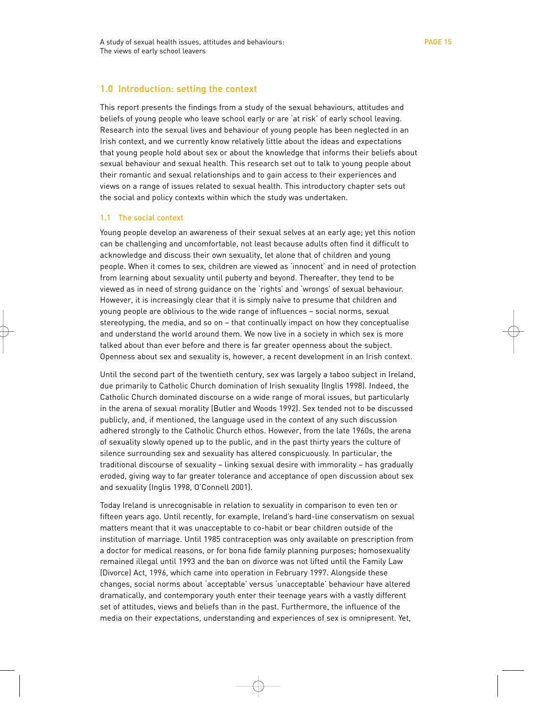### 1.0 Introduction: setting the context

This report presents the findings from a study of the sexual behaviours, attitudes and beliefs of young people who leave school early or are 'at risk' of early school leaving. Research into the sexual lives and behaviour of young people has been neglected in an Irish context, and we currently know relatively little about the ideas and expectations that young people hold about sex or about the knowledge that informs their beliefs about sexual behaviour and sexual health. This research set out to talk to young people about their romantic and sexual relationships and to gain access to their experiences and views on a range of issues related to sexual health. This introductory chapter sets out the social and policy contexts within which the study was undertaken.

### 1.1 The social context

Young people develop an awareness of their sexual selves at an early age; yet this notion can be challenging and uncomfortable, not least because adults often find it difficult to acknowledge and discuss their own sexuality, let alone that of children and young people. When it comes to sex, children are viewed as 'innocent' and in need of protection from learning about sexuality until puberty and beyond. Thereafter, they tend to be viewed as in need of strong guidance on the 'rights' and 'wrongs' of sexual behaviour. However, it is increasingly clear that it is simply naíve to presume that children and young people are oblivious to the wide range of influences – social norms, sexual stereotyping, the media, and so on – that continually impact on how they conceptualise and understand the world around them. We now live in a society in which sex is more talked about than ever before and there is far greater openness about the subject. Openness about sex and sexuality is, however, a recent development in an Irish context.

Until the second part of the twentieth century, sex was largely a taboo subject in Ireland, due primarily to Catholic Church domination of Irish sexuality (Inglis 1998). Indeed, the Catholic Church dominated discourse on a wide range of moral issues, but particularly in the arena of sexual morality (Butler and Woods 1992). Sex tended not to be discussed publicly, and, if mentioned, the language used in the context of any such discussion adhered strongly to the Catholic Church ethos. However, from the late 1960s, the arena of sexuality slowly opened up to the public, and in the past thirty years the culture of silence surrounding sex and sexuality has altered conspicuously. In particular, the traditional discourse of sexuality – linking sexual desire with immorality – has gradually eroded, giving way to far greater tolerance and acceptance of open discussion about sex and sexuality (Inglis 1998, O'Connell 2001).

Today Ireland is unrecognisable in relation to sexuality in comparison to even ten or fifteen years ago. Until recently, for example, Ireland's hard-line conservatism on sexual matters meant that it was unacceptable to co-habit or bear children outside of the institution of marriage. Until 1985 contraception was only available on prescription from a doctor for medical reasons, or for bona fide family planning purposes; homosexuality remained illegal until 1993 and the ban on divorce was not lifted until the Family Law (Divorce) Act, 1996, which came into operation in February 1997. Alongside these changes, social norms about 'acceptable' versus 'unacceptable' behaviour have altered dramatically, and contemporary youth enter their teenage years with a vastly different set of attitudes, views and beliefs than in the past. Furthermore, the influence of the media on their expectations, understanding and experiences of sex is omnipresent. Yet,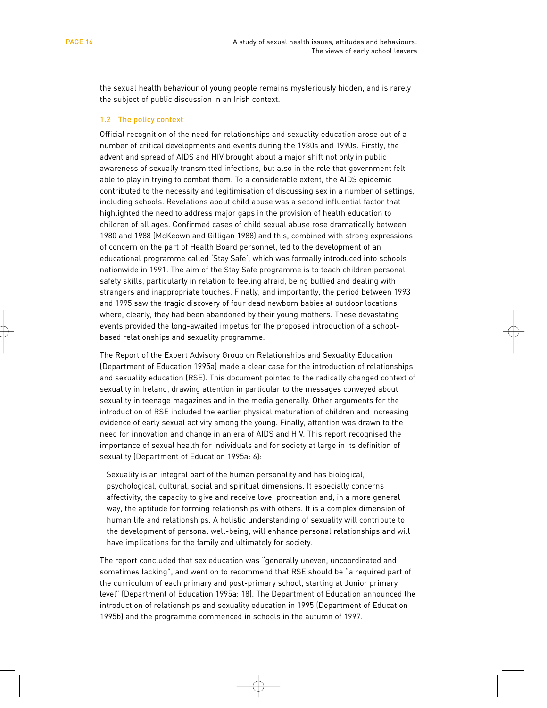the sexual health behaviour of young people remains mysteriously hidden, and is rarely the subject of public discussion in an Irish context.

### 1.2 The policy context

Official recognition of the need for relationships and sexuality education arose out of a number of critical developments and events during the 1980s and 1990s. Firstly, the advent and spread of AIDS and HIV brought about a major shift not only in public awareness of sexually transmitted infections, but also in the role that government felt able to play in trying to combat them. To a considerable extent, the AIDS epidemic contributed to the necessity and legitimisation of discussing sex in a number of settings, including schools. Revelations about child abuse was a second influential factor that highlighted the need to address major gaps in the provision of health education to children of all ages. Confirmed cases of child sexual abuse rose dramatically between 1980 and 1988 (McKeown and Gilligan 1988) and this, combined with strong expressions of concern on the part of Health Board personnel, led to the development of an educational programme called 'Stay Safe', which was formally introduced into schools nationwide in 1991. The aim of the Stay Safe programme is to teach children personal safety skills, particularly in relation to feeling afraid, being bullied and dealing with strangers and inappropriate touches. Finally, and importantly, the period between 1993 and 1995 saw the tragic discovery of four dead newborn babies at outdoor locations where, clearly, they had been abandoned by their young mothers. These devastating events provided the long-awaited impetus for the proposed introduction of a schoolbased relationships and sexuality programme.

The Report of the Expert Advisory Group on Relationships and Sexuality Education (Department of Education 1995a) made a clear case for the introduction of relationships and sexuality education (RSE). This document pointed to the radically changed context of sexuality in Ireland, drawing attention in particular to the messages conveyed about sexuality in teenage magazines and in the media generally. Other arguments for the introduction of RSE included the earlier physical maturation of children and increasing evidence of early sexual activity among the young. Finally, attention was drawn to the need for innovation and change in an era of AIDS and HIV. This report recognised the importance of sexual health for individuals and for society at large in its definition of sexuality (Department of Education 1995a: 6):

Sexuality is an integral part of the human personality and has biological, psychological, cultural, social and spiritual dimensions. It especially concerns affectivity, the capacity to give and receive love, procreation and, in a more general way, the aptitude for forming relationships with others. It is a complex dimension of human life and relationships. A holistic understanding of sexuality will contribute to the development of personal well-being, will enhance personal relationships and will have implications for the family and ultimately for society.

The report concluded that sex education was "generally uneven, uncoordinated and sometimes lacking", and went on to recommend that RSE should be "a required part of the curriculum of each primary and post-primary school, starting at Junior primary level" (Department of Education 1995a: 18). The Department of Education announced the introduction of relationships and sexuality education in 1995 (Department of Education 1995b) and the programme commenced in schools in the autumn of 1997.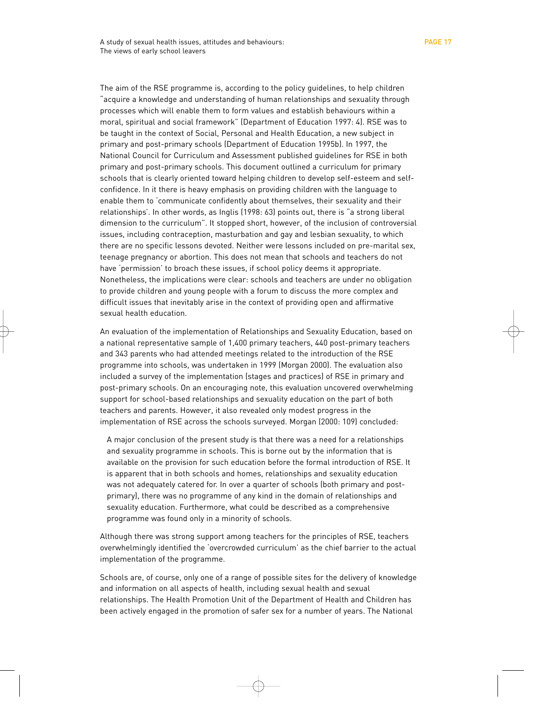The aim of the RSE programme is, according to the policy guidelines, to help children "acquire a knowledge and understanding of human relationships and sexuality through processes which will enable them to form values and establish behaviours within a moral, spiritual and social framework" (Department of Education 1997: 4). RSE was to be taught in the context of Social, Personal and Health Education, a new subject in primary and post-primary schools (Department of Education 1995b). In 1997, the National Council for Curriculum and Assessment published guidelines for RSE in both primary and post-primary schools. This document outlined a curriculum for primary schools that is clearly oriented toward helping children to develop self-esteem and selfconfidence. In it there is heavy emphasis on providing children with the language to enable them to 'communicate confidently about themselves, their sexuality and their relationships'. In other words, as Inglis (1998: 63) points out, there is "a strong liberal dimension to the curriculum". It stopped short, however, of the inclusion of controversial issues, including contraception, masturbation and gay and lesbian sexuality, to which there are no specific lessons devoted. Neither were lessons included on pre-marital sex, teenage pregnancy or abortion. This does not mean that schools and teachers do not have 'permission' to broach these issues, if school policy deems it appropriate. Nonetheless, the implications were clear: schools and teachers are under no obligation to provide children and young people with a forum to discuss the more complex and difficult issues that inevitably arise in the context of providing open and affirmative sexual health education.

An evaluation of the implementation of Relationships and Sexuality Education, based on a national representative sample of 1,400 primary teachers, 440 post-primary teachers and 343 parents who had attended meetings related to the introduction of the RSE programme into schools, was undertaken in 1999 (Morgan 2000). The evaluation also included a survey of the implementation (stages and practices) of RSE in primary and post-primary schools. On an encouraging note, this evaluation uncovered overwhelming support for school-based relationships and sexuality education on the part of both teachers and parents. However, it also revealed only modest progress in the implementation of RSE across the schools surveyed. Morgan (2000: 109) concluded:

A major conclusion of the present study is that there was a need for a relationships and sexuality programme in schools. This is borne out by the information that is available on the provision for such education before the formal introduction of RSE. It is apparent that in both schools and homes, relationships and sexuality education was not adequately catered for. In over a quarter of schools (both primary and postprimary), there was no programme of any kind in the domain of relationships and sexuality education. Furthermore, what could be described as a comprehensive programme was found only in a minority of schools.

Although there was strong support among teachers for the principles of RSE, teachers overwhelmingly identified the 'overcrowded curriculum' as the chief barrier to the actual implementation of the programme.

Schools are, of course, only one of a range of possible sites for the delivery of knowledge and information on all aspects of health, including sexual health and sexual relationships. The Health Promotion Unit of the Department of Health and Children has been actively engaged in the promotion of safer sex for a number of years. The National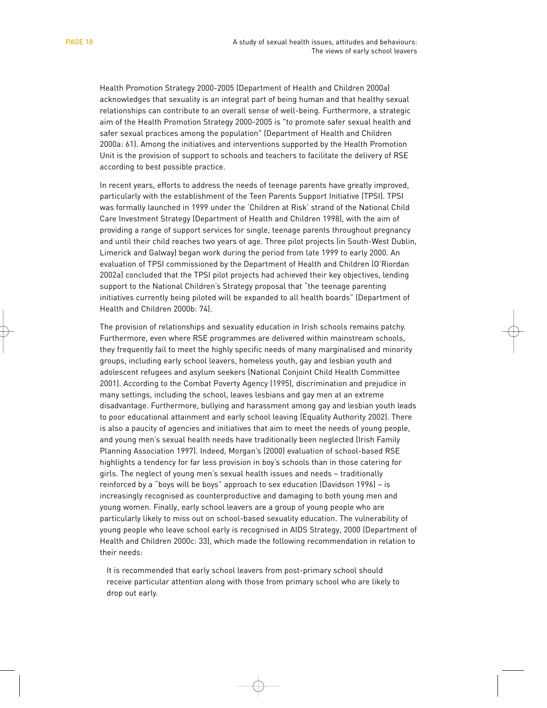Health Promotion Strategy 2000-2005 (Department of Health and Children 2000a) acknowledges that sexuality is an integral part of being human and that healthy sexual relationships can contribute to an overall sense of well-being. Furthermore, a strategic aim of the Health Promotion Strategy 2000-2005 is "to promote safer sexual health and safer sexual practices among the population" (Department of Health and Children 2000a: 61). Among the initiatives and interventions supported by the Health Promotion Unit is the provision of support to schools and teachers to facilitate the delivery of RSE according to best possible practice.

In recent years, efforts to address the needs of teenage parents have greatly improved, particularly with the establishment of the Teen Parents Support Initiative (TPSI). TPSI was formally launched in 1999 under the 'Children at Risk' strand of the National Child Care Investment Strategy (Department of Health and Children 1998), with the aim of providing a range of support services for single, teenage parents throughout pregnancy and until their child reaches two years of age. Three pilot projects (in South-West Dublin, Limerick and Galway) began work during the period from late 1999 to early 2000. An evaluation of TPSI commissioned by the Department of Health and Children (O'Riordan 2002a) concluded that the TPSI pilot projects had achieved their key objectives, lending support to the National Children's Strategy proposal that "the teenage parenting initiatives currently being piloted will be expanded to all health boards" (Department of Health and Children 2000b: 74).

The provision of relationships and sexuality education in Irish schools remains patchy. Furthermore, even where RSE programmes are delivered within mainstream schools, they frequently fail to meet the highly specific needs of many marginalised and minority groups, including early school leavers, homeless youth, gay and lesbian youth and adolescent refugees and asylum seekers (National Conjoint Child Health Committee 2001). According to the Combat Poverty Agency (1995), discrimination and prejudice in many settings, including the school, leaves lesbians and gay men at an extreme disadvantage. Furthermore, bullying and harassment among gay and lesbian youth leads to poor educational attainment and early school leaving (Equality Authority 2002). There is also a paucity of agencies and initiatives that aim to meet the needs of young people, and young men's sexual health needs have traditionally been neglected (Irish Family Planning Association 1997). Indeed, Morgan's (2000) evaluation of school-based RSE highlights a tendency for far less provision in boy's schools than in those catering for girls. The neglect of young men's sexual health issues and needs – traditionally reinforced by a "boys will be boys" approach to sex education (Davidson 1996) – is increasingly recognised as counterproductive and damaging to both young men and young women. Finally, early school leavers are a group of young people who are particularly likely to miss out on school-based sexuality education. The vulnerability of young people who leave school early is recognised in AIDS Strategy, 2000 (Department of Health and Children 2000c: 33), which made the following recommendation in relation to their needs:

It is recommended that early school leavers from post-primary school should receive particular attention along with those from primary school who are likely to drop out early.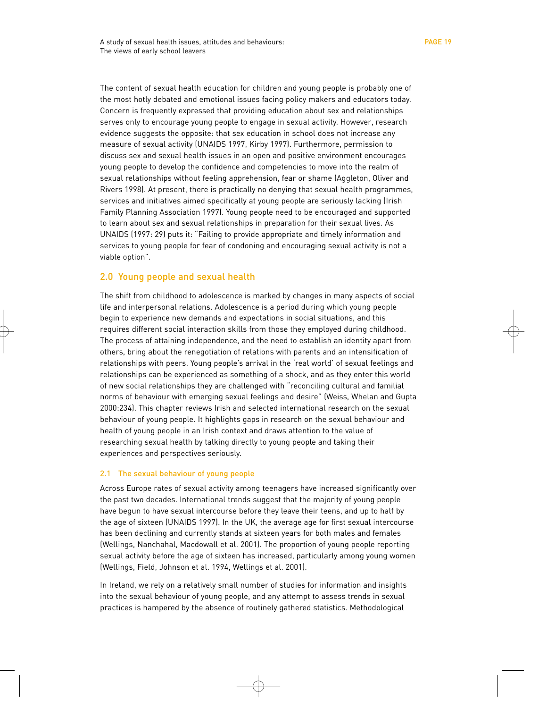The content of sexual health education for children and young people is probably one of the most hotly debated and emotional issues facing policy makers and educators today. Concern is frequently expressed that providing education about sex and relationships serves only to encourage young people to engage in sexual activity. However, research evidence suggests the opposite: that sex education in school does not increase any measure of sexual activity (UNAIDS 1997, Kirby 1997). Furthermore, permission to discuss sex and sexual health issues in an open and positive environment encourages young people to develop the confidence and competencies to move into the realm of sexual relationships without feeling apprehension, fear or shame (Aggleton, Oliver and Rivers 1998). At present, there is practically no denying that sexual health programmes, services and initiatives aimed specifically at young people are seriously lacking (Irish Family Planning Association 1997). Young people need to be encouraged and supported to learn about sex and sexual relationships in preparation for their sexual lives. As UNAIDS (1997: 29) puts it: "Failing to provide appropriate and timely information and services to young people for fear of condoning and encouraging sexual activity is not a viable option".

### 2.0 Young people and sexual health

The shift from childhood to adolescence is marked by changes in many aspects of social life and interpersonal relations. Adolescence is a period during which young people begin to experience new demands and expectations in social situations, and this requires different social interaction skills from those they employed during childhood. The process of attaining independence, and the need to establish an identity apart from others, bring about the renegotiation of relations with parents and an intensification of relationships with peers. Young people's arrival in the 'real world' of sexual feelings and relationships can be experienced as something of a shock, and as they enter this world of new social relationships they are challenged with "reconciling cultural and familial norms of behaviour with emerging sexual feelings and desire" (Weiss, Whelan and Gupta 2000:234). This chapter reviews Irish and selected international research on the sexual behaviour of young people. It highlights gaps in research on the sexual behaviour and health of young people in an Irish context and draws attention to the value of researching sexual health by talking directly to young people and taking their experiences and perspectives seriously.

### 2.1 The sexual behaviour of young people

Across Europe rates of sexual activity among teenagers have increased significantly over the past two decades. International trends suggest that the majority of young people have begun to have sexual intercourse before they leave their teens, and up to half by the age of sixteen (UNAIDS 1997). In the UK, the average age for first sexual intercourse has been declining and currently stands at sixteen years for both males and females (Wellings, Nanchahal, Macdowall et al. 2001). The proportion of young people reporting sexual activity before the age of sixteen has increased, particularly among young women (Wellings, Field, Johnson et al. 1994, Wellings et al. 2001).

In Ireland, we rely on a relatively small number of studies for information and insights into the sexual behaviour of young people, and any attempt to assess trends in sexual practices is hampered by the absence of routinely gathered statistics. Methodological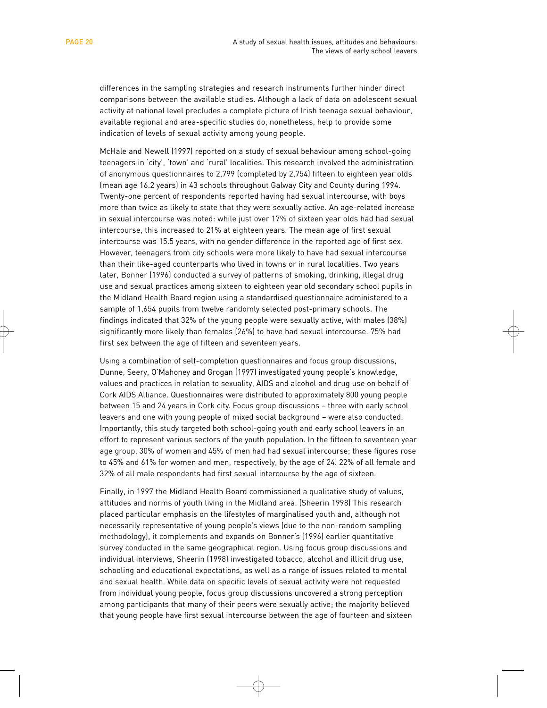differences in the sampling strategies and research instruments further hinder direct comparisons between the available studies. Although a lack of data on adolescent sexual activity at national level precludes a complete picture of Irish teenage sexual behaviour, available regional and area-specific studies do, nonetheless, help to provide some indication of levels of sexual activity among young people.

McHale and Newell (1997) reported on a study of sexual behaviour among school-going teenagers in 'city', 'town' and 'rural' localities. This research involved the administration of anonymous questionnaires to 2,799 (completed by 2,754) fifteen to eighteen year olds (mean age 16.2 years) in 43 schools throughout Galway City and County during 1994. Twenty-one percent of respondents reported having had sexual intercourse, with boys more than twice as likely to state that they were sexually active. An age-related increase in sexual intercourse was noted: while just over 17% of sixteen year olds had had sexual intercourse, this increased to 21% at eighteen years. The mean age of first sexual intercourse was 15.5 years, with no gender difference in the reported age of first sex. However, teenagers from city schools were more likely to have had sexual intercourse than their like-aged counterparts who lived in towns or in rural localities. Two years later, Bonner (1996) conducted a survey of patterns of smoking, drinking, illegal drug use and sexual practices among sixteen to eighteen year old secondary school pupils in the Midland Health Board region using a standardised questionnaire administered to a sample of 1,654 pupils from twelve randomly selected post-primary schools. The findings indicated that 32% of the young people were sexually active, with males (38%) significantly more likely than females (26%) to have had sexual intercourse. 75% had first sex between the age of fifteen and seventeen years.

Using a combination of self-completion questionnaires and focus group discussions, Dunne, Seery, O'Mahoney and Grogan (1997) investigated young people's knowledge, values and practices in relation to sexuality, AIDS and alcohol and drug use on behalf of Cork AIDS Alliance. Questionnaires were distributed to approximately 800 young people between 15 and 24 years in Cork city. Focus group discussions – three with early school leavers and one with young people of mixed social background – were also conducted. Importantly, this study targeted both school-going youth and early school leavers in an effort to represent various sectors of the youth population. In the fifteen to seventeen year age group, 30% of women and 45% of men had had sexual intercourse; these figures rose to 45% and 61% for women and men, respectively, by the age of 24. 22% of all female and 32% of all male respondents had first sexual intercourse by the age of sixteen.

Finally, in 1997 the Midland Health Board commissioned a qualitative study of values, attitudes and norms of youth living in the Midland area. (Sheerin 1998) This research placed particular emphasis on the lifestyles of marginalised youth and, although not necessarily representative of young people's views (due to the non-random sampling methodology), it complements and expands on Bonner's (1996) earlier quantitative survey conducted in the same geographical region. Using focus group discussions and individual interviews, Sheerin (1998) investigated tobacco, alcohol and illicit drug use, schooling and educational expectations, as well as a range of issues related to mental and sexual health. While data on specific levels of sexual activity were not requested from individual young people, focus group discussions uncovered a strong perception among participants that many of their peers were sexually active; the majority believed that young people have first sexual intercourse between the age of fourteen and sixteen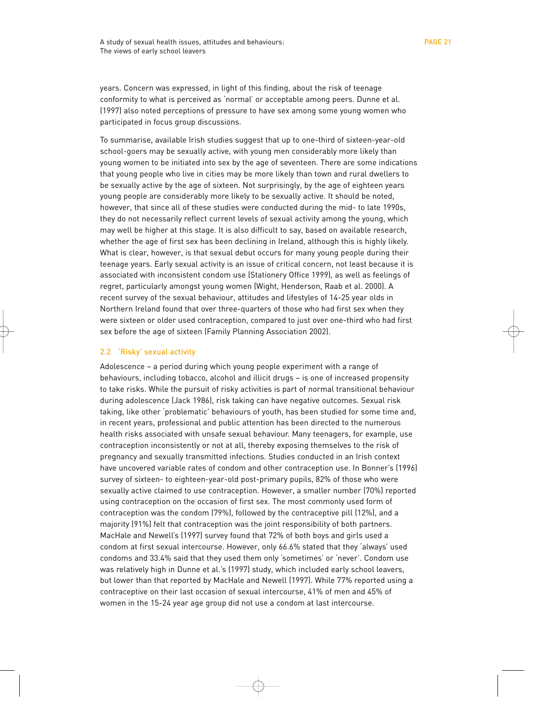years. Concern was expressed, in light of this finding, about the risk of teenage conformity to what is perceived as 'normal' or acceptable among peers. Dunne et al. (1997) also noted perceptions of pressure to have sex among some young women who participated in focus group discussions.

To summarise, available Irish studies suggest that up to one-third of sixteen-year-old school-goers may be sexually active, with young men considerably more likely than young women to be initiated into sex by the age of seventeen. There are some indications that young people who live in cities may be more likely than town and rural dwellers to be sexually active by the age of sixteen. Not surprisingly, by the age of eighteen years young people are considerably more likely to be sexually active. It should be noted, however, that since all of these studies were conducted during the mid- to late 1990s, they do not necessarily reflect current levels of sexual activity among the young, which may well be higher at this stage. It is also difficult to say, based on available research, whether the age of first sex has been declining in Ireland, although this is highly likely. What is clear, however, is that sexual debut occurs for many young people during their teenage years. Early sexual activity is an issue of critical concern, not least because it is associated with inconsistent condom use (Stationery Office 1999), as well as feelings of regret, particularly amongst young women (Wight, Henderson, Raab et al. 2000). A recent survey of the sexual behaviour, attitudes and lifestyles of 14-25 year olds in Northern Ireland found that over three-quarters of those who had first sex when they were sixteen or older used contraception, compared to just over one-third who had first sex before the age of sixteen (Family Planning Association 2002).

### 2.2 'Risky' sexual activity

Adolescence – a period during which young people experiment with a range of behaviours, including tobacco, alcohol and illicit drugs – is one of increased propensity to take risks. While the pursuit of risky activities is part of normal transitional behaviour during adolescence (Jack 1986), risk taking can have negative outcomes. Sexual risk taking, like other 'problematic' behaviours of youth, has been studied for some time and, in recent years, professional and public attention has been directed to the numerous health risks associated with unsafe sexual behaviour. Many teenagers, for example, use contraception inconsistently or not at all, thereby exposing themselves to the risk of pregnancy and sexually transmitted infections. Studies conducted in an Irish context have uncovered variable rates of condom and other contraception use. In Bonner's (1996) survey of sixteen- to eighteen-year-old post-primary pupils, 82% of those who were sexually active claimed to use contraception. However, a smaller number (70%) reported using contraception on the occasion of first sex. The most commonly used form of contraception was the condom (79%), followed by the contraceptive pill (12%), and a majority (91%) felt that contraception was the joint responsibility of both partners. MacHale and Newell's (1997) survey found that 72% of both boys and girls used a condom at first sexual intercourse. However, only 66.6% stated that they 'always' used condoms and 33.4% said that they used them only 'sometimes' or 'never'. Condom use was relatively high in Dunne et al.'s (1997) study, which included early school leavers, but lower than that reported by MacHale and Newell (1997). While 77% reported using a contraceptive on their last occasion of sexual intercourse, 41% of men and 45% of women in the 15-24 year age group did not use a condom at last intercourse.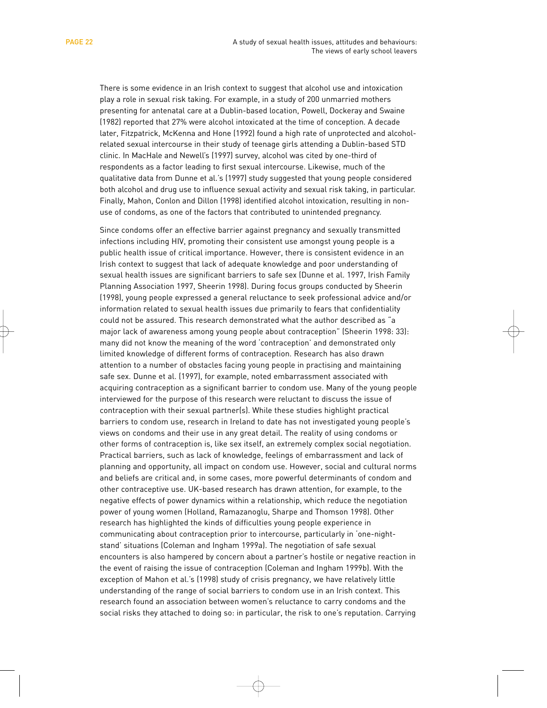There is some evidence in an Irish context to suggest that alcohol use and intoxication play a role in sexual risk taking. For example, in a study of 200 unmarried mothers presenting for antenatal care at a Dublin-based location, Powell, Dockeray and Swaine (1982) reported that 27% were alcohol intoxicated at the time of conception. A decade later, Fitzpatrick, McKenna and Hone (1992) found a high rate of unprotected and alcoholrelated sexual intercourse in their study of teenage girls attending a Dublin-based STD clinic. In MacHale and Newell's (1997) survey, alcohol was cited by one-third of respondents as a factor leading to first sexual intercourse. Likewise, much of the qualitative data from Dunne et al.'s (1997) study suggested that young people considered both alcohol and drug use to influence sexual activity and sexual risk taking, in particular. Finally, Mahon, Conlon and Dillon (1998) identified alcohol intoxication, resulting in nonuse of condoms, as one of the factors that contributed to unintended pregnancy.

Since condoms offer an effective barrier against pregnancy and sexually transmitted infections including HIV, promoting their consistent use amongst young people is a public health issue of critical importance. However, there is consistent evidence in an Irish context to suggest that lack of adequate knowledge and poor understanding of sexual health issues are significant barriers to safe sex (Dunne et al. 1997, Irish Family Planning Association 1997, Sheerin 1998). During focus groups conducted by Sheerin (1998), young people expressed a general reluctance to seek professional advice and/or information related to sexual health issues due primarily to fears that confidentiality could not be assured. This research demonstrated what the author described as "a major lack of awareness among young people about contraception" (Sheerin 1998: 33): many did not know the meaning of the word 'contraception' and demonstrated only limited knowledge of different forms of contraception. Research has also drawn attention to a number of obstacles facing young people in practising and maintaining safe sex. Dunne et al. (1997), for example, noted embarrassment associated with acquiring contraception as a significant barrier to condom use. Many of the young people interviewed for the purpose of this research were reluctant to discuss the issue of contraception with their sexual partner(s). While these studies highlight practical barriers to condom use, research in Ireland to date has not investigated young people's views on condoms and their use in any great detail. The reality of using condoms or other forms of contraception is, like sex itself, an extremely complex social negotiation. Practical barriers, such as lack of knowledge, feelings of embarrassment and lack of planning and opportunity, all impact on condom use. However, social and cultural norms and beliefs are critical and, in some cases, more powerful determinants of condom and other contraceptive use. UK-based research has drawn attention, for example, to the negative effects of power dynamics within a relationship, which reduce the negotiation power of young women (Holland, Ramazanoglu, Sharpe and Thomson 1998). Other research has highlighted the kinds of difficulties young people experience in communicating about contraception prior to intercourse, particularly in 'one-nightstand' situations (Coleman and Ingham 1999a). The negotiation of safe sexual encounters is also hampered by concern about a partner's hostile or negative reaction in the event of raising the issue of contraception (Coleman and Ingham 1999b). With the exception of Mahon et al.'s (1998) study of crisis pregnancy, we have relatively little understanding of the range of social barriers to condom use in an Irish context. This research found an association between women's reluctance to carry condoms and the social risks they attached to doing so: in particular, the risk to one's reputation. Carrying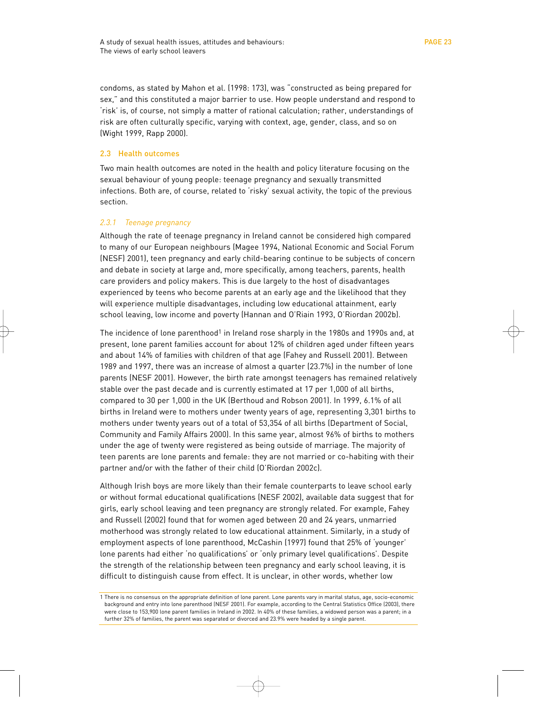condoms, as stated by Mahon et al. (1998: 173), was "constructed as being prepared for sex," and this constituted a major barrier to use. How people understand and respond to 'risk' is, of course, not simply a matter of rational calculation; rather, understandings of risk are often culturally specific, varying with context, age, gender, class, and so on (Wight 1999, Rapp 2000).

### 2.3 Health outcomes

Two main health outcomes are noted in the health and policy literature focusing on the sexual behaviour of young people: teenage pregnancy and sexually transmitted infections. Both are, of course, related to 'risky' sexual activity, the topic of the previous section.

### *2.3.1 Teenage pregnancy*

Although the rate of teenage pregnancy in Ireland cannot be considered high compared to many of our European neighbours (Magee 1994, National Economic and Social Forum (NESF) 2001), teen pregnancy and early child-bearing continue to be subjects of concern and debate in society at large and, more specifically, among teachers, parents, health care providers and policy makers. This is due largely to the host of disadvantages experienced by teens who become parents at an early age and the likelihood that they will experience multiple disadvantages, including low educational attainment, early school leaving, low income and poverty (Hannan and O'Riain 1993, O'Riordan 2002b).

The incidence of lone parenthood<sup>1</sup> in Ireland rose sharply in the 1980s and 1990s and, at present, lone parent families account for about 12% of children aged under fifteen years and about 14% of families with children of that age (Fahey and Russell 2001). Between 1989 and 1997, there was an increase of almost a quarter (23.7%) in the number of lone parents (NESF 2001). However, the birth rate amongst teenagers has remained relatively stable over the past decade and is currently estimated at 17 per 1,000 of all births, compared to 30 per 1,000 in the UK (Berthoud and Robson 2001). In 1999, 6.1% of all births in Ireland were to mothers under twenty years of age, representing 3,301 births to mothers under twenty years out of a total of 53,354 of all births (Department of Social, Community and Family Affairs 2000). In this same year, almost 96% of births to mothers under the age of twenty were registered as being outside of marriage. The majority of teen parents are lone parents and female: they are not married or co-habiting with their partner and/or with the father of their child (O'Riordan 2002c).

Although Irish boys are more likely than their female counterparts to leave school early or without formal educational qualifications (NESF 2002), available data suggest that for girls, early school leaving and teen pregnancy are strongly related. For example, Fahey and Russell (2002) found that for women aged between 20 and 24 years, unmarried motherhood was strongly related to low educational attainment. Similarly, in a study of employment aspects of lone parenthood, McCashin (1997) found that 25% of 'younger' lone parents had either 'no qualifications' or 'only primary level qualifications'. Despite the strength of the relationship between teen pregnancy and early school leaving, it is difficult to distinguish cause from effect. It is unclear, in other words, whether low

<sup>1</sup> There is no consensus on the appropriate definition of lone parent. Lone parents vary in marital status, age, socio-economic background and entry into lone parenthood (NESF 2001). For example, according to the Central Statistics Office (2003), there were close to 153,900 lone parent families in Ireland in 2002. In 40% of these families, a widowed person was a parent; in a further 32% of families, the parent was separated or divorced and 23.9% were headed by a single parent.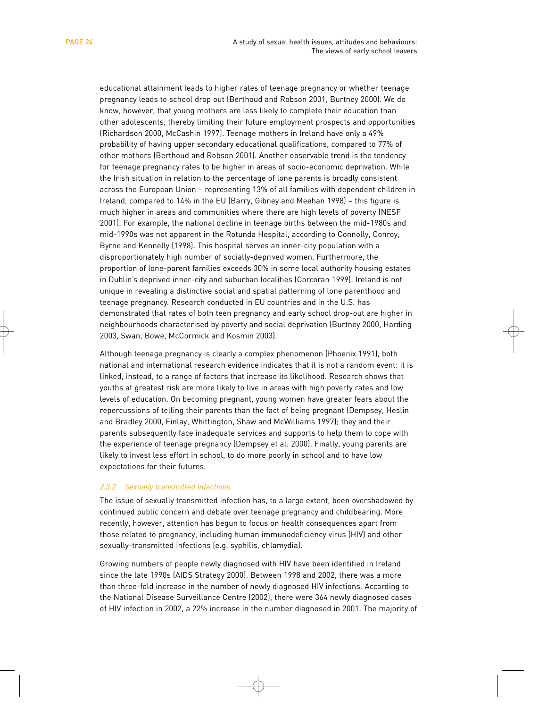educational attainment leads to higher rates of teenage pregnancy or whether teenage pregnancy leads to school drop out (Berthoud and Robson 2001, Burtney 2000). We do know, however, that young mothers are less likely to complete their education than other adolescents, thereby limiting their future employment prospects and opportunities (Richardson 2000, McCashin 1997). Teenage mothers in Ireland have only a 49% probability of having upper secondary educational qualifications, compared to 77% of other mothers (Berthoud and Robson 2001). Another observable trend is the tendency for teenage pregnancy rates to be higher in areas of socio-economic deprivation. While the Irish situation in relation to the percentage of lone parents is broadly consistent across the European Union – representing 13% of all families with dependent children in Ireland, compared to 14% in the EU (Barry, Gibney and Meehan 1998) – this figure is much higher in areas and communities where there are high levels of poverty (NESF 2001). For example, the national decline in teenage births between the mid-1980s and mid-1990s was not apparent in the Rotunda Hospital, according to Connolly, Conroy, Byrne and Kennelly (1998). This hospital serves an inner-city population with a disproportionately high number of socially-deprived women. Furthermore, the proportion of lone-parent families exceeds 30% in some local authority housing estates in Dublin's deprived inner-city and suburban localities (Corcoran 1999). Ireland is not unique in revealing a distinctive social and spatial patterning of lone parenthood and teenage pregnancy. Research conducted in EU countries and in the U.S. has demonstrated that rates of both teen pregnancy and early school drop-out are higher in neighbourhoods characterised by poverty and social deprivation (Burtney 2000, Harding 2003, Swan, Bowe, McCormick and Kosmin 2003).

Although teenage pregnancy is clearly a complex phenomenon (Phoenix 1991), both national and international research evidence indicates that it is not a random event: it is linked, instead, to a range of factors that increase its likelihood. Research shows that youths at greatest risk are more likely to live in areas with high poverty rates and low levels of education. On becoming pregnant, young women have greater fears about the repercussions of telling their parents than the fact of being pregnant (Dempsey, Heslin and Bradley 2000, Finlay, Whittington, Shaw and McWilliams 1997); they and their parents subsequently face inadequate services and supports to help them to cope with the experience of teenage pregnancy (Dempsey et al. 2000). Finally, young parents are likely to invest less effort in school, to do more poorly in school and to have low expectations for their futures.

### *2.3.2 Sexually transmitted infections*

The issue of sexually transmitted infection has, to a large extent, been overshadowed by continued public concern and debate over teenage pregnancy and childbearing. More recently, however, attention has begun to focus on health consequences apart from those related to pregnancy, including human immunodeficiency virus (HIV) and other sexually-transmitted infections (e.g. syphilis, chlamydia).

Growing numbers of people newly diagnosed with HIV have been identified in Ireland since the late 1990s (AIDS Strategy 2000). Between 1998 and 2002, there was a more than three-fold increase in the number of newly diagnosed HIV infections. According to the National Disease Surveillance Centre (2002), there were 364 newly diagnosed cases of HIV infection in 2002, a 22% increase in the number diagnosed in 2001. The majority of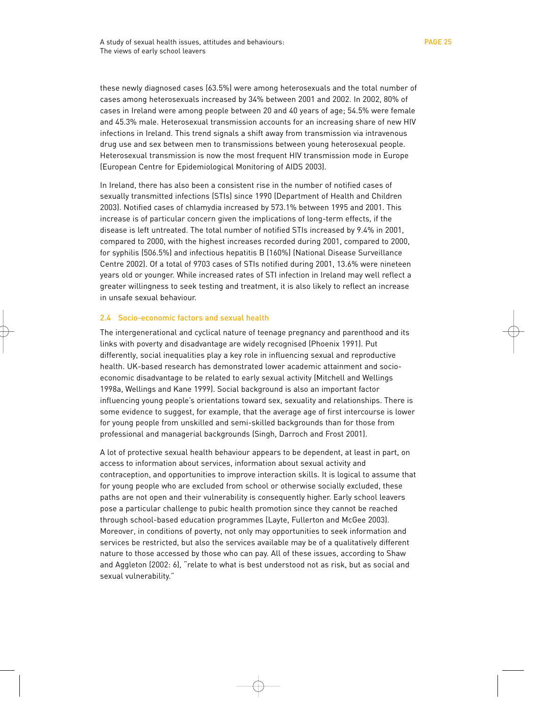these newly diagnosed cases (63.5%) were among heterosexuals and the total number of cases among heterosexuals increased by 34% between 2001 and 2002. In 2002, 80% of cases in Ireland were among people between 20 and 40 years of age; 54.5% were female and 45.3% male. Heterosexual transmission accounts for an increasing share of new HIV infections in Ireland. This trend signals a shift away from transmission via intravenous drug use and sex between men to transmissions between young heterosexual people. Heterosexual transmission is now the most frequent HIV transmission mode in Europe (European Centre for Epidemiological Monitoring of AIDS 2003).

In Ireland, there has also been a consistent rise in the number of notified cases of sexually transmitted infections (STIs) since 1990 (Department of Health and Children 2003). Notified cases of chlamydia increased by 573.1% between 1995 and 2001. This increase is of particular concern given the implications of long-term effects, if the disease is left untreated. The total number of notified STIs increased by 9.4% in 2001, compared to 2000, with the highest increases recorded during 2001, compared to 2000, for syphilis (506.5%) and infectious hepatitis B (160%) (National Disease Surveillance Centre 2002). Of a total of 9703 cases of STIs notified during 2001, 13.6% were nineteen years old or younger. While increased rates of STI infection in Ireland may well reflect a greater willingness to seek testing and treatment, it is also likely to reflect an increase in unsafe sexual behaviour.

### 2.4 Socio-economic factors and sexual health

The intergenerational and cyclical nature of teenage pregnancy and parenthood and its links with poverty and disadvantage are widely recognised (Phoenix 1991). Put differently, social inequalities play a key role in influencing sexual and reproductive health. UK-based research has demonstrated lower academic attainment and socioeconomic disadvantage to be related to early sexual activity (Mitchell and Wellings 1998a, Wellings and Kane 1999). Social background is also an important factor influencing young people's orientations toward sex, sexuality and relationships. There is some evidence to suggest, for example, that the average age of first intercourse is lower for young people from unskilled and semi-skilled backgrounds than for those from professional and managerial backgrounds (Singh, Darroch and Frost 2001).

A lot of protective sexual health behaviour appears to be dependent, at least in part, on access to information about services, information about sexual activity and contraception, and opportunities to improve interaction skills. It is logical to assume that for young people who are excluded from school or otherwise socially excluded, these paths are not open and their vulnerability is consequently higher. Early school leavers pose a particular challenge to pubic health promotion since they cannot be reached through school-based education programmes (Layte, Fullerton and McGee 2003). Moreover, in conditions of poverty, not only may opportunities to seek information and services be restricted, but also the services available may be of a qualitatively different nature to those accessed by those who can pay. All of these issues, according to Shaw and Aggleton (2002: 6), "relate to what is best understood not as risk, but as social and sexual vulnerability."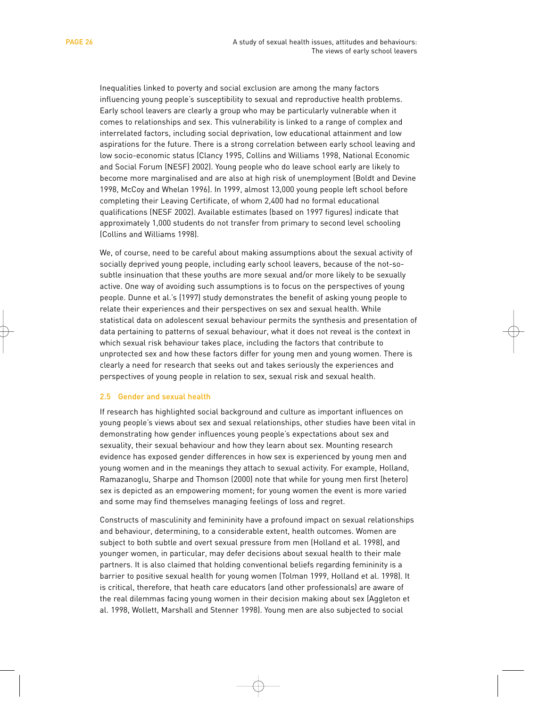Inequalities linked to poverty and social exclusion are among the many factors influencing young people's susceptibility to sexual and reproductive health problems. Early school leavers are clearly a group who may be particularly vulnerable when it comes to relationships and sex. This vulnerability is linked to a range of complex and interrelated factors, including social deprivation, low educational attainment and low aspirations for the future. There is a strong correlation between early school leaving and low socio-economic status (Clancy 1995, Collins and Williams 1998, National Economic and Social Forum (NESF) 2002). Young people who do leave school early are likely to become more marginalised and are also at high risk of unemployment (Boldt and Devine 1998, McCoy and Whelan 1996). In 1999, almost 13,000 young people left school before completing their Leaving Certificate, of whom 2,400 had no formal educational qualifications (NESF 2002). Available estimates (based on 1997 figures) indicate that approximately 1,000 students do not transfer from primary to second level schooling (Collins and Williams 1998).

We, of course, need to be careful about making assumptions about the sexual activity of socially deprived young people, including early school leavers, because of the not-sosubtle insinuation that these youths are more sexual and/or more likely to be sexually active. One way of avoiding such assumptions is to focus on the perspectives of young people. Dunne et al.'s (1997) study demonstrates the benefit of asking young people to relate their experiences and their perspectives on sex and sexual health. While statistical data on adolescent sexual behaviour permits the synthesis and presentation of data pertaining to patterns of sexual behaviour, what it does not reveal is the context in which sexual risk behaviour takes place, including the factors that contribute to unprotected sex and how these factors differ for young men and young women. There is clearly a need for research that seeks out and takes seriously the experiences and perspectives of young people in relation to sex, sexual risk and sexual health.

### 2.5 Gender and sexual health

If research has highlighted social background and culture as important influences on young people's views about sex and sexual relationships, other studies have been vital in demonstrating how gender influences young people's expectations about sex and sexuality, their sexual behaviour and how they learn about sex. Mounting research evidence has exposed gender differences in how sex is experienced by young men and young women and in the meanings they attach to sexual activity. For example, Holland, Ramazanoglu, Sharpe and Thomson (2000) note that while for young men first (hetero) sex is depicted as an empowering moment; for young women the event is more varied and some may find themselves managing feelings of loss and regret.

Constructs of masculinity and femininity have a profound impact on sexual relationships and behaviour, determining, to a considerable extent, health outcomes. Women are subject to both subtle and overt sexual pressure from men (Holland et al. 1998), and younger women, in particular, may defer decisions about sexual health to their male partners. It is also claimed that holding conventional beliefs regarding femininity is a barrier to positive sexual health for young women (Tolman 1999, Holland et al. 1998). It is critical, therefore, that heath care educators (and other professionals) are aware of the real dilemmas facing young women in their decision making about sex (Aggleton et al. 1998, Wollett, Marshall and Stenner 1998). Young men are also subjected to social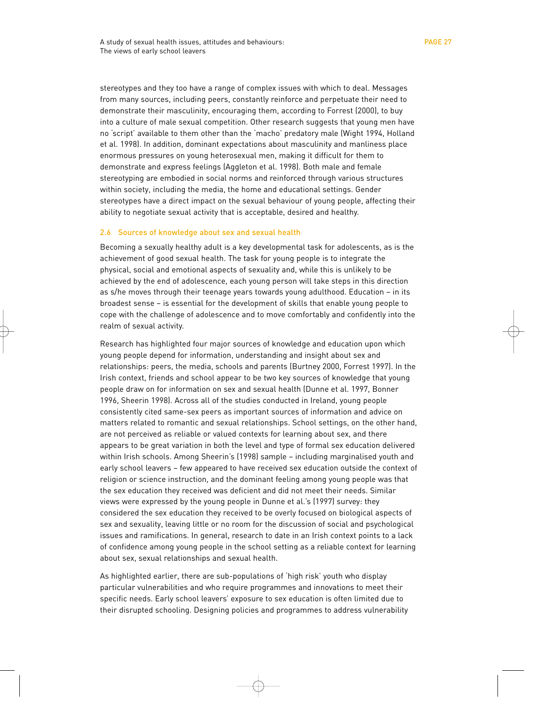stereotypes and they too have a range of complex issues with which to deal. Messages from many sources, including peers, constantly reinforce and perpetuate their need to demonstrate their masculinity, encouraging them, according to Forrest (2000), to buy into a culture of male sexual competition. Other research suggests that young men have no 'script' available to them other than the 'macho' predatory male (Wight 1994, Holland et al. 1998). In addition, dominant expectations about masculinity and manliness place enormous pressures on young heterosexual men, making it difficult for them to demonstrate and express feelings (Aggleton et al. 1998). Both male and female stereotyping are embodied in social norms and reinforced through various structures within society, including the media, the home and educational settings. Gender stereotypes have a direct impact on the sexual behaviour of young people, affecting their ability to negotiate sexual activity that is acceptable, desired and healthy.

### 2.6 Sources of knowledge about sex and sexual health

Becoming a sexually healthy adult is a key developmental task for adolescents, as is the achievement of good sexual health. The task for young people is to integrate the physical, social and emotional aspects of sexuality and, while this is unlikely to be achieved by the end of adolescence, each young person will take steps in this direction as s/he moves through their teenage years towards young adulthood. Education – in its broadest sense – is essential for the development of skills that enable young people to cope with the challenge of adolescence and to move comfortably and confidently into the realm of sexual activity.

Research has highlighted four major sources of knowledge and education upon which young people depend for information, understanding and insight about sex and relationships: peers, the media, schools and parents (Burtney 2000, Forrest 1997). In the Irish context, friends and school appear to be two key sources of knowledge that young people draw on for information on sex and sexual health (Dunne et al. 1997, Bonner 1996, Sheerin 1998). Across all of the studies conducted in Ireland, young people consistently cited same-sex peers as important sources of information and advice on matters related to romantic and sexual relationships. School settings, on the other hand, are not perceived as reliable or valued contexts for learning about sex, and there appears to be great variation in both the level and type of formal sex education delivered within Irish schools. Among Sheerin's (1998) sample – including marginalised youth and early school leavers – few appeared to have received sex education outside the context of religion or science instruction, and the dominant feeling among young people was that the sex education they received was deficient and did not meet their needs. Similar views were expressed by the young people in Dunne et al.'s (1997) survey: they considered the sex education they received to be overly focused on biological aspects of sex and sexuality, leaving little or no room for the discussion of social and psychological issues and ramifications. In general, research to date in an Irish context points to a lack of confidence among young people in the school setting as a reliable context for learning about sex, sexual relationships and sexual health.

As highlighted earlier, there are sub-populations of 'high risk' youth who display particular vulnerabilities and who require programmes and innovations to meet their specific needs. Early school leavers' exposure to sex education is often limited due to their disrupted schooling. Designing policies and programmes to address vulnerability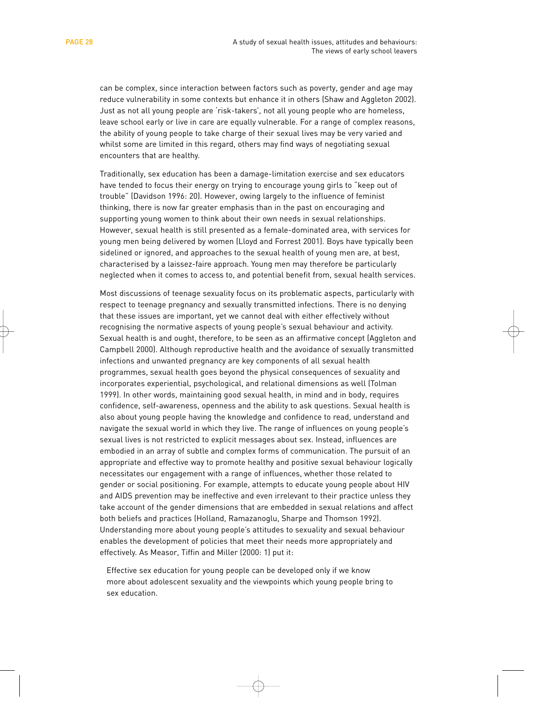can be complex, since interaction between factors such as poverty, gender and age may reduce vulnerability in some contexts but enhance it in others (Shaw and Aggleton 2002). Just as not all young people are 'risk-takers', not all young people who are homeless, leave school early or live in care are equally vulnerable. For a range of complex reasons, the ability of young people to take charge of their sexual lives may be very varied and whilst some are limited in this regard, others may find ways of negotiating sexual encounters that are healthy.

Traditionally, sex education has been a damage-limitation exercise and sex educators have tended to focus their energy on trying to encourage young girls to "keep out of trouble" (Davidson 1996: 20). However, owing largely to the influence of feminist thinking, there is now far greater emphasis than in the past on encouraging and supporting young women to think about their own needs in sexual relationships. However, sexual health is still presented as a female-dominated area, with services for young men being delivered by women (Lloyd and Forrest 2001). Boys have typically been sidelined or ignored, and approaches to the sexual health of young men are, at best, characterised by a laissez-faire approach. Young men may therefore be particularly neglected when it comes to access to, and potential benefit from, sexual health services.

Most discussions of teenage sexuality focus on its problematic aspects, particularly with respect to teenage pregnancy and sexually transmitted infections. There is no denying that these issues are important, yet we cannot deal with either effectively without recognising the normative aspects of young people's sexual behaviour and activity. Sexual health is and ought, therefore, to be seen as an affirmative concept (Aggleton and Campbell 2000). Although reproductive health and the avoidance of sexually transmitted infections and unwanted pregnancy are key components of all sexual health programmes, sexual health goes beyond the physical consequences of sexuality and incorporates experiential, psychological, and relational dimensions as well (Tolman 1999). In other words, maintaining good sexual health, in mind and in body, requires confidence, self-awareness, openness and the ability to ask questions. Sexual health is also about young people having the knowledge and confidence to read, understand and navigate the sexual world in which they live. The range of influences on young people's sexual lives is not restricted to explicit messages about sex. Instead, influences are embodied in an array of subtle and complex forms of communication. The pursuit of an appropriate and effective way to promote healthy and positive sexual behaviour logically necessitates our engagement with a range of influences, whether those related to gender or social positioning. For example, attempts to educate young people about HIV and AIDS prevention may be ineffective and even irrelevant to their practice unless they take account of the gender dimensions that are embedded in sexual relations and affect both beliefs and practices (Holland, Ramazanoglu, Sharpe and Thomson 1992). Understanding more about young people's attitudes to sexuality and sexual behaviour enables the development of policies that meet their needs more appropriately and effectively. As Measor, Tiffin and Miller (2000: 1) put it:

Effective sex education for young people can be developed only if we know more about adolescent sexuality and the viewpoints which young people bring to sex education.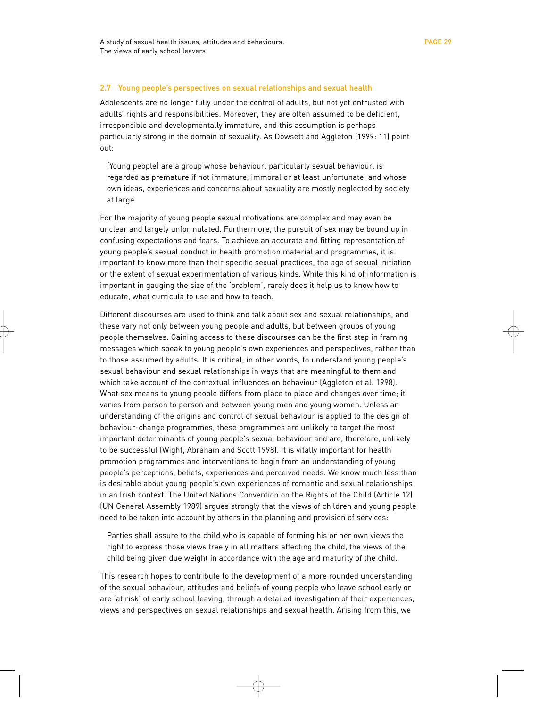### 2.7 Young people's perspectives on sexual relationships and sexual health

Adolescents are no longer fully under the control of adults, but not yet entrusted with adults' rights and responsibilities. Moreover, they are often assumed to be deficient, irresponsible and developmentally immature, and this assumption is perhaps particularly strong in the domain of sexuality. As Dowsett and Aggleton (1999: 11) point out:

[Young people] are a group whose behaviour, particularly sexual behaviour, is regarded as premature if not immature, immoral or at least unfortunate, and whose own ideas, experiences and concerns about sexuality are mostly neglected by society at large.

For the majority of young people sexual motivations are complex and may even be unclear and largely unformulated. Furthermore, the pursuit of sex may be bound up in confusing expectations and fears. To achieve an accurate and fitting representation of young people's sexual conduct in health promotion material and programmes, it is important to know more than their specific sexual practices, the age of sexual initiation or the extent of sexual experimentation of various kinds. While this kind of information is important in gauging the size of the 'problem', rarely does it help us to know how to educate, what curricula to use and how to teach.

Different discourses are used to think and talk about sex and sexual relationships, and these vary not only between young people and adults, but between groups of young people themselves. Gaining access to these discourses can be the first step in framing messages which speak to young people's own experiences and perspectives, rather than to those assumed by adults. It is critical, in other words, to understand young people's sexual behaviour and sexual relationships in ways that are meaningful to them and which take account of the contextual influences on behaviour (Aggleton et al. 1998). What sex means to young people differs from place to place and changes over time; it varies from person to person and between young men and young women. Unless an understanding of the origins and control of sexual behaviour is applied to the design of behaviour-change programmes, these programmes are unlikely to target the most important determinants of young people's sexual behaviour and are, therefore, unlikely to be successful (Wight, Abraham and Scott 1998). It is vitally important for health promotion programmes and interventions to begin from an understanding of young people's perceptions, beliefs, experiences and perceived needs. We know much less than is desirable about young people's own experiences of romantic and sexual relationships in an Irish context. The United Nations Convention on the Rights of the Child (Article 12) (UN General Assembly 1989) argues strongly that the views of children and young people need to be taken into account by others in the planning and provision of services:

Parties shall assure to the child who is capable of forming his or her own views the right to express those views freely in all matters affecting the child, the views of the child being given due weight in accordance with the age and maturity of the child.

This research hopes to contribute to the development of a more rounded understanding of the sexual behaviour, attitudes and beliefs of young people who leave school early or are 'at risk' of early school leaving, through a detailed investigation of their experiences, views and perspectives on sexual relationships and sexual health. Arising from this, we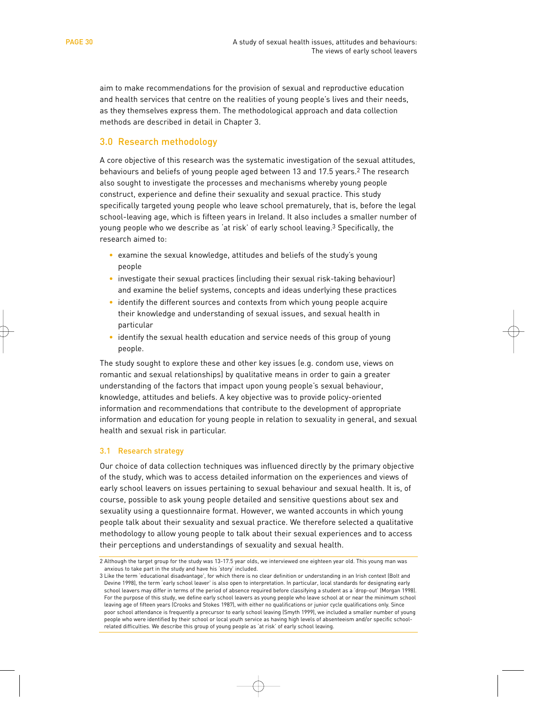aim to make recommendations for the provision of sexual and reproductive education and health services that centre on the realities of young people's lives and their needs, as they themselves express them. The methodological approach and data collection methods are described in detail in Chapter 3.

### 3.0 Research methodology

A core objective of this research was the systematic investigation of the sexual attitudes, behaviours and beliefs of young people aged between 13 and 17.5 years.2 The research also sought to investigate the processes and mechanisms whereby young people construct, experience and define their sexuality and sexual practice. This study specifically targeted young people who leave school prematurely, that is, before the legal school-leaving age, which is fifteen years in Ireland. It also includes a smaller number of young people who we describe as 'at risk' of early school leaving.3 Specifically, the research aimed to:

- examine the sexual knowledge, attitudes and beliefs of the study's young people
- investigate their sexual practices (including their sexual risk-taking behaviour) and examine the belief systems, concepts and ideas underlying these practices
- identify the different sources and contexts from which young people acquire their knowledge and understanding of sexual issues, and sexual health in particular
- identify the sexual health education and service needs of this group of young people.

The study sought to explore these and other key issues (e.g. condom use, views on romantic and sexual relationships) by qualitative means in order to gain a greater understanding of the factors that impact upon young people's sexual behaviour, knowledge, attitudes and beliefs. A key objective was to provide policy-oriented information and recommendations that contribute to the development of appropriate information and education for young people in relation to sexuality in general, and sexual health and sexual risk in particular.

#### 3.1 Research strategy

Our choice of data collection techniques was influenced directly by the primary objective of the study, which was to access detailed information on the experiences and views of early school leavers on issues pertaining to sexual behaviour and sexual health. It is, of course, possible to ask young people detailed and sensitive questions about sex and sexuality using a questionnaire format. However, we wanted accounts in which young people talk about their sexuality and sexual practice. We therefore selected a qualitative methodology to allow young people to talk about their sexual experiences and to access their perceptions and understandings of sexuality and sexual health.

<sup>2</sup> Although the target group for the study was 13-17.5 year olds, we interviewed one eighteen year old. This young man was anxious to take part in the study and have his 'story' included.

<sup>3</sup> Like the term 'educational disadvantage', for which there is no clear definition or understanding in an Irish context (Bolt and Devine 1998), the term 'early school leaver' is also open to interpretation. In particular, local standards for designating early school leavers may differ in terms of the period of absence required before classifying a student as a 'drop-out' (Morgan 1998). For the purpose of this study, we define early school leavers as young people who leave school at or near the minimum school leaving age of fifteen years (Crooks and Stokes 1987), with either no qualifications or junior cycle qualifications only. Since poor school attendance is frequently a precursor to early school leaving (Smyth 1999), we included a smaller number of young people who were identified by their school or local youth service as having high levels of absenteeism and/or specific schoolrelated difficulties. We describe this group of young people as 'at risk' of early school leaving.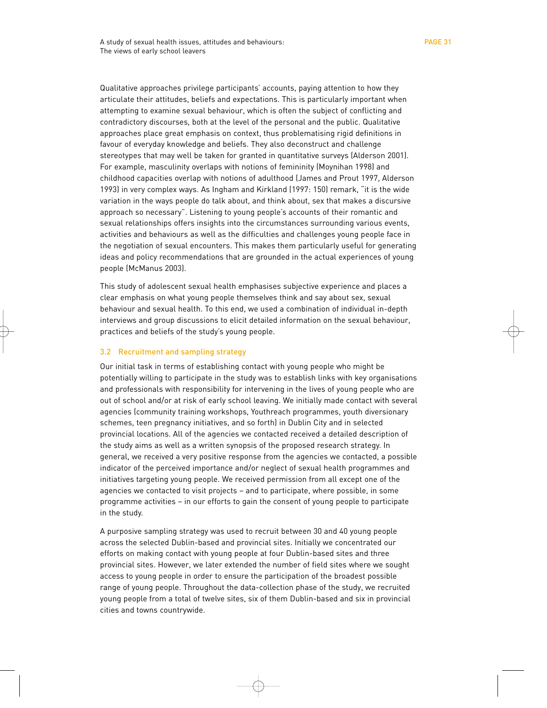Qualitative approaches privilege participants' accounts, paying attention to how they articulate their attitudes, beliefs and expectations. This is particularly important when attempting to examine sexual behaviour, which is often the subject of conflicting and contradictory discourses, both at the level of the personal and the public. Qualitative approaches place great emphasis on context, thus problematising rigid definitions in favour of everyday knowledge and beliefs. They also deconstruct and challenge stereotypes that may well be taken for granted in quantitative surveys (Alderson 2001). For example, masculinity overlaps with notions of femininity (Moynihan 1998) and childhood capacities overlap with notions of adulthood (James and Prout 1997, Alderson 1993) in very complex ways. As Ingham and Kirkland (1997: 150) remark, "it is the wide variation in the ways people do talk about, and think about, sex that makes a discursive approach so necessary". Listening to young people's accounts of their romantic and sexual relationships offers insights into the circumstances surrounding various events, activities and behaviours as well as the difficulties and challenges young people face in the negotiation of sexual encounters. This makes them particularly useful for generating ideas and policy recommendations that are grounded in the actual experiences of young people (McManus 2003).

This study of adolescent sexual health emphasises subjective experience and places a clear emphasis on what young people themselves think and say about sex, sexual behaviour and sexual health. To this end, we used a combination of individual in-depth interviews and group discussions to elicit detailed information on the sexual behaviour, practices and beliefs of the study's young people.

### 3.2 Recruitment and sampling strategy

Our initial task in terms of establishing contact with young people who might be potentially willing to participate in the study was to establish links with key organisations and professionals with responsibility for intervening in the lives of young people who are out of school and/or at risk of early school leaving. We initially made contact with several agencies (community training workshops, Youthreach programmes, youth diversionary schemes, teen pregnancy initiatives, and so forth) in Dublin City and in selected provincial locations. All of the agencies we contacted received a detailed description of the study aims as well as a written synopsis of the proposed research strategy. In general, we received a very positive response from the agencies we contacted, a possible indicator of the perceived importance and/or neglect of sexual health programmes and initiatives targeting young people. We received permission from all except one of the agencies we contacted to visit projects – and to participate, where possible, in some programme activities – in our efforts to gain the consent of young people to participate in the study.

A purposive sampling strategy was used to recruit between 30 and 40 young people across the selected Dublin-based and provincial sites. Initially we concentrated our efforts on making contact with young people at four Dublin-based sites and three provincial sites. However, we later extended the number of field sites where we sought access to young people in order to ensure the participation of the broadest possible range of young people. Throughout the data-collection phase of the study, we recruited young people from a total of twelve sites, six of them Dublin-based and six in provincial cities and towns countrywide.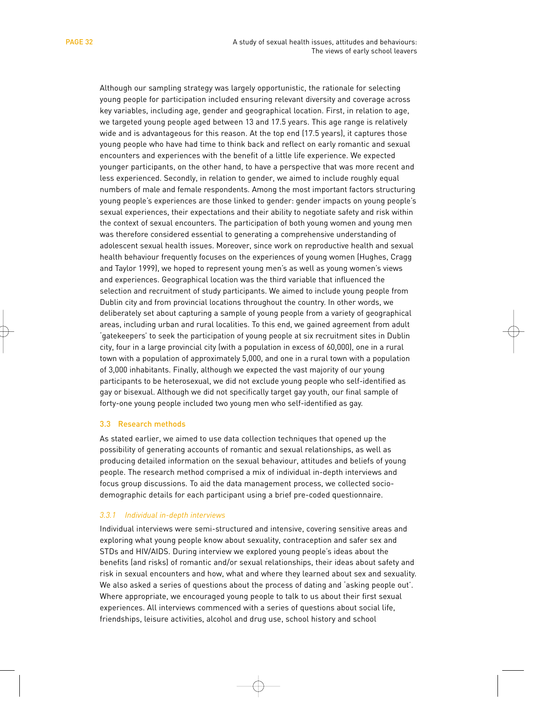Although our sampling strategy was largely opportunistic, the rationale for selecting young people for participation included ensuring relevant diversity and coverage across key variables, including age, gender and geographical location. First, in relation to age, we targeted young people aged between 13 and 17.5 years. This age range is relatively wide and is advantageous for this reason. At the top end (17.5 years), it captures those young people who have had time to think back and reflect on early romantic and sexual encounters and experiences with the benefit of a little life experience. We expected younger participants, on the other hand, to have a perspective that was more recent and less experienced. Secondly, in relation to gender, we aimed to include roughly equal numbers of male and female respondents. Among the most important factors structuring young people's experiences are those linked to gender: gender impacts on young people's sexual experiences, their expectations and their ability to negotiate safety and risk within the context of sexual encounters. The participation of both young women and young men was therefore considered essential to generating a comprehensive understanding of adolescent sexual health issues. Moreover, since work on reproductive health and sexual health behaviour frequently focuses on the experiences of young women (Hughes, Cragg and Taylor 1999), we hoped to represent young men's as well as young women's views and experiences. Geographical location was the third variable that influenced the selection and recruitment of study participants. We aimed to include young people from Dublin city and from provincial locations throughout the country. In other words, we deliberately set about capturing a sample of young people from a variety of geographical areas, including urban and rural localities. To this end, we gained agreement from adult 'gatekeepers' to seek the participation of young people at six recruitment sites in Dublin city, four in a large provincial city (with a population in excess of 60,000), one in a rural town with a population of approximately 5,000, and one in a rural town with a population of 3,000 inhabitants. Finally, although we expected the vast majority of our young participants to be heterosexual, we did not exclude young people who self-identified as gay or bisexual. Although we did not specifically target gay youth, our final sample of forty-one young people included two young men who self-identified as gay.

### 3.3 Research methods

As stated earlier, we aimed to use data collection techniques that opened up the possibility of generating accounts of romantic and sexual relationships, as well as producing detailed information on the sexual behaviour, attitudes and beliefs of young people. The research method comprised a mix of individual in-depth interviews and focus group discussions. To aid the data management process, we collected sociodemographic details for each participant using a brief pre-coded questionnaire.

### *3.3.1 Individual in-depth interviews*

Individual interviews were semi-structured and intensive, covering sensitive areas and exploring what young people know about sexuality, contraception and safer sex and STDs and HIV/AIDS. During interview we explored young people's ideas about the benefits (and risks) of romantic and/or sexual relationships, their ideas about safety and risk in sexual encounters and how, what and where they learned about sex and sexuality. We also asked a series of questions about the process of dating and 'asking people out'. Where appropriate, we encouraged young people to talk to us about their first sexual experiences. All interviews commenced with a series of questions about social life, friendships, leisure activities, alcohol and drug use, school history and school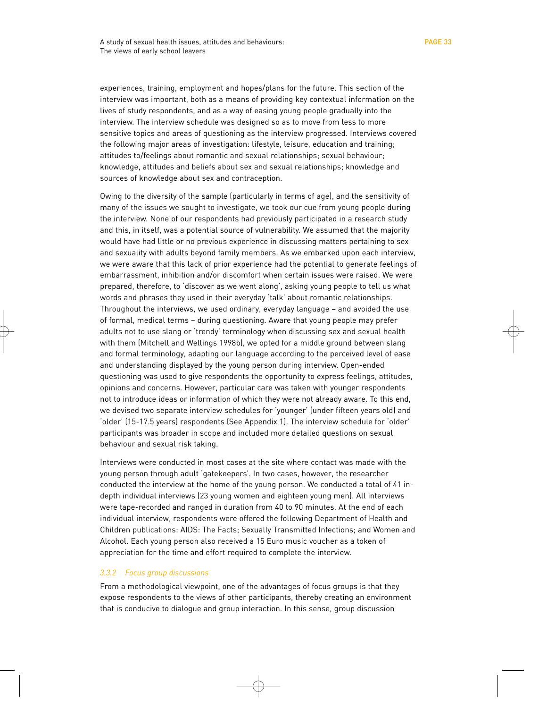experiences, training, employment and hopes/plans for the future. This section of the interview was important, both as a means of providing key contextual information on the lives of study respondents, and as a way of easing young people gradually into the interview. The interview schedule was designed so as to move from less to more sensitive topics and areas of questioning as the interview progressed. Interviews covered the following major areas of investigation: lifestyle, leisure, education and training; attitudes to/feelings about romantic and sexual relationships; sexual behaviour; knowledge, attitudes and beliefs about sex and sexual relationships; knowledge and sources of knowledge about sex and contraception.

Owing to the diversity of the sample (particularly in terms of age), and the sensitivity of many of the issues we sought to investigate, we took our cue from young people during the interview. None of our respondents had previously participated in a research study and this, in itself, was a potential source of vulnerability. We assumed that the majority would have had little or no previous experience in discussing matters pertaining to sex and sexuality with adults beyond family members. As we embarked upon each interview, we were aware that this lack of prior experience had the potential to generate feelings of embarrassment, inhibition and/or discomfort when certain issues were raised. We were prepared, therefore, to 'discover as we went along', asking young people to tell us what words and phrases they used in their everyday 'talk' about romantic relationships. Throughout the interviews, we used ordinary, everyday language – and avoided the use of formal, medical terms – during questioning. Aware that young people may prefer adults not to use slang or 'trendy' terminology when discussing sex and sexual health with them (Mitchell and Wellings 1998b), we opted for a middle ground between slang and formal terminology, adapting our language according to the perceived level of ease and understanding displayed by the young person during interview. Open-ended questioning was used to give respondents the opportunity to express feelings, attitudes, opinions and concerns. However, particular care was taken with younger respondents not to introduce ideas or information of which they were not already aware. To this end, we devised two separate interview schedules for 'younger' (under fifteen years old) and 'older' (15-17.5 years) respondents (See Appendix 1). The interview schedule for 'older' participants was broader in scope and included more detailed questions on sexual behaviour and sexual risk taking.

Interviews were conducted in most cases at the site where contact was made with the young person through adult 'gatekeepers'. In two cases, however, the researcher conducted the interview at the home of the young person. We conducted a total of 41 indepth individual interviews (23 young women and eighteen young men). All interviews were tape-recorded and ranged in duration from 40 to 90 minutes. At the end of each individual interview, respondents were offered the following Department of Health and Children publications: AIDS: The Facts; Sexually Transmitted Infections; and Women and Alcohol. Each young person also received a 15 Euro music voucher as a token of appreciation for the time and effort required to complete the interview.

### *3.3.2 Focus group discussions*

From a methodological viewpoint, one of the advantages of focus groups is that they expose respondents to the views of other participants, thereby creating an environment that is conducive to dialogue and group interaction. In this sense, group discussion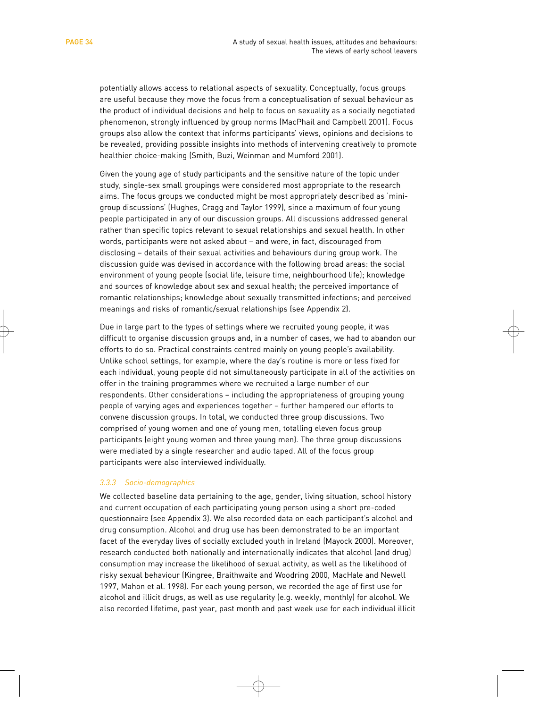potentially allows access to relational aspects of sexuality. Conceptually, focus groups are useful because they move the focus from a conceptualisation of sexual behaviour as the product of individual decisions and help to focus on sexuality as a socially negotiated phenomenon, strongly influenced by group norms (MacPhail and Campbell 2001). Focus groups also allow the context that informs participants' views, opinions and decisions to be revealed, providing possible insights into methods of intervening creatively to promote healthier choice-making (Smith, Buzi, Weinman and Mumford 2001).

Given the young age of study participants and the sensitive nature of the topic under study, single-sex small groupings were considered most appropriate to the research aims. The focus groups we conducted might be most appropriately described as 'minigroup discussions' (Hughes, Cragg and Taylor 1999), since a maximum of four young people participated in any of our discussion groups. All discussions addressed general rather than specific topics relevant to sexual relationships and sexual health. In other words, participants were not asked about – and were, in fact, discouraged from disclosing – details of their sexual activities and behaviours during group work. The discussion guide was devised in accordance with the following broad areas: the social environment of young people (social life, leisure time, neighbourhood life); knowledge and sources of knowledge about sex and sexual health; the perceived importance of romantic relationships; knowledge about sexually transmitted infections; and perceived meanings and risks of romantic/sexual relationships (see Appendix 2).

Due in large part to the types of settings where we recruited young people, it was difficult to organise discussion groups and, in a number of cases, we had to abandon our efforts to do so. Practical constraints centred mainly on young people's availability. Unlike school settings, for example, where the day's routine is more or less fixed for each individual, young people did not simultaneously participate in all of the activities on offer in the training programmes where we recruited a large number of our respondents. Other considerations – including the appropriateness of grouping young people of varying ages and experiences together – further hampered our efforts to convene discussion groups. In total, we conducted three group discussions. Two comprised of young women and one of young men, totalling eleven focus group participants (eight young women and three young men). The three group discussions were mediated by a single researcher and audio taped. All of the focus group participants were also interviewed individually.

### *3.3.3 Socio-demographics*

We collected baseline data pertaining to the age, gender, living situation, school history and current occupation of each participating young person using a short pre-coded questionnaire (see Appendix 3). We also recorded data on each participant's alcohol and drug consumption. Alcohol and drug use has been demonstrated to be an important facet of the everyday lives of socially excluded youth in Ireland (Mayock 2000). Moreover, research conducted both nationally and internationally indicates that alcohol (and drug) consumption may increase the likelihood of sexual activity, as well as the likelihood of risky sexual behaviour (Kingree, Braithwaite and Woodring 2000, MacHale and Newell 1997, Mahon et al. 1998). For each young person, we recorded the age of first use for alcohol and illicit drugs, as well as use regularity (e.g. weekly, monthly) for alcohol. We also recorded lifetime, past year, past month and past week use for each individual illicit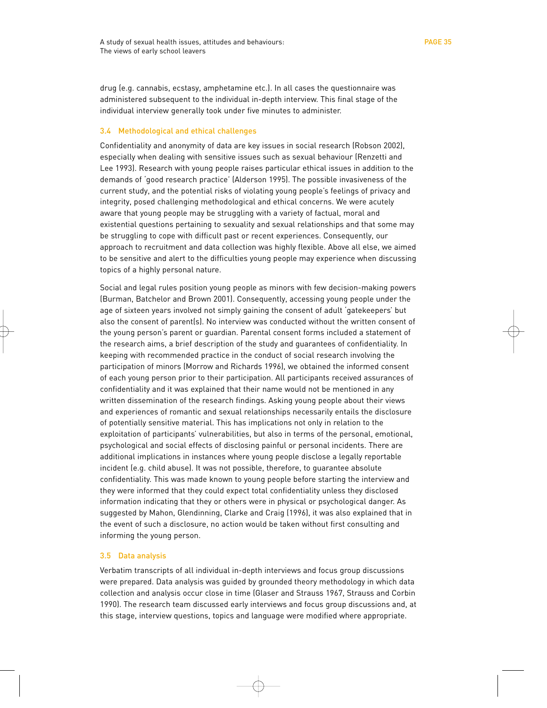drug (e.g. cannabis, ecstasy, amphetamine etc.). In all cases the questionnaire was administered subsequent to the individual in-depth interview. This final stage of the individual interview generally took under five minutes to administer.

### 3.4 Methodological and ethical challenges

Confidentiality and anonymity of data are key issues in social research (Robson 2002), especially when dealing with sensitive issues such as sexual behaviour (Renzetti and Lee 1993). Research with young people raises particular ethical issues in addition to the demands of 'good research practice' (Alderson 1995). The possible invasiveness of the current study, and the potential risks of violating young people's feelings of privacy and integrity, posed challenging methodological and ethical concerns. We were acutely aware that young people may be struggling with a variety of factual, moral and existential questions pertaining to sexuality and sexual relationships and that some may be struggling to cope with difficult past or recent experiences. Consequently, our approach to recruitment and data collection was highly flexible. Above all else, we aimed to be sensitive and alert to the difficulties young people may experience when discussing topics of a highly personal nature.

Social and legal rules position young people as minors with few decision-making powers (Burman, Batchelor and Brown 2001). Consequently, accessing young people under the age of sixteen years involved not simply gaining the consent of adult 'gatekeepers' but also the consent of parent(s). No interview was conducted without the written consent of the young person's parent or guardian. Parental consent forms included a statement of the research aims, a brief description of the study and guarantees of confidentiality. In keeping with recommended practice in the conduct of social research involving the participation of minors (Morrow and Richards 1996), we obtained the informed consent of each young person prior to their participation. All participants received assurances of confidentiality and it was explained that their name would not be mentioned in any written dissemination of the research findings. Asking young people about their views and experiences of romantic and sexual relationships necessarily entails the disclosure of potentially sensitive material. This has implications not only in relation to the exploitation of participants' vulnerabilities, but also in terms of the personal, emotional, psychological and social effects of disclosing painful or personal incidents. There are additional implications in instances where young people disclose a legally reportable incident (e.g. child abuse). It was not possible, therefore, to guarantee absolute confidentiality. This was made known to young people before starting the interview and they were informed that they could expect total confidentiality unless they disclosed information indicating that they or others were in physical or psychological danger. As suggested by Mahon, Glendinning, Clarke and Craig (1996), it was also explained that in the event of such a disclosure, no action would be taken without first consulting and informing the young person.

### 3.5 Data analysis

Verbatim transcripts of all individual in-depth interviews and focus group discussions were prepared. Data analysis was guided by grounded theory methodology in which data collection and analysis occur close in time (Glaser and Strauss 1967, Strauss and Corbin 1990). The research team discussed early interviews and focus group discussions and, at this stage, interview questions, topics and language were modified where appropriate.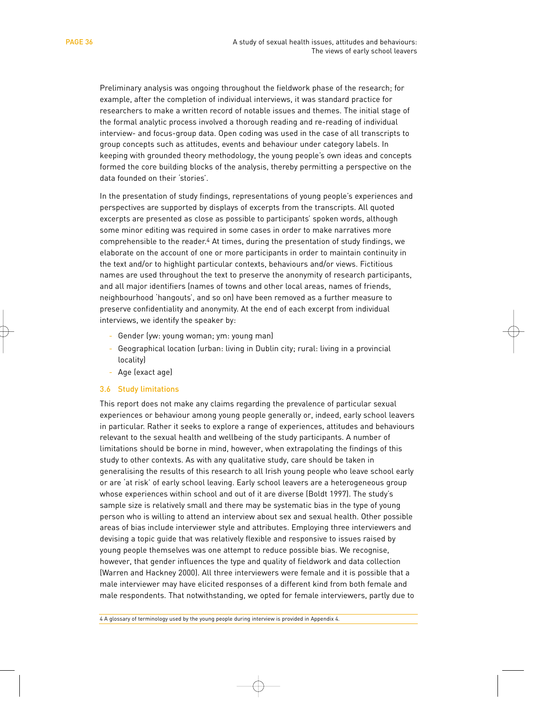Preliminary analysis was ongoing throughout the fieldwork phase of the research; for example, after the completion of individual interviews, it was standard practice for researchers to make a written record of notable issues and themes. The initial stage of the formal analytic process involved a thorough reading and re-reading of individual interview- and focus-group data. Open coding was used in the case of all transcripts to group concepts such as attitudes, events and behaviour under category labels. In keeping with grounded theory methodology, the young people's own ideas and concepts formed the core building blocks of the analysis, thereby permitting a perspective on the data founded on their 'stories'.

In the presentation of study findings, representations of young people's experiences and perspectives are supported by displays of excerpts from the transcripts. All quoted excerpts are presented as close as possible to participants' spoken words, although some minor editing was required in some cases in order to make narratives more comprehensible to the reader.4 At times, during the presentation of study findings, we elaborate on the account of one or more participants in order to maintain continuity in the text and/or to highlight particular contexts, behaviours and/or views. Fictitious names are used throughout the text to preserve the anonymity of research participants, and all major identifiers (names of towns and other local areas, names of friends, neighbourhood 'hangouts', and so on) have been removed as a further measure to preserve confidentiality and anonymity. At the end of each excerpt from individual interviews, we identify the speaker by:

- Gender (yw: young woman; ym: young man)
- Geographical location (urban: living in Dublin city; rural: living in a provincial locality)
- Age (exact age)

# 3.6 Study limitations

This report does not make any claims regarding the prevalence of particular sexual experiences or behaviour among young people generally or, indeed, early school leavers in particular. Rather it seeks to explore a range of experiences, attitudes and behaviours relevant to the sexual health and wellbeing of the study participants. A number of limitations should be borne in mind, however, when extrapolating the findings of this study to other contexts. As with any qualitative study, care should be taken in generalising the results of this research to all Irish young people who leave school early or are 'at risk' of early school leaving. Early school leavers are a heterogeneous group whose experiences within school and out of it are diverse (Boldt 1997). The study's sample size is relatively small and there may be systematic bias in the type of young person who is willing to attend an interview about sex and sexual health. Other possible areas of bias include interviewer style and attributes. Employing three interviewers and devising a topic guide that was relatively flexible and responsive to issues raised by young people themselves was one attempt to reduce possible bias. We recognise, however, that gender influences the type and quality of fieldwork and data collection (Warren and Hackney 2000). All three interviewers were female and it is possible that a male interviewer may have elicited responses of a different kind from both female and male respondents. That notwithstanding, we opted for female interviewers, partly due to

4 A glossary of terminology used by the young people during interview is provided in Appendix 4.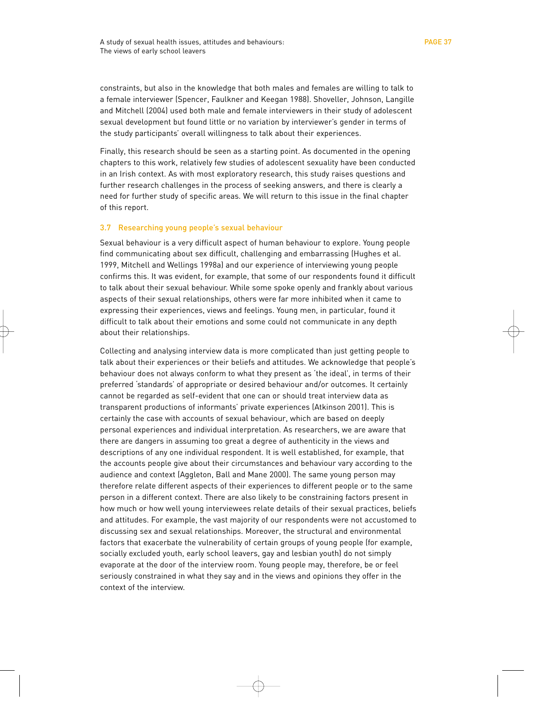constraints, but also in the knowledge that both males and females are willing to talk to a female interviewer (Spencer, Faulkner and Keegan 1988). Shoveller, Johnson, Langille and Mitchell (2004) used both male and female interviewers in their study of adolescent sexual development but found little or no variation by interviewer's gender in terms of the study participants' overall willingness to talk about their experiences.

Finally, this research should be seen as a starting point. As documented in the opening chapters to this work, relatively few studies of adolescent sexuality have been conducted in an Irish context. As with most exploratory research, this study raises questions and further research challenges in the process of seeking answers, and there is clearly a need for further study of specific areas. We will return to this issue in the final chapter of this report.

# 3.7 Researching young people's sexual behaviour

Sexual behaviour is a very difficult aspect of human behaviour to explore. Young people find communicating about sex difficult, challenging and embarrassing (Hughes et al. 1999, Mitchell and Wellings 1998a) and our experience of interviewing young people confirms this. It was evident, for example, that some of our respondents found it difficult to talk about their sexual behaviour. While some spoke openly and frankly about various aspects of their sexual relationships, others were far more inhibited when it came to expressing their experiences, views and feelings. Young men, in particular, found it difficult to talk about their emotions and some could not communicate in any depth about their relationships.

Collecting and analysing interview data is more complicated than just getting people to talk about their experiences or their beliefs and attitudes. We acknowledge that people's behaviour does not always conform to what they present as 'the ideal', in terms of their preferred 'standards' of appropriate or desired behaviour and/or outcomes. It certainly cannot be regarded as self-evident that one can or should treat interview data as transparent productions of informants' private experiences (Atkinson 2001). This is certainly the case with accounts of sexual behaviour, which are based on deeply personal experiences and individual interpretation. As researchers, we are aware that there are dangers in assuming too great a degree of authenticity in the views and descriptions of any one individual respondent. It is well established, for example, that the accounts people give about their circumstances and behaviour vary according to the audience and context (Aggleton, Ball and Mane 2000). The same young person may therefore relate different aspects of their experiences to different people or to the same person in a different context. There are also likely to be constraining factors present in how much or how well young interviewees relate details of their sexual practices, beliefs and attitudes. For example, the vast majority of our respondents were not accustomed to discussing sex and sexual relationships. Moreover, the structural and environmental factors that exacerbate the vulnerability of certain groups of young people (for example, socially excluded youth, early school leavers, gay and lesbian youth) do not simply evaporate at the door of the interview room. Young people may, therefore, be or feel seriously constrained in what they say and in the views and opinions they offer in the context of the interview.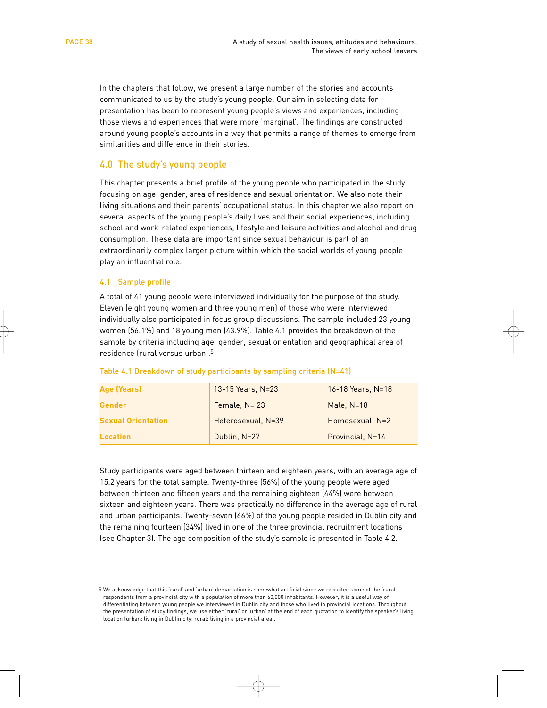In the chapters that follow, we present a large number of the stories and accounts communicated to us by the study's young people. Our aim in selecting data for presentation has been to represent young people's views and experiences, including those views and experiences that were more 'marginal'. The findings are constructed around young people's accounts in a way that permits a range of themes to emerge from

# 4.0 The study's young people

similarities and difference in their stories.

This chapter presents a brief profile of the young people who participated in the study, focusing on age, gender, area of residence and sexual orientation. We also note their living situations and their parents' occupational status. In this chapter we also report on several aspects of the young people's daily lives and their social experiences, including school and work-related experiences, lifestyle and leisure activities and alcohol and drug consumption. These data are important since sexual behaviour is part of an extraordinarily complex larger picture within which the social worlds of young people play an influential role.

# 4.1 Sample profile

A total of 41 young people were interviewed individually for the purpose of the study. Eleven (eight young women and three young men) of those who were interviewed individually also participated in focus group discussions. The sample included 23 young women (56.1%) and 18 young men (43.9%). Table 4.1 provides the breakdown of the sample by criteria including age, gender, sexual orientation and geographical area of residence (rural versus urban).5

| Age (Years)               | 13-15 Years, N=23  | 16-18 Years, N=18 |
|---------------------------|--------------------|-------------------|
| Gender                    | Female, $N = 23$   | Male, $N=18$      |
| <b>Sexual Orientation</b> | Heterosexual, N=39 | Homosexual, N=2   |
| <b>Location</b>           | Dublin, N=27       | Provincial, N=14  |

Study participants were aged between thirteen and eighteen years, with an average age of 15.2 years for the total sample. Twenty-three (56%) of the young people were aged between thirteen and fifteen years and the remaining eighteen (44%) were between sixteen and eighteen years. There was practically no difference in the average age of rural and urban participants. Twenty-seven (66%) of the young people resided in Dublin city and the remaining fourteen (34%) lived in one of the three provincial recruitment locations (see Chapter 3). The age composition of the study's sample is presented in Table 4.2.

<sup>5</sup> We acknowledge that this 'rural' and 'urban' demarcation is somewhat artificial since we recruited some of the 'rural' respondents from a provincial city with a population of more than 60,000 inhabitants. However, it is a useful way of differentiating between young people we interviewed in Dublin city and those who lived in provincial locations. Throughout the presentation of study findings, we use either 'rural' or 'urban' at the end of each quotation to identify the speaker's living location (urban: living in Dublin city; rural: living in a provincial area).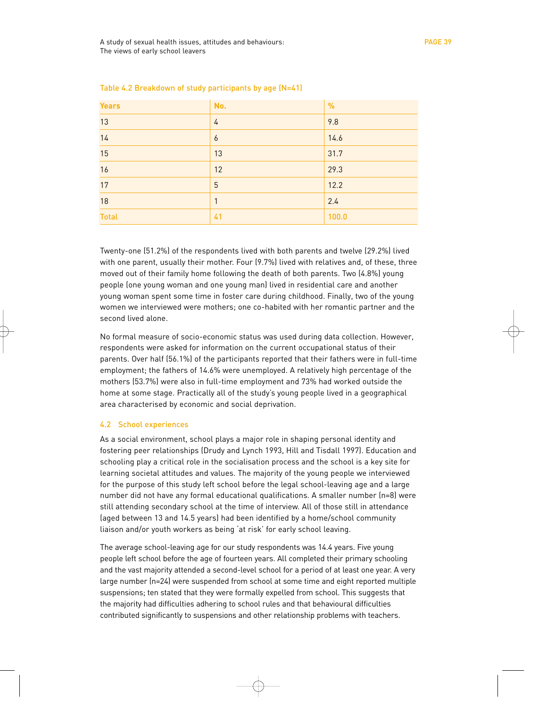| <b>Years</b> | No. | $\frac{9}{6}$ |
|--------------|-----|---------------|
| 13           | 4   | 9.8           |
| 14           | 6   | 14.6          |
| 15           | 13  | 31.7          |
| 16           | 12  | 29.3          |
| 17           | 5   | 12.2          |
| 18           | 1   | 2.4           |
| <b>Total</b> | 41  | 100.0         |

Table 4.2 Breakdown of study participants by age (N=41)

Twenty-one (51.2%) of the respondents lived with both parents and twelve (29.2%) lived with one parent, usually their mother. Four (9.7%) lived with relatives and, of these, three moved out of their family home following the death of both parents. Two (4.8%) young people (one young woman and one young man) lived in residential care and another young woman spent some time in foster care during childhood. Finally, two of the young women we interviewed were mothers; one co-habited with her romantic partner and the second lived alone.

No formal measure of socio-economic status was used during data collection. However, respondents were asked for information on the current occupational status of their parents. Over half (56.1%) of the participants reported that their fathers were in full-time employment; the fathers of 14.6% were unemployed. A relatively high percentage of the mothers (53.7%) were also in full-time employment and 73% had worked outside the home at some stage. Practically all of the study's young people lived in a geographical area characterised by economic and social deprivation.

# 4.2 School experiences

As a social environment, school plays a major role in shaping personal identity and fostering peer relationships (Drudy and Lynch 1993, Hill and Tisdall 1997). Education and schooling play a critical role in the socialisation process and the school is a key site for learning societal attitudes and values. The majority of the young people we interviewed for the purpose of this study left school before the legal school-leaving age and a large number did not have any formal educational qualifications. A smaller number (n=8) were still attending secondary school at the time of interview. All of those still in attendance (aged between 13 and 14.5 years) had been identified by a home/school community liaison and/or youth workers as being 'at risk' for early school leaving.

The average school-leaving age for our study respondents was 14.4 years. Five young people left school before the age of fourteen years. All completed their primary schooling and the vast majority attended a second-level school for a period of at least one year. A very large number (n=24) were suspended from school at some time and eight reported multiple suspensions; ten stated that they were formally expelled from school. This suggests that the majority had difficulties adhering to school rules and that behavioural difficulties contributed significantly to suspensions and other relationship problems with teachers.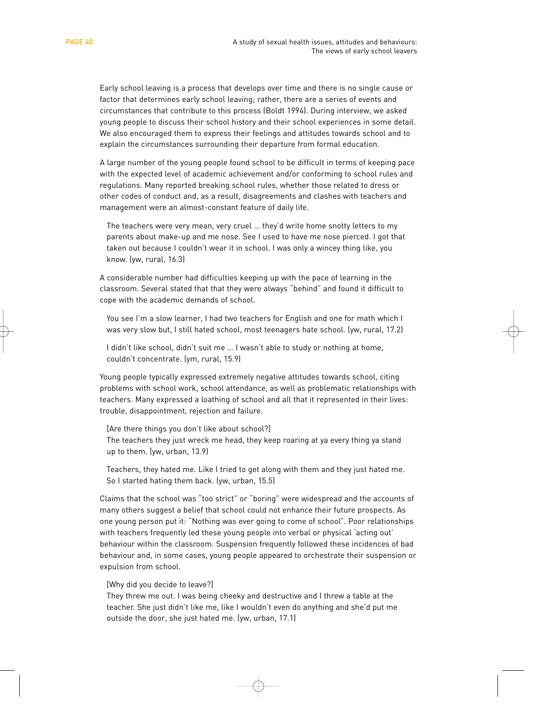Early school leaving is a process that develops over time and there is no single cause or factor that determines early school leaving; rather, there are a series of events and circumstances that contribute to this process (Boldt 1994). During interview, we asked young people to discuss their school history and their school experiences in some detail. We also encouraged them to express their feelings and attitudes towards school and to explain the circumstances surrounding their departure from formal education.

A large number of the young people found school to be difficult in terms of keeping pace with the expected level of academic achievement and/or conforming to school rules and regulations. Many reported breaking school rules, whether those related to dress or other codes of conduct and, as a result, disagreements and clashes with teachers and management were an almost-constant feature of daily life.

The teachers were very mean, very cruel … they'd write home snotty letters to my parents about make-up and me nose. See I used to have me nose pierced. I got that taken out because I couldn't wear it in school. I was only a wincey thing like, you know. (yw, rural, 16.3)

A considerable number had difficulties keeping up with the pace of learning in the classroom. Several stated that that they were always "behind" and found it difficult to cope with the academic demands of school.

You see I'm a slow learner, I had two teachers for English and one for math which I was very slow but, I still hated school, most teenagers hate school. (yw, rural, 17.2)

I didn't like school, didn't suit me ... I wasn't able to study or nothing at home, couldn't concentrate. (ym, rural, 15.9)

Young people typically expressed extremely negative attitudes towards school, citing problems with school work, school attendance, as well as problematic relationships with teachers. Many expressed a loathing of school and all that it represented in their lives: trouble, disappointment, rejection and failure.

[Are there things you don't like about school?] The teachers they just wreck me head, they keep roaring at ya every thing ya stand up to them. (yw, urban, 13.9)

Teachers, they hated me. Like I tried to get along with them and they just hated me. So I started hating them back. (yw, urban, 15.5)

Claims that the school was "too strict" or "boring" were widespread and the accounts of many others suggest a belief that school could not enhance their future prospects. As one young person put it: "Nothing was ever going to come of school". Poor relationships with teachers frequently led these young people into verbal or physical 'acting out' behaviour within the classroom. Suspension frequently followed these incidences of bad behaviour and, in some cases, young people appeared to orchestrate their suspension or expulsion from school.

# [Why did you decide to leave?]

They threw me out. I was being cheeky and destructive and I threw a table at the teacher. She just didn't like me, like I wouldn't even do anything and she'd put me outside the door, she just hated me. (yw, urban, 17.1)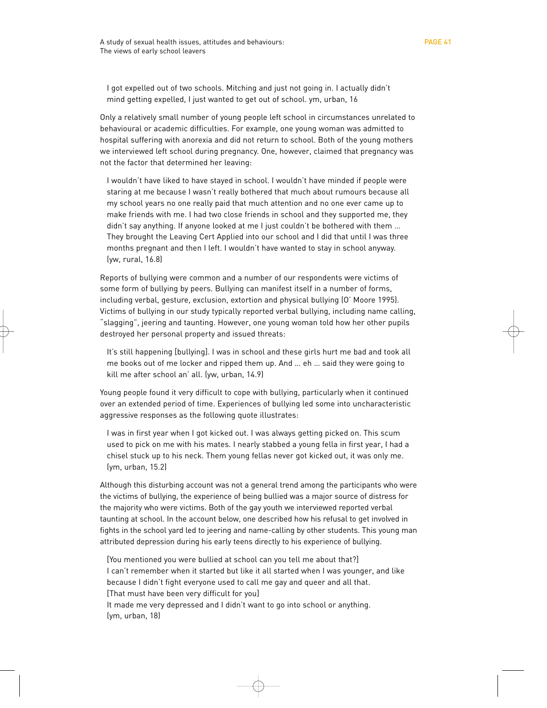I got expelled out of two schools. Mitching and just not going in. I actually didn't mind getting expelled, I just wanted to get out of school. ym, urban, 16

Only a relatively small number of young people left school in circumstances unrelated to behavioural or academic difficulties. For example, one young woman was admitted to hospital suffering with anorexia and did not return to school. Both of the young mothers we interviewed left school during pregnancy. One, however, claimed that pregnancy was not the factor that determined her leaving:

I wouldn't have liked to have stayed in school. I wouldn't have minded if people were staring at me because I wasn't really bothered that much about rumours because all my school years no one really paid that much attention and no one ever came up to make friends with me. I had two close friends in school and they supported me, they didn't say anything. If anyone looked at me I just couldn't be bothered with them … They brought the Leaving Cert Applied into our school and I did that until I was three months pregnant and then I left. I wouldn't have wanted to stay in school anyway. (yw, rural, 16.8)

Reports of bullying were common and a number of our respondents were victims of some form of bullying by peers. Bullying can manifest itself in a number of forms, including verbal, gesture, exclusion, extortion and physical bullying (O' Moore 1995). Victims of bullying in our study typically reported verbal bullying, including name calling, "slagging", jeering and taunting. However, one young woman told how her other pupils destroyed her personal property and issued threats:

It's still happening [bullying]. I was in school and these girls hurt me bad and took all me books out of me locker and ripped them up. And … eh … said they were going to kill me after school an' all. (yw, urban, 14.9)

Young people found it very difficult to cope with bullying, particularly when it continued over an extended period of time. Experiences of bullying led some into uncharacteristic aggressive responses as the following quote illustrates:

I was in first year when I got kicked out. I was always getting picked on. This scum used to pick on me with his mates. I nearly stabbed a young fella in first year, I had a chisel stuck up to his neck. Them young fellas never got kicked out, it was only me. (ym, urban, 15.2)

Although this disturbing account was not a general trend among the participants who were the victims of bullying, the experience of being bullied was a major source of distress for the majority who were victims. Both of the gay youth we interviewed reported verbal taunting at school. In the account below, one described how his refusal to get involved in fights in the school yard led to jeering and name-calling by other students. This young man attributed depression during his early teens directly to his experience of bullying.

[You mentioned you were bullied at school can you tell me about that?] I can't remember when it started but like it all started when I was younger, and like because I didn't fight everyone used to call me gay and queer and all that. [That must have been very difficult for you]

It made me very depressed and I didn't want to go into school or anything. (ym, urban, 18)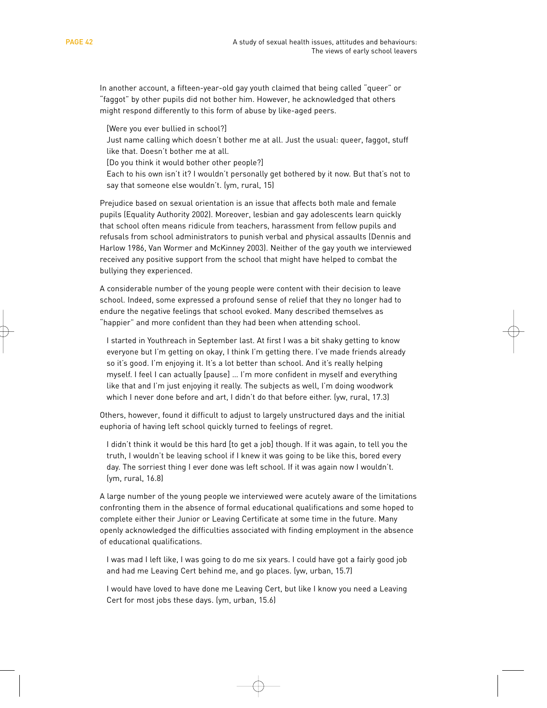In another account, a fifteen-year-old gay youth claimed that being called "queer" or "faggot" by other pupils did not bother him. However, he acknowledged that others might respond differently to this form of abuse by like-aged peers.

[Were you ever bullied in school?]

Just name calling which doesn't bother me at all. Just the usual: queer, faggot, stuff like that. Doesn't bother me at all.

[Do you think it would bother other people?]

Each to his own isn't it? I wouldn't personally get bothered by it now. But that's not to say that someone else wouldn't. (ym, rural, 15)

Prejudice based on sexual orientation is an issue that affects both male and female pupils (Equality Authority 2002). Moreover, lesbian and gay adolescents learn quickly that school often means ridicule from teachers, harassment from fellow pupils and refusals from school administrators to punish verbal and physical assaults (Dennis and Harlow 1986, Van Wormer and McKinney 2003). Neither of the gay youth we interviewed received any positive support from the school that might have helped to combat the bullying they experienced.

A considerable number of the young people were content with their decision to leave school. Indeed, some expressed a profound sense of relief that they no longer had to endure the negative feelings that school evoked. Many described themselves as "happier" and more confident than they had been when attending school.

I started in Youthreach in September last. At first I was a bit shaky getting to know everyone but I'm getting on okay, I think I'm getting there. I've made friends already so it's good. I'm enjoying it. It's a lot better than school. And it's really helping myself. I feel I can actually [pause] … I'm more confident in myself and everything like that and I'm just enjoying it really. The subjects as well, I'm doing woodwork which I never done before and art, I didn't do that before either. (yw, rural, 17.3)

Others, however, found it difficult to adjust to largely unstructured days and the initial euphoria of having left school quickly turned to feelings of regret.

I didn't think it would be this hard [to get a job] though. If it was again, to tell you the truth, I wouldn't be leaving school if I knew it was going to be like this, bored every day. The sorriest thing I ever done was left school. If it was again now I wouldn't. (ym, rural, 16.8)

A large number of the young people we interviewed were acutely aware of the limitations confronting them in the absence of formal educational qualifications and some hoped to complete either their Junior or Leaving Certificate at some time in the future. Many openly acknowledged the difficulties associated with finding employment in the absence of educational qualifications.

I was mad I left like, I was going to do me six years. I could have got a fairly good job and had me Leaving Cert behind me, and go places. (yw, urban, 15.7)

I would have loved to have done me Leaving Cert, but like I know you need a Leaving Cert for most jobs these days. (ym, urban, 15.6)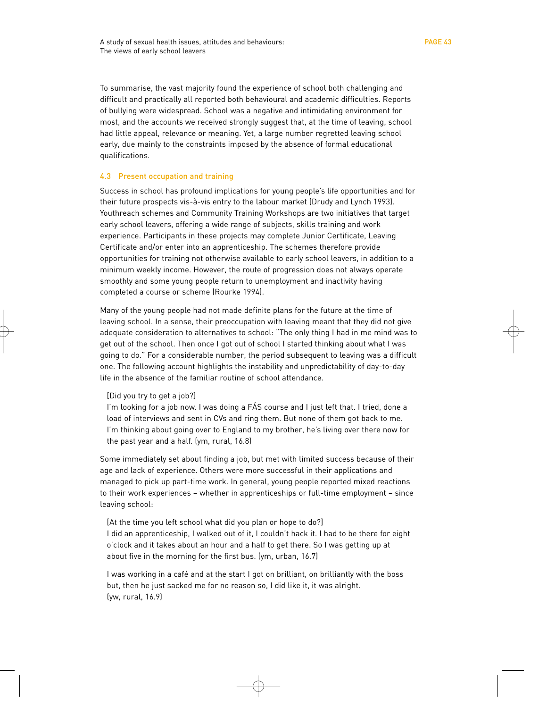To summarise, the vast majority found the experience of school both challenging and difficult and practically all reported both behavioural and academic difficulties. Reports of bullying were widespread. School was a negative and intimidating environment for most, and the accounts we received strongly suggest that, at the time of leaving, school had little appeal, relevance or meaning. Yet, a large number regretted leaving school early, due mainly to the constraints imposed by the absence of formal educational qualifications.

# 4.3 Present occupation and training

Success in school has profound implications for young people's life opportunities and for their future prospects vis-à-vis entry to the labour market (Drudy and Lynch 1993). Youthreach schemes and Community Training Workshops are two initiatives that target early school leavers, offering a wide range of subjects, skills training and work experience. Participants in these projects may complete Junior Certificate, Leaving Certificate and/or enter into an apprenticeship. The schemes therefore provide opportunities for training not otherwise available to early school leavers, in addition to a minimum weekly income. However, the route of progression does not always operate smoothly and some young people return to unemployment and inactivity having completed a course or scheme (Rourke 1994).

Many of the young people had not made definite plans for the future at the time of leaving school. In a sense, their preoccupation with leaving meant that they did not give adequate consideration to alternatives to school: "The only thing I had in me mind was to get out of the school. Then once I got out of school I started thinking about what I was going to do." For a considerable number, the period subsequent to leaving was a difficult one. The following account highlights the instability and unpredictability of day-to-day life in the absence of the familiar routine of school attendance.

#### [Did you try to get a job?]

I'm looking for a job now. I was doing a FÁS course and I just left that. I tried, done a load of interviews and sent in CVs and ring them. But none of them got back to me. I'm thinking about going over to England to my brother, he's living over there now for the past year and a half. (ym, rural, 16.8)

Some immediately set about finding a job, but met with limited success because of their age and lack of experience. Others were more successful in their applications and managed to pick up part-time work. In general, young people reported mixed reactions to their work experiences – whether in apprenticeships or full-time employment – since leaving school:

[At the time you left school what did you plan or hope to do?] I did an apprenticeship, I walked out of it, I couldn't hack it. I had to be there for eight o'clock and it takes about an hour and a half to get there. So I was getting up at about five in the morning for the first bus. (ym, urban, 16.7)

I was working in a café and at the start I got on brilliant, on brilliantly with the boss but, then he just sacked me for no reason so, I did like it, it was alright. (yw, rural, 16.9)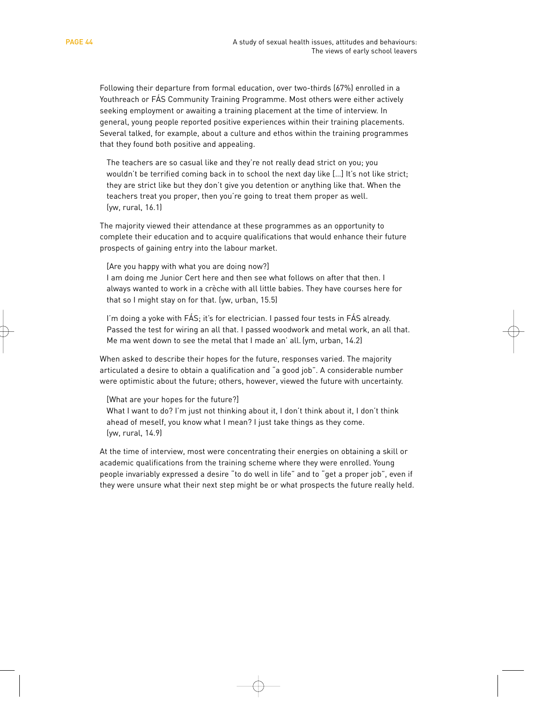Following their departure from formal education, over two-thirds (67%) enrolled in a Youthreach or FÁS Community Training Programme. Most others were either actively seeking employment or awaiting a training placement at the time of interview. In general, young people reported positive experiences within their training placements. Several talked, for example, about a culture and ethos within the training programmes that they found both positive and appealing.

The teachers are so casual like and they're not really dead strict on you; you wouldn't be terrified coming back in to school the next day like […] It's not like strict; they are strict like but they don't give you detention or anything like that. When the teachers treat you proper, then you're going to treat them proper as well. (yw, rural, 16.1)

The majority viewed their attendance at these programmes as an opportunity to complete their education and to acquire qualifications that would enhance their future prospects of gaining entry into the labour market.

[Are you happy with what you are doing now?] I am doing me Junior Cert here and then see what follows on after that then. I always wanted to work in a crèche with all little babies. They have courses here for that so I might stay on for that. (yw, urban, 15.5)

I'm doing a yoke with FÁS; it's for electrician. I passed four tests in FÁS already. Passed the test for wiring an all that. I passed woodwork and metal work, an all that. Me ma went down to see the metal that I made an' all. (ym, urban, 14.2)

When asked to describe their hopes for the future, responses varied. The majority articulated a desire to obtain a qualification and "a good job". A considerable number were optimistic about the future; others, however, viewed the future with uncertainty.

[What are your hopes for the future?] What I want to do? I'm just not thinking about it, I don't think about it, I don't think ahead of meself, you know what I mean? I just take things as they come. (yw, rural, 14.9)

At the time of interview, most were concentrating their energies on obtaining a skill or academic qualifications from the training scheme where they were enrolled. Young people invariably expressed a desire "to do well in life" and to "get a proper job", even if they were unsure what their next step might be or what prospects the future really held.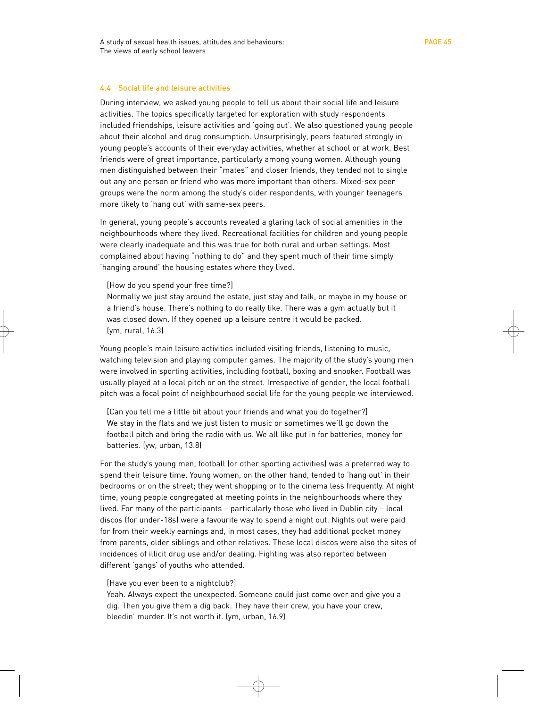#### 4.4 Social life and leisure activities

During interview, we asked young people to tell us about their social life and leisure activities. The topics specifically targeted for exploration with study respondents included friendships, leisure activities and 'going out'. We also questioned young people about their alcohol and drug consumption. Unsurprisingly, peers featured strongly in young people's accounts of their everyday activities, whether at school or at work. Best friends were of great importance, particularly among young women. Although young men distinguished between their "mates" and closer friends, they tended not to single out any one person or friend who was more important than others. Mixed-sex peer groups were the norm among the study's older respondents, with younger teenagers more likely to 'hang out' with same-sex peers.

In general, young people's accounts revealed a glaring lack of social amenities in the neighbourhoods where they lived. Recreational facilities for children and young people were clearly inadequate and this was true for both rural and urban settings. Most complained about having "nothing to do" and they spent much of their time simply 'hanging around' the housing estates where they lived.

# [How do you spend your free time?]

Normally we just stay around the estate, just stay and talk, or maybe in my house or a friend's house. There's nothing to do really like. There was a gym actually but it was closed down. If they opened up a leisure centre it would be packed. (ym, rural, 16.3)

Young people's main leisure activities included visiting friends, listening to music, watching television and playing computer games. The majority of the study's young men were involved in sporting activities, including football, boxing and snooker. Football was usually played at a local pitch or on the street. Irrespective of gender, the local football pitch was a focal point of neighbourhood social life for the young people we interviewed.

[Can you tell me a little bit about your friends and what you do together?] We stay in the flats and we just listen to music or sometimes we'll go down the football pitch and bring the radio with us. We all like put in for batteries, money for batteries. (yw, urban, 13.8)

For the study's young men, football (or other sporting activities) was a preferred way to spend their leisure time. Young women, on the other hand, tended to 'hang out' in their bedrooms or on the street; they went shopping or to the cinema less frequently. At night time, young people congregated at meeting points in the neighbourhoods where they lived. For many of the participants – particularly those who lived in Dublin city – local discos (for under-18s) were a favourite way to spend a night out. Nights out were paid for from their weekly earnings and, in most cases, they had additional pocket money from parents, older siblings and other relatives. These local discos were also the sites of incidences of illicit drug use and/or dealing. Fighting was also reported between different 'gangs' of youths who attended.

#### [Have you ever been to a nightclub?]

Yeah. Always expect the unexpected. Someone could just come over and give you a dig. Then you give them a dig back. They have their crew, you have your crew, bleedin' murder. It's not worth it. (ym, urban, 16.9)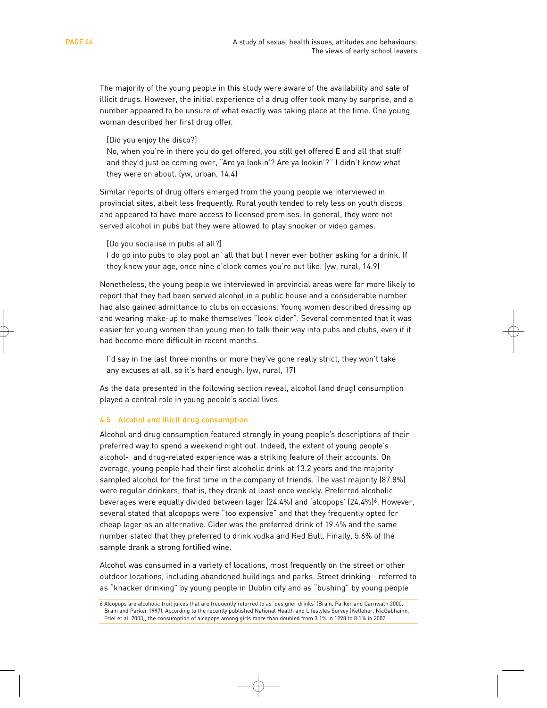number appeared to be unsure of what exactly was taking place at the time. One young woman described her first drug offer.

[Did you enjoy the disco?]

No, when you're in there you do get offered, you still get offered E and all that stuff and they'd just be coming over, "Are ya lookin'? Are ya lookin'?'' I didn't know what they were on about. (yw, urban, 14.4)

Similar reports of drug offers emerged from the young people we interviewed in provincial sites, albeit less frequently. Rural youth tended to rely less on youth discos and appeared to have more access to licensed premises. In general, they were not served alcohol in pubs but they were allowed to play snooker or video games.

[Do you socialise in pubs at all?]

I do go into pubs to play pool an' all that but I never ever bother asking for a drink. If they know your age, once nine o'clock comes you're out like. (yw, rural, 14.9)

Nonetheless, the young people we interviewed in provincial areas were far more likely to report that they had been served alcohol in a public house and a considerable number had also gained admittance to clubs on occasions. Young women described dressing up and wearing make-up to make themselves "look older". Several commented that it was easier for young women than young men to talk their way into pubs and clubs, even if it had become more difficult in recent months.

I'd say in the last three months or more they've gone really strict, they won't take any excuses at all, so it's hard enough. (yw, rural, 17)

As the data presented in the following section reveal, alcohol (and drug) consumption played a central role in young people's social lives.

# 4.5 Alcohol and illicit drug consumption

Alcohol and drug consumption featured strongly in young people's descriptions of their preferred way to spend a weekend night out. Indeed, the extent of young people's alcohol- and drug-related experience was a striking feature of their accounts. On average, young people had their first alcoholic drink at 13.2 years and the majority sampled alcohol for the first time in the company of friends. The vast majority (87.8%) were regular drinkers, that is, they drank at least once weekly. Preferred alcoholic beverages were equally divided between lager  $(24.4\%)$  and 'alcopops'  $(24.4\%)$ <sup>6</sup>. However, several stated that alcopops were "too expensive" and that they frequently opted for cheap lager as an alternative. Cider was the preferred drink of 19.4% and the same number stated that they preferred to drink vodka and Red Bull. Finally, 5.6% of the sample drank a strong fortified wine.

Alcohol was consumed in a variety of locations, most frequently on the street or other outdoor locations, including abandoned buildings and parks. Street drinking - referred to as "knacker drinking" by young people in Dublin city and as "bushing" by young people

<sup>6</sup> Alcopops are alcoholic fruit juices that are frequently referred to as 'designer drinks' (Brain, Parker and Carnwath 2000, Brain and Parker 1997). According to the recently published National Health and Lifestyles Survey (Kelleher, NicGabhainn, Friel et al. 2003), the consumption of alcopops among girls more than doubled from 3.1% in 1998 to 8.1% in 2002.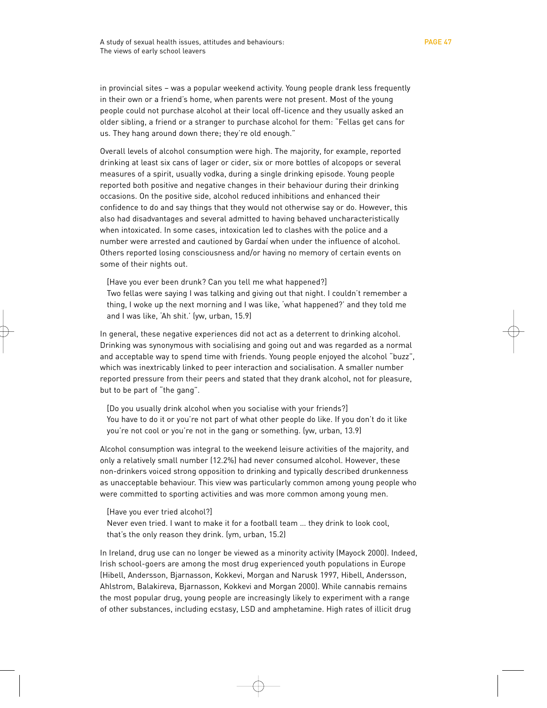in provincial sites – was a popular weekend activity. Young people drank less frequently in their own or a friend's home, when parents were not present. Most of the young people could not purchase alcohol at their local off-licence and they usually asked an older sibling, a friend or a stranger to purchase alcohol for them: "Fellas get cans for us. They hang around down there; they're old enough."

Overall levels of alcohol consumption were high. The majority, for example, reported drinking at least six cans of lager or cider, six or more bottles of alcopops or several measures of a spirit, usually vodka, during a single drinking episode. Young people reported both positive and negative changes in their behaviour during their drinking occasions. On the positive side, alcohol reduced inhibitions and enhanced their confidence to do and say things that they would not otherwise say or do. However, this also had disadvantages and several admitted to having behaved uncharacteristically when intoxicated. In some cases, intoxication led to clashes with the police and a number were arrested and cautioned by Gardaí when under the influence of alcohol. Others reported losing consciousness and/or having no memory of certain events on some of their nights out.

[Have you ever been drunk? Can you tell me what happened?] Two fellas were saying I was talking and giving out that night. I couldn't remember a thing, I woke up the next morning and I was like, 'what happened?' and they told me and I was like, 'Ah shit.' (yw, urban, 15.9)

In general, these negative experiences did not act as a deterrent to drinking alcohol. Drinking was synonymous with socialising and going out and was regarded as a normal and acceptable way to spend time with friends. Young people enjoyed the alcohol "buzz", which was inextricably linked to peer interaction and socialisation. A smaller number reported pressure from their peers and stated that they drank alcohol, not for pleasure, but to be part of "the gang".

[Do you usually drink alcohol when you socialise with your friends?] You have to do it or you're not part of what other people do like. If you don't do it like you're not cool or you're not in the gang or something. (yw, urban, 13.9)

Alcohol consumption was integral to the weekend leisure activities of the majority, and only a relatively small number (12.2%) had never consumed alcohol. However, these non-drinkers voiced strong opposition to drinking and typically described drunkenness as unacceptable behaviour. This view was particularly common among young people who were committed to sporting activities and was more common among young men.

#### [Have you ever tried alcohol?]

Never even tried. I want to make it for a football team … they drink to look cool, that's the only reason they drink. (ym, urban, 15.2)

In Ireland, drug use can no longer be viewed as a minority activity (Mayock 2000). Indeed, Irish school-goers are among the most drug experienced youth populations in Europe (Hibell, Andersson, Bjarnasson, Kokkevi, Morgan and Narusk 1997, Hibell, Andersson, Ahlstrom, Balakireva, Bjarnasson, Kokkevi and Morgan 2000). While cannabis remains the most popular drug, young people are increasingly likely to experiment with a range of other substances, including ecstasy, LSD and amphetamine. High rates of illicit drug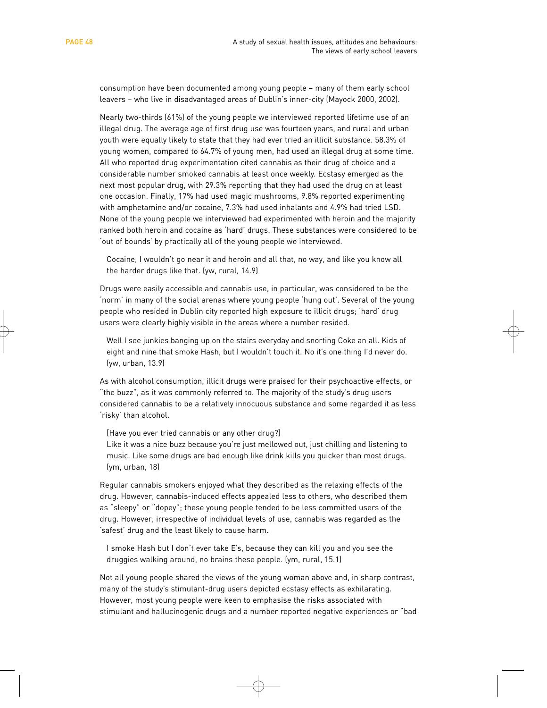consumption have been documented among young people – many of them early school leavers – who live in disadvantaged areas of Dublin's inner-city (Mayock 2000, 2002).

Nearly two-thirds (61%) of the young people we interviewed reported lifetime use of an illegal drug. The average age of first drug use was fourteen years, and rural and urban youth were equally likely to state that they had ever tried an illicit substance. 58.3% of young women, compared to 64.7% of young men, had used an illegal drug at some time. All who reported drug experimentation cited cannabis as their drug of choice and a considerable number smoked cannabis at least once weekly. Ecstasy emerged as the next most popular drug, with 29.3% reporting that they had used the drug on at least one occasion. Finally, 17% had used magic mushrooms, 9.8% reported experimenting with amphetamine and/or cocaine, 7.3% had used inhalants and 4.9% had tried LSD. None of the young people we interviewed had experimented with heroin and the majority ranked both heroin and cocaine as 'hard' drugs. These substances were considered to be 'out of bounds' by practically all of the young people we interviewed.

Cocaine, I wouldn't go near it and heroin and all that, no way, and like you know all the harder drugs like that. (yw, rural, 14.9)

Drugs were easily accessible and cannabis use, in particular, was considered to be the 'norm' in many of the social arenas where young people 'hung out'. Several of the young people who resided in Dublin city reported high exposure to illicit drugs; 'hard' drug users were clearly highly visible in the areas where a number resided.

Well I see junkies banging up on the stairs everyday and snorting Coke an all. Kids of eight and nine that smoke Hash, but I wouldn't touch it. No it's one thing I'd never do. (yw, urban, 13.9)

As with alcohol consumption, illicit drugs were praised for their psychoactive effects, or "the buzz", as it was commonly referred to. The majority of the study's drug users considered cannabis to be a relatively innocuous substance and some regarded it as less 'risky' than alcohol.

[Have you ever tried cannabis or any other drug?] Like it was a nice buzz because you're just mellowed out, just chilling and listening to music. Like some drugs are bad enough like drink kills you quicker than most drugs. (ym, urban, 18)

Regular cannabis smokers enjoyed what they described as the relaxing effects of the drug. However, cannabis-induced effects appealed less to others, who described them as "sleepy" or "dopey"; these young people tended to be less committed users of the drug. However, irrespective of individual levels of use, cannabis was regarded as the 'safest' drug and the least likely to cause harm.

I smoke Hash but I don't ever take E's, because they can kill you and you see the druggies walking around, no brains these people. (ym, rural, 15.1)

Not all young people shared the views of the young woman above and, in sharp contrast, many of the study's stimulant-drug users depicted ecstasy effects as exhilarating. However, most young people were keen to emphasise the risks associated with stimulant and hallucinogenic drugs and a number reported negative experiences or "bad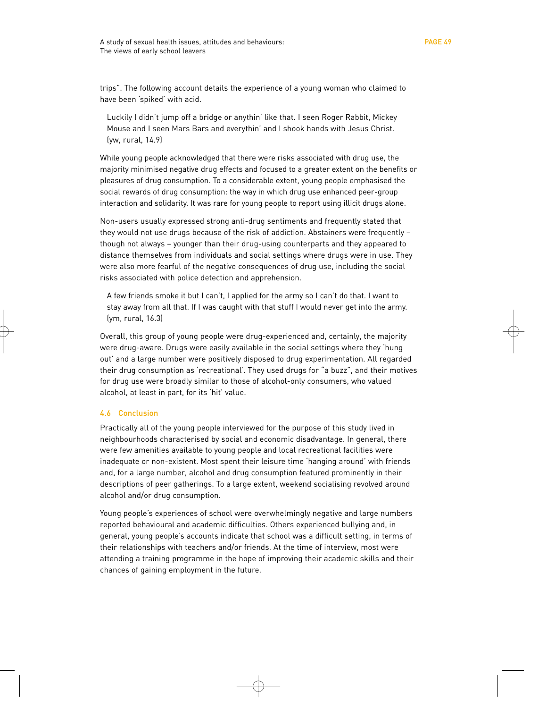trips". The following account details the experience of a young woman who claimed to have been 'spiked' with acid.

Luckily I didn't jump off a bridge or anythin' like that. I seen Roger Rabbit, Mickey Mouse and I seen Mars Bars and everythin' and I shook hands with Jesus Christ. (yw, rural, 14.9)

While young people acknowledged that there were risks associated with drug use, the majority minimised negative drug effects and focused to a greater extent on the benefits or pleasures of drug consumption. To a considerable extent, young people emphasised the social rewards of drug consumption: the way in which drug use enhanced peer-group interaction and solidarity. It was rare for young people to report using illicit drugs alone.

Non-users usually expressed strong anti-drug sentiments and frequently stated that they would not use drugs because of the risk of addiction. Abstainers were frequently – though not always – younger than their drug-using counterparts and they appeared to distance themselves from individuals and social settings where drugs were in use. They were also more fearful of the negative consequences of drug use, including the social risks associated with police detection and apprehension.

A few friends smoke it but I can't, I applied for the army so I can't do that. I want to stay away from all that. If I was caught with that stuff I would never get into the army. (ym, rural, 16.3)

Overall, this group of young people were drug-experienced and, certainly, the majority were drug-aware. Drugs were easily available in the social settings where they 'hung out' and a large number were positively disposed to drug experimentation. All regarded their drug consumption as 'recreational'. They used drugs for "a buzz", and their motives for drug use were broadly similar to those of alcohol-only consumers, who valued alcohol, at least in part, for its 'hit' value.

# 4.6 Conclusion

Practically all of the young people interviewed for the purpose of this study lived in neighbourhoods characterised by social and economic disadvantage. In general, there were few amenities available to young people and local recreational facilities were inadequate or non-existent. Most spent their leisure time 'hanging around' with friends and, for a large number, alcohol and drug consumption featured prominently in their descriptions of peer gatherings. To a large extent, weekend socialising revolved around alcohol and/or drug consumption.

Young people's experiences of school were overwhelmingly negative and large numbers reported behavioural and academic difficulties. Others experienced bullying and, in general, young people's accounts indicate that school was a difficult setting, in terms of their relationships with teachers and/or friends. At the time of interview, most were attending a training programme in the hope of improving their academic skills and their chances of gaining employment in the future.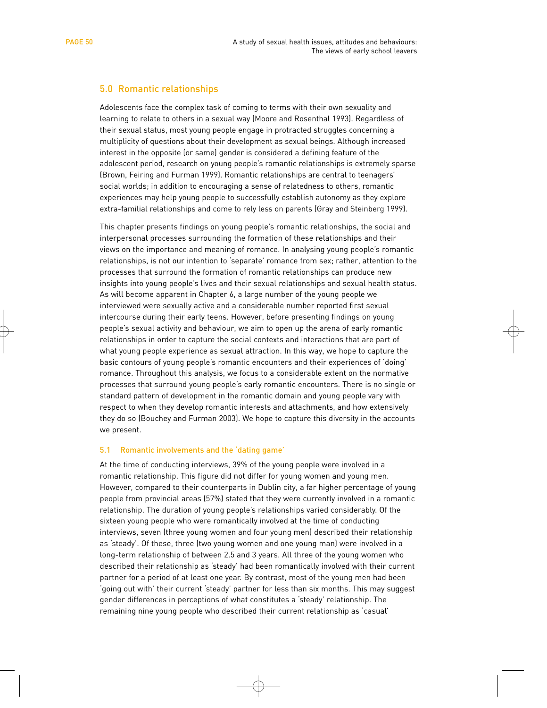# 5.0 Romantic relationships

Adolescents face the complex task of coming to terms with their own sexuality and learning to relate to others in a sexual way (Moore and Rosenthal 1993). Regardless of their sexual status, most young people engage in protracted struggles concerning a multiplicity of questions about their development as sexual beings. Although increased interest in the opposite (or same) gender is considered a defining feature of the adolescent period, research on young people's romantic relationships is extremely sparse (Brown, Feiring and Furman 1999). Romantic relationships are central to teenagers' social worlds; in addition to encouraging a sense of relatedness to others, romantic experiences may help young people to successfully establish autonomy as they explore extra-familial relationships and come to rely less on parents (Gray and Steinberg 1999).

This chapter presents findings on young people's romantic relationships, the social and interpersonal processes surrounding the formation of these relationships and their views on the importance and meaning of romance. In analysing young people's romantic relationships, is not our intention to 'separate' romance from sex; rather, attention to the processes that surround the formation of romantic relationships can produce new insights into young people's lives and their sexual relationships and sexual health status. As will become apparent in Chapter 6, a large number of the young people we interviewed were sexually active and a considerable number reported first sexual intercourse during their early teens. However, before presenting findings on young people's sexual activity and behaviour, we aim to open up the arena of early romantic relationships in order to capture the social contexts and interactions that are part of what young people experience as sexual attraction. In this way, we hope to capture the basic contours of young people's romantic encounters and their experiences of 'doing' romance. Throughout this analysis, we focus to a considerable extent on the normative processes that surround young people's early romantic encounters. There is no single or standard pattern of development in the romantic domain and young people vary with respect to when they develop romantic interests and attachments, and how extensively they do so (Bouchey and Furman 2003). We hope to capture this diversity in the accounts we present.

# 5.1 Romantic involvements and the 'dating game'

At the time of conducting interviews, 39% of the young people were involved in a romantic relationship. This figure did not differ for young women and young men. However, compared to their counterparts in Dublin city, a far higher percentage of young people from provincial areas (57%) stated that they were currently involved in a romantic relationship. The duration of young people's relationships varied considerably. Of the sixteen young people who were romantically involved at the time of conducting interviews, seven (three young women and four young men) described their relationship as 'steady'. Of these, three (two young women and one young man) were involved in a long-term relationship of between 2.5 and 3 years. All three of the young women who described their relationship as 'steady' had been romantically involved with their current partner for a period of at least one year. By contrast, most of the young men had been 'going out with' their current 'steady' partner for less than six months. This may suggest gender differences in perceptions of what constitutes a 'steady' relationship. The remaining nine young people who described their current relationship as 'casual'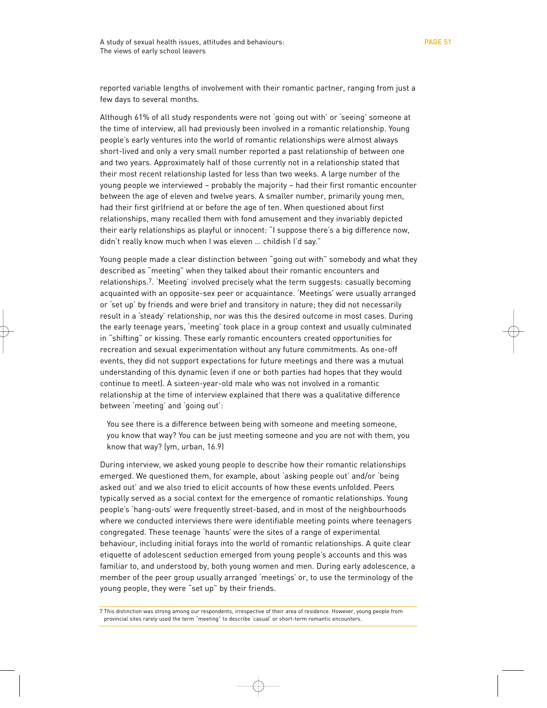reported variable lengths of involvement with their romantic partner, ranging from just a few days to several months.

Although 61% of all study respondents were not 'going out with' or 'seeing' someone at the time of interview, all had previously been involved in a romantic relationship. Young people's early ventures into the world of romantic relationships were almost always short-lived and only a very small number reported a past relationship of between one and two years. Approximately half of those currently not in a relationship stated that their most recent relationship lasted for less than two weeks. A large number of the young people we interviewed – probably the majority – had their first romantic encounter between the age of eleven and twelve years. A smaller number, primarily young men, had their first girlfriend at or before the age of ten. When questioned about first relationships, many recalled them with fond amusement and they invariably depicted their early relationships as playful or innocent: "I suppose there's a big difference now, didn't really know much when I was eleven … childish I'd say."

Young people made a clear distinction between "going out with" somebody and what they described as "meeting" when they talked about their romantic encounters and relationships.7. 'Meeting' involved precisely what the term suggests: casually becoming acquainted with an opposite-sex peer or acquaintance. 'Meetings' were usually arranged or 'set up' by friends and were brief and transitory in nature; they did not necessarily result in a 'steady' relationship, nor was this the desired outcome in most cases. During the early teenage years, 'meeting' took place in a group context and usually culminated in "shifting" or kissing. These early romantic encounters created opportunities for recreation and sexual experimentation without any future commitments. As one-off events, they did not support expectations for future meetings and there was a mutual understanding of this dynamic (even if one or both parties had hopes that they would continue to meet). A sixteen-year-old male who was not involved in a romantic relationship at the time of interview explained that there was a qualitative difference between 'meeting' and 'going out':

You see there is a difference between being with someone and meeting someone, you know that way? You can be just meeting someone and you are not with them, you know that way? (ym, urban, 16.9)

During interview, we asked young people to describe how their romantic relationships emerged. We questioned them, for example, about 'asking people out' and/or 'being asked out' and we also tried to elicit accounts of how these events unfolded. Peers typically served as a social context for the emergence of romantic relationships. Young people's 'hang-outs' were frequently street-based, and in most of the neighbourhoods where we conducted interviews there were identifiable meeting points where teenagers congregated. These teenage 'haunts' were the sites of a range of experimental behaviour, including initial forays into the world of romantic relationships. A quite clear etiquette of adolescent seduction emerged from young people's accounts and this was familiar to, and understood by, both young women and men. During early adolescence, a member of the peer group usually arranged 'meetings' or, to use the terminology of the young people, they were "set up" by their friends.

<sup>7</sup> This distinction was strong among our respondents, irrespective of their area of residence. However, young people from provincial sites rarely used the term "meeting" to describe 'casual' or short-term romantic encounters.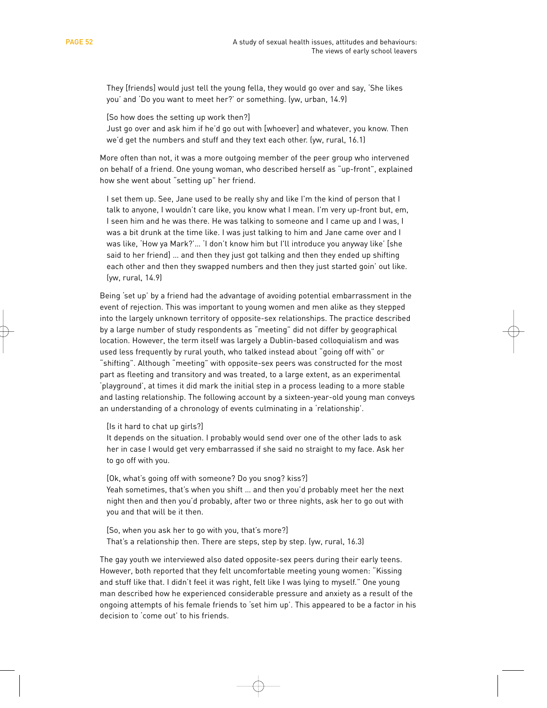They [friends] would just tell the young fella, they would go over and say, 'She likes you' and 'Do you want to meet her?' or something. (yw, urban, 14.9)

[So how does the setting up work then?]

Just go over and ask him if he'd go out with [whoever] and whatever, you know. Then we'd get the numbers and stuff and they text each other. (yw, rural, 16.1)

More often than not, it was a more outgoing member of the peer group who intervened on behalf of a friend. One young woman, who described herself as "up-front", explained how she went about "setting up" her friend.

I set them up. See, Jane used to be really shy and like I'm the kind of person that I talk to anyone, I wouldn't care like, you know what I mean. I'm very up-front but, em, I seen him and he was there. He was talking to someone and I came up and I was, I was a bit drunk at the time like. I was just talking to him and Jane came over and I was like, 'How ya Mark?'… 'I don't know him but I'll introduce you anyway like' [she said to her friend] … and then they just got talking and then they ended up shifting each other and then they swapped numbers and then they just started goin' out like. (yw, rural, 14.9)

Being 'set up' by a friend had the advantage of avoiding potential embarrassment in the event of rejection. This was important to young women and men alike as they stepped into the largely unknown territory of opposite-sex relationships. The practice described by a large number of study respondents as "meeting" did not differ by geographical location. However, the term itself was largely a Dublin-based colloquialism and was used less frequently by rural youth, who talked instead about "going off with" or "shifting". Although "meeting" with opposite-sex peers was constructed for the most part as fleeting and transitory and was treated, to a large extent, as an experimental 'playground', at times it did mark the initial step in a process leading to a more stable and lasting relationship. The following account by a sixteen-year-old young man conveys an understanding of a chronology of events culminating in a 'relationship'.

[Is it hard to chat up girls?]

It depends on the situation. I probably would send over one of the other lads to ask her in case I would get very embarrassed if she said no straight to my face. Ask her to go off with you.

[Ok, what's going off with someone? Do you snog? kiss?] Yeah sometimes, that's when you shift … and then you'd probably meet her the next night then and then you'd probably, after two or three nights, ask her to go out with you and that will be it then.

[So, when you ask her to go with you, that's more?] That's a relationship then. There are steps, step by step. (yw, rural, 16.3)

The gay youth we interviewed also dated opposite-sex peers during their early teens. However, both reported that they felt uncomfortable meeting young women: "Kissing and stuff like that. I didn't feel it was right, felt like I was lying to myself." One young man described how he experienced considerable pressure and anxiety as a result of the ongoing attempts of his female friends to 'set him up'. This appeared to be a factor in his decision to 'come out' to his friends.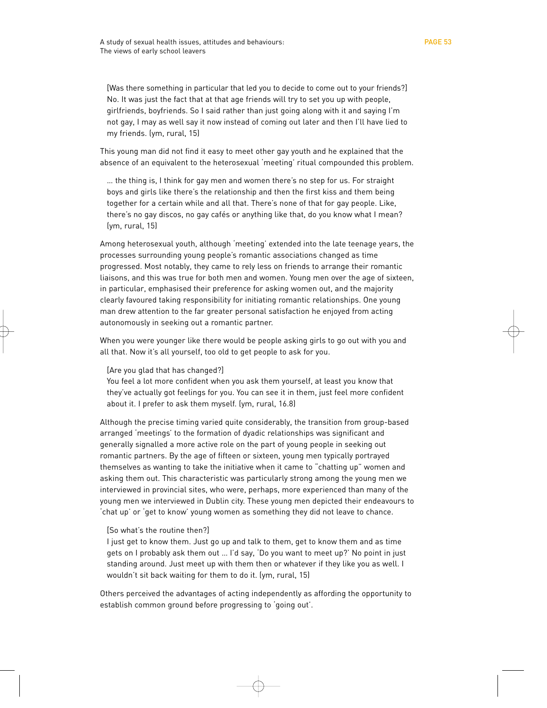[Was there something in particular that led you to decide to come out to your friends?] No. It was just the fact that at that age friends will try to set you up with people, girlfriends, boyfriends. So I said rather than just going along with it and saying I'm not gay, I may as well say it now instead of coming out later and then I'll have lied to my friends. (ym, rural, 15)

This young man did not find it easy to meet other gay youth and he explained that the absence of an equivalent to the heterosexual 'meeting' ritual compounded this problem.

… the thing is, I think for gay men and women there's no step for us. For straight boys and girls like there's the relationship and then the first kiss and them being together for a certain while and all that. There's none of that for gay people. Like, there's no gay discos, no gay cafés or anything like that, do you know what I mean? (ym, rural, 15)

Among heterosexual youth, although 'meeting' extended into the late teenage years, the processes surrounding young people's romantic associations changed as time progressed. Most notably, they came to rely less on friends to arrange their romantic liaisons, and this was true for both men and women. Young men over the age of sixteen, in particular, emphasised their preference for asking women out, and the majority clearly favoured taking responsibility for initiating romantic relationships. One young man drew attention to the far greater personal satisfaction he enjoyed from acting autonomously in seeking out a romantic partner.

When you were younger like there would be people asking girls to go out with you and all that. Now it's all yourself, too old to get people to ask for you.

#### [Are you glad that has changed?]

You feel a lot more confident when you ask them yourself, at least you know that they've actually got feelings for you. You can see it in them, just feel more confident about it. I prefer to ask them myself. (ym, rural, 16.8)

Although the precise timing varied quite considerably, the transition from group-based arranged 'meetings' to the formation of dyadic relationships was significant and generally signalled a more active role on the part of young people in seeking out romantic partners. By the age of fifteen or sixteen, young men typically portrayed themselves as wanting to take the initiative when it came to "chatting up" women and asking them out. This characteristic was particularly strong among the young men we interviewed in provincial sites, who were, perhaps, more experienced than many of the young men we interviewed in Dublin city. These young men depicted their endeavours to 'chat up' or 'get to know' young women as something they did not leave to chance.

#### [So what's the routine then?]

I just get to know them. Just go up and talk to them, get to know them and as time gets on I probably ask them out … I'd say, 'Do you want to meet up?' No point in just standing around. Just meet up with them then or whatever if they like you as well. I wouldn't sit back waiting for them to do it. (ym, rural, 15)

Others perceived the advantages of acting independently as affording the opportunity to establish common ground before progressing to 'going out'.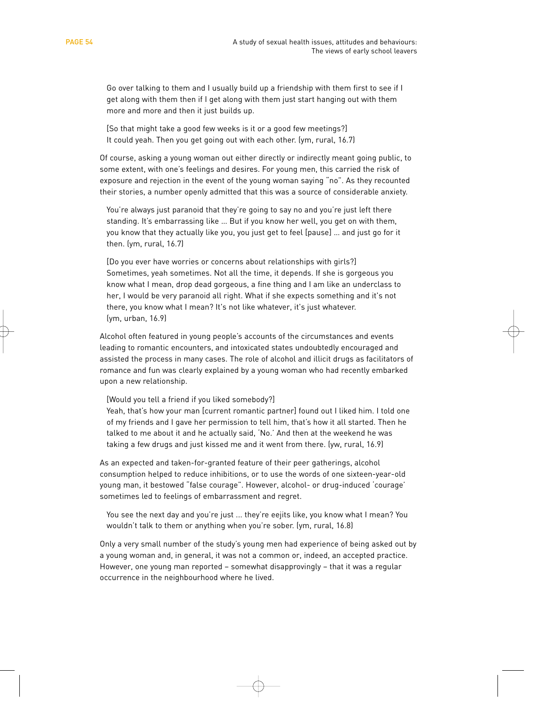Go over talking to them and I usually build up a friendship with them first to see if I get along with them then if I get along with them just start hanging out with them more and more and then it just builds up.

[So that might take a good few weeks is it or a good few meetings?] It could yeah. Then you get going out with each other. (ym, rural, 16.7)

Of course, asking a young woman out either directly or indirectly meant going public, to some extent, with one's feelings and desires. For young men, this carried the risk of exposure and rejection in the event of the young woman saying "no". As they recounted their stories, a number openly admitted that this was a source of considerable anxiety.

You're always just paranoid that they're going to say no and you're just left there standing. It's embarrassing like … But if you know her well, you get on with them, you know that they actually like you, you just get to feel [pause] … and just go for it then. (ym, rural, 16.7)

[Do you ever have worries or concerns about relationships with girls?] Sometimes, yeah sometimes. Not all the time, it depends. If she is gorgeous you know what I mean, drop dead gorgeous, a fine thing and I am like an underclass to her, I would be very paranoid all right. What if she expects something and it's not there, you know what I mean? It's not like whatever, it's just whatever. (ym, urban, 16.9)

Alcohol often featured in young people's accounts of the circumstances and events leading to romantic encounters, and intoxicated states undoubtedly encouraged and assisted the process in many cases. The role of alcohol and illicit drugs as facilitators of romance and fun was clearly explained by a young woman who had recently embarked upon a new relationship.

[Would you tell a friend if you liked somebody?]

Yeah, that's how your man [current romantic partner] found out I liked him. I told one of my friends and I gave her permission to tell him, that's how it all started. Then he talked to me about it and he actually said, 'No.' And then at the weekend he was taking a few drugs and just kissed me and it went from there. (yw, rural, 16.9)

As an expected and taken-for-granted feature of their peer gatherings, alcohol consumption helped to reduce inhibitions, or to use the words of one sixteen-year-old young man, it bestowed "false courage". However, alcohol- or drug-induced 'courage' sometimes led to feelings of embarrassment and regret.

You see the next day and you're just ... they're eejits like, you know what I mean? You wouldn't talk to them or anything when you're sober. (ym, rural, 16.8)

Only a very small number of the study's young men had experience of being asked out by a young woman and, in general, it was not a common or, indeed, an accepted practice. However, one young man reported – somewhat disapprovingly – that it was a regular occurrence in the neighbourhood where he lived.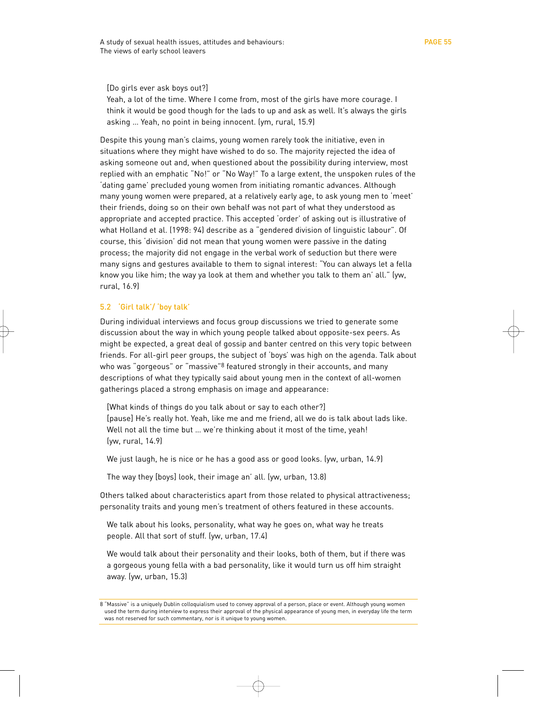[Do girls ever ask boys out?]

Yeah, a lot of the time. Where I come from, most of the girls have more courage. I think it would be good though for the lads to up and ask as well. It's always the girls asking … Yeah, no point in being innocent. (ym, rural, 15.9)

Despite this young man's claims, young women rarely took the initiative, even in situations where they might have wished to do so. The majority rejected the idea of asking someone out and, when questioned about the possibility during interview, most replied with an emphatic "No!" or "No Way!" To a large extent, the unspoken rules of the 'dating game' precluded young women from initiating romantic advances. Although many young women were prepared, at a relatively early age, to ask young men to 'meet' their friends, doing so on their own behalf was not part of what they understood as appropriate and accepted practice. This accepted 'order' of asking out is illustrative of what Holland et al. (1998: 94) describe as a "gendered division of linguistic labour". Of course, this 'division' did not mean that young women were passive in the dating process; the majority did not engage in the verbal work of seduction but there were many signs and gestures available to them to signal interest: "You can always let a fella know you like him; the way ya look at them and whether you talk to them an' all." (yw, rural, 16.9)

# 5.2 'Girl talk'/ 'boy talk'

During individual interviews and focus group discussions we tried to generate some discussion about the way in which young people talked about opposite-sex peers. As might be expected, a great deal of gossip and banter centred on this very topic between friends. For all-girl peer groups, the subject of 'boys' was high on the agenda. Talk about who was "gorgeous" or "massive"8 featured strongly in their accounts, and many descriptions of what they typically said about young men in the context of all-women gatherings placed a strong emphasis on image and appearance:

[What kinds of things do you talk about or say to each other?] [pause] He's really hot. Yeah, like me and me friend, all we do is talk about lads like. Well not all the time but … we're thinking about it most of the time, yeah! (yw, rural, 14.9)

We just laugh, he is nice or he has a good ass or good looks. (yw, urban, 14.9)

The way they [boys] look, their image an' all. (yw, urban, 13.8)

Others talked about characteristics apart from those related to physical attractiveness; personality traits and young men's treatment of others featured in these accounts.

We talk about his looks, personality, what way he goes on, what way he treats people. All that sort of stuff. (yw, urban, 17.4)

We would talk about their personality and their looks, both of them, but if there was a gorgeous young fella with a bad personality, like it would turn us off him straight away. (yw, urban, 15.3)

<sup>8 &</sup>quot;Massive" is a uniquely Dublin colloquialism used to convey approval of a person, place or event. Although young women used the term during interview to express their approval of the physical appearance of young men, in everyday life the term was not reserved for such commentary, nor is it unique to young women.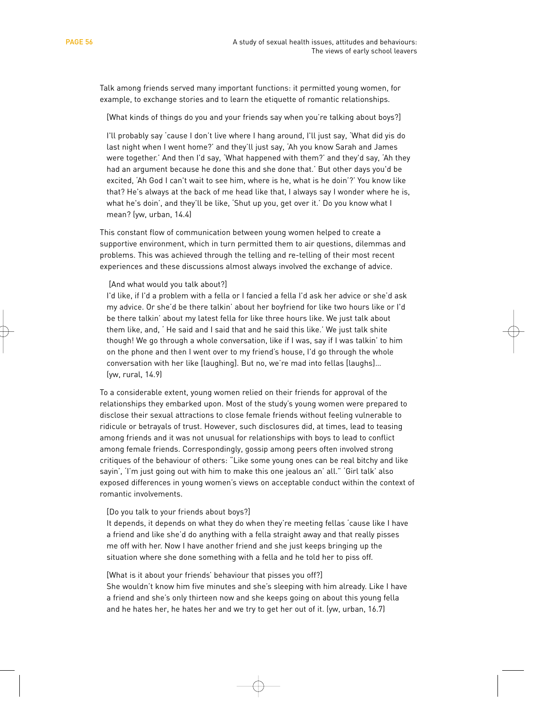Talk among friends served many important functions: it permitted young women, for example, to exchange stories and to learn the etiquette of romantic relationships.

[What kinds of things do you and your friends say when you're talking about boys?]

I'll probably say 'cause I don't live where I hang around, I'll just say, 'What did yis do last night when I went home?' and they'll just say, 'Ah you know Sarah and James were together.' And then I'd say, 'What happened with them?' and they'd say, 'Ah they had an argument because he done this and she done that.' But other days you'd be excited, 'Ah God I can't wait to see him, where is he, what is he doin'?' You know like that? He's always at the back of me head like that, I always say I wonder where he is, what he's doin', and they'll be like, 'Shut up you, get over it.' Do you know what I mean? (yw, urban, 14.4)

This constant flow of communication between young women helped to create a supportive environment, which in turn permitted them to air questions, dilemmas and problems. This was achieved through the telling and re-telling of their most recent experiences and these discussions almost always involved the exchange of advice.

# [And what would you talk about?]

I'd like, if I'd a problem with a fella or I fancied a fella I'd ask her advice or she'd ask my advice. Or she'd be there talkin' about her boyfriend for like two hours like or I'd be there talkin' about my latest fella for like three hours like. We just talk about them like, and, ' He said and I said that and he said this like.' We just talk shite though! We go through a whole conversation, like if I was, say if I was talkin' to him on the phone and then I went over to my friend's house, I'd go through the whole conversation with her like [laughing]. But no, we're mad into fellas [laughs]… (yw, rural, 14.9)

To a considerable extent, young women relied on their friends for approval of the relationships they embarked upon. Most of the study's young women were prepared to disclose their sexual attractions to close female friends without feeling vulnerable to ridicule or betrayals of trust. However, such disclosures did, at times, lead to teasing among friends and it was not unusual for relationships with boys to lead to conflict among female friends. Correspondingly, gossip among peers often involved strong critiques of the behaviour of others: "Like some young ones can be real bitchy and like sayin', 'I'm just going out with him to make this one jealous an' all." 'Girl talk' also exposed differences in young women's views on acceptable conduct within the context of romantic involvements.

# [Do you talk to your friends about boys?]

It depends, it depends on what they do when they're meeting fellas 'cause like I have a friend and like she'd do anything with a fella straight away and that really pisses me off with her. Now I have another friend and she just keeps bringing up the situation where she done something with a fella and he told her to piss off.

[What is it about your friends' behaviour that pisses you off?] She wouldn't know him five minutes and she's sleeping with him already. Like I have a friend and she's only thirteen now and she keeps going on about this young fella and he hates her, he hates her and we try to get her out of it. (yw, urban, 16.7)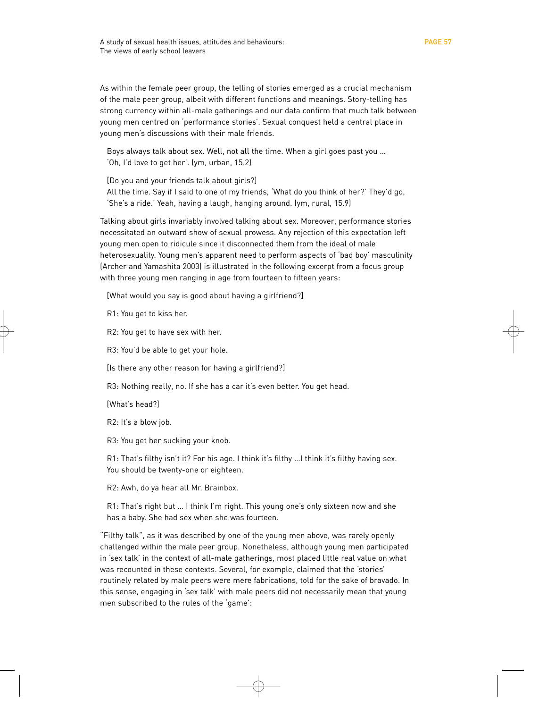As within the female peer group, the telling of stories emerged as a crucial mechanism of the male peer group, albeit with different functions and meanings. Story-telling has strong currency within all-male gatherings and our data confirm that much talk between young men centred on 'performance stories'. Sexual conquest held a central place in young men's discussions with their male friends.

Boys always talk about sex. Well, not all the time. When a girl goes past you … 'Oh, I'd love to get her'. (ym, urban, 15.2)

[Do you and your friends talk about girls?]

All the time. Say if I said to one of my friends, 'What do you think of her?' They'd go, 'She's a ride.' Yeah, having a laugh, hanging around. (ym, rural, 15.9)

Talking about girls invariably involved talking about sex. Moreover, performance stories necessitated an outward show of sexual prowess. Any rejection of this expectation left young men open to ridicule since it disconnected them from the ideal of male heterosexuality. Young men's apparent need to perform aspects of 'bad boy' masculinity (Archer and Yamashita 2003) is illustrated in the following excerpt from a focus group with three young men ranging in age from fourteen to fifteen years:

[What would you say is good about having a girlfriend?]

R1: You get to kiss her.

R2: You get to have sex with her.

R3: You'd be able to get your hole.

[Is there any other reason for having a girlfriend?]

R3: Nothing really, no. If she has a car it's even better. You get head.

[What's head?]

R2: It's a blow job.

R3: You get her sucking your knob.

R1: That's filthy isn't it? For his age. I think it's filthy …I think it's filthy having sex. You should be twenty-one or eighteen.

R2: Awh, do ya hear all Mr. Brainbox.

R1: That's right but … I think I'm right. This young one's only sixteen now and she has a baby. She had sex when she was fourteen.

"Filthy talk", as it was described by one of the young men above, was rarely openly challenged within the male peer group. Nonetheless, although young men participated in 'sex talk' in the context of all-male gatherings, most placed little real value on what was recounted in these contexts. Several, for example, claimed that the 'stories' routinely related by male peers were mere fabrications, told for the sake of bravado. In this sense, engaging in 'sex talk' with male peers did not necessarily mean that young men subscribed to the rules of the 'game':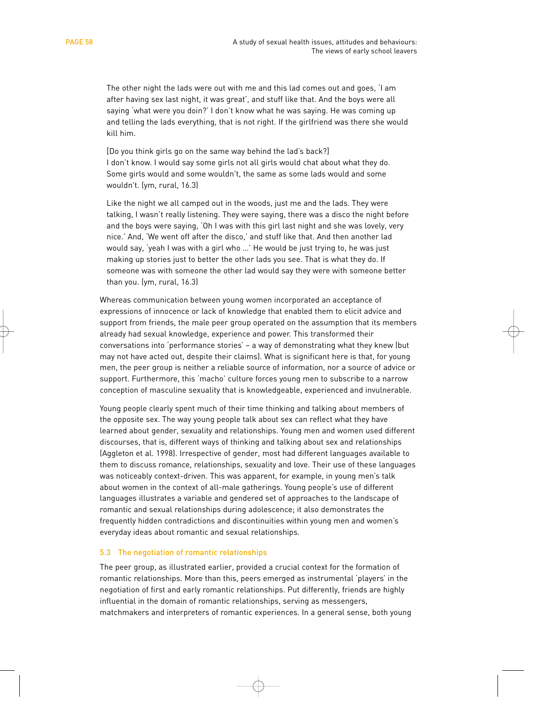The other night the lads were out with me and this lad comes out and goes, 'I am after having sex last night, it was great', and stuff like that. And the boys were all saying 'what were you doin?' I don't know what he was saying. He was coming up and telling the lads everything, that is not right. If the girlfriend was there she would kill him.

[Do you think girls go on the same way behind the lad's back?] I don't know. I would say some girls not all girls would chat about what they do. Some girls would and some wouldn't, the same as some lads would and some wouldn't. (ym, rural, 16.3)

Like the night we all camped out in the woods, just me and the lads. They were talking, I wasn't really listening. They were saying, there was a disco the night before and the boys were saying, 'Oh I was with this girl last night and she was lovely, very nice.' And, 'We went off after the disco,' and stuff like that. And then another lad would say, 'yeah I was with a girl who …' He would be just trying to, he was just making up stories just to better the other lads you see. That is what they do. If someone was with someone the other lad would say they were with someone better than you. (ym, rural, 16.3)

Whereas communication between young women incorporated an acceptance of expressions of innocence or lack of knowledge that enabled them to elicit advice and support from friends, the male peer group operated on the assumption that its members already had sexual knowledge, experience and power. This transformed their conversations into 'performance stories' – a way of demonstrating what they knew (but may not have acted out, despite their claims). What is significant here is that, for young men, the peer group is neither a reliable source of information, nor a source of advice or support. Furthermore, this 'macho' culture forces young men to subscribe to a narrow conception of masculine sexuality that is knowledgeable, experienced and invulnerable.

Young people clearly spent much of their time thinking and talking about members of the opposite sex. The way young people talk about sex can reflect what they have learned about gender, sexuality and relationships. Young men and women used different discourses, that is, different ways of thinking and talking about sex and relationships (Aggleton et al. 1998). Irrespective of gender, most had different languages available to them to discuss romance, relationships, sexuality and love. Their use of these languages was noticeably context-driven. This was apparent, for example, in young men's talk about women in the context of all-male gatherings. Young people's use of different languages illustrates a variable and gendered set of approaches to the landscape of romantic and sexual relationships during adolescence; it also demonstrates the frequently hidden contradictions and discontinuities within young men and women's everyday ideas about romantic and sexual relationships.

#### 5.3 The negotiation of romantic relationships

The peer group, as illustrated earlier, provided a crucial context for the formation of romantic relationships. More than this, peers emerged as instrumental 'players' in the negotiation of first and early romantic relationships. Put differently, friends are highly influential in the domain of romantic relationships, serving as messengers, matchmakers and interpreters of romantic experiences. In a general sense, both young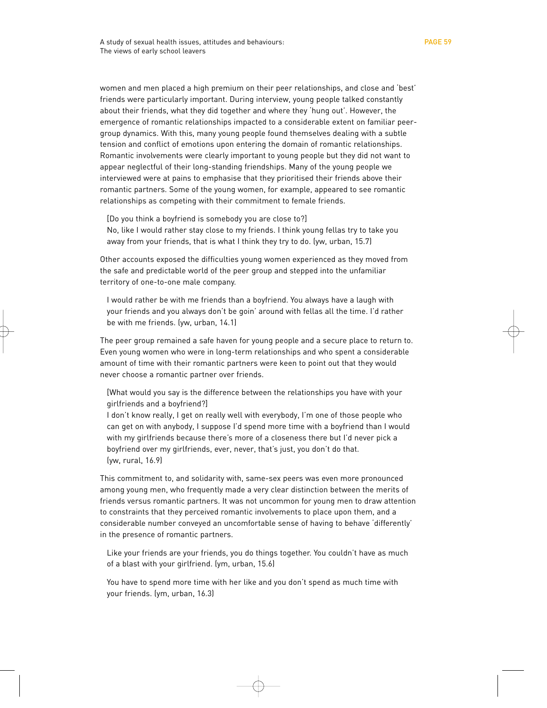women and men placed a high premium on their peer relationships, and close and 'best' friends were particularly important. During interview, young people talked constantly about their friends, what they did together and where they 'hung out'. However, the emergence of romantic relationships impacted to a considerable extent on familiar peergroup dynamics. With this, many young people found themselves dealing with a subtle tension and conflict of emotions upon entering the domain of romantic relationships. Romantic involvements were clearly important to young people but they did not want to appear neglectful of their long-standing friendships. Many of the young people we interviewed were at pains to emphasise that they prioritised their friends above their romantic partners. Some of the young women, for example, appeared to see romantic relationships as competing with their commitment to female friends.

[Do you think a boyfriend is somebody you are close to?] No, like I would rather stay close to my friends. I think young fellas try to take you away from your friends, that is what I think they try to do. (yw, urban, 15.7)

Other accounts exposed the difficulties young women experienced as they moved from the safe and predictable world of the peer group and stepped into the unfamiliar territory of one-to-one male company.

I would rather be with me friends than a boyfriend. You always have a laugh with your friends and you always don't be goin' around with fellas all the time. I'd rather be with me friends. (yw, urban, 14.1)

The peer group remained a safe haven for young people and a secure place to return to. Even young women who were in long-term relationships and who spent a considerable amount of time with their romantic partners were keen to point out that they would never choose a romantic partner over friends.

[What would you say is the difference between the relationships you have with your girlfriends and a boyfriend?]

I don't know really, I get on really well with everybody, I'm one of those people who can get on with anybody, I suppose I'd spend more time with a boyfriend than I would with my girlfriends because there's more of a closeness there but I'd never pick a boyfriend over my girlfriends, ever, never, that's just, you don't do that. (yw, rural, 16.9)

This commitment to, and solidarity with, same-sex peers was even more pronounced among young men, who frequently made a very clear distinction between the merits of friends versus romantic partners. It was not uncommon for young men to draw attention to constraints that they perceived romantic involvements to place upon them, and a considerable number conveyed an uncomfortable sense of having to behave 'differently' in the presence of romantic partners.

Like your friends are your friends, you do things together. You couldn't have as much of a blast with your girlfriend. (ym, urban, 15.6)

You have to spend more time with her like and you don't spend as much time with your friends. (ym, urban, 16.3)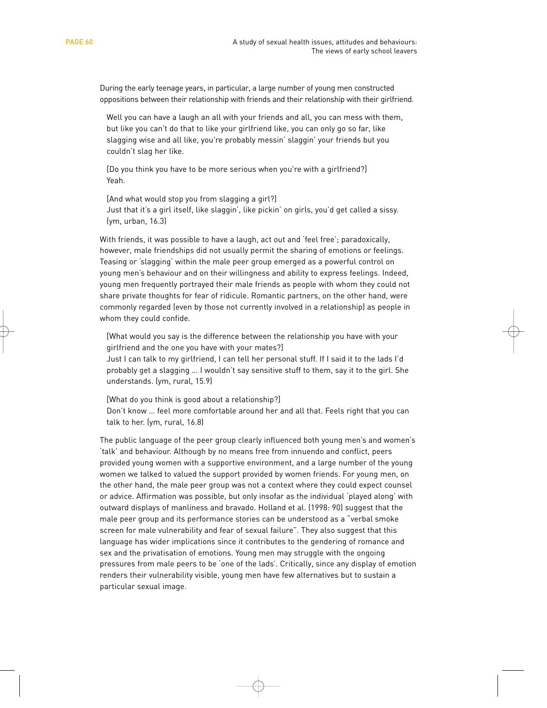During the early teenage years, in particular, a large number of young men constructed oppositions between their relationship with friends and their relationship with their girlfriend.

Well you can have a laugh an all with your friends and all, you can mess with them, but like you can't do that to like your girlfriend like, you can only go so far, like slagging wise and all like, you're probably messin' slaggin' your friends but you couldn't slag her like.

[Do you think you have to be more serious when you're with a girlfriend?] Yeah.

[And what would stop you from slagging a girl?] Just that it's a girl itself, like slaggin', like pickin' on girls, you'd get called a sissy. (ym, urban, 16.3)

With friends, it was possible to have a laugh, act out and 'feel free'; paradoxically, however, male friendships did not usually permit the sharing of emotions or feelings. Teasing or 'slagging' within the male peer group emerged as a powerful control on young men's behaviour and on their willingness and ability to express feelings. Indeed, young men frequently portrayed their male friends as people with whom they could not share private thoughts for fear of ridicule. Romantic partners, on the other hand, were commonly regarded (even by those not currently involved in a relationship) as people in whom they could confide.

[What would you say is the difference between the relationship you have with your girlfriend and the one you have with your mates?]

Just I can talk to my girlfriend, I can tell her personal stuff. If I said it to the lads I'd probably get a slagging … I wouldn't say sensitive stuff to them, say it to the girl. She understands. (ym, rural, 15.9)

[What do you think is good about a relationship?] Don't know … feel more comfortable around her and all that. Feels right that you can talk to her. (ym, rural, 16.8)

The public language of the peer group clearly influenced both young men's and women's 'talk' and behaviour. Although by no means free from innuendo and conflict, peers provided young women with a supportive environment, and a large number of the young women we talked to valued the support provided by women friends. For young men, on the other hand, the male peer group was not a context where they could expect counsel or advice. Affirmation was possible, but only insofar as the individual 'played along' with outward displays of manliness and bravado. Holland et al. (1998: 90) suggest that the male peer group and its performance stories can be understood as a "verbal smoke screen for male vulnerability and fear of sexual failure". They also suggest that this language has wider implications since it contributes to the gendering of romance and sex and the privatisation of emotions. Young men may struggle with the ongoing pressures from male peers to be 'one of the lads'. Critically, since any display of emotion renders their vulnerability visible, young men have few alternatives but to sustain a particular sexual image.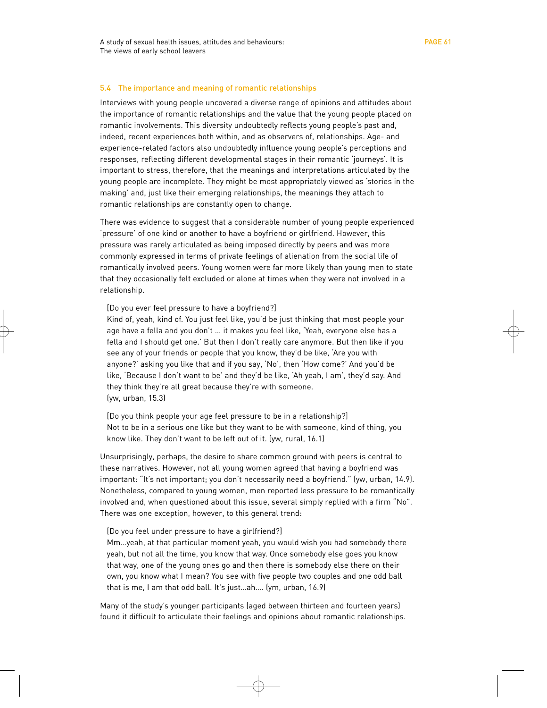#### 5.4 The importance and meaning of romantic relationships

Interviews with young people uncovered a diverse range of opinions and attitudes about the importance of romantic relationships and the value that the young people placed on romantic involvements. This diversity undoubtedly reflects young people's past and, indeed, recent experiences both within, and as observers of, relationships. Age- and experience-related factors also undoubtedly influence young people's perceptions and responses, reflecting different developmental stages in their romantic 'journeys'. It is important to stress, therefore, that the meanings and interpretations articulated by the young people are incomplete. They might be most appropriately viewed as 'stories in the making' and, just like their emerging relationships, the meanings they attach to romantic relationships are constantly open to change.

There was evidence to suggest that a considerable number of young people experienced 'pressure' of one kind or another to have a boyfriend or girlfriend. However, this pressure was rarely articulated as being imposed directly by peers and was more commonly expressed in terms of private feelings of alienation from the social life of romantically involved peers. Young women were far more likely than young men to state that they occasionally felt excluded or alone at times when they were not involved in a relationship.

[Do you ever feel pressure to have a boyfriend?]

Kind of, yeah, kind of. You just feel like, you'd be just thinking that most people your age have a fella and you don't … it makes you feel like, 'Yeah, everyone else has a fella and I should get one.' But then I don't really care anymore. But then like if you see any of your friends or people that you know, they'd be like, 'Are you with anyone?' asking you like that and if you say, 'No', then 'How come?' And you'd be like, 'Because I don't want to be' and they'd be like, 'Ah yeah, I am', they'd say. And they think they're all great because they're with someone. (yw, urban, 15.3)

[Do you think people your age feel pressure to be in a relationship?] Not to be in a serious one like but they want to be with someone, kind of thing, you know like. They don't want to be left out of it. (yw, rural, 16.1)

Unsurprisingly, perhaps, the desire to share common ground with peers is central to these narratives. However, not all young women agreed that having a boyfriend was important: "It's not important; you don't necessarily need a boyfriend." (yw, urban, 14.9). Nonetheless, compared to young women, men reported less pressure to be romantically involved and, when questioned about this issue, several simply replied with a firm "No". There was one exception, however, to this general trend:

[Do you feel under pressure to have a girlfriend?]

Mm…yeah, at that particular moment yeah, you would wish you had somebody there yeah, but not all the time, you know that way. Once somebody else goes you know that way, one of the young ones go and then there is somebody else there on their own, you know what I mean? You see with five people two couples and one odd ball that is me, I am that odd ball. It's just…ah…. (ym, urban, 16.9)

Many of the study's younger participants (aged between thirteen and fourteen years) found it difficult to articulate their feelings and opinions about romantic relationships.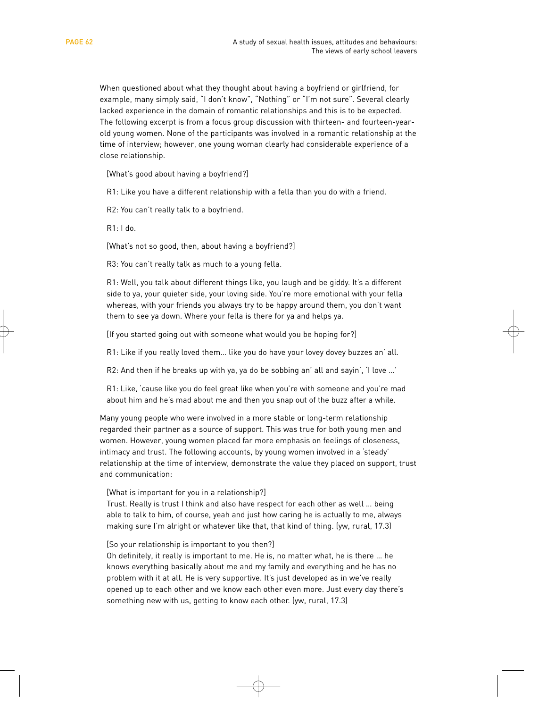When questioned about what they thought about having a boyfriend or girlfriend, for example, many simply said, "I don't know", "Nothing" or "I'm not sure". Several clearly lacked experience in the domain of romantic relationships and this is to be expected. The following excerpt is from a focus group discussion with thirteen- and fourteen-yearold young women. None of the participants was involved in a romantic relationship at the time of interview; however, one young woman clearly had considerable experience of a close relationship.

[What's good about having a boyfriend?]

R1: Like you have a different relationship with a fella than you do with a friend.

R2: You can't really talk to a boyfriend.

R1: I do.

[What's not so good, then, about having a boyfriend?]

R3: You can't really talk as much to a young fella.

R1: Well, you talk about different things like, you laugh and be giddy. It's a different side to ya, your quieter side, your loving side. You're more emotional with your fella whereas, with your friends you always try to be happy around them, you don't want them to see ya down. Where your fella is there for ya and helps ya.

[If you started going out with someone what would you be hoping for?]

R1: Like if you really loved them… like you do have your lovey dovey buzzes an' all.

R2: And then if he breaks up with ya, ya do be sobbing an' all and sayin', 'I love …'

R1: Like, 'cause like you do feel great like when you're with someone and you're mad about him and he's mad about me and then you snap out of the buzz after a while.

Many young people who were involved in a more stable or long-term relationship regarded their partner as a source of support. This was true for both young men and women. However, young women placed far more emphasis on feelings of closeness, intimacy and trust. The following accounts, by young women involved in a 'steady' relationship at the time of interview, demonstrate the value they placed on support, trust and communication:

[What is important for you in a relationship?]

Trust. Really is trust I think and also have respect for each other as well … being able to talk to him, of course, yeah and just how caring he is actually to me, always making sure I'm alright or whatever like that, that kind of thing. (yw, rural, 17.3)

[So your relationship is important to you then?]

Oh definitely, it really is important to me. He is, no matter what, he is there … he knows everything basically about me and my family and everything and he has no problem with it at all. He is very supportive. It's just developed as in we've really opened up to each other and we know each other even more. Just every day there's something new with us, getting to know each other. (yw, rural, 17.3)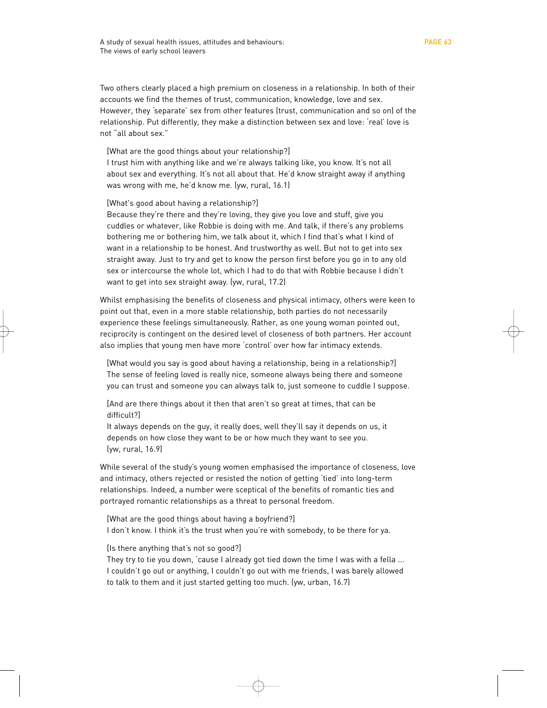Two others clearly placed a high premium on closeness in a relationship. In both of their accounts we find the themes of trust, communication, knowledge, love and sex. However, they 'separate' sex from other features (trust, communication and so on) of the relationship. Put differently, they make a distinction between sex and love: 'real' love is not "all about sex."

[What are the good things about your relationship?] I trust him with anything like and we're always talking like, you know. It's not all about sex and everything. It's not all about that. He'd know straight away if anything was wrong with me, he'd know me. (yw, rural, 16.1)

[What's good about having a relationship?]

Because they're there and they're loving, they give you love and stuff, give you cuddles or whatever, like Robbie is doing with me. And talk, if there's any problems bothering me or bothering him, we talk about it, which I find that's what I kind of want in a relationship to be honest. And trustworthy as well. But not to get into sex straight away. Just to try and get to know the person first before you go in to any old sex or intercourse the whole lot, which I had to do that with Robbie because I didn't want to get into sex straight away. (yw, rural, 17.2)

Whilst emphasising the benefits of closeness and physical intimacy, others were keen to point out that, even in a more stable relationship, both parties do not necessarily experience these feelings simultaneously. Rather, as one young woman pointed out, reciprocity is contingent on the desired level of closeness of both partners. Her account also implies that young men have more 'control' over how far intimacy extends.

[What would you say is good about having a relationship, being in a relationship?] The sense of feeling loved is really nice, someone always being there and someone you can trust and someone you can always talk to, just someone to cuddle I suppose.

[And are there things about it then that aren't so great at times, that can be difficult?]

It always depends on the guy, it really does, well they'll say it depends on us, it depends on how close they want to be or how much they want to see you. (yw, rural, 16.9)

While several of the study's young women emphasised the importance of closeness, love and intimacy, others rejected or resisted the notion of getting 'tied' into long-term relationships. Indeed, a number were sceptical of the benefits of romantic ties and portrayed romantic relationships as a threat to personal freedom.

[What are the good things about having a boyfriend?] I don't know. I think it's the trust when you're with somebody, to be there for ya.

# [Is there anything that's not so good?]

They try to tie you down, 'cause I already got tied down the time I was with a fella ... I couldn't go out or anything, I couldn't go out with me friends, I was barely allowed to talk to them and it just started getting too much. (yw, urban, 16.7)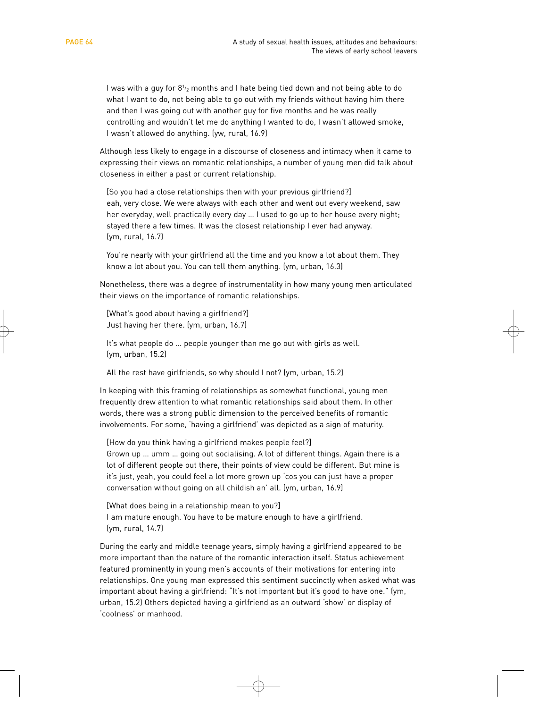I was with a guy for  $8^{1/2}$  months and I hate being tied down and not being able to do what I want to do, not being able to go out with my friends without having him there and then I was going out with another guy for five months and he was really controlling and wouldn't let me do anything I wanted to do, I wasn't allowed smoke, I wasn't allowed do anything. (yw, rural, 16.9)

Although less likely to engage in a discourse of closeness and intimacy when it came to expressing their views on romantic relationships, a number of young men did talk about closeness in either a past or current relationship.

[So you had a close relationships then with your previous girlfriend?] eah, very close. We were always with each other and went out every weekend, saw her everyday, well practically every day … I used to go up to her house every night; stayed there a few times. It was the closest relationship I ever had anyway. (ym, rural, 16.7)

You're nearly with your girlfriend all the time and you know a lot about them. They know a lot about you. You can tell them anything. (ym, urban, 16.3)

Nonetheless, there was a degree of instrumentality in how many young men articulated their views on the importance of romantic relationships.

[What's good about having a girlfriend?] Just having her there. (ym, urban, 16.7)

It's what people do … people younger than me go out with girls as well. (ym, urban, 15.2)

All the rest have girlfriends, so why should I not? (ym, urban, 15.2)

In keeping with this framing of relationships as somewhat functional, young men frequently drew attention to what romantic relationships said about them. In other words, there was a strong public dimension to the perceived benefits of romantic involvements. For some, 'having a girlfriend' was depicted as a sign of maturity.

[How do you think having a girlfriend makes people feel?] Grown up … umm … going out socialising. A lot of different things. Again there is a lot of different people out there, their points of view could be different. But mine is it's just, yeah, you could feel a lot more grown up 'cos you can just have a proper

conversation without going on all childish an' all. (ym, urban, 16.9) [What does being in a relationship mean to you?]

I am mature enough. You have to be mature enough to have a girlfriend. (ym, rural, 14.7)

During the early and middle teenage years, simply having a girlfriend appeared to be more important than the nature of the romantic interaction itself. Status achievement featured prominently in young men's accounts of their motivations for entering into relationships. One young man expressed this sentiment succinctly when asked what was important about having a girlfriend: "It's not important but it's good to have one." (ym, urban, 15.2) Others depicted having a girlfriend as an outward 'show' or display of 'coolness' or manhood.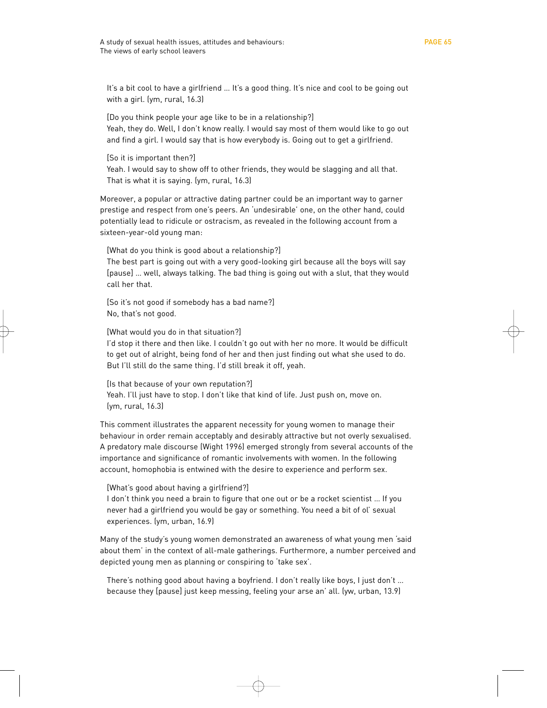It's a bit cool to have a girlfriend ... It's a good thing. It's nice and cool to be going out with a girl. (ym, rural, 16.3)

[Do you think people your age like to be in a relationship?] Yeah, they do. Well, I don't know really. I would say most of them would like to go out and find a girl. I would say that is how everybody is. Going out to get a girlfriend.

[So it is important then?]

Yeah. I would say to show off to other friends, they would be slagging and all that. That is what it is saying. (ym, rural, 16.3)

Moreover, a popular or attractive dating partner could be an important way to garner prestige and respect from one's peers. An 'undesirable' one, on the other hand, could potentially lead to ridicule or ostracism, as revealed in the following account from a sixteen-year-old young man:

[What do you think is good about a relationship?] The best part is going out with a very good-looking girl because all the boys will say [pause] … well, always talking. The bad thing is going out with a slut, that they would call her that.

[So it's not good if somebody has a bad name?] No, that's not good.

[What would you do in that situation?]

I'd stop it there and then like. I couldn't go out with her no more. It would be difficult to get out of alright, being fond of her and then just finding out what she used to do. But I'll still do the same thing. I'd still break it off, yeah.

[Is that because of your own reputation?] Yeah. I'll just have to stop. I don't like that kind of life. Just push on, move on. (ym, rural, 16.3)

This comment illustrates the apparent necessity for young women to manage their behaviour in order remain acceptably and desirably attractive but not overly sexualised. A predatory male discourse (Wight 1996) emerged strongly from several accounts of the importance and significance of romantic involvements with women. In the following account, homophobia is entwined with the desire to experience and perform sex.

[What's good about having a girlfriend?]

I don't think you need a brain to figure that one out or be a rocket scientist … If you never had a girlfriend you would be gay or something. You need a bit of ol' sexual experiences. (ym, urban, 16.9)

Many of the study's young women demonstrated an awareness of what young men 'said about them' in the context of all-male gatherings. Furthermore, a number perceived and depicted young men as planning or conspiring to 'take sex'.

There's nothing good about having a boyfriend. I don't really like boys, I just don't … because they [pause] just keep messing, feeling your arse an' all. (yw, urban, 13.9)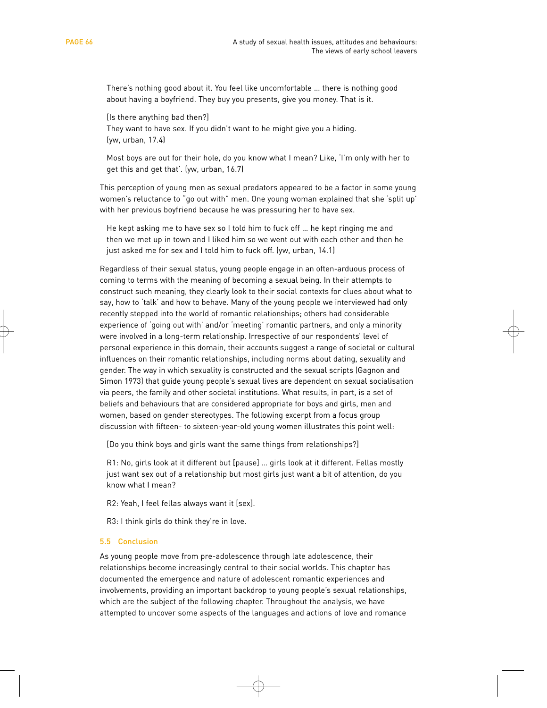There's nothing good about it. You feel like uncomfortable … there is nothing good about having a boyfriend. They buy you presents, give you money. That is it.

[Is there anything bad then?] They want to have sex. If you didn't want to he might give you a hiding. (yw, urban, 17.4)

Most boys are out for their hole, do you know what I mean? Like, 'I'm only with her to get this and get that'. (yw, urban, 16.7)

This perception of young men as sexual predators appeared to be a factor in some young women's reluctance to "go out with" men. One young woman explained that she 'split up' with her previous boyfriend because he was pressuring her to have sex.

He kept asking me to have sex so I told him to fuck off … he kept ringing me and then we met up in town and I liked him so we went out with each other and then he just asked me for sex and I told him to fuck off. (yw, urban, 14.1)

Regardless of their sexual status, young people engage in an often-arduous process of coming to terms with the meaning of becoming a sexual being. In their attempts to construct such meaning, they clearly look to their social contexts for clues about what to say, how to 'talk' and how to behave. Many of the young people we interviewed had only recently stepped into the world of romantic relationships; others had considerable experience of 'going out with' and/or 'meeting' romantic partners, and only a minority were involved in a long-term relationship. Irrespective of our respondents' level of personal experience in this domain, their accounts suggest a range of societal or cultural influences on their romantic relationships, including norms about dating, sexuality and gender. The way in which sexuality is constructed and the sexual scripts (Gagnon and Simon 1973) that guide young people's sexual lives are dependent on sexual socialisation via peers, the family and other societal institutions. What results, in part, is a set of beliefs and behaviours that are considered appropriate for boys and girls, men and women, based on gender stereotypes. The following excerpt from a focus group discussion with fifteen- to sixteen-year-old young women illustrates this point well:

[Do you think boys and girls want the same things from relationships?]

R1: No, girls look at it different but [pause] … girls look at it different. Fellas mostly just want sex out of a relationship but most girls just want a bit of attention, do you know what I mean?

R2: Yeah, I feel fellas always want it [sex].

R3: I think girls do think they're in love.

# 5.5 Conclusion

As young people move from pre-adolescence through late adolescence, their relationships become increasingly central to their social worlds. This chapter has documented the emergence and nature of adolescent romantic experiences and involvements, providing an important backdrop to young people's sexual relationships, which are the subject of the following chapter. Throughout the analysis, we have attempted to uncover some aspects of the languages and actions of love and romance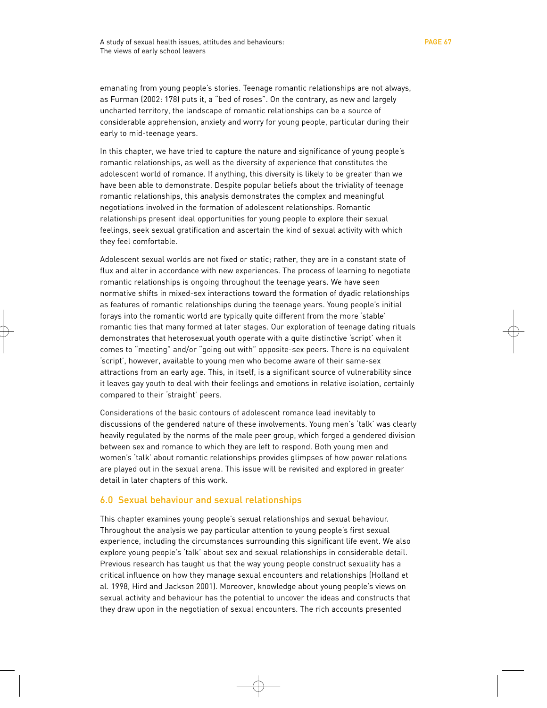emanating from young people's stories. Teenage romantic relationships are not always, as Furman (2002: 178) puts it, a "bed of roses". On the contrary, as new and largely uncharted territory, the landscape of romantic relationships can be a source of considerable apprehension, anxiety and worry for young people, particular during their early to mid-teenage years.

In this chapter, we have tried to capture the nature and significance of young people's romantic relationships, as well as the diversity of experience that constitutes the adolescent world of romance. If anything, this diversity is likely to be greater than we have been able to demonstrate. Despite popular beliefs about the triviality of teenage romantic relationships, this analysis demonstrates the complex and meaningful negotiations involved in the formation of adolescent relationships. Romantic relationships present ideal opportunities for young people to explore their sexual feelings, seek sexual gratification and ascertain the kind of sexual activity with which they feel comfortable.

Adolescent sexual worlds are not fixed or static; rather, they are in a constant state of flux and alter in accordance with new experiences. The process of learning to negotiate romantic relationships is ongoing throughout the teenage years. We have seen normative shifts in mixed-sex interactions toward the formation of dyadic relationships as features of romantic relationships during the teenage years. Young people's initial forays into the romantic world are typically quite different from the more 'stable' romantic ties that many formed at later stages. Our exploration of teenage dating rituals demonstrates that heterosexual youth operate with a quite distinctive 'script' when it comes to "meeting" and/or "going out with" opposite-sex peers. There is no equivalent 'script', however, available to young men who become aware of their same-sex attractions from an early age. This, in itself, is a significant source of vulnerability since it leaves gay youth to deal with their feelings and emotions in relative isolation, certainly compared to their 'straight' peers.

Considerations of the basic contours of adolescent romance lead inevitably to discussions of the gendered nature of these involvements. Young men's 'talk' was clearly heavily regulated by the norms of the male peer group, which forged a gendered division between sex and romance to which they are left to respond. Both young men and women's 'talk' about romantic relationships provides glimpses of how power relations are played out in the sexual arena. This issue will be revisited and explored in greater detail in later chapters of this work.

# 6.0 Sexual behaviour and sexual relationships

This chapter examines young people's sexual relationships and sexual behaviour. Throughout the analysis we pay particular attention to young people's first sexual experience, including the circumstances surrounding this significant life event. We also explore young people's 'talk' about sex and sexual relationships in considerable detail. Previous research has taught us that the way young people construct sexuality has a critical influence on how they manage sexual encounters and relationships (Holland et al. 1998, Hird and Jackson 2001). Moreover, knowledge about young people's views on sexual activity and behaviour has the potential to uncover the ideas and constructs that they draw upon in the negotiation of sexual encounters. The rich accounts presented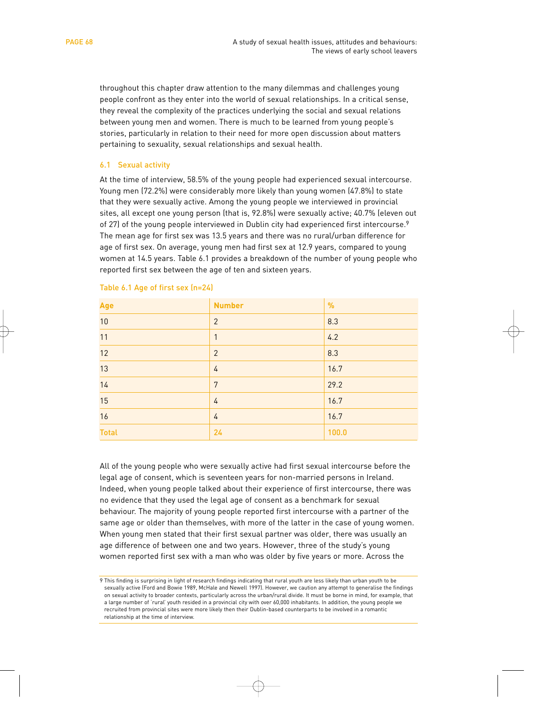throughout this chapter draw attention to the many dilemmas and challenges young people confront as they enter into the world of sexual relationships. In a critical sense, they reveal the complexity of the practices underlying the social and sexual relations between young men and women. There is much to be learned from young people's stories, particularly in relation to their need for more open discussion about matters pertaining to sexuality, sexual relationships and sexual health.

# 6.1 Sexual activity

At the time of interview, 58.5% of the young people had experienced sexual intercourse. Young men (72.2%) were considerably more likely than young women (47.8%) to state that they were sexually active. Among the young people we interviewed in provincial sites, all except one young person (that is, 92.8%) were sexually active; 40.7% (eleven out of 27) of the young people interviewed in Dublin city had experienced first intercourse.<sup>9</sup> The mean age for first sex was 13.5 years and there was no rural/urban difference for age of first sex. On average, young men had first sex at 12.9 years, compared to young women at 14.5 years. Table 6.1 provides a breakdown of the number of young people who reported first sex between the age of ten and sixteen years.

| Age          | <b>Number</b>  | %     |
|--------------|----------------|-------|
| 10           | $\overline{2}$ | 8.3   |
| 11           | 1              | 4.2   |
| 12           | $\overline{2}$ | 8.3   |
| 13           | $\overline{4}$ | 16.7  |
| 14           | 7              | 29.2  |
| 15           | 4              | 16.7  |
| 16           | $\overline{4}$ | 16.7  |
| <b>Total</b> | 24             | 100.0 |

#### Table 6.1 Age of first sex (n=24)

All of the young people who were sexually active had first sexual intercourse before the legal age of consent, which is seventeen years for non-married persons in Ireland. Indeed, when young people talked about their experience of first intercourse, there was no evidence that they used the legal age of consent as a benchmark for sexual behaviour. The majority of young people reported first intercourse with a partner of the same age or older than themselves, with more of the latter in the case of young women. When young men stated that their first sexual partner was older, there was usually an age difference of between one and two years. However, three of the study's young women reported first sex with a man who was older by five years or more. Across the

<sup>9</sup> This finding is surprising in light of research findings indicating that rural youth are less likely than urban youth to be sexually active (Ford and Bowie 1989, McHale and Newell 1997). However, we caution any attempt to generalise the findings on sexual activity to broader contexts, particularly across the urban/rural divide. It must be borne in mind, for example, that a large number of 'rural' youth resided in a provincial city with over 60,000 inhabitants. In addition, the young people we recruited from provincial sites were more likely then their Dublin-based counterparts to be involved in a romantic relationship at the time of interview.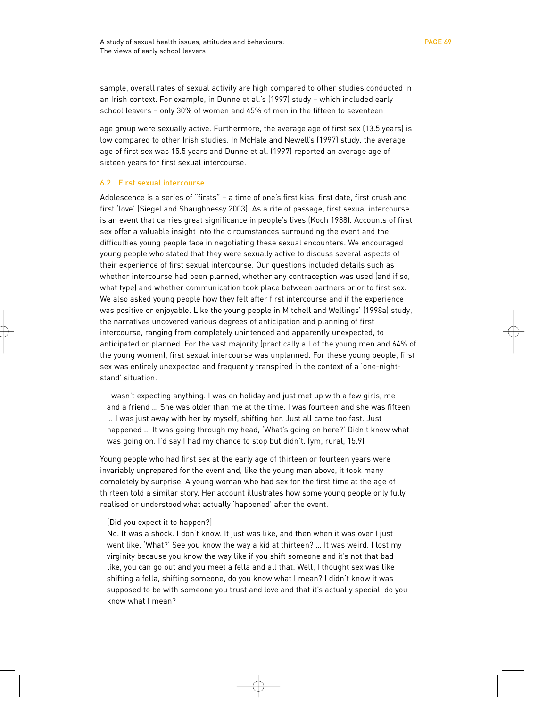sample, overall rates of sexual activity are high compared to other studies conducted in an Irish context. For example, in Dunne et al.'s (1997) study – which included early school leavers – only 30% of women and 45% of men in the fifteen to seventeen

age group were sexually active. Furthermore, the average age of first sex (13.5 years) is low compared to other Irish studies. In McHale and Newell's (1997) study, the average age of first sex was 15.5 years and Dunne et al. (1997) reported an average age of sixteen years for first sexual intercourse.

#### 6.2 First sexual intercourse

Adolescence is a series of "firsts" – a time of one's first kiss, first date, first crush and first 'love' (Siegel and Shaughnessy 2003). As a rite of passage, first sexual intercourse is an event that carries great significance in people's lives (Koch 1988). Accounts of first sex offer a valuable insight into the circumstances surrounding the event and the difficulties young people face in negotiating these sexual encounters. We encouraged young people who stated that they were sexually active to discuss several aspects of their experience of first sexual intercourse. Our questions included details such as whether intercourse had been planned, whether any contraception was used (and if so, what type) and whether communication took place between partners prior to first sex. We also asked young people how they felt after first intercourse and if the experience was positive or enjoyable. Like the young people in Mitchell and Wellings' (1998a) study, the narratives uncovered various degrees of anticipation and planning of first intercourse, ranging from completely unintended and apparently unexpected, to anticipated or planned. For the vast majority (practically all of the young men and 64% of the young women), first sexual intercourse was unplanned. For these young people, first sex was entirely unexpected and frequently transpired in the context of a 'one-nightstand' situation.

I wasn't expecting anything. I was on holiday and just met up with a few girls, me and a friend … She was older than me at the time. I was fourteen and she was fifteen … I was just away with her by myself, shifting her. Just all came too fast. Just happened … It was going through my head, 'What's going on here?' Didn't know what was going on. I'd say I had my chance to stop but didn't. (ym, rural, 15.9)

Young people who had first sex at the early age of thirteen or fourteen years were invariably unprepared for the event and, like the young man above, it took many completely by surprise. A young woman who had sex for the first time at the age of thirteen told a similar story. Her account illustrates how some young people only fully realised or understood what actually 'happened' after the event.

#### [Did you expect it to happen?]

No. It was a shock. I don't know. It just was like, and then when it was over I just went like, 'What?' See you know the way a kid at thirteen? … It was weird. I lost my virginity because you know the way like if you shift someone and it's not that bad like, you can go out and you meet a fella and all that. Well, I thought sex was like shifting a fella, shifting someone, do you know what I mean? I didn't know it was supposed to be with someone you trust and love and that it's actually special, do you know what I mean?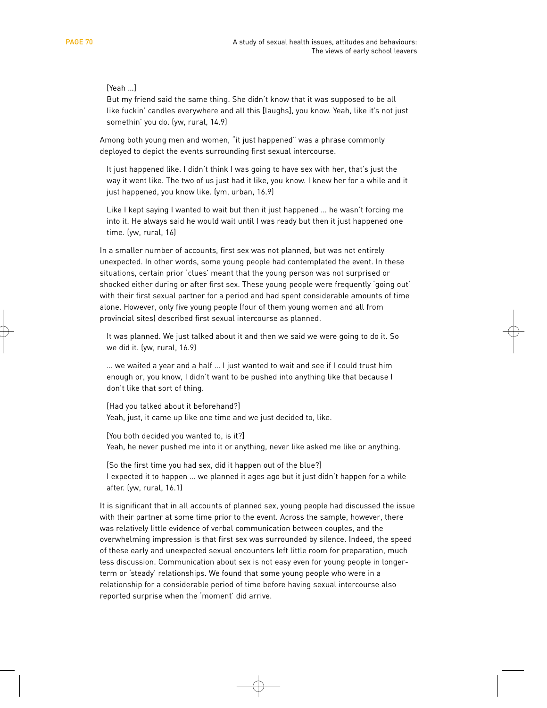[Yeah …]

But my friend said the same thing. She didn't know that it was supposed to be all like fuckin' candles everywhere and all this [laughs], you know. Yeah, like it's not just somethin' you do. (yw, rural, 14.9)

Among both young men and women, "it just happened" was a phrase commonly deployed to depict the events surrounding first sexual intercourse.

It just happened like. I didn't think I was going to have sex with her, that's just the way it went like. The two of us just had it like, you know. I knew her for a while and it just happened, you know like. (ym, urban, 16.9)

Like I kept saying I wanted to wait but then it just happened … he wasn't forcing me into it. He always said he would wait until I was ready but then it just happened one time. (yw, rural, 16)

In a smaller number of accounts, first sex was not planned, but was not entirely unexpected. In other words, some young people had contemplated the event. In these situations, certain prior 'clues' meant that the young person was not surprised or shocked either during or after first sex. These young people were frequently 'going out' with their first sexual partner for a period and had spent considerable amounts of time alone. However, only five young people (four of them young women and all from provincial sites) described first sexual intercourse as planned.

It was planned. We just talked about it and then we said we were going to do it. So we did it. (yw, rural, 16.9)

… we waited a year and a half … I just wanted to wait and see if I could trust him enough or, you know, I didn't want to be pushed into anything like that because I don't like that sort of thing.

[Had you talked about it beforehand?] Yeah, just, it came up like one time and we just decided to, like.

[You both decided you wanted to, is it?] Yeah, he never pushed me into it or anything, never like asked me like or anything.

[So the first time you had sex, did it happen out of the blue?] I expected it to happen … we planned it ages ago but it just didn't happen for a while after. (yw, rural, 16.1)

It is significant that in all accounts of planned sex, young people had discussed the issue with their partner at some time prior to the event. Across the sample, however, there was relatively little evidence of verbal communication between couples, and the overwhelming impression is that first sex was surrounded by silence. Indeed, the speed of these early and unexpected sexual encounters left little room for preparation, much less discussion. Communication about sex is not easy even for young people in longerterm or 'steady' relationships. We found that some young people who were in a relationship for a considerable period of time before having sexual intercourse also reported surprise when the 'moment' did arrive.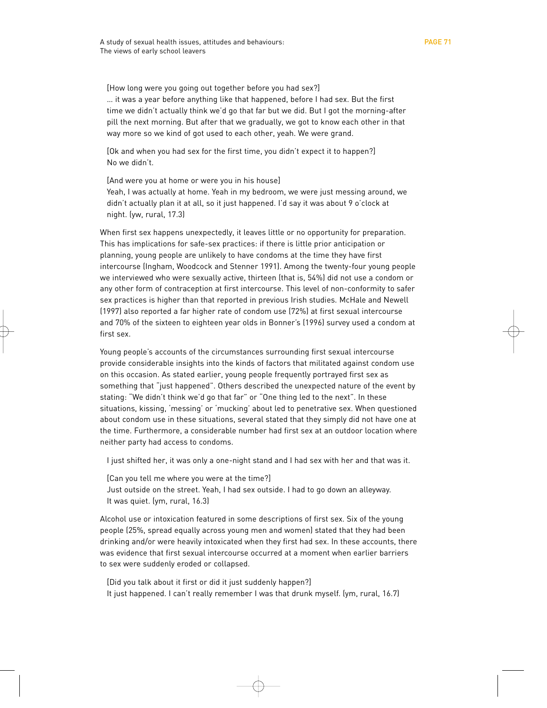[How long were you going out together before you had sex?] … it was a year before anything like that happened, before I had sex. But the first time we didn't actually think we'd go that far but we did. But I got the morning-after pill the next morning. But after that we gradually, we got to know each other in that way more so we kind of got used to each other, yeah. We were grand.

[Ok and when you had sex for the first time, you didn't expect it to happen?] No we didn't.

[And were you at home or were you in his house] Yeah, I was actually at home. Yeah in my bedroom, we were just messing around, we didn't actually plan it at all, so it just happened. I'd say it was about 9 o'clock at night. (yw, rural, 17.3)

When first sex happens unexpectedly, it leaves little or no opportunity for preparation. This has implications for safe-sex practices: if there is little prior anticipation or planning, young people are unlikely to have condoms at the time they have first intercourse (Ingham, Woodcock and Stenner 1991). Among the twenty-four young people we interviewed who were sexually active, thirteen (that is, 54%) did not use a condom or any other form of contraception at first intercourse. This level of non-conformity to safer sex practices is higher than that reported in previous Irish studies. McHale and Newell (1997) also reported a far higher rate of condom use (72%) at first sexual intercourse and 70% of the sixteen to eighteen year olds in Bonner's (1996) survey used a condom at first sex.

Young people's accounts of the circumstances surrounding first sexual intercourse provide considerable insights into the kinds of factors that militated against condom use on this occasion. As stated earlier, young people frequently portrayed first sex as something that "just happened". Others described the unexpected nature of the event by stating: "We didn't think we'd go that far" or "One thing led to the next". In these situations, kissing, 'messing' or 'mucking' about led to penetrative sex. When questioned about condom use in these situations, several stated that they simply did not have one at the time. Furthermore, a considerable number had first sex at an outdoor location where neither party had access to condoms.

I just shifted her, it was only a one-night stand and I had sex with her and that was it.

[Can you tell me where you were at the time?]

Just outside on the street. Yeah, I had sex outside. I had to go down an alleyway. It was quiet. (ym, rural, 16.3)

Alcohol use or intoxication featured in some descriptions of first sex. Six of the young people (25%, spread equally across young men and women) stated that they had been drinking and/or were heavily intoxicated when they first had sex. In these accounts, there was evidence that first sexual intercourse occurred at a moment when earlier barriers to sex were suddenly eroded or collapsed.

[Did you talk about it first or did it just suddenly happen?] It just happened. I can't really remember I was that drunk myself. (ym, rural, 16.7)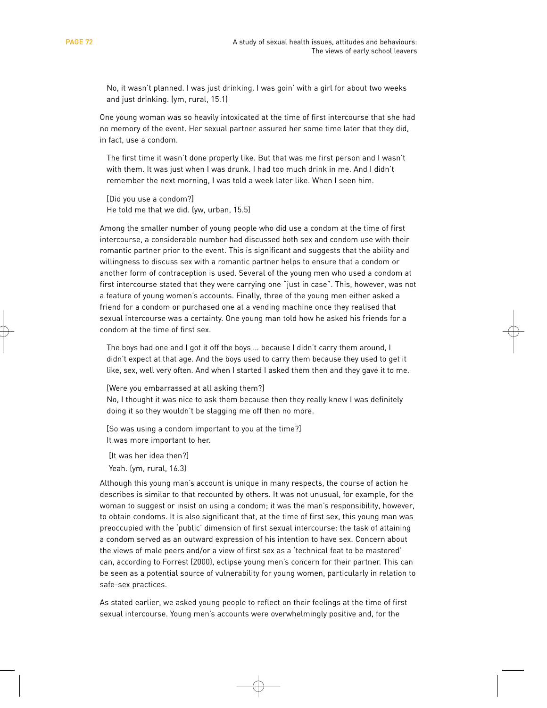No, it wasn't planned. I was just drinking. I was goin' with a girl for about two weeks and just drinking. (ym, rural, 15.1)

One young woman was so heavily intoxicated at the time of first intercourse that she had no memory of the event. Her sexual partner assured her some time later that they did, in fact, use a condom.

The first time it wasn't done properly like. But that was me first person and I wasn't with them. It was just when I was drunk. I had too much drink in me. And I didn't remember the next morning, I was told a week later like. When I seen him.

[Did you use a condom?] He told me that we did. (yw, urban, 15.5)

Among the smaller number of young people who did use a condom at the time of first intercourse, a considerable number had discussed both sex and condom use with their romantic partner prior to the event. This is significant and suggests that the ability and willingness to discuss sex with a romantic partner helps to ensure that a condom or another form of contraception is used. Several of the young men who used a condom at first intercourse stated that they were carrying one "just in case". This, however, was not a feature of young women's accounts. Finally, three of the young men either asked a friend for a condom or purchased one at a vending machine once they realised that sexual intercourse was a certainty. One young man told how he asked his friends for a condom at the time of first sex.

The boys had one and I got it off the boys … because I didn't carry them around, I didn't expect at that age. And the boys used to carry them because they used to get it like, sex, well very often. And when I started I asked them then and they gave it to me.

[Were you embarrassed at all asking them?]

No, I thought it was nice to ask them because then they really knew I was definitely doing it so they wouldn't be slagging me off then no more.

[So was using a condom important to you at the time?] It was more important to her.

[It was her idea then?] Yeah. (ym, rural, 16.3)

Although this young man's account is unique in many respects, the course of action he describes is similar to that recounted by others. It was not unusual, for example, for the woman to suggest or insist on using a condom; it was the man's responsibility, however, to obtain condoms. It is also significant that, at the time of first sex, this young man was preoccupied with the 'public' dimension of first sexual intercourse: the task of attaining a condom served as an outward expression of his intention to have sex. Concern about the views of male peers and/or a view of first sex as a 'technical feat to be mastered' can, according to Forrest (2000), eclipse young men's concern for their partner. This can be seen as a potential source of vulnerability for young women, particularly in relation to safe-sex practices.

As stated earlier, we asked young people to reflect on their feelings at the time of first sexual intercourse. Young men's accounts were overwhelmingly positive and, for the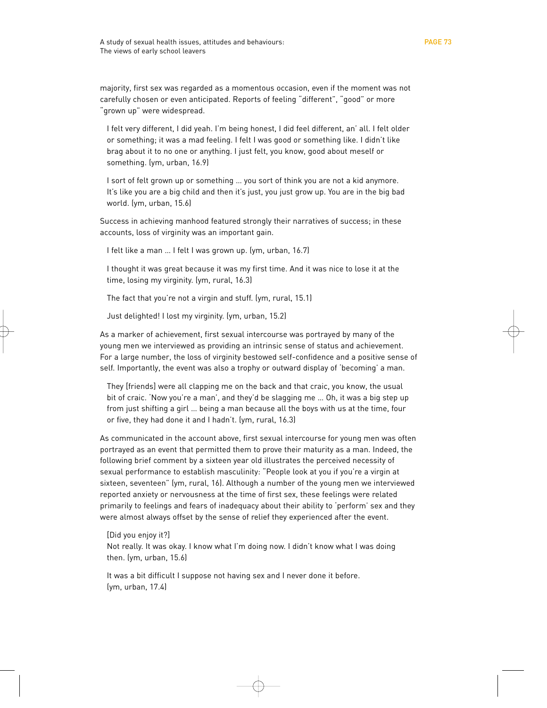majority, first sex was regarded as a momentous occasion, even if the moment was not carefully chosen or even anticipated. Reports of feeling "different", "good" or more "grown up" were widespread.

I felt very different, I did yeah. I'm being honest, I did feel different, an' all. I felt older or something; it was a mad feeling. I felt I was good or something like. I didn't like brag about it to no one or anything. I just felt, you know, good about meself or something. (ym, urban, 16.9)

I sort of felt grown up or something … you sort of think you are not a kid anymore. It's like you are a big child and then it's just, you just grow up. You are in the big bad world. (ym, urban, 15.6)

Success in achieving manhood featured strongly their narratives of success; in these accounts, loss of virginity was an important gain.

I felt like a man … I felt I was grown up. (ym, urban, 16.7)

I thought it was great because it was my first time. And it was nice to lose it at the time, losing my virginity. (ym, rural, 16.3)

The fact that you're not a virgin and stuff. (ym, rural, 15.1)

Just delighted! I lost my virginity. (ym, urban, 15.2)

As a marker of achievement, first sexual intercourse was portrayed by many of the young men we interviewed as providing an intrinsic sense of status and achievement. For a large number, the loss of virginity bestowed self-confidence and a positive sense of self. Importantly, the event was also a trophy or outward display of 'becoming' a man.

They [friends] were all clapping me on the back and that craic, you know, the usual bit of craic. 'Now you're a man', and they'd be slagging me … Oh, it was a big step up from just shifting a girl … being a man because all the boys with us at the time, four or five, they had done it and I hadn't. (ym, rural, 16.3)

As communicated in the account above, first sexual intercourse for young men was often portrayed as an event that permitted them to prove their maturity as a man. Indeed, the following brief comment by a sixteen year old illustrates the perceived necessity of sexual performance to establish masculinity: "People look at you if you're a virgin at sixteen, seventeen" (ym, rural, 16). Although a number of the young men we interviewed reported anxiety or nervousness at the time of first sex, these feelings were related primarily to feelings and fears of inadequacy about their ability to 'perform' sex and they were almost always offset by the sense of relief they experienced after the event.

#### [Did you enjoy it?]

Not really. It was okay. I know what I'm doing now. I didn't know what I was doing then. (ym, urban, 15.6)

It was a bit difficult I suppose not having sex and I never done it before. (ym, urban, 17.4)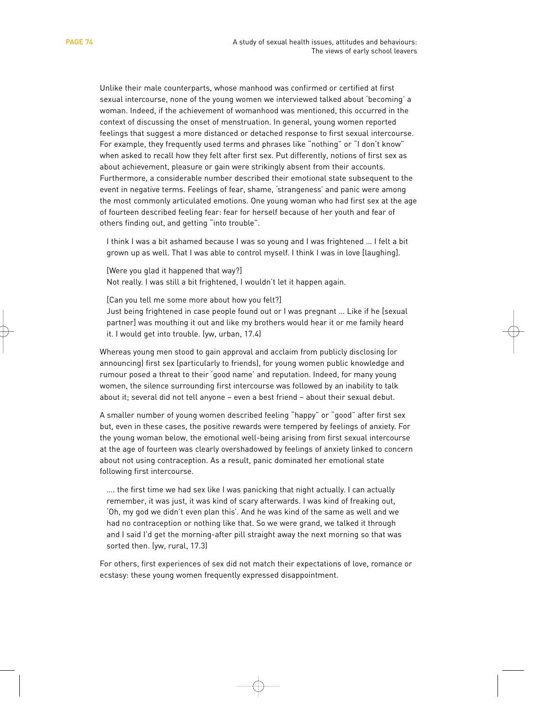Unlike their male counterparts, whose manhood was confirmed or certified at first sexual intercourse, none of the young women we interviewed talked about 'becoming' a woman. Indeed, if the achievement of womanhood was mentioned, this occurred in the context of discussing the onset of menstruation. In general, young women reported feelings that suggest a more distanced or detached response to first sexual intercourse. For example, they frequently used terms and phrases like "nothing" or "I don't know" when asked to recall how they felt after first sex. Put differently, notions of first sex as about achievement, pleasure or gain were strikingly absent from their accounts. Furthermore, a considerable number described their emotional state subsequent to the event in negative terms. Feelings of fear, shame, 'strangeness' and panic were among the most commonly articulated emotions. One young woman who had first sex at the age of fourteen described feeling fear: fear for herself because of her youth and fear of others finding out, and getting "into trouble".

I think I was a bit ashamed because I was so young and I was frightened … I felt a bit grown up as well. That I was able to control myself. I think I was in love [laughing].

[Were you glad it happened that way?] Not really. I was still a bit frightened, I wouldn't let it happen again.

[Can you tell me some more about how you felt?]

Just being frightened in case people found out or I was pregnant … Like if he [sexual partner] was mouthing it out and like my brothers would hear it or me family heard it. I would get into trouble. (yw, urban, 17.4)

Whereas young men stood to gain approval and acclaim from publicly disclosing (or announcing) first sex (particularly to friends), for young women public knowledge and rumour posed a threat to their 'good name' and reputation. Indeed, for many young women, the silence surrounding first intercourse was followed by an inability to talk about it; several did not tell anyone – even a best friend – about their sexual debut.

A smaller number of young women described feeling "happy" or "good" after first sex but, even in these cases, the positive rewards were tempered by feelings of anxiety. For the young woman below, the emotional well-being arising from first sexual intercourse at the age of fourteen was clearly overshadowed by feelings of anxiety linked to concern about not using contraception. As a result, panic dominated her emotional state following first intercourse.

…. the first time we had sex like I was panicking that night actually. I can actually remember, it was just, it was kind of scary afterwards. I was kind of freaking out, 'Oh, my god we didn't even plan this'. And he was kind of the same as well and we had no contraception or nothing like that. So we were grand, we talked it through and I said I'd get the morning-after pill straight away the next morning so that was sorted then. (yw, rural, 17.3)

For others, first experiences of sex did not match their expectations of love, romance or ecstasy: these young women frequently expressed disappointment.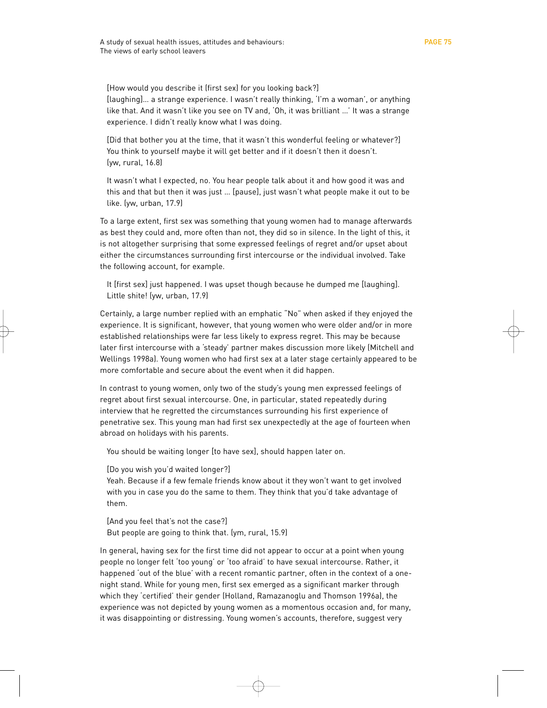[Did that bother you at the time, that it wasn't this wonderful feeling or whatever?] You think to yourself maybe it will get better and if it doesn't then it doesn't. (yw, rural, 16.8)

It wasn't what I expected, no. You hear people talk about it and how good it was and this and that but then it was just … [pause], just wasn't what people make it out to be like. (yw, urban, 17.9)

To a large extent, first sex was something that young women had to manage afterwards as best they could and, more often than not, they did so in silence. In the light of this, it is not altogether surprising that some expressed feelings of regret and/or upset about either the circumstances surrounding first intercourse or the individual involved. Take the following account, for example.

It [first sex] just happened. I was upset though because he dumped me [laughing]. Little shite! (yw, urban, 17.9)

Certainly, a large number replied with an emphatic "No" when asked if they enjoyed the experience. It is significant, however, that young women who were older and/or in more established relationships were far less likely to express regret. This may be because later first intercourse with a 'steady' partner makes discussion more likely (Mitchell and Wellings 1998a). Young women who had first sex at a later stage certainly appeared to be more comfortable and secure about the event when it did happen.

In contrast to young women, only two of the study's young men expressed feelings of regret about first sexual intercourse. One, in particular, stated repeatedly during interview that he regretted the circumstances surrounding his first experience of penetrative sex. This young man had first sex unexpectedly at the age of fourteen when abroad on holidays with his parents.

You should be waiting longer [to have sex], should happen later on.

[Do you wish you'd waited longer?]

Yeah. Because if a few female friends know about it they won't want to get involved with you in case you do the same to them. They think that you'd take advantage of them.

[And you feel that's not the case?] But people are going to think that. (ym, rural, 15.9)

In general, having sex for the first time did not appear to occur at a point when young people no longer felt 'too young' or 'too afraid' to have sexual intercourse. Rather, it happened 'out of the blue' with a recent romantic partner, often in the context of a onenight stand. While for young men, first sex emerged as a significant marker through which they 'certified' their gender (Holland, Ramazanoglu and Thomson 1996a), the experience was not depicted by young women as a momentous occasion and, for many, it was disappointing or distressing. Young women's accounts, therefore, suggest very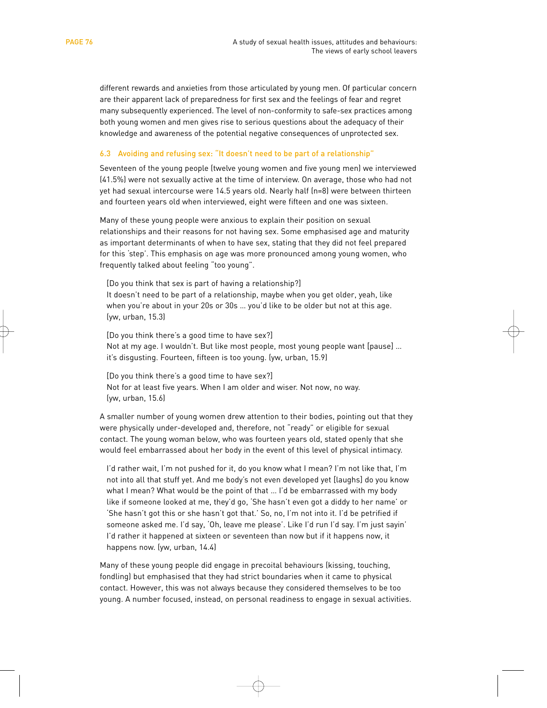different rewards and anxieties from those articulated by young men. Of particular concern are their apparent lack of preparedness for first sex and the feelings of fear and regret many subsequently experienced. The level of non-conformity to safe-sex practices among both young women and men gives rise to serious questions about the adequacy of their knowledge and awareness of the potential negative consequences of unprotected sex.

### 6.3 Avoiding and refusing sex: "It doesn't need to be part of a relationship"

Seventeen of the young people (twelve young women and five young men) we interviewed (41.5%) were not sexually active at the time of interview. On average, those who had not yet had sexual intercourse were 14.5 years old. Nearly half (n=8) were between thirteen and fourteen years old when interviewed, eight were fifteen and one was sixteen.

Many of these young people were anxious to explain their position on sexual relationships and their reasons for not having sex. Some emphasised age and maturity as important determinants of when to have sex, stating that they did not feel prepared for this 'step'. This emphasis on age was more pronounced among young women, who frequently talked about feeling "too young".

[Do you think that sex is part of having a relationship?] It doesn't need to be part of a relationship, maybe when you get older, yeah, like when you're about in your 20s or 30s … you'd like to be older but not at this age. (yw, urban, 15.3)

[Do you think there's a good time to have sex?] Not at my age. I wouldn't. But like most people, most young people want [pause] … it's disgusting. Fourteen, fifteen is too young. (yw, urban, 15.9)

[Do you think there's a good time to have sex?] Not for at least five years. When I am older and wiser. Not now, no way. (yw, urban, 15.6)

A smaller number of young women drew attention to their bodies, pointing out that they were physically under-developed and, therefore, not "ready" or eligible for sexual contact. The young woman below, who was fourteen years old, stated openly that she would feel embarrassed about her body in the event of this level of physical intimacy.

I'd rather wait, I'm not pushed for it, do you know what I mean? I'm not like that, I'm not into all that stuff yet. And me body's not even developed yet [laughs] do you know what I mean? What would be the point of that … I'd be embarrassed with my body like if someone looked at me, they'd go, 'She hasn't even got a diddy to her name' or 'She hasn't got this or she hasn't got that.' So, no, I'm not into it. I'd be petrified if someone asked me. I'd say, 'Oh, leave me please'. Like I'd run I'd say. I'm just sayin' I'd rather it happened at sixteen or seventeen than now but if it happens now, it happens now. (yw, urban, 14.4)

Many of these young people did engage in precoital behaviours (kissing, touching, fondling) but emphasised that they had strict boundaries when it came to physical contact. However, this was not always because they considered themselves to be too young. A number focused, instead, on personal readiness to engage in sexual activities.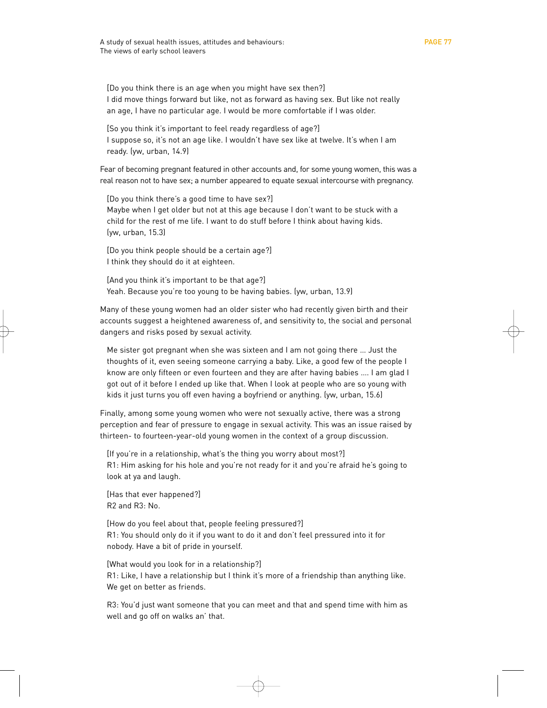[Do you think there is an age when you might have sex then?] I did move things forward but like, not as forward as having sex. But like not really an age, I have no particular age. I would be more comfortable if I was older.

[So you think it's important to feel ready regardless of age?] I suppose so, it's not an age like. I wouldn't have sex like at twelve. It's when I am ready. (yw, urban, 14.9)

Fear of becoming pregnant featured in other accounts and, for some young women, this was a real reason not to have sex; a number appeared to equate sexual intercourse with pregnancy.

[Do you think there's a good time to have sex?] Maybe when I get older but not at this age because I don't want to be stuck with a child for the rest of me life. I want to do stuff before I think about having kids. (yw, urban, 15.3)

[Do you think people should be a certain age?] I think they should do it at eighteen.

[And you think it's important to be that age?] Yeah. Because you're too young to be having babies. (yw, urban, 13.9)

Many of these young women had an older sister who had recently given birth and their accounts suggest a heightened awareness of, and sensitivity to, the social and personal dangers and risks posed by sexual activity.

Me sister got pregnant when she was sixteen and I am not going there … Just the thoughts of it, even seeing someone carrying a baby. Like, a good few of the people I know are only fifteen or even fourteen and they are after having babies …. I am glad I got out of it before I ended up like that. When I look at people who are so young with kids it just turns you off even having a boyfriend or anything. (yw, urban, 15.6)

Finally, among some young women who were not sexually active, there was a strong perception and fear of pressure to engage in sexual activity. This was an issue raised by thirteen- to fourteen-year-old young women in the context of a group discussion.

[If you're in a relationship, what's the thing you worry about most?] R1: Him asking for his hole and you're not ready for it and you're afraid he's going to look at ya and laugh.

[Has that ever happened?]  $R2$  and  $R3 \cdot N_0$ 

[How do you feel about that, people feeling pressured?] R1: You should only do it if you want to do it and don't feel pressured into it for nobody. Have a bit of pride in yourself.

[What would you look for in a relationship?] R1: Like, I have a relationship but I think it's more of a friendship than anything like. We get on better as friends.

R3: You'd just want someone that you can meet and that and spend time with him as well and go off on walks an' that.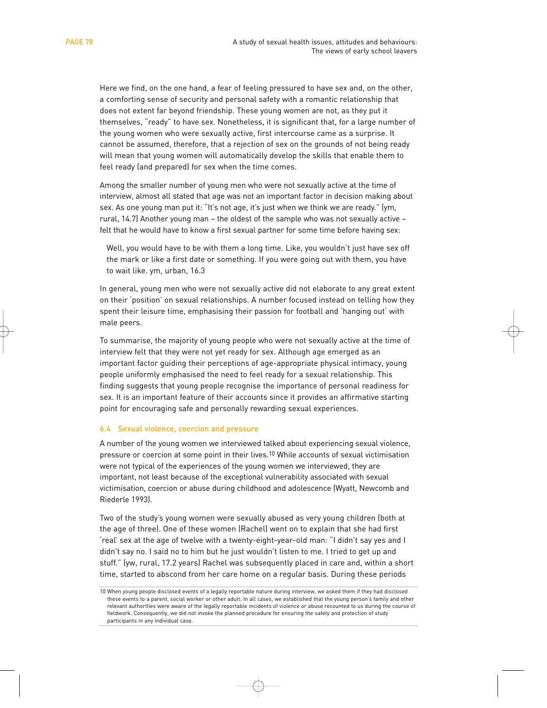Here we find, on the one hand, a fear of feeling pressured to have sex and, on the other, a comforting sense of security and personal safety with a romantic relationship that does not extent far beyond friendship. These young women are not, as they put it themselves, "ready" to have sex. Nonetheless, it is significant that, for a large number of the young women who were sexually active, first intercourse came as a surprise. It cannot be assumed, therefore, that a rejection of sex on the grounds of not being ready will mean that young women will automatically develop the skills that enable them to feel ready (and prepared) for sex when the time comes.

Among the smaller number of young men who were not sexually active at the time of interview, almost all stated that age was not an important factor in decision making about sex. As one young man put it: "It's not age, it's just when we think we are ready." (ym, rural, 14.7) Another young man – the oldest of the sample who was not sexually active – felt that he would have to know a first sexual partner for some time before having sex:

Well, you would have to be with them a long time. Like, you wouldn't just have sex off the mark or like a first date or something. If you were going out with them, you have to wait like. ym, urban, 16.3

In general, young men who were not sexually active did not elaborate to any great extent on their 'position' on sexual relationships. A number focused instead on telling how they spent their leisure time, emphasising their passion for football and 'hanging out' with male peers.

To summarise, the majority of young people who were not sexually active at the time of interview felt that they were not yet ready for sex. Although age emerged as an important factor guiding their perceptions of age-appropriate physical intimacy, young people uniformly emphasised the need to feel ready for a sexual relationship. This finding suggests that young people recognise the importance of personal readiness for sex. It is an important feature of their accounts since it provides an affirmative starting point for encouraging safe and personally rewarding sexual experiences.

## 6.4 Sexual violence, coercion and pressure

A number of the young women we interviewed talked about experiencing sexual violence, pressure or coercion at some point in their lives.10 While accounts of sexual victimisation were not typical of the experiences of the young women we interviewed, they are important, not least because of the exceptional vulnerability associated with sexual victimisation, coercion or abuse during childhood and adolescence (Wyatt, Newcomb and Riederle 1993).

Two of the study's young women were sexually abused as very young children (both at the age of three). One of these women (Rachel) went on to explain that she had first 'real' sex at the age of twelve with a twenty-eight-year-old man: "I didn't say yes and I didn't say no. I said no to him but he just wouldn't listen to me. I tried to get up and stuff." (yw, rural, 17.2 years) Rachel was subsequently placed in care and, within a short time, started to abscond from her care home on a regular basis. During these periods

<sup>10</sup> When young people disclosed events of a legally reportable nature during interview, we asked them if they had disclosed these events to a parent, social worker or other adult. In all cases, we established that the young person's family and other relevant authorities were aware of the legally reportable incidents of violence or abuse recounted to us during the course of fieldwork. Consequently, we did not invoke the planned procedure for ensuring the safety and protection of study participants in any individual case.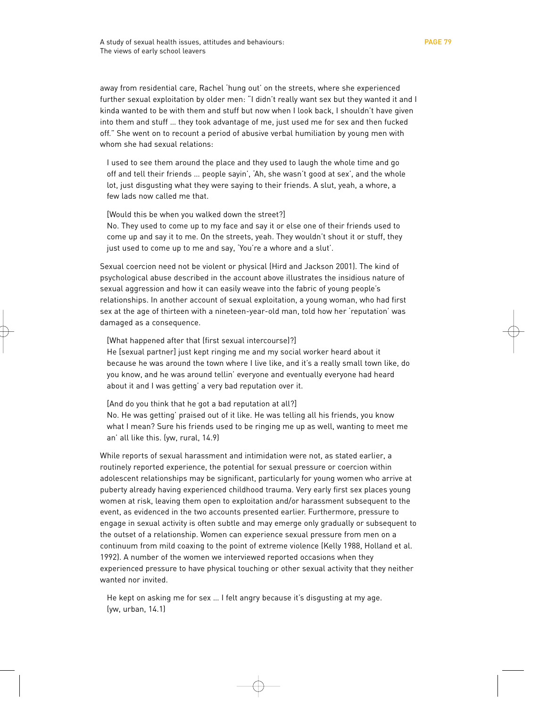away from residential care, Rachel 'hung out' on the streets, where she experienced further sexual exploitation by older men: "I didn't really want sex but they wanted it and I kinda wanted to be with them and stuff but now when I look back, I shouldn't have given into them and stuff … they took advantage of me, just used me for sex and then fucked off." She went on to recount a period of abusive verbal humiliation by young men with whom she had sexual relations:

I used to see them around the place and they used to laugh the whole time and go off and tell their friends … people sayin', 'Ah, she wasn't good at sex', and the whole lot, just disgusting what they were saying to their friends. A slut, yeah, a whore, a few lads now called me that.

[Would this be when you walked down the street?]

No. They used to come up to my face and say it or else one of their friends used to come up and say it to me. On the streets, yeah. They wouldn't shout it or stuff, they just used to come up to me and say, 'You're a whore and a slut'.

Sexual coercion need not be violent or physical (Hird and Jackson 2001). The kind of psychological abuse described in the account above illustrates the insidious nature of sexual aggression and how it can easily weave into the fabric of young people's relationships. In another account of sexual exploitation, a young woman, who had first sex at the age of thirteen with a nineteen-year-old man, told how her 'reputation' was damaged as a consequence.

[What happened after that (first sexual intercourse)?]

He [sexual partner] just kept ringing me and my social worker heard about it because he was around the town where I live like, and it's a really small town like, do you know, and he was around tellin' everyone and eventually everyone had heard about it and I was getting' a very bad reputation over it.

[And do you think that he got a bad reputation at all?] No. He was getting' praised out of it like. He was telling all his friends, you know what I mean? Sure his friends used to be ringing me up as well, wanting to meet me an' all like this. (yw, rural, 14.9)

While reports of sexual harassment and intimidation were not, as stated earlier, a routinely reported experience, the potential for sexual pressure or coercion within adolescent relationships may be significant, particularly for young women who arrive at puberty already having experienced childhood trauma. Very early first sex places young women at risk, leaving them open to exploitation and/or harassment subsequent to the event, as evidenced in the two accounts presented earlier. Furthermore, pressure to engage in sexual activity is often subtle and may emerge only gradually or subsequent to the outset of a relationship. Women can experience sexual pressure from men on a continuum from mild coaxing to the point of extreme violence (Kelly 1988, Holland et al. 1992). A number of the women we interviewed reported occasions when they experienced pressure to have physical touching or other sexual activity that they neither wanted nor invited.

He kept on asking me for sex … I felt angry because it's disgusting at my age. (yw, urban, 14.1)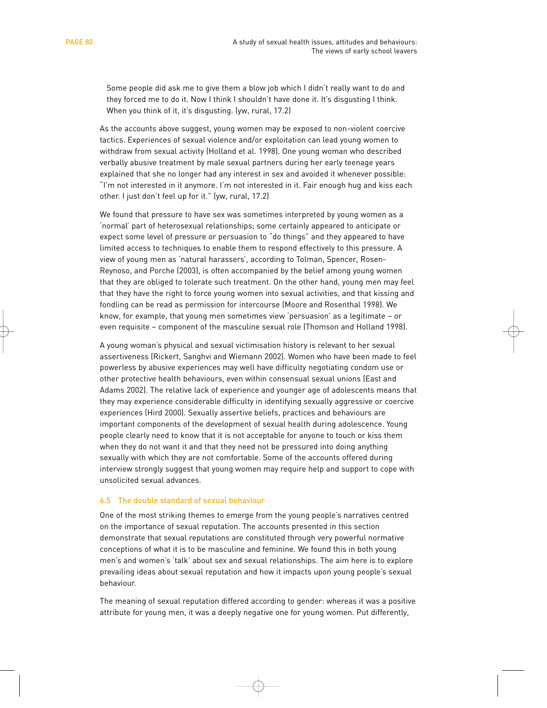Some people did ask me to give them a blow job which I didn't really want to do and they forced me to do it. Now I think I shouldn't have done it. It's disgusting I think. When you think of it, it's disgusting. (yw. rural, 17.2)

As the accounts above suggest, young women may be exposed to non-violent coercive tactics. Experiences of sexual violence and/or exploitation can lead young women to withdraw from sexual activity (Holland et al. 1998). One young woman who described verbally abusive treatment by male sexual partners during her early teenage years explained that she no longer had any interest in sex and avoided it whenever possible: "I'm not interested in it anymore. I'm not interested in it. Fair enough hug and kiss each other. I just don't feel up for it." (yw, rural, 17.2)

We found that pressure to have sex was sometimes interpreted by young women as a 'normal' part of heterosexual relationships; some certainly appeared to anticipate or expect some level of pressure or persuasion to "do things" and they appeared to have limited access to techniques to enable them to respond effectively to this pressure. A view of young men as 'natural harassers', according to Tolman, Spencer, Rosen-Reynoso, and Porche (2003), is often accompanied by the belief among young women that they are obliged to tolerate such treatment. On the other hand, young men may feel that they have the right to force young women into sexual activities, and that kissing and fondling can be read as permission for intercourse (Moore and Rosenthal 1998). We know, for example, that young men sometimes view 'persuasion' as a legitimate – or even requisite – component of the masculine sexual role (Thomson and Holland 1998).

A young woman's physical and sexual victimisation history is relevant to her sexual assertiveness (Rickert, Sanghvi and Wiemann 2002). Women who have been made to feel powerless by abusive experiences may well have difficulty negotiating condom use or other protective health behaviours, even within consensual sexual unions (East and Adams 2002). The relative lack of experience and younger age of adolescents means that they may experience considerable difficulty in identifying sexually aggressive or coercive experiences (Hird 2000). Sexually assertive beliefs, practices and behaviours are important components of the development of sexual health during adolescence. Young people clearly need to know that it is not acceptable for anyone to touch or kiss them when they do not want it and that they need not be pressured into doing anything sexually with which they are not comfortable. Some of the accounts offered during interview strongly suggest that young women may require help and support to cope with unsolicited sexual advances.

### 6.5 The double standard of sexual behaviour

One of the most striking themes to emerge from the young people's narratives centred on the importance of sexual reputation. The accounts presented in this section demonstrate that sexual reputations are constituted through very powerful normative conceptions of what it is to be masculine and feminine. We found this in both young men's and women's 'talk' about sex and sexual relationships. The aim here is to explore prevailing ideas about sexual reputation and how it impacts upon young people's sexual behaviour.

The meaning of sexual reputation differed according to gender: whereas it was a positive attribute for young men, it was a deeply negative one for young women. Put differently,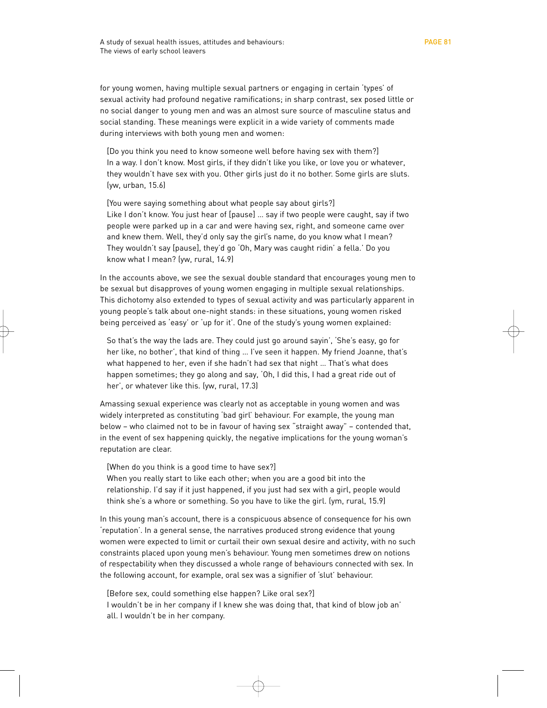for young women, having multiple sexual partners or engaging in certain 'types' of sexual activity had profound negative ramifications; in sharp contrast, sex posed little or no social danger to young men and was an almost sure source of masculine status and social standing. These meanings were explicit in a wide variety of comments made during interviews with both young men and women:

[Do you think you need to know someone well before having sex with them?] In a way. I don't know. Most girls, if they didn't like you like, or love you or whatever, they wouldn't have sex with you. Other girls just do it no bother. Some girls are sluts. (yw, urban, 15.6)

[You were saying something about what people say about girls?] Like I don't know. You just hear of [pause] … say if two people were caught, say if two people were parked up in a car and were having sex, right, and someone came over and knew them. Well, they'd only say the girl's name, do you know what I mean? They wouldn't say [pause], they'd go 'Oh, Mary was caught ridin' a fella.' Do you know what I mean? (yw, rural, 14.9)

In the accounts above, we see the sexual double standard that encourages young men to be sexual but disapproves of young women engaging in multiple sexual relationships. This dichotomy also extended to types of sexual activity and was particularly apparent in young people's talk about one-night stands: in these situations, young women risked being perceived as 'easy' or 'up for it'. One of the study's young women explained:

So that's the way the lads are. They could just go around sayin', 'She's easy, go for her like, no bother', that kind of thing … I've seen it happen. My friend Joanne, that's what happened to her, even if she hadn't had sex that night … That's what does happen sometimes; they go along and say, 'Oh, I did this, I had a great ride out of her', or whatever like this. (yw, rural, 17.3)

Amassing sexual experience was clearly not as acceptable in young women and was widely interpreted as constituting 'bad girl' behaviour. For example, the young man below – who claimed not to be in favour of having sex "straight away" – contended that, in the event of sex happening quickly, the negative implications for the young woman's reputation are clear.

[When do you think is a good time to have sex?]

When you really start to like each other; when you are a good bit into the relationship. I'd say if it just happened, if you just had sex with a girl, people would think she's a whore or something. So you have to like the girl. (ym, rural, 15.9)

In this young man's account, there is a conspicuous absence of consequence for his own 'reputation'. In a general sense, the narratives produced strong evidence that young women were expected to limit or curtail their own sexual desire and activity, with no such constraints placed upon young men's behaviour. Young men sometimes drew on notions of respectability when they discussed a whole range of behaviours connected with sex. In the following account, for example, oral sex was a signifier of 'slut' behaviour.

[Before sex, could something else happen? Like oral sex?] I wouldn't be in her company if I knew she was doing that, that kind of blow job an' all. I wouldn't be in her company.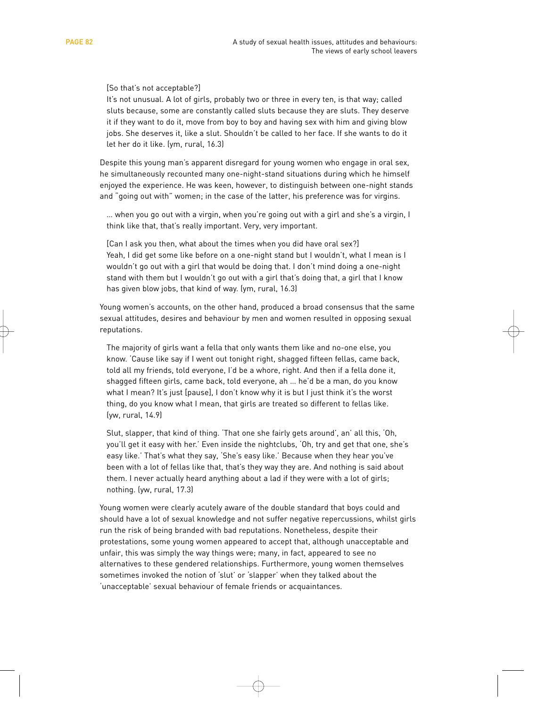[So that's not acceptable?]

It's not unusual. A lot of girls, probably two or three in every ten, is that way; called sluts because, some are constantly called sluts because they are sluts. They deserve it if they want to do it, move from boy to boy and having sex with him and giving blow jobs. She deserves it, like a slut. Shouldn't be called to her face. If she wants to do it let her do it like. (ym, rural, 16.3)

Despite this young man's apparent disregard for young women who engage in oral sex, he simultaneously recounted many one-night-stand situations during which he himself enjoyed the experience. He was keen, however, to distinguish between one-night stands and "going out with" women; in the case of the latter, his preference was for virgins.

… when you go out with a virgin, when you're going out with a girl and she's a virgin, I think like that, that's really important. Very, very important.

[Can I ask you then, what about the times when you did have oral sex?] Yeah, I did get some like before on a one-night stand but I wouldn't, what I mean is I wouldn't go out with a girl that would be doing that. I don't mind doing a one-night stand with them but I wouldn't go out with a girl that's doing that, a girl that I know has given blow jobs, that kind of way. (ym, rural, 16.3)

Young women's accounts, on the other hand, produced a broad consensus that the same sexual attitudes, desires and behaviour by men and women resulted in opposing sexual reputations.

The majority of girls want a fella that only wants them like and no-one else, you know. 'Cause like say if I went out tonight right, shagged fifteen fellas, came back, told all my friends, told everyone, I'd be a whore, right. And then if a fella done it, shagged fifteen girls, came back, told everyone, ah … he'd be a man, do you know what I mean? It's just [pause], I don't know why it is but I just think it's the worst thing, do you know what I mean, that girls are treated so different to fellas like. (yw, rural, 14.9)

Slut, slapper, that kind of thing. 'That one she fairly gets around', an' all this, 'Oh, you'll get it easy with her.' Even inside the nightclubs, 'Oh, try and get that one, she's easy like.' That's what they say, 'She's easy like.' Because when they hear you've been with a lot of fellas like that, that's they way they are. And nothing is said about them. I never actually heard anything about a lad if they were with a lot of girls; nothing. (yw, rural, 17.3)

Young women were clearly acutely aware of the double standard that boys could and should have a lot of sexual knowledge and not suffer negative repercussions, whilst girls run the risk of being branded with bad reputations. Nonetheless, despite their protestations, some young women appeared to accept that, although unacceptable and unfair, this was simply the way things were; many, in fact, appeared to see no alternatives to these gendered relationships. Furthermore, young women themselves sometimes invoked the notion of 'slut' or 'slapper' when they talked about the 'unacceptable' sexual behaviour of female friends or acquaintances.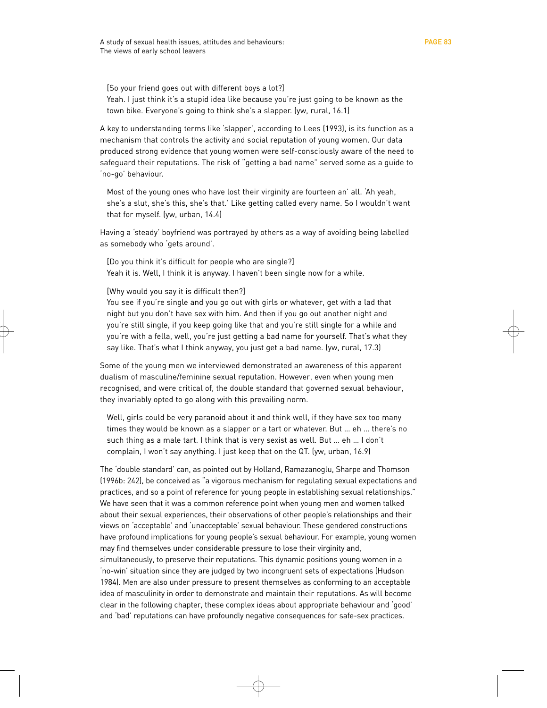[So your friend goes out with different boys a lot?] Yeah. I just think it's a stupid idea like because you're just going to be known as the town bike. Everyone's going to think she's a slapper. (yw, rural, 16.1)

A key to understanding terms like 'slapper', according to Lees (1993), is its function as a mechanism that controls the activity and social reputation of young women. Our data produced strong evidence that young women were self-consciously aware of the need to safeguard their reputations. The risk of "getting a bad name" served some as a guide to 'no-go' behaviour.

Most of the young ones who have lost their virginity are fourteen an' all. 'Ah yeah, she's a slut, she's this, she's that.' Like getting called every name. So I wouldn't want that for myself. (yw, urban, 14.4)

Having a 'steady' boyfriend was portrayed by others as a way of avoiding being labelled as somebody who 'gets around'.

[Do you think it's difficult for people who are single?] Yeah it is. Well, I think it is anyway. I haven't been single now for a while.

[Why would you say it is difficult then?]

You see if you're single and you go out with girls or whatever, get with a lad that night but you don't have sex with him. And then if you go out another night and you're still single, if you keep going like that and you're still single for a while and you're with a fella, well, you're just getting a bad name for yourself. That's what they say like. That's what I think anyway, you just get a bad name. (yw, rural, 17.3)

Some of the young men we interviewed demonstrated an awareness of this apparent dualism of masculine/feminine sexual reputation. However, even when young men recognised, and were critical of, the double standard that governed sexual behaviour, they invariably opted to go along with this prevailing norm.

Well, girls could be very paranoid about it and think well, if they have sex too many times they would be known as a slapper or a tart or whatever. But … eh … there's no such thing as a male tart. I think that is very sexist as well. But … eh … I don't complain, I won't say anything. I just keep that on the QT. (yw, urban, 16.9)

The 'double standard' can, as pointed out by Holland, Ramazanoglu, Sharpe and Thomson (1996b: 242), be conceived as "a vigorous mechanism for regulating sexual expectations and practices, and so a point of reference for young people in establishing sexual relationships." We have seen that it was a common reference point when young men and women talked about their sexual experiences, their observations of other people's relationships and their views on 'acceptable' and 'unacceptable' sexual behaviour. These gendered constructions have profound implications for young people's sexual behaviour. For example, young women may find themselves under considerable pressure to lose their virginity and, simultaneously, to preserve their reputations. This dynamic positions young women in a 'no-win' situation since they are judged by two incongruent sets of expectations (Hudson 1984). Men are also under pressure to present themselves as conforming to an acceptable idea of masculinity in order to demonstrate and maintain their reputations. As will become clear in the following chapter, these complex ideas about appropriate behaviour and 'good' and 'bad' reputations can have profoundly negative consequences for safe-sex practices.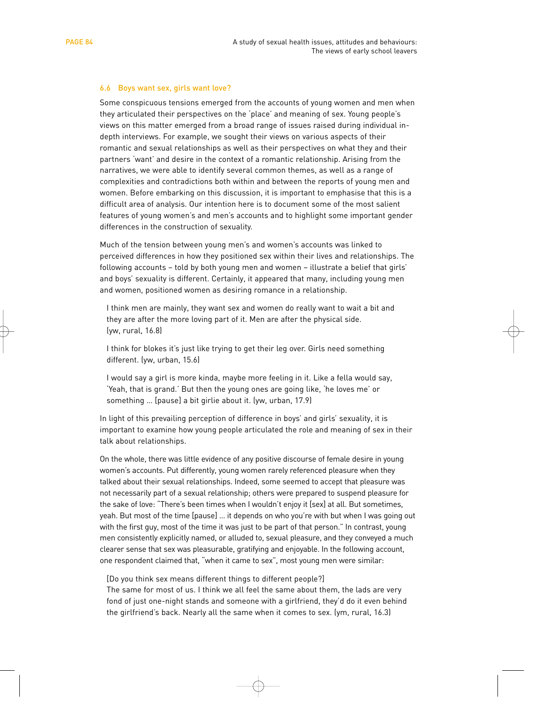### 6.6 Boys want sex, girls want love?

Some conspicuous tensions emerged from the accounts of young women and men when they articulated their perspectives on the 'place' and meaning of sex. Young people's views on this matter emerged from a broad range of issues raised during individual indepth interviews. For example, we sought their views on various aspects of their romantic and sexual relationships as well as their perspectives on what they and their partners 'want' and desire in the context of a romantic relationship. Arising from the narratives, we were able to identify several common themes, as well as a range of complexities and contradictions both within and between the reports of young men and women. Before embarking on this discussion, it is important to emphasise that this is a difficult area of analysis. Our intention here is to document some of the most salient features of young women's and men's accounts and to highlight some important gender differences in the construction of sexuality.

Much of the tension between young men's and women's accounts was linked to perceived differences in how they positioned sex within their lives and relationships. The following accounts – told by both young men and women – illustrate a belief that girls' and boys' sexuality is different. Certainly, it appeared that many, including young men and women, positioned women as desiring romance in a relationship.

I think men are mainly, they want sex and women do really want to wait a bit and they are after the more loving part of it. Men are after the physical side. (yw, rural, 16.8)

I think for blokes it's just like trying to get their leg over. Girls need something different. (yw, urban, 15.6)

I would say a girl is more kinda, maybe more feeling in it. Like a fella would say, 'Yeah, that is grand.' But then the young ones are going like, 'he loves me' or something … [pause] a bit girlie about it. (yw, urban, 17.9)

In light of this prevailing perception of difference in boys' and girls' sexuality, it is important to examine how young people articulated the role and meaning of sex in their talk about relationships.

On the whole, there was little evidence of any positive discourse of female desire in young women's accounts. Put differently, young women rarely referenced pleasure when they talked about their sexual relationships. Indeed, some seemed to accept that pleasure was not necessarily part of a sexual relationship; others were prepared to suspend pleasure for the sake of love: "There's been times when I wouldn't enjoy it [sex] at all. But sometimes, yeah. But most of the time [pause] … it depends on who you're with but when I was going out with the first guy, most of the time it was just to be part of that person." In contrast, young men consistently explicitly named, or alluded to, sexual pleasure, and they conveyed a much clearer sense that sex was pleasurable, gratifying and enjoyable. In the following account, one respondent claimed that, "when it came to sex", most young men were similar:

[Do you think sex means different things to different people?]

The same for most of us. I think we all feel the same about them, the lads are very fond of just one-night stands and someone with a girlfriend, they'd do it even behind the girlfriend's back. Nearly all the same when it comes to sex. (ym, rural, 16.3)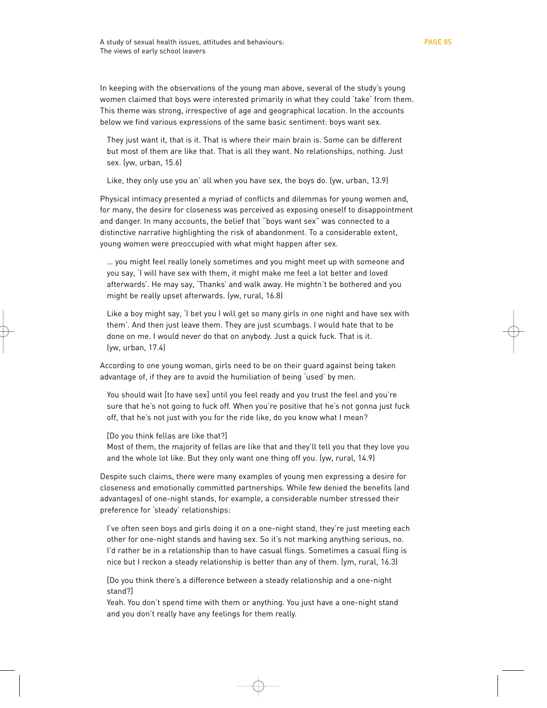In keeping with the observations of the young man above, several of the study's young women claimed that boys were interested primarily in what they could 'take' from them. This theme was strong, irrespective of age and geographical location. In the accounts below we find various expressions of the same basic sentiment: boys want sex.

They just want it, that is it. That is where their main brain is. Some can be different but most of them are like that. That is all they want. No relationships, nothing. Just sex. (yw, urban, 15.6)

Like, they only use you an' all when you have sex, the boys do. (yw, urban, 13.9)

Physical intimacy presented a myriad of conflicts and dilemmas for young women and, for many, the desire for closeness was perceived as exposing oneself to disappointment and danger. In many accounts, the belief that "boys want sex" was connected to a distinctive narrative highlighting the risk of abandonment. To a considerable extent, young women were preoccupied with what might happen after sex.

… you might feel really lonely sometimes and you might meet up with someone and you say, 'I will have sex with them, it might make me feel a lot better and loved afterwards'. He may say, 'Thanks' and walk away. He mightn't be bothered and you might be really upset afterwards. (yw, rural, 16.8)

Like a boy might say, 'I bet you I will get so many girls in one night and have sex with them'. And then just leave them. They are just scumbags. I would hate that to be done on me. I would never do that on anybody. Just a quick fuck. That is it. (yw, urban, 17.4)

According to one young woman, girls need to be on their guard against being taken advantage of, if they are to avoid the humiliation of being 'used' by men.

You should wait [to have sex] until you feel ready and you trust the feel and you're sure that he's not going to fuck off. When you're positive that he's not gonna just fuck off, that he's not just with you for the ride like, do you know what I mean?

[Do you think fellas are like that?] Most of them, the majority of fellas are like that and they'll tell you that they love you and the whole lot like. But they only want one thing off you. (yw, rural, 14.9)

Despite such claims, there were many examples of young men expressing a desire for closeness and emotionally committed partnerships. While few denied the benefits (and advantages) of one-night stands, for example, a considerable number stressed their preference for 'steady' relationships:

I've often seen boys and girls doing it on a one-night stand, they're just meeting each other for one-night stands and having sex. So it's not marking anything serious, no. I'd rather be in a relationship than to have casual flings. Sometimes a casual fling is nice but I reckon a steady relationship is better than any of them. (ym, rural, 16.3)

[Do you think there's a difference between a steady relationship and a one-night stand?]

Yeah. You don't spend time with them or anything. You just have a one-night stand and you don't really have any feelings for them really.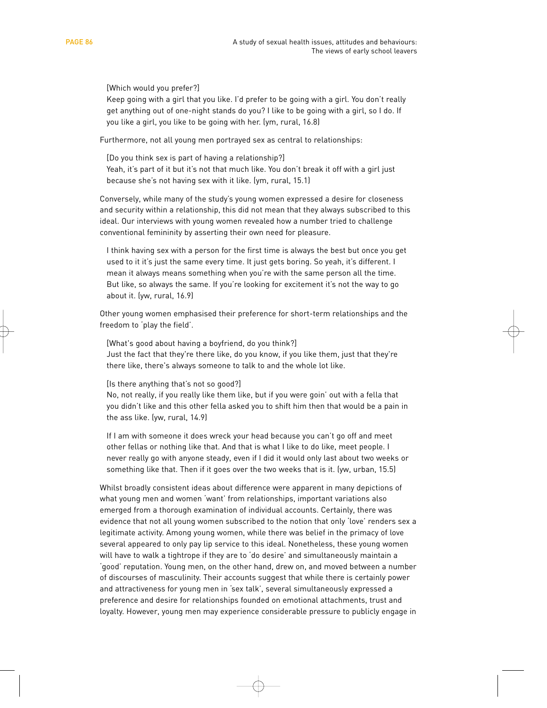[Which would you prefer?]

Keep going with a girl that you like. I'd prefer to be going with a girl. You don't really get anything out of one-night stands do you? I like to be going with a girl, so I do. If you like a girl, you like to be going with her. (ym, rural, 16.8)

Furthermore, not all young men portrayed sex as central to relationships:

[Do you think sex is part of having a relationship?]

Yeah, it's part of it but it's not that much like. You don't break it off with a girl just because she's not having sex with it like. (ym, rural, 15.1)

Conversely, while many of the study's young women expressed a desire for closeness and security within a relationship, this did not mean that they always subscribed to this ideal. Our interviews with young women revealed how a number tried to challenge conventional femininity by asserting their own need for pleasure.

I think having sex with a person for the first time is always the best but once you get used to it it's just the same every time. It just gets boring. So yeah, it's different. I mean it always means something when you're with the same person all the time. But like, so always the same. If you're looking for excitement it's not the way to go about it. (yw, rural, 16.9)

Other young women emphasised their preference for short-term relationships and the freedom to 'play the field'.

[What's good about having a boyfriend, do you think?] Just the fact that they're there like, do you know, if you like them, just that they're there like, there's always someone to talk to and the whole lot like.

[Is there anything that's not so good?]

No, not really, if you really like them like, but if you were goin' out with a fella that you didn't like and this other fella asked you to shift him then that would be a pain in the ass like. (yw, rural, 14.9)

If I am with someone it does wreck your head because you can't go off and meet other fellas or nothing like that. And that is what I like to do like, meet people. I never really go with anyone steady, even if I did it would only last about two weeks or something like that. Then if it goes over the two weeks that is it. (yw, urban, 15.5)

Whilst broadly consistent ideas about difference were apparent in many depictions of what young men and women 'want' from relationships, important variations also emerged from a thorough examination of individual accounts. Certainly, there was evidence that not all young women subscribed to the notion that only 'love' renders sex a legitimate activity. Among young women, while there was belief in the primacy of love several appeared to only pay lip service to this ideal. Nonetheless, these young women will have to walk a tightrope if they are to 'do desire' and simultaneously maintain a 'good' reputation. Young men, on the other hand, drew on, and moved between a number of discourses of masculinity. Their accounts suggest that while there is certainly power and attractiveness for young men in 'sex talk', several simultaneously expressed a preference and desire for relationships founded on emotional attachments, trust and loyalty. However, young men may experience considerable pressure to publicly engage in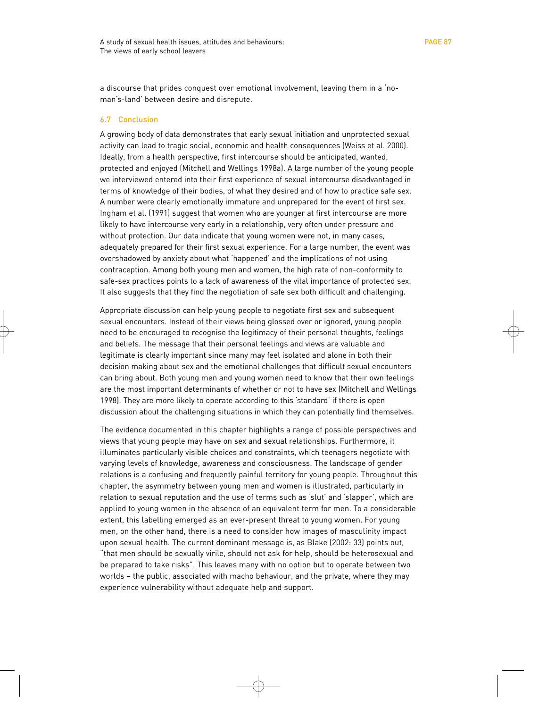a discourse that prides conquest over emotional involvement, leaving them in a 'noman's-land' between desire and disrepute.

#### 6.7 Conclusion

A growing body of data demonstrates that early sexual initiation and unprotected sexual activity can lead to tragic social, economic and health consequences (Weiss et al. 2000). Ideally, from a health perspective, first intercourse should be anticipated, wanted, protected and enjoyed (Mitchell and Wellings 1998a). A large number of the young people we interviewed entered into their first experience of sexual intercourse disadvantaged in terms of knowledge of their bodies, of what they desired and of how to practice safe sex. A number were clearly emotionally immature and unprepared for the event of first sex. Ingham et al. (1991) suggest that women who are younger at first intercourse are more likely to have intercourse very early in a relationship, very often under pressure and without protection. Our data indicate that young women were not, in many cases, adequately prepared for their first sexual experience. For a large number, the event was overshadowed by anxiety about what 'happened' and the implications of not using contraception. Among both young men and women, the high rate of non-conformity to safe-sex practices points to a lack of awareness of the vital importance of protected sex. It also suggests that they find the negotiation of safe sex both difficult and challenging.

Appropriate discussion can help young people to negotiate first sex and subsequent sexual encounters. Instead of their views being glossed over or ignored, young people need to be encouraged to recognise the legitimacy of their personal thoughts, feelings and beliefs. The message that their personal feelings and views are valuable and legitimate is clearly important since many may feel isolated and alone in both their decision making about sex and the emotional challenges that difficult sexual encounters can bring about. Both young men and young women need to know that their own feelings are the most important determinants of whether or not to have sex (Mitchell and Wellings 1998). They are more likely to operate according to this 'standard' if there is open discussion about the challenging situations in which they can potentially find themselves.

The evidence documented in this chapter highlights a range of possible perspectives and views that young people may have on sex and sexual relationships. Furthermore, it illuminates particularly visible choices and constraints, which teenagers negotiate with varying levels of knowledge, awareness and consciousness. The landscape of gender relations is a confusing and frequently painful territory for young people. Throughout this chapter, the asymmetry between young men and women is illustrated, particularly in relation to sexual reputation and the use of terms such as 'slut' and 'slapper', which are applied to young women in the absence of an equivalent term for men. To a considerable extent, this labelling emerged as an ever-present threat to young women. For young men, on the other hand, there is a need to consider how images of masculinity impact upon sexual health. The current dominant message is, as Blake (2002: 33) points out, "that men should be sexually virile, should not ask for help, should be heterosexual and be prepared to take risks". This leaves many with no option but to operate between two worlds – the public, associated with macho behaviour, and the private, where they may experience vulnerability without adequate help and support.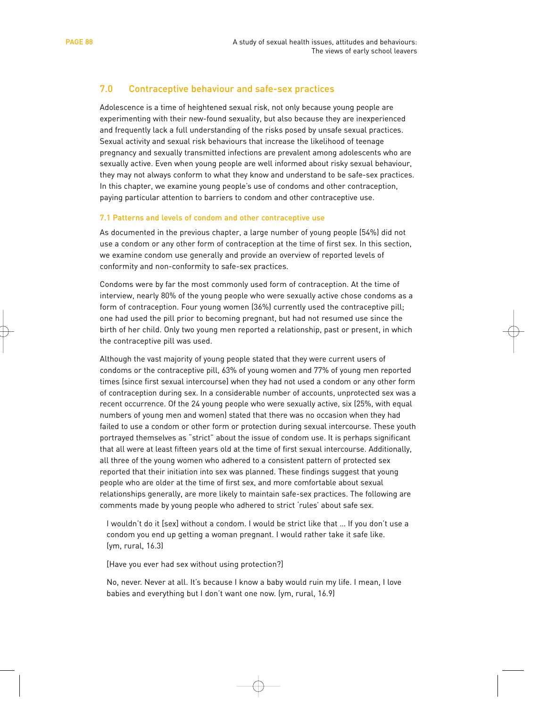# 7.0 Contraceptive behaviour and safe-sex practices

Adolescence is a time of heightened sexual risk, not only because young people are experimenting with their new-found sexuality, but also because they are inexperienced and frequently lack a full understanding of the risks posed by unsafe sexual practices. Sexual activity and sexual risk behaviours that increase the likelihood of teenage pregnancy and sexually transmitted infections are prevalent among adolescents who are sexually active. Even when young people are well informed about risky sexual behaviour, they may not always conform to what they know and understand to be safe-sex practices. In this chapter, we examine young people's use of condoms and other contraception, paying particular attention to barriers to condom and other contraceptive use.

## 7.1 Patterns and levels of condom and other contraceptive use

As documented in the previous chapter, a large number of young people (54%) did not use a condom or any other form of contraception at the time of first sex. In this section, we examine condom use generally and provide an overview of reported levels of conformity and non-conformity to safe-sex practices.

Condoms were by far the most commonly used form of contraception. At the time of interview, nearly 80% of the young people who were sexually active chose condoms as a form of contraception. Four young women (36%) currently used the contraceptive pill; one had used the pill prior to becoming pregnant, but had not resumed use since the birth of her child. Only two young men reported a relationship, past or present, in which the contraceptive pill was used.

Although the vast majority of young people stated that they were current users of condoms or the contraceptive pill, 63% of young women and 77% of young men reported times (since first sexual intercourse) when they had not used a condom or any other form of contraception during sex. In a considerable number of accounts, unprotected sex was a recent occurrence. Of the 24 young people who were sexually active, six (25%, with equal numbers of young men and women) stated that there was no occasion when they had failed to use a condom or other form or protection during sexual intercourse. These youth portrayed themselves as "strict" about the issue of condom use. It is perhaps significant that all were at least fifteen years old at the time of first sexual intercourse. Additionally, all three of the young women who adhered to a consistent pattern of protected sex reported that their initiation into sex was planned. These findings suggest that young people who are older at the time of first sex, and more comfortable about sexual relationships generally, are more likely to maintain safe-sex practices. The following are comments made by young people who adhered to strict 'rules' about safe sex.

I wouldn't do it [sex] without a condom. I would be strict like that … If you don't use a condom you end up getting a woman pregnant. I would rather take it safe like. (ym, rural, 16.3)

[Have you ever had sex without using protection?]

No, never. Never at all. It's because I know a baby would ruin my life. I mean, I love babies and everything but I don't want one now. (ym, rural, 16.9)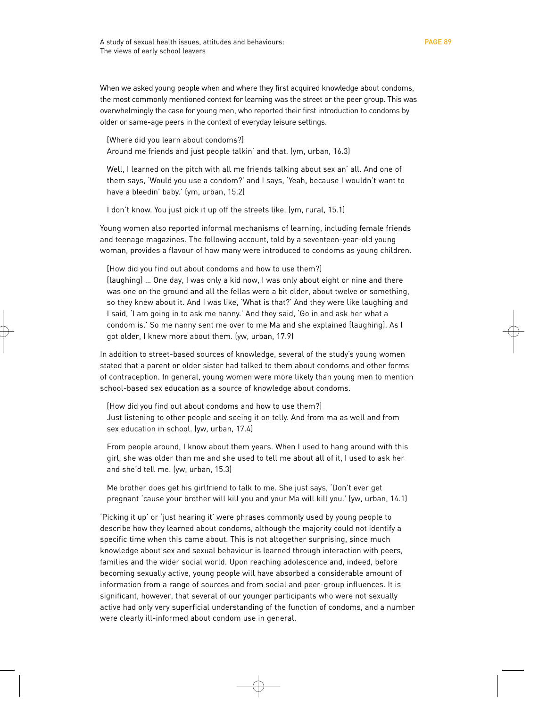When we asked young people when and where they first acquired knowledge about condoms, the most commonly mentioned context for learning was the street or the peer group. This was overwhelmingly the case for young men, who reported their first introduction to condoms by older or same-age peers in the context of everyday leisure settings.

[Where did you learn about condoms?] Around me friends and just people talkin' and that. (ym, urban, 16.3)

Well, I learned on the pitch with all me friends talking about sex an' all. And one of them says, 'Would you use a condom?' and I says, 'Yeah, because I wouldn't want to have a bleedin' baby.' (ym, urban, 15.2)

I don't know. You just pick it up off the streets like. (ym, rural, 15.1)

Young women also reported informal mechanisms of learning, including female friends and teenage magazines. The following account, told by a seventeen-year-old young woman, provides a flavour of how many were introduced to condoms as young children.

[How did you find out about condoms and how to use them?] [laughing] … One day, I was only a kid now, I was only about eight or nine and there was one on the ground and all the fellas were a bit older, about twelve or something, so they knew about it. And I was like, 'What is that?' And they were like laughing and I said, 'I am going in to ask me nanny.' And they said, 'Go in and ask her what a condom is.' So me nanny sent me over to me Ma and she explained [laughing]. As I got older, I knew more about them. (yw, urban, 17.9)

In addition to street-based sources of knowledge, several of the study's young women stated that a parent or older sister had talked to them about condoms and other forms of contraception. In general, young women were more likely than young men to mention school-based sex education as a source of knowledge about condoms.

[How did you find out about condoms and how to use them?] Just listening to other people and seeing it on telly. And from ma as well and from sex education in school. (yw, urban, 17.4)

From people around, I know about them years. When I used to hang around with this girl, she was older than me and she used to tell me about all of it, I used to ask her and she'd tell me. (yw, urban, 15.3)

Me brother does get his girlfriend to talk to me. She just says, 'Don't ever get pregnant 'cause your brother will kill you and your Ma will kill you.' (yw, urban, 14.1)

'Picking it up' or 'just hearing it' were phrases commonly used by young people to describe how they learned about condoms, although the majority could not identify a specific time when this came about. This is not altogether surprising, since much knowledge about sex and sexual behaviour is learned through interaction with peers, families and the wider social world. Upon reaching adolescence and, indeed, before becoming sexually active, young people will have absorbed a considerable amount of information from a range of sources and from social and peer-group influences. It is significant, however, that several of our younger participants who were not sexually active had only very superficial understanding of the function of condoms, and a number were clearly ill-informed about condom use in general.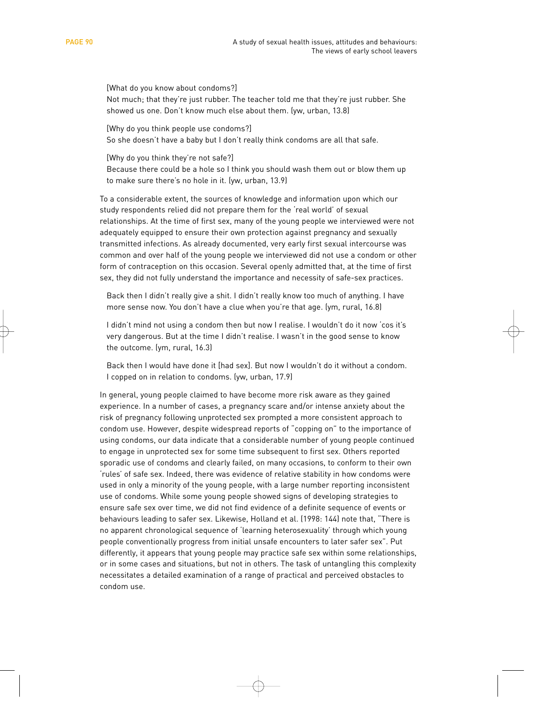[What do you know about condoms?] Not much; that they're just rubber. The teacher told me that they're just rubber. She showed us one. Don't know much else about them. (yw, urban, 13.8)

[Why do you think people use condoms?] So she doesn't have a baby but I don't really think condoms are all that safe.

[Why do you think they're not safe?] Because there could be a hole so I think you should wash them out or blow them up to make sure there's no hole in it. (yw, urban, 13.9)

To a considerable extent, the sources of knowledge and information upon which our study respondents relied did not prepare them for the 'real world' of sexual relationships. At the time of first sex, many of the young people we interviewed were not adequately equipped to ensure their own protection against pregnancy and sexually transmitted infections. As already documented, very early first sexual intercourse was common and over half of the young people we interviewed did not use a condom or other form of contraception on this occasion. Several openly admitted that, at the time of first sex, they did not fully understand the importance and necessity of safe-sex practices.

Back then I didn't really give a shit. I didn't really know too much of anything. I have more sense now. You don't have a clue when you're that age. (ym, rural, 16.8)

I didn't mind not using a condom then but now I realise. I wouldn't do it now 'cos it's very dangerous. But at the time I didn't realise. I wasn't in the good sense to know the outcome. (ym, rural, 16.3)

Back then I would have done it [had sex]. But now I wouldn't do it without a condom. I copped on in relation to condoms. (yw, urban, 17.9)

In general, young people claimed to have become more risk aware as they gained experience. In a number of cases, a pregnancy scare and/or intense anxiety about the risk of pregnancy following unprotected sex prompted a more consistent approach to condom use. However, despite widespread reports of "copping on" to the importance of using condoms, our data indicate that a considerable number of young people continued to engage in unprotected sex for some time subsequent to first sex. Others reported sporadic use of condoms and clearly failed, on many occasions, to conform to their own 'rules' of safe sex. Indeed, there was evidence of relative stability in how condoms were used in only a minority of the young people, with a large number reporting inconsistent use of condoms. While some young people showed signs of developing strategies to ensure safe sex over time, we did not find evidence of a definite sequence of events or behaviours leading to safer sex. Likewise, Holland et al. (1998: 144) note that, "There is no apparent chronological sequence of 'learning heterosexuality' through which young people conventionally progress from initial unsafe encounters to later safer sex". Put differently, it appears that young people may practice safe sex within some relationships, or in some cases and situations, but not in others. The task of untangling this complexity necessitates a detailed examination of a range of practical and perceived obstacles to condom use.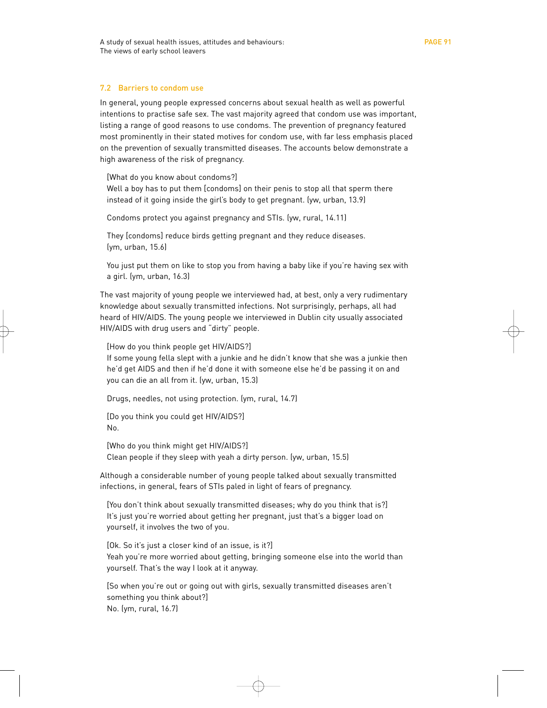### 7.2 Barriers to condom use

In general, young people expressed concerns about sexual health as well as powerful intentions to practise safe sex. The vast majority agreed that condom use was important, listing a range of good reasons to use condoms. The prevention of pregnancy featured most prominently in their stated motives for condom use, with far less emphasis placed on the prevention of sexually transmitted diseases. The accounts below demonstrate a high awareness of the risk of pregnancy.

[What do you know about condoms?]

Well a boy has to put them [condoms] on their penis to stop all that sperm there instead of it going inside the girl's body to get pregnant. (yw, urban, 13.9)

Condoms protect you against pregnancy and STIs. (yw, rural, 14.11)

They [condoms] reduce birds getting pregnant and they reduce diseases. (ym, urban, 15.6)

You just put them on like to stop you from having a baby like if you're having sex with a girl. (ym, urban, 16.3)

The vast majority of young people we interviewed had, at best, only a very rudimentary knowledge about sexually transmitted infections. Not surprisingly, perhaps, all had heard of HIV/AIDS. The young people we interviewed in Dublin city usually associated HIV/AIDS with drug users and "dirty" people.

[How do you think people get HIV/AIDS?]

If some young fella slept with a junkie and he didn't know that she was a junkie then he'd get AIDS and then if he'd done it with someone else he'd be passing it on and you can die an all from it. (yw, urban, 15.3)

Drugs, needles, not using protection. (ym, rural, 14.7)

[Do you think you could get HIV/AIDS?] No.

[Who do you think might get HIV/AIDS?] Clean people if they sleep with yeah a dirty person. (yw, urban, 15.5)

Although a considerable number of young people talked about sexually transmitted infections, in general, fears of STIs paled in light of fears of pregnancy.

[You don't think about sexually transmitted diseases; why do you think that is?] It's just you're worried about getting her pregnant, just that's a bigger load on yourself, it involves the two of you.

[Ok. So it's just a closer kind of an issue, is it?] Yeah you're more worried about getting, bringing someone else into the world than yourself. That's the way I look at it anyway.

[So when you're out or going out with girls, sexually transmitted diseases aren't something you think about?] No. (ym, rural, 16.7)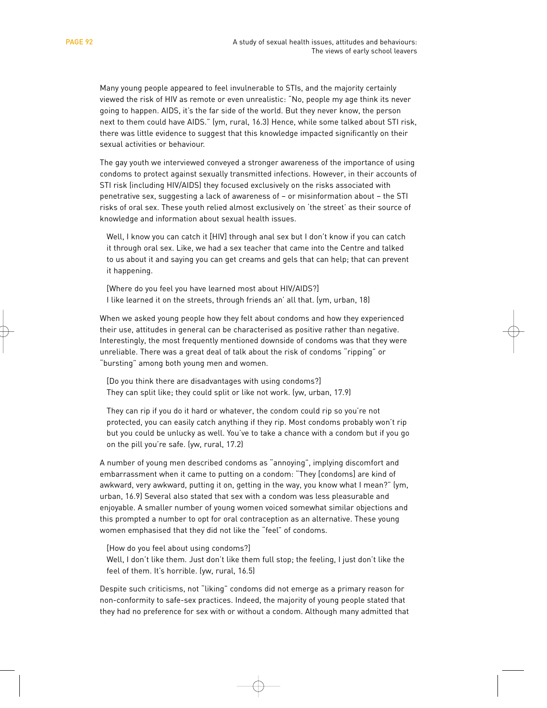Many young people appeared to feel invulnerable to STIs, and the majority certainly viewed the risk of HIV as remote or even unrealistic: "No, people my age think its never going to happen. AIDS, it's the far side of the world. But they never know, the person next to them could have AIDS." (ym, rural, 16.3) Hence, while some talked about STI risk, there was little evidence to suggest that this knowledge impacted significantly on their sexual activities or behaviour.

The gay youth we interviewed conveyed a stronger awareness of the importance of using condoms to protect against sexually transmitted infections. However, in their accounts of STI risk (including HIV/AIDS) they focused exclusively on the risks associated with penetrative sex, suggesting a lack of awareness of – or misinformation about – the STI risks of oral sex. These youth relied almost exclusively on 'the street' as their source of knowledge and information about sexual health issues.

Well, I know you can catch it [HIV] through anal sex but I don't know if you can catch it through oral sex. Like, we had a sex teacher that came into the Centre and talked to us about it and saying you can get creams and gels that can help; that can prevent it happening.

[Where do you feel you have learned most about HIV/AIDS?] I like learned it on the streets, through friends an' all that. (ym, urban, 18)

When we asked young people how they felt about condoms and how they experienced their use, attitudes in general can be characterised as positive rather than negative. Interestingly, the most frequently mentioned downside of condoms was that they were unreliable. There was a great deal of talk about the risk of condoms "ripping" or "bursting" among both young men and women.

[Do you think there are disadvantages with using condoms?] They can split like; they could split or like not work. (yw, urban, 17.9)

They can rip if you do it hard or whatever, the condom could rip so you're not protected, you can easily catch anything if they rip. Most condoms probably won't rip but you could be unlucky as well. You've to take a chance with a condom but if you go on the pill you're safe. (yw, rural, 17.2)

A number of young men described condoms as "annoying", implying discomfort and embarrassment when it came to putting on a condom: "They [condoms] are kind of awkward, very awkward, putting it on, getting in the way, you know what I mean?" (ym, urban, 16.9) Several also stated that sex with a condom was less pleasurable and enjoyable. A smaller number of young women voiced somewhat similar objections and this prompted a number to opt for oral contraception as an alternative. These young women emphasised that they did not like the "feel" of condoms.

[How do you feel about using condoms?]

Well, I don't like them. Just don't like them full stop; the feeling, I just don't like the feel of them. It's horrible. (yw, rural, 16.5)

Despite such criticisms, not "liking" condoms did not emerge as a primary reason for non-conformity to safe-sex practices. Indeed, the majority of young people stated that they had no preference for sex with or without a condom. Although many admitted that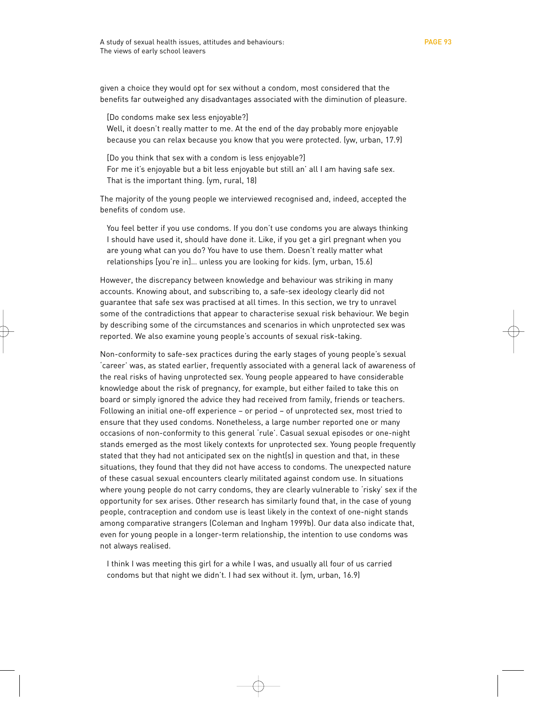given a choice they would opt for sex without a condom, most considered that the benefits far outweighed any disadvantages associated with the diminution of pleasure.

[Do condoms make sex less enjoyable?]

Well, it doesn't really matter to me. At the end of the day probably more enjoyable because you can relax because you know that you were protected. (yw, urban, 17.9)

[Do you think that sex with a condom is less enjoyable?] For me it's enjoyable but a bit less enjoyable but still an' all I am having safe sex. That is the important thing. (ym, rural, 18)

The majority of the young people we interviewed recognised and, indeed, accepted the benefits of condom use.

You feel better if you use condoms. If you don't use condoms you are always thinking I should have used it, should have done it. Like, if you get a girl pregnant when you are young what can you do? You have to use them. Doesn't really matter what relationships [you're in]… unless you are looking for kids. (ym, urban, 15.6)

However, the discrepancy between knowledge and behaviour was striking in many accounts. Knowing about, and subscribing to, a safe-sex ideology clearly did not guarantee that safe sex was practised at all times. In this section, we try to unravel some of the contradictions that appear to characterise sexual risk behaviour. We begin by describing some of the circumstances and scenarios in which unprotected sex was reported. We also examine young people's accounts of sexual risk-taking.

Non-conformity to safe-sex practices during the early stages of young people's sexual 'career' was, as stated earlier, frequently associated with a general lack of awareness of the real risks of having unprotected sex. Young people appeared to have considerable knowledge about the risk of pregnancy, for example, but either failed to take this on board or simply ignored the advice they had received from family, friends or teachers. Following an initial one-off experience – or period – of unprotected sex, most tried to ensure that they used condoms. Nonetheless, a large number reported one or many occasions of non-conformity to this general 'rule'. Casual sexual episodes or one-night stands emerged as the most likely contexts for unprotected sex. Young people frequently stated that they had not anticipated sex on the night(s) in question and that, in these situations, they found that they did not have access to condoms. The unexpected nature of these casual sexual encounters clearly militated against condom use. In situations where young people do not carry condoms, they are clearly vulnerable to 'risky' sex if the opportunity for sex arises. Other research has similarly found that, in the case of young people, contraception and condom use is least likely in the context of one-night stands among comparative strangers (Coleman and Ingham 1999b). Our data also indicate that, even for young people in a longer-term relationship, the intention to use condoms was not always realised.

I think I was meeting this girl for a while I was, and usually all four of us carried condoms but that night we didn't. I had sex without it. (ym, urban, 16.9)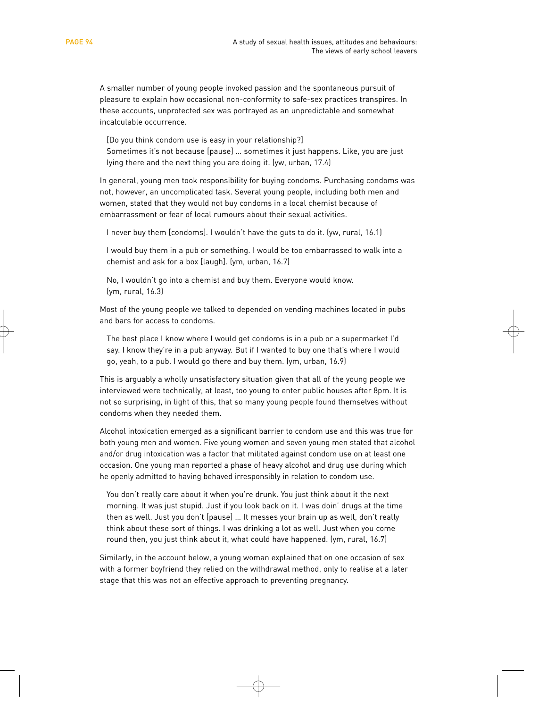A smaller number of young people invoked passion and the spontaneous pursuit of pleasure to explain how occasional non-conformity to safe-sex practices transpires. In these accounts, unprotected sex was portrayed as an unpredictable and somewhat incalculable occurrence.

[Do you think condom use is easy in your relationship?] Sometimes it's not because [pause] … sometimes it just happens. Like, you are just lying there and the next thing you are doing it. (yw, urban, 17.4)

In general, young men took responsibility for buying condoms. Purchasing condoms was not, however, an uncomplicated task. Several young people, including both men and women, stated that they would not buy condoms in a local chemist because of embarrassment or fear of local rumours about their sexual activities.

I never buy them [condoms]. I wouldn't have the guts to do it. (yw, rural, 16.1)

I would buy them in a pub or something. I would be too embarrassed to walk into a chemist and ask for a box [laugh]. (ym, urban, 16.7)

No, I wouldn't go into a chemist and buy them. Everyone would know. (ym, rural, 16.3)

Most of the young people we talked to depended on vending machines located in pubs and bars for access to condoms.

The best place I know where I would get condoms is in a pub or a supermarket I'd say. I know they're in a pub anyway. But if I wanted to buy one that's where I would go, yeah, to a pub. I would go there and buy them. (ym, urban, 16.9)

This is arguably a wholly unsatisfactory situation given that all of the young people we interviewed were technically, at least, too young to enter public houses after 8pm. It is not so surprising, in light of this, that so many young people found themselves without condoms when they needed them.

Alcohol intoxication emerged as a significant barrier to condom use and this was true for both young men and women. Five young women and seven young men stated that alcohol and/or drug intoxication was a factor that militated against condom use on at least one occasion. One young man reported a phase of heavy alcohol and drug use during which he openly admitted to having behaved irresponsibly in relation to condom use.

You don't really care about it when you're drunk. You just think about it the next morning. It was just stupid. Just if you look back on it. I was doin' drugs at the time then as well. Just you don't [pause] … It messes your brain up as well, don't really think about these sort of things. I was drinking a lot as well. Just when you come round then, you just think about it, what could have happened. (ym, rural, 16.7)

Similarly, in the account below, a young woman explained that on one occasion of sex with a former boyfriend they relied on the withdrawal method, only to realise at a later stage that this was not an effective approach to preventing pregnancy.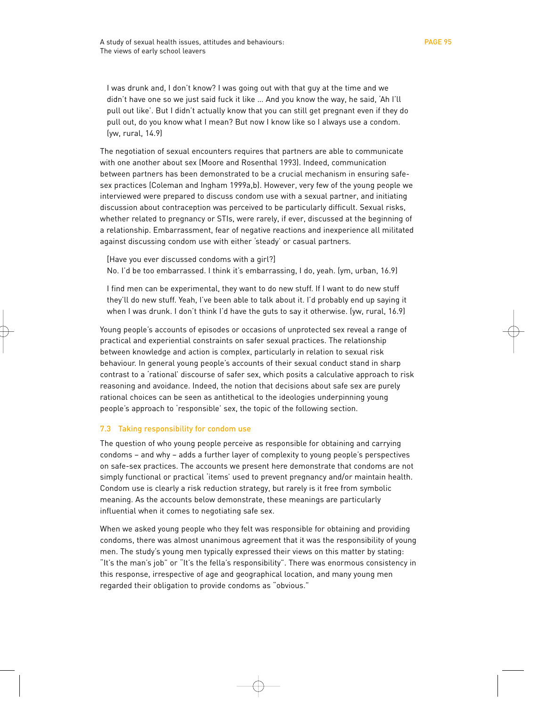I was drunk and, I don't know? I was going out with that guy at the time and we didn't have one so we just said fuck it like … And you know the way, he said, 'Ah I'll pull out like'. But I didn't actually know that you can still get pregnant even if they do pull out, do you know what I mean? But now I know like so I always use a condom. (yw, rural, 14.9)

The negotiation of sexual encounters requires that partners are able to communicate with one another about sex (Moore and Rosenthal 1993). Indeed, communication between partners has been demonstrated to be a crucial mechanism in ensuring safesex practices (Coleman and Ingham 1999a,b). However, very few of the young people we interviewed were prepared to discuss condom use with a sexual partner, and initiating discussion about contraception was perceived to be particularly difficult. Sexual risks, whether related to pregnancy or STIs, were rarely, if ever, discussed at the beginning of a relationship. Embarrassment, fear of negative reactions and inexperience all militated against discussing condom use with either 'steady' or casual partners.

[Have you ever discussed condoms with a girl?] No. I'd be too embarrassed. I think it's embarrassing, I do, yeah. (ym, urban, 16.9)

I find men can be experimental, they want to do new stuff. If I want to do new stuff they'll do new stuff. Yeah, I've been able to talk about it. I'd probably end up saying it when I was drunk. I don't think I'd have the guts to say it otherwise. (yw, rural, 16.9)

Young people's accounts of episodes or occasions of unprotected sex reveal a range of practical and experiential constraints on safer sexual practices. The relationship between knowledge and action is complex, particularly in relation to sexual risk behaviour. In general young people's accounts of their sexual conduct stand in sharp contrast to a 'rational' discourse of safer sex, which posits a calculative approach to risk reasoning and avoidance. Indeed, the notion that decisions about safe sex are purely rational choices can be seen as antithetical to the ideologies underpinning young people's approach to 'responsible' sex, the topic of the following section.

## 7.3 Taking responsibility for condom use

The question of who young people perceive as responsible for obtaining and carrying condoms – and why – adds a further layer of complexity to young people's perspectives on safe-sex practices. The accounts we present here demonstrate that condoms are not simply functional or practical 'items' used to prevent pregnancy and/or maintain health. Condom use is clearly a risk reduction strategy, but rarely is it free from symbolic meaning. As the accounts below demonstrate, these meanings are particularly influential when it comes to negotiating safe sex.

When we asked young people who they felt was responsible for obtaining and providing condoms, there was almost unanimous agreement that it was the responsibility of young men. The study's young men typically expressed their views on this matter by stating: "It's the man's job" or "It's the fella's responsibility". There was enormous consistency in this response, irrespective of age and geographical location, and many young men regarded their obligation to provide condoms as "obvious."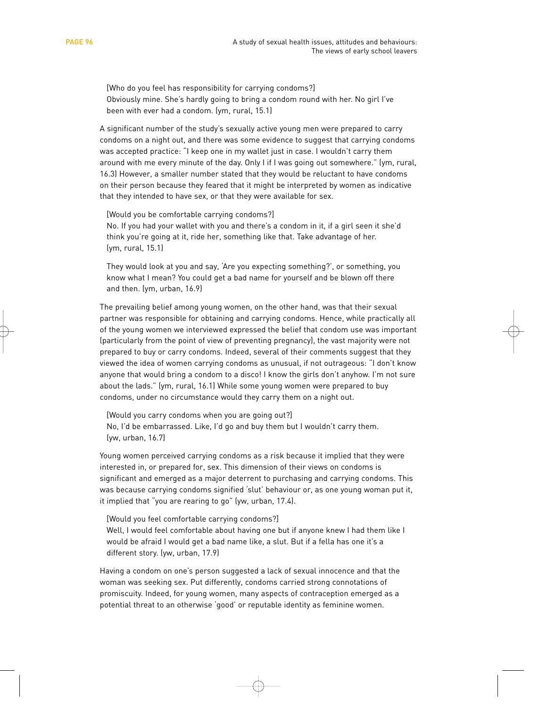[Who do you feel has responsibility for carrying condoms?] Obviously mine. She's hardly going to bring a condom round with her. No girl I've been with ever had a condom. (ym, rural, 15.1)

A significant number of the study's sexually active young men were prepared to carry condoms on a night out, and there was some evidence to suggest that carrying condoms was accepted practice: "I keep one in my wallet just in case. I wouldn't carry them around with me every minute of the day. Only I if I was going out somewhere." (ym, rural, 16.3) However, a smaller number stated that they would be reluctant to have condoms on their person because they feared that it might be interpreted by women as indicative that they intended to have sex, or that they were available for sex.

[Would you be comfortable carrying condoms?]

No. If you had your wallet with you and there's a condom in it, if a girl seen it she'd think you're going at it, ride her, something like that. Take advantage of her. (ym, rural, 15.1)

They would look at you and say, 'Are you expecting something?', or something, you know what I mean? You could get a bad name for yourself and be blown off there and then. (ym, urban, 16.9)

The prevailing belief among young women, on the other hand, was that their sexual partner was responsible for obtaining and carrying condoms. Hence, while practically all of the young women we interviewed expressed the belief that condom use was important (particularly from the point of view of preventing pregnancy), the vast majority were not prepared to buy or carry condoms. Indeed, several of their comments suggest that they viewed the idea of women carrying condoms as unusual, if not outrageous: "I don't know anyone that would bring a condom to a disco! I know the girls don't anyhow. I'm not sure about the lads." (ym, rural, 16.1) While some young women were prepared to buy condoms, under no circumstance would they carry them on a night out.

[Would you carry condoms when you are going out?] No, I'd be embarrassed. Like, I'd go and buy them but I wouldn't carry them. (yw, urban, 16.7)

Young women perceived carrying condoms as a risk because it implied that they were interested in, or prepared for, sex. This dimension of their views on condoms is significant and emerged as a major deterrent to purchasing and carrying condoms. This was because carrying condoms signified 'slut' behaviour or, as one young woman put it, it implied that "you are rearing to go" (yw, urban, 17.4).

[Would you feel comfortable carrying condoms?] Well, I would feel comfortable about having one but if anyone knew I had them like I would be afraid I would get a bad name like, a slut. But if a fella has one it's a different story. (yw, urban, 17.9)

Having a condom on one's person suggested a lack of sexual innocence and that the woman was seeking sex. Put differently, condoms carried strong connotations of promiscuity. Indeed, for young women, many aspects of contraception emerged as a potential threat to an otherwise 'good' or reputable identity as feminine women.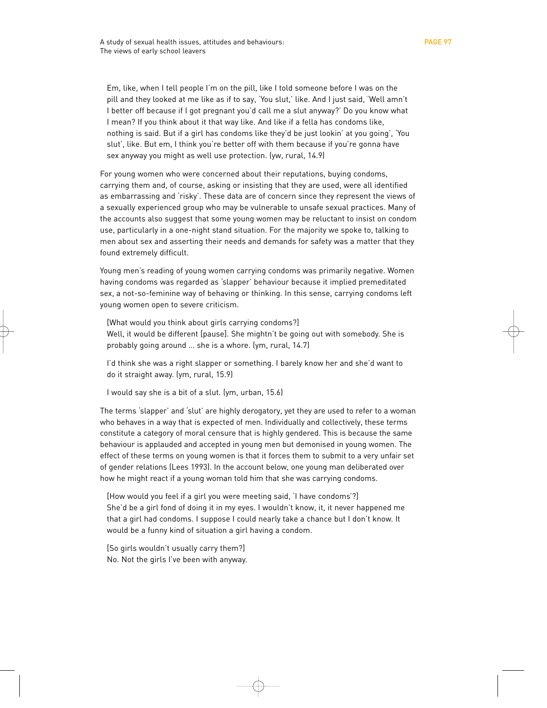Em, like, when I tell people I'm on the pill, like I told someone before I was on the pill and they looked at me like as if to say, 'You slut,' like. And I just said, 'Well amn't I better off because if I got pregnant you'd call me a slut anyway?' Do you know what I mean? If you think about it that way like. And like if a fella has condoms like, nothing is said. But if a girl has condoms like they'd be just lookin' at you going', 'You slut', like. But em, I think you're better off with them because if you're gonna have sex anyway you might as well use protection. (yw, rural, 14.9)

For young women who were concerned about their reputations, buying condoms, carrying them and, of course, asking or insisting that they are used, were all identified as embarrassing and 'risky'. These data are of concern since they represent the views of a sexually experienced group who may be vulnerable to unsafe sexual practices. Many of the accounts also suggest that some young women may be reluctant to insist on condom use, particularly in a one-night stand situation. For the majority we spoke to, talking to men about sex and asserting their needs and demands for safety was a matter that they found extremely difficult.

Young men's reading of young women carrying condoms was primarily negative. Women having condoms was regarded as 'slapper' behaviour because it implied premeditated sex, a not-so-feminine way of behaving or thinking. In this sense, carrying condoms left young women open to severe criticism.

[What would you think about girls carrying condoms?] Well, it would be different [pause]. She mightn't be going out with somebody. She is probably going around … she is a whore. (ym, rural, 14.7)

I'd think she was a right slapper or something. I barely know her and she'd want to do it straight away. (ym, rural, 15.9)

I would say she is a bit of a slut. (ym, urban, 15.6)

The terms 'slapper' and 'slut' are highly derogatory, yet they are used to refer to a woman who behaves in a way that is expected of men. Individually and collectively, these terms constitute a category of moral censure that is highly gendered. This is because the same behaviour is applauded and accepted in young men but demonised in young women. The effect of these terms on young women is that it forces them to submit to a very unfair set of gender relations (Lees 1993). In the account below, one young man deliberated over how he might react if a young woman told him that she was carrying condoms.

[How would you feel if a girl you were meeting said, 'I have condoms'?] She'd be a girl fond of doing it in my eyes. I wouldn't know, it, it never happened me that a girl had condoms. I suppose I could nearly take a chance but I don't know. It would be a funny kind of situation a girl having a condom.

[So girls wouldn't usually carry them?] No. Not the girls I've been with anyway.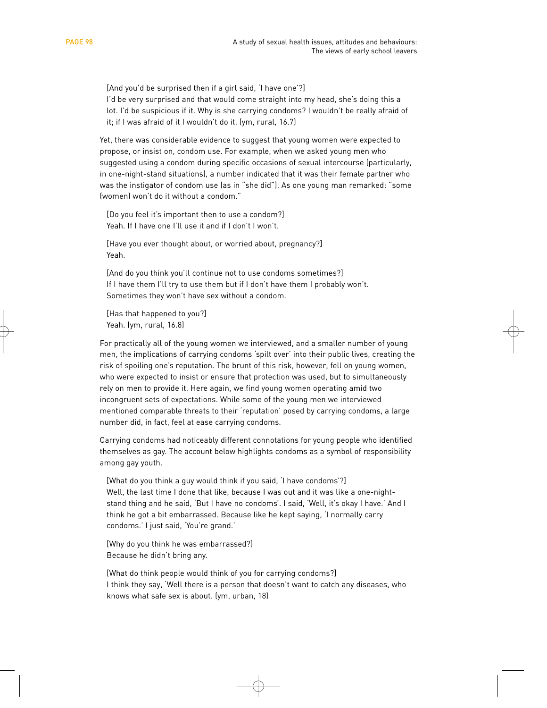[And you'd be surprised then if a girl said, 'I have one'?] I'd be very surprised and that would come straight into my head, she's doing this a lot. I'd be suspicious if it. Why is she carrying condoms? I wouldn't be really afraid of it; if I was afraid of it I wouldn't do it. (ym, rural, 16.7)

Yet, there was considerable evidence to suggest that young women were expected to propose, or insist on, condom use. For example, when we asked young men who suggested using a condom during specific occasions of sexual intercourse (particularly, in one-night-stand situations), a number indicated that it was their female partner who was the instigator of condom use (as in "she did"). As one young man remarked: "some (women) won't do it without a condom."

[Do you feel it's important then to use a condom?] Yeah. If I have one I'll use it and if I don't I won't.

[Have you ever thought about, or worried about, pregnancy?] Yeah.

[And do you think you'll continue not to use condoms sometimes?] If I have them I'll try to use them but if I don't have them I probably won't. Sometimes they won't have sex without a condom.

[Has that happened to you?] Yeah. (ym, rural, 16.8)

For practically all of the young women we interviewed, and a smaller number of young men, the implications of carrying condoms 'spilt over' into their public lives, creating the risk of spoiling one's reputation. The brunt of this risk, however, fell on young women, who were expected to insist or ensure that protection was used, but to simultaneously rely on men to provide it. Here again, we find young women operating amid two incongruent sets of expectations. While some of the young men we interviewed mentioned comparable threats to their 'reputation' posed by carrying condoms, a large number did, in fact, feel at ease carrying condoms.

Carrying condoms had noticeably different connotations for young people who identified themselves as gay. The account below highlights condoms as a symbol of responsibility among gay youth.

[What do you think a guy would think if you said, 'I have condoms'?] Well, the last time I done that like, because I was out and it was like a one-nightstand thing and he said, 'But I have no condoms'. I said, 'Well, it's okay I have.' And I think he got a bit embarrassed. Because like he kept saying, 'I normally carry condoms.' I just said, 'You're grand.'

[Why do you think he was embarrassed?] Because he didn't bring any.

[What do think people would think of you for carrying condoms?] I think they say, 'Well there is a person that doesn't want to catch any diseases, who knows what safe sex is about. (ym, urban, 18)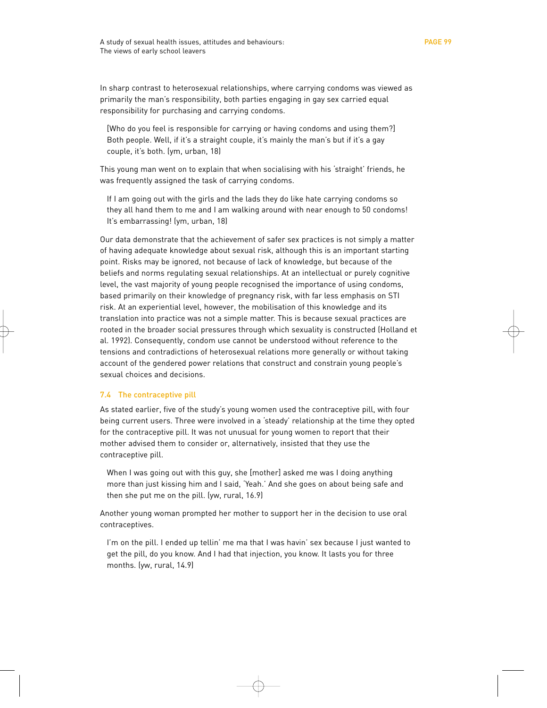In sharp contrast to heterosexual relationships, where carrying condoms was viewed as primarily the man's responsibility, both parties engaging in gay sex carried equal responsibility for purchasing and carrying condoms.

[Who do you feel is responsible for carrying or having condoms and using them?] Both people. Well, if it's a straight couple, it's mainly the man's but if it's a gay couple, it's both. (ym, urban, 18)

This young man went on to explain that when socialising with his 'straight' friends, he was frequently assigned the task of carrying condoms.

If I am going out with the girls and the lads they do like hate carrying condoms so they all hand them to me and I am walking around with near enough to 50 condoms! It's embarrassing! (ym, urban, 18)

Our data demonstrate that the achievement of safer sex practices is not simply a matter of having adequate knowledge about sexual risk, although this is an important starting point. Risks may be ignored, not because of lack of knowledge, but because of the beliefs and norms regulating sexual relationships. At an intellectual or purely cognitive level, the vast majority of young people recognised the importance of using condoms, based primarily on their knowledge of pregnancy risk, with far less emphasis on STI risk. At an experiential level, however, the mobilisation of this knowledge and its translation into practice was not a simple matter. This is because sexual practices are rooted in the broader social pressures through which sexuality is constructed (Holland et al. 1992). Consequently, condom use cannot be understood without reference to the tensions and contradictions of heterosexual relations more generally or without taking account of the gendered power relations that construct and constrain young people's sexual choices and decisions.

## 7.4 The contraceptive pill

As stated earlier, five of the study's young women used the contraceptive pill, with four being current users. Three were involved in a 'steady' relationship at the time they opted for the contraceptive pill. It was not unusual for young women to report that their mother advised them to consider or, alternatively, insisted that they use the contraceptive pill.

When I was going out with this guy, she [mother] asked me was I doing anything more than just kissing him and I said, 'Yeah.' And she goes on about being safe and then she put me on the pill. (yw, rural, 16.9)

Another young woman prompted her mother to support her in the decision to use oral contraceptives.

I'm on the pill. I ended up tellin' me ma that I was havin' sex because I just wanted to get the pill, do you know. And I had that injection, you know. It lasts you for three months. (yw, rural, 14.9)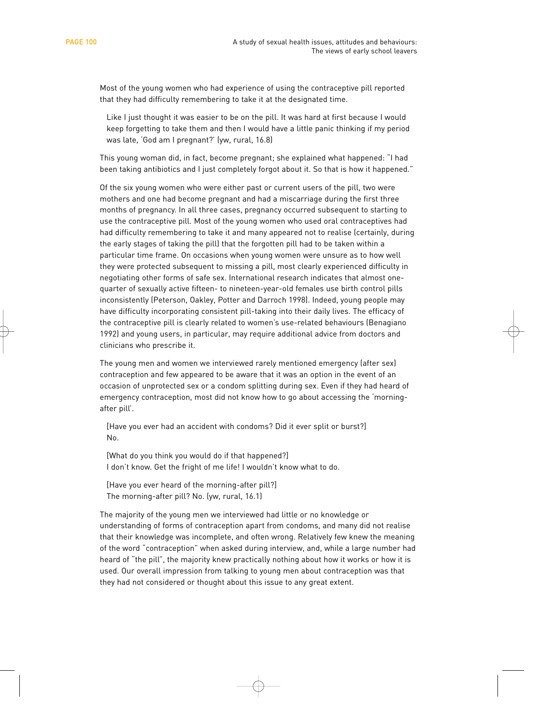Most of the young women who had experience of using the contraceptive pill reported that they had difficulty remembering to take it at the designated time.

Like I just thought it was easier to be on the pill. It was hard at first because I would keep forgetting to take them and then I would have a little panic thinking if my period was late, 'God am I pregnant?' (yw, rural, 16.8)

This young woman did, in fact, become pregnant; she explained what happened: "I had been taking antibiotics and I just completely forgot about it. So that is how it happened."

Of the six young women who were either past or current users of the pill, two were mothers and one had become pregnant and had a miscarriage during the first three months of pregnancy. In all three cases, pregnancy occurred subsequent to starting to use the contraceptive pill. Most of the young women who used oral contraceptives had had difficulty remembering to take it and many appeared not to realise (certainly, during the early stages of taking the pill) that the forgotten pill had to be taken within a particular time frame. On occasions when young women were unsure as to how well they were protected subsequent to missing a pill, most clearly experienced difficulty in negotiating other forms of safe sex. International research indicates that almost onequarter of sexually active fifteen- to nineteen-year-old females use birth control pills inconsistently (Peterson, Oakley, Potter and Darroch 1998). Indeed, young people may have difficulty incorporating consistent pill-taking into their daily lives. The efficacy of the contraceptive pill is clearly related to women's use-related behaviours (Benagiano 1992) and young users, in particular, may require additional advice from doctors and clinicians who prescribe it.

The young men and women we interviewed rarely mentioned emergency (after sex) contraception and few appeared to be aware that it was an option in the event of an occasion of unprotected sex or a condom splitting during sex. Even if they had heard of emergency contraception, most did not know how to go about accessing the 'morningafter pill'.

[Have you ever had an accident with condoms? Did it ever split or burst?] No.

[What do you think you would do if that happened?] I don't know. Get the fright of me life! I wouldn't know what to do.

[Have you ever heard of the morning-after pill?] The morning-after pill? No. (yw, rural, 16.1)

The majority of the young men we interviewed had little or no knowledge or understanding of forms of contraception apart from condoms, and many did not realise that their knowledge was incomplete, and often wrong. Relatively few knew the meaning of the word "contraception" when asked during interview, and, while a large number had heard of "the pill", the majority knew practically nothing about how it works or how it is used. Our overall impression from talking to young men about contraception was that they had not considered or thought about this issue to any great extent.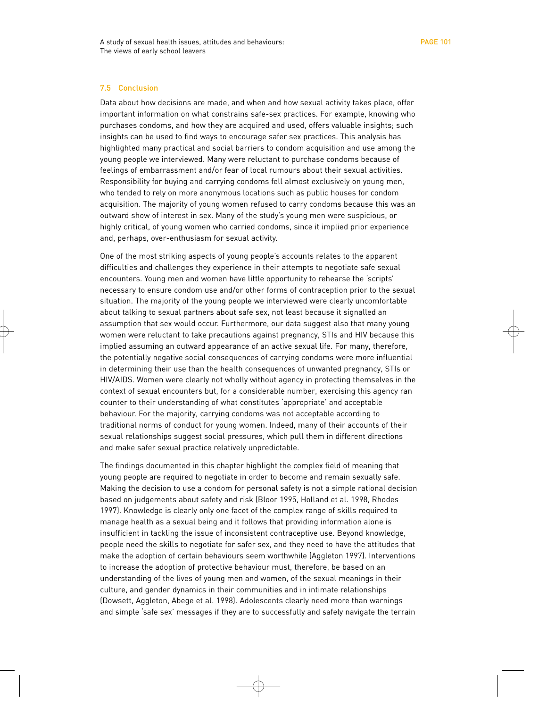### 7.5 Conclusion

Data about how decisions are made, and when and how sexual activity takes place, offer important information on what constrains safe-sex practices. For example, knowing who purchases condoms, and how they are acquired and used, offers valuable insights; such insights can be used to find ways to encourage safer sex practices. This analysis has highlighted many practical and social barriers to condom acquisition and use among the young people we interviewed. Many were reluctant to purchase condoms because of feelings of embarrassment and/or fear of local rumours about their sexual activities. Responsibility for buying and carrying condoms fell almost exclusively on young men, who tended to rely on more anonymous locations such as public houses for condom acquisition. The majority of young women refused to carry condoms because this was an outward show of interest in sex. Many of the study's young men were suspicious, or highly critical, of young women who carried condoms, since it implied prior experience and, perhaps, over-enthusiasm for sexual activity.

One of the most striking aspects of young people's accounts relates to the apparent difficulties and challenges they experience in their attempts to negotiate safe sexual encounters. Young men and women have little opportunity to rehearse the 'scripts' necessary to ensure condom use and/or other forms of contraception prior to the sexual situation. The majority of the young people we interviewed were clearly uncomfortable about talking to sexual partners about safe sex, not least because it signalled an assumption that sex would occur. Furthermore, our data suggest also that many young women were reluctant to take precautions against pregnancy, STIs and HIV because this implied assuming an outward appearance of an active sexual life. For many, therefore, the potentially negative social consequences of carrying condoms were more influential in determining their use than the health consequences of unwanted pregnancy, STIs or HIV/AIDS. Women were clearly not wholly without agency in protecting themselves in the context of sexual encounters but, for a considerable number, exercising this agency ran counter to their understanding of what constitutes 'appropriate' and acceptable behaviour. For the majority, carrying condoms was not acceptable according to traditional norms of conduct for young women. Indeed, many of their accounts of their sexual relationships suggest social pressures, which pull them in different directions and make safer sexual practice relatively unpredictable.

The findings documented in this chapter highlight the complex field of meaning that young people are required to negotiate in order to become and remain sexually safe. Making the decision to use a condom for personal safety is not a simple rational decision based on judgements about safety and risk (Bloor 1995, Holland et al. 1998, Rhodes 1997). Knowledge is clearly only one facet of the complex range of skills required to manage health as a sexual being and it follows that providing information alone is insufficient in tackling the issue of inconsistent contraceptive use. Beyond knowledge, people need the skills to negotiate for safer sex, and they need to have the attitudes that make the adoption of certain behaviours seem worthwhile (Aggleton 1997). Interventions to increase the adoption of protective behaviour must, therefore, be based on an understanding of the lives of young men and women, of the sexual meanings in their culture, and gender dynamics in their communities and in intimate relationships (Dowsett, Aggleton, Abege et al. 1998). Adolescents clearly need more than warnings and simple 'safe sex' messages if they are to successfully and safely navigate the terrain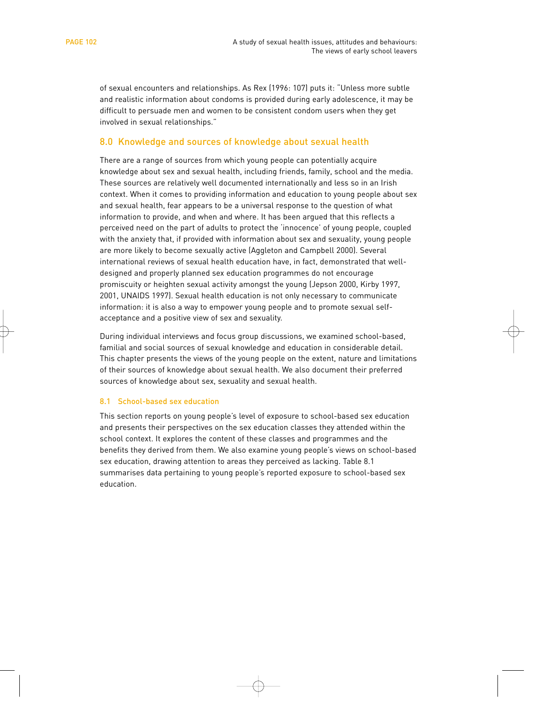of sexual encounters and relationships. As Rex (1996: 107) puts it: "Unless more subtle and realistic information about condoms is provided during early adolescence, it may be difficult to persuade men and women to be consistent condom users when they get involved in sexual relationships."

# 8.0 Knowledge and sources of knowledge about sexual health

There are a range of sources from which young people can potentially acquire knowledge about sex and sexual health, including friends, family, school and the media. These sources are relatively well documented internationally and less so in an Irish context. When it comes to providing information and education to young people about sex and sexual health, fear appears to be a universal response to the question of what information to provide, and when and where. It has been argued that this reflects a perceived need on the part of adults to protect the 'innocence' of young people, coupled with the anxiety that, if provided with information about sex and sexuality, young people are more likely to become sexually active (Aggleton and Campbell 2000). Several international reviews of sexual health education have, in fact, demonstrated that welldesigned and properly planned sex education programmes do not encourage promiscuity or heighten sexual activity amongst the young (Jepson 2000, Kirby 1997, 2001, UNAIDS 1997). Sexual health education is not only necessary to communicate information: it is also a way to empower young people and to promote sexual selfacceptance and a positive view of sex and sexuality.

During individual interviews and focus group discussions, we examined school-based, familial and social sources of sexual knowledge and education in considerable detail. This chapter presents the views of the young people on the extent, nature and limitations of their sources of knowledge about sexual health. We also document their preferred sources of knowledge about sex, sexuality and sexual health.

### 8.1 School-based sex education

This section reports on young people's level of exposure to school-based sex education and presents their perspectives on the sex education classes they attended within the school context. It explores the content of these classes and programmes and the benefits they derived from them. We also examine young people's views on school-based sex education, drawing attention to areas they perceived as lacking. Table 8.1 summarises data pertaining to young people's reported exposure to school-based sex education.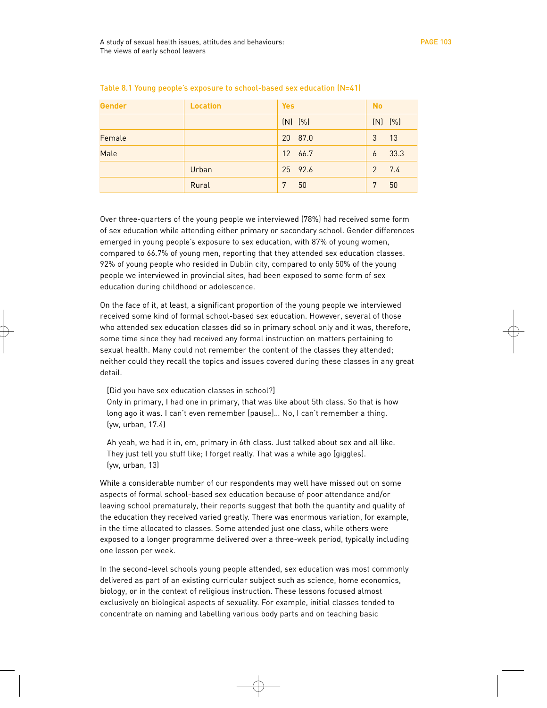| <b>Gender</b> | <b>Location</b> | <b>Yes</b> |             | <b>No</b>     |      |
|---------------|-----------------|------------|-------------|---------------|------|
|               |                 |            | $(N)$ $(%)$ | $(N)$ $(%)$   |      |
| Female        |                 |            | 20 87.0     | 3             | 13   |
| Male          |                 |            | 12 66.7     | 6             | 33.3 |
|               | Urban           |            | 25 92.6     | $\mathcal{P}$ | 7.4  |
|               | Rural           |            | 50          | 7             | 50   |

### Table 8.1 Young people's exposure to school-based sex education (N=41)

Over three-quarters of the young people we interviewed (78%) had received some form of sex education while attending either primary or secondary school. Gender differences emerged in young people's exposure to sex education, with 87% of young women, compared to 66.7% of young men, reporting that they attended sex education classes. 92% of young people who resided in Dublin city, compared to only 50% of the young people we interviewed in provincial sites, had been exposed to some form of sex education during childhood or adolescence.

On the face of it, at least, a significant proportion of the young people we interviewed received some kind of formal school-based sex education. However, several of those who attended sex education classes did so in primary school only and it was, therefore, some time since they had received any formal instruction on matters pertaining to sexual health. Many could not remember the content of the classes they attended; neither could they recall the topics and issues covered during these classes in any great detail.

[Did you have sex education classes in school?]

Only in primary, I had one in primary, that was like about 5th class. So that is how long ago it was. I can't even remember [pause]… No, I can't remember a thing. (yw, urban, 17.4)

Ah yeah, we had it in, em, primary in 6th class. Just talked about sex and all like. They just tell you stuff like; I forget really. That was a while ago [giggles]. (yw, urban, 13)

While a considerable number of our respondents may well have missed out on some aspects of formal school-based sex education because of poor attendance and/or leaving school prematurely, their reports suggest that both the quantity and quality of the education they received varied greatly. There was enormous variation, for example, in the time allocated to classes. Some attended just one class, while others were exposed to a longer programme delivered over a three-week period, typically including one lesson per week.

In the second-level schools young people attended, sex education was most commonly delivered as part of an existing curricular subject such as science, home economics, biology, or in the context of religious instruction. These lessons focused almost exclusively on biological aspects of sexuality. For example, initial classes tended to concentrate on naming and labelling various body parts and on teaching basic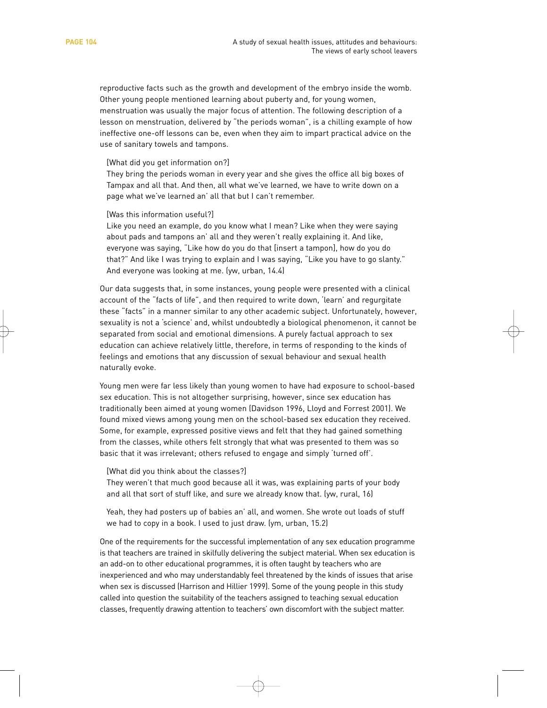reproductive facts such as the growth and development of the embryo inside the womb. Other young people mentioned learning about puberty and, for young women, menstruation was usually the major focus of attention. The following description of a lesson on menstruation, delivered by "the periods woman", is a chilling example of how ineffective one-off lessons can be, even when they aim to impart practical advice on the use of sanitary towels and tampons.

#### [What did you get information on?]

They bring the periods woman in every year and she gives the office all big boxes of Tampax and all that. And then, all what we've learned, we have to write down on a page what we've learned an' all that but I can't remember.

#### [Was this information useful?]

Like you need an example, do you know what I mean? Like when they were saying about pads and tampons an' all and they weren't really explaining it. And like, everyone was saying, "Like how do you do that [insert a tampon], how do you do that?" And like I was trying to explain and I was saying, "Like you have to go slanty." And everyone was looking at me. (yw, urban, 14.4)

Our data suggests that, in some instances, young people were presented with a clinical account of the "facts of life", and then required to write down, 'learn' and regurgitate these "facts" in a manner similar to any other academic subject. Unfortunately, however, sexuality is not a 'science' and, whilst undoubtedly a biological phenomenon, it cannot be separated from social and emotional dimensions. A purely factual approach to sex education can achieve relatively little, therefore, in terms of responding to the kinds of feelings and emotions that any discussion of sexual behaviour and sexual health naturally evoke.

Young men were far less likely than young women to have had exposure to school-based sex education. This is not altogether surprising, however, since sex education has traditionally been aimed at young women (Davidson 1996, Lloyd and Forrest 2001). We found mixed views among young men on the school-based sex education they received. Some, for example, expressed positive views and felt that they had gained something from the classes, while others felt strongly that what was presented to them was so basic that it was irrelevant; others refused to engage and simply 'turned off'.

[What did you think about the classes?]

They weren't that much good because all it was, was explaining parts of your body and all that sort of stuff like, and sure we already know that. (yw, rural, 16)

Yeah, they had posters up of babies an' all, and women. She wrote out loads of stuff we had to copy in a book. I used to just draw. (ym, urban, 15.2)

One of the requirements for the successful implementation of any sex education programme is that teachers are trained in skilfully delivering the subject material. When sex education is an add-on to other educational programmes, it is often taught by teachers who are inexperienced and who may understandably feel threatened by the kinds of issues that arise when sex is discussed (Harrison and Hillier 1999). Some of the young people in this study called into question the suitability of the teachers assigned to teaching sexual education classes, frequently drawing attention to teachers' own discomfort with the subject matter.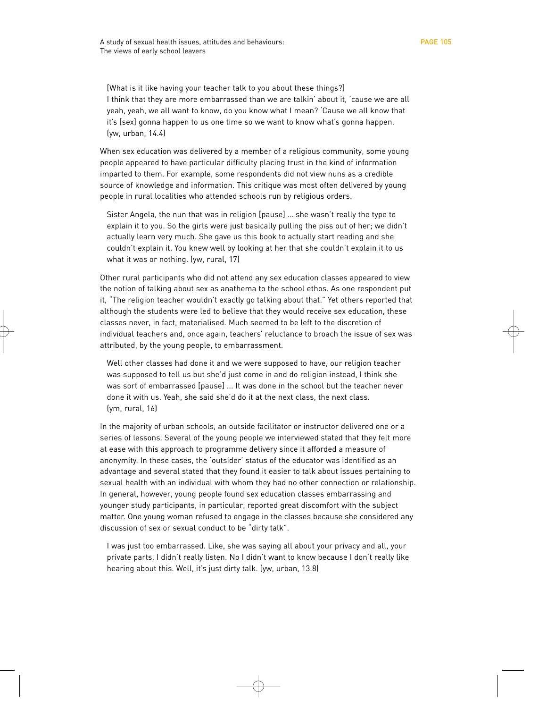[What is it like having your teacher talk to you about these things?] I think that they are more embarrassed than we are talkin' about it, 'cause we are all yeah, yeah, we all want to know, do you know what I mean? 'Cause we all know that it's [sex] gonna happen to us one time so we want to know what's gonna happen. (yw, urban, 14.4)

When sex education was delivered by a member of a religious community, some young people appeared to have particular difficulty placing trust in the kind of information imparted to them. For example, some respondents did not view nuns as a credible source of knowledge and information. This critique was most often delivered by young people in rural localities who attended schools run by religious orders.

Sister Angela, the nun that was in religion [pause] … she wasn't really the type to explain it to you. So the girls were just basically pulling the piss out of her; we didn't actually learn very much. She gave us this book to actually start reading and she couldn't explain it. You knew well by looking at her that she couldn't explain it to us what it was or nothing. (yw, rural, 17)

Other rural participants who did not attend any sex education classes appeared to view the notion of talking about sex as anathema to the school ethos. As one respondent put it, "The religion teacher wouldn't exactly go talking about that." Yet others reported that although the students were led to believe that they would receive sex education, these classes never, in fact, materialised. Much seemed to be left to the discretion of individual teachers and, once again, teachers' reluctance to broach the issue of sex was attributed, by the young people, to embarrassment.

Well other classes had done it and we were supposed to have, our religion teacher was supposed to tell us but she'd just come in and do religion instead, I think she was sort of embarrassed [pause] ... It was done in the school but the teacher never done it with us. Yeah, she said she'd do it at the next class, the next class. (ym, rural, 16)

In the majority of urban schools, an outside facilitator or instructor delivered one or a series of lessons. Several of the young people we interviewed stated that they felt more at ease with this approach to programme delivery since it afforded a measure of anonymity. In these cases, the 'outsider' status of the educator was identified as an advantage and several stated that they found it easier to talk about issues pertaining to sexual health with an individual with whom they had no other connection or relationship. In general, however, young people found sex education classes embarrassing and younger study participants, in particular, reported great discomfort with the subject matter. One young woman refused to engage in the classes because she considered any discussion of sex or sexual conduct to be "dirty talk".

I was just too embarrassed. Like, she was saying all about your privacy and all, your private parts. I didn't really listen. No I didn't want to know because I don't really like hearing about this. Well, it's just dirty talk. (yw, urban, 13.8)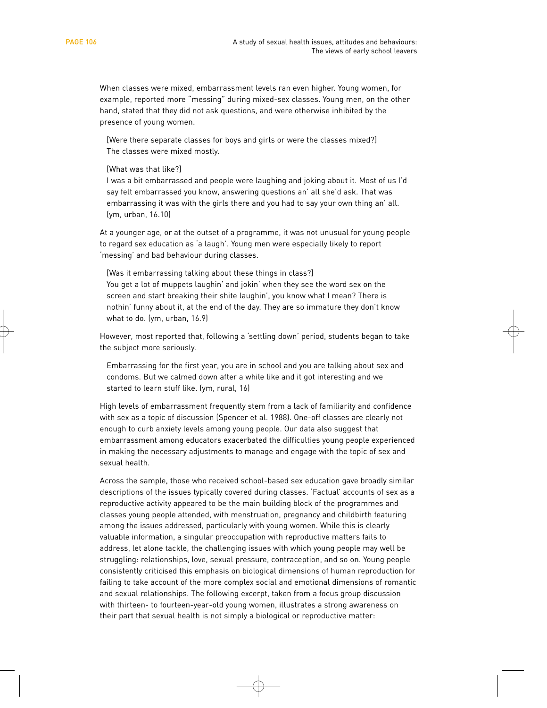When classes were mixed, embarrassment levels ran even higher. Young women, for example, reported more "messing" during mixed-sex classes. Young men, on the other hand, stated that they did not ask questions, and were otherwise inhibited by the presence of young women.

[Were there separate classes for boys and girls or were the classes mixed?] The classes were mixed mostly.

[What was that like?]

I was a bit embarrassed and people were laughing and joking about it. Most of us I'd say felt embarrassed you know, answering questions an' all she'd ask. That was embarrassing it was with the girls there and you had to say your own thing an' all. (ym, urban, 16.10)

At a younger age, or at the outset of a programme, it was not unusual for young people to regard sex education as 'a laugh'. Young men were especially likely to report 'messing' and bad behaviour during classes.

[Was it embarrassing talking about these things in class?] You get a lot of muppets laughin' and jokin' when they see the word sex on the screen and start breaking their shite laughin', you know what I mean? There is nothin' funny about it, at the end of the day. They are so immature they don't know what to do. (ym, urban, 16.9)

However, most reported that, following a 'settling down' period, students began to take the subject more seriously.

Embarrassing for the first year, you are in school and you are talking about sex and condoms. But we calmed down after a while like and it got interesting and we started to learn stuff like. (ym, rural, 16)

High levels of embarrassment frequently stem from a lack of familiarity and confidence with sex as a topic of discussion (Spencer et al. 1988). One-off classes are clearly not enough to curb anxiety levels among young people. Our data also suggest that embarrassment among educators exacerbated the difficulties young people experienced in making the necessary adjustments to manage and engage with the topic of sex and sexual health.

Across the sample, those who received school-based sex education gave broadly similar descriptions of the issues typically covered during classes. 'Factual' accounts of sex as a reproductive activity appeared to be the main building block of the programmes and classes young people attended, with menstruation, pregnancy and childbirth featuring among the issues addressed, particularly with young women. While this is clearly valuable information, a singular preoccupation with reproductive matters fails to address, let alone tackle, the challenging issues with which young people may well be struggling: relationships, love, sexual pressure, contraception, and so on. Young people consistently criticised this emphasis on biological dimensions of human reproduction for failing to take account of the more complex social and emotional dimensions of romantic and sexual relationships. The following excerpt, taken from a focus group discussion with thirteen- to fourteen-year-old young women, illustrates a strong awareness on their part that sexual health is not simply a biological or reproductive matter: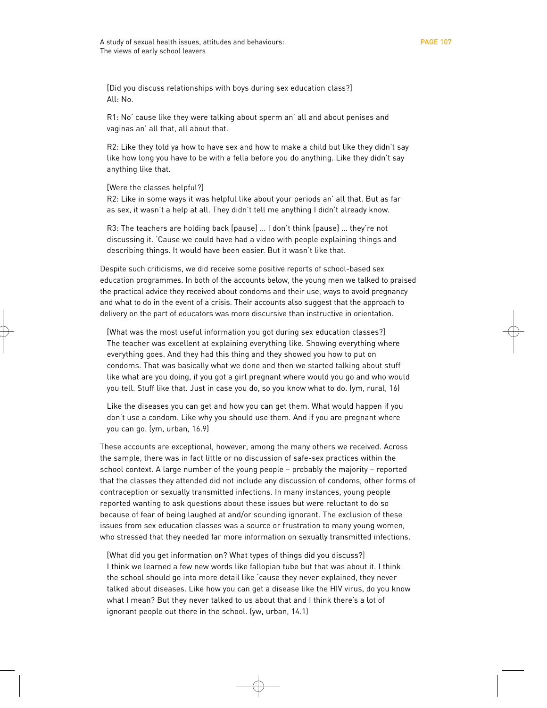[Did you discuss relationships with boys during sex education class?] All: No.

R1: No' cause like they were talking about sperm an' all and about penises and vaginas an' all that, all about that.

R2: Like they told ya how to have sex and how to make a child but like they didn't say like how long you have to be with a fella before you do anything. Like they didn't say anything like that.

[Were the classes helpful?]

R2: Like in some ways it was helpful like about your periods an' all that. But as far as sex, it wasn't a help at all. They didn't tell me anything I didn't already know.

R3: The teachers are holding back [pause] … I don't think [pause] … they're not discussing it. 'Cause we could have had a video with people explaining things and describing things. It would have been easier. But it wasn't like that.

Despite such criticisms, we did receive some positive reports of school-based sex education programmes. In both of the accounts below, the young men we talked to praised the practical advice they received about condoms and their use, ways to avoid pregnancy and what to do in the event of a crisis. Their accounts also suggest that the approach to delivery on the part of educators was more discursive than instructive in orientation.

[What was the most useful information you got during sex education classes?] The teacher was excellent at explaining everything like. Showing everything where everything goes. And they had this thing and they showed you how to put on condoms. That was basically what we done and then we started talking about stuff like what are you doing, if you got a girl pregnant where would you go and who would you tell. Stuff like that. Just in case you do, so you know what to do. (ym, rural, 16)

Like the diseases you can get and how you can get them. What would happen if you don't use a condom. Like why you should use them. And if you are pregnant where you can go. (ym, urban, 16.9)

These accounts are exceptional, however, among the many others we received. Across the sample, there was in fact little or no discussion of safe-sex practices within the school context. A large number of the young people – probably the majority – reported that the classes they attended did not include any discussion of condoms, other forms of contraception or sexually transmitted infections. In many instances, young people reported wanting to ask questions about these issues but were reluctant to do so because of fear of being laughed at and/or sounding ignorant. The exclusion of these issues from sex education classes was a source or frustration to many young women, who stressed that they needed far more information on sexually transmitted infections.

[What did you get information on? What types of things did you discuss?] I think we learned a few new words like fallopian tube but that was about it. I think the school should go into more detail like 'cause they never explained, they never talked about diseases. Like how you can get a disease like the HIV virus, do you know what I mean? But they never talked to us about that and I think there's a lot of ignorant people out there in the school. (yw, urban, 14.1)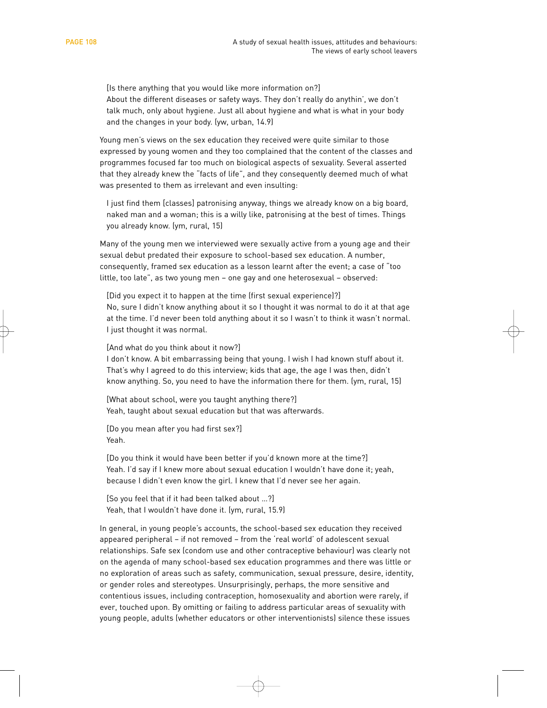[Is there anything that you would like more information on?] About the different diseases or safety ways. They don't really do anythin', we don't talk much, only about hygiene. Just all about hygiene and what is what in your body and the changes in your body. (yw, urban, 14.9)

Young men's views on the sex education they received were quite similar to those expressed by young women and they too complained that the content of the classes and programmes focused far too much on biological aspects of sexuality. Several asserted that they already knew the "facts of life", and they consequently deemed much of what was presented to them as irrelevant and even insulting:

I just find them [classes] patronising anyway, things we already know on a big board, naked man and a woman; this is a willy like, patronising at the best of times. Things you already know. (ym, rural, 15)

Many of the young men we interviewed were sexually active from a young age and their sexual debut predated their exposure to school-based sex education. A number, consequently, framed sex education as a lesson learnt after the event; a case of "too little, too late", as two young men – one gay and one heterosexual – observed:

[Did you expect it to happen at the time (first sexual experience)?] No, sure I didn't know anything about it so I thought it was normal to do it at that age at the time. I'd never been told anything about it so I wasn't to think it wasn't normal. I just thought it was normal.

[And what do you think about it now?]

I don't know. A bit embarrassing being that young. I wish I had known stuff about it. That's why I agreed to do this interview; kids that age, the age I was then, didn't know anything. So, you need to have the information there for them. (ym, rural, 15)

[What about school, were you taught anything there?] Yeah, taught about sexual education but that was afterwards.

[Do you mean after you had first sex?] Yeah.

[Do you think it would have been better if you'd known more at the time?] Yeah. I'd say if I knew more about sexual education I wouldn't have done it; yeah, because I didn't even know the girl. I knew that I'd never see her again.

[So you feel that if it had been talked about …?] Yeah, that I wouldn't have done it. (ym, rural, 15.9)

In general, in young people's accounts, the school-based sex education they received appeared peripheral – if not removed – from the 'real world' of adolescent sexual relationships. Safe sex (condom use and other contraceptive behaviour) was clearly not on the agenda of many school-based sex education programmes and there was little or no exploration of areas such as safety, communication, sexual pressure, desire, identity, or gender roles and stereotypes. Unsurprisingly, perhaps, the more sensitive and contentious issues, including contraception, homosexuality and abortion were rarely, if ever, touched upon. By omitting or failing to address particular areas of sexuality with young people, adults (whether educators or other interventionists) silence these issues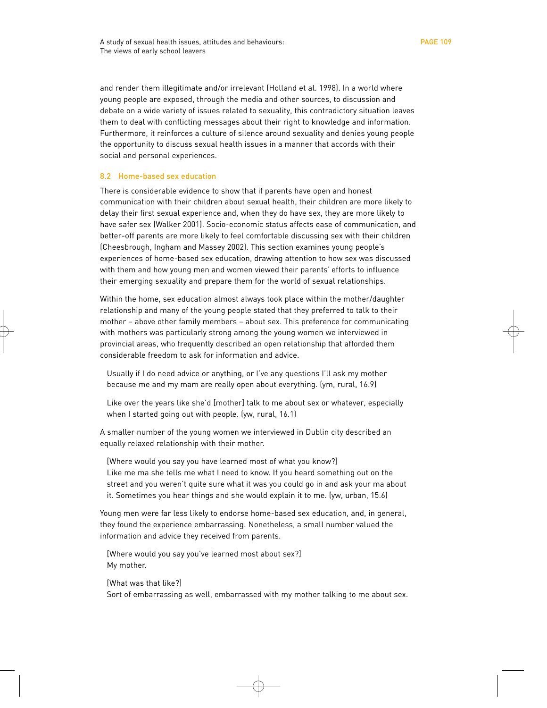and render them illegitimate and/or irrelevant (Holland et al. 1998). In a world where young people are exposed, through the media and other sources, to discussion and debate on a wide variety of issues related to sexuality, this contradictory situation leaves them to deal with conflicting messages about their right to knowledge and information. Furthermore, it reinforces a culture of silence around sexuality and denies young people the opportunity to discuss sexual health issues in a manner that accords with their social and personal experiences.

## 8.2 Home-based sex education

There is considerable evidence to show that if parents have open and honest communication with their children about sexual health, their children are more likely to delay their first sexual experience and, when they do have sex, they are more likely to have safer sex (Walker 2001). Socio-economic status affects ease of communication, and better-off parents are more likely to feel comfortable discussing sex with their children (Cheesbrough, Ingham and Massey 2002). This section examines young people's experiences of home-based sex education, drawing attention to how sex was discussed with them and how young men and women viewed their parents' efforts to influence their emerging sexuality and prepare them for the world of sexual relationships.

Within the home, sex education almost always took place within the mother/daughter relationship and many of the young people stated that they preferred to talk to their mother – above other family members – about sex. This preference for communicating with mothers was particularly strong among the young women we interviewed in provincial areas, who frequently described an open relationship that afforded them considerable freedom to ask for information and advice.

Usually if I do need advice or anything, or I've any questions I'll ask my mother because me and my mam are really open about everything. (ym, rural, 16.9)

Like over the years like she'd [mother] talk to me about sex or whatever, especially when I started going out with people. (yw, rural, 16.1)

A smaller number of the young women we interviewed in Dublin city described an equally relaxed relationship with their mother.

[Where would you say you have learned most of what you know?] Like me ma she tells me what I need to know. If you heard something out on the street and you weren't quite sure what it was you could go in and ask your ma about it. Sometimes you hear things and she would explain it to me. (yw, urban, 15.6)

Young men were far less likely to endorse home-based sex education, and, in general, they found the experience embarrassing. Nonetheless, a small number valued the information and advice they received from parents.

[Where would you say you've learned most about sex?] My mother.

[What was that like?] Sort of embarrassing as well, embarrassed with my mother talking to me about sex.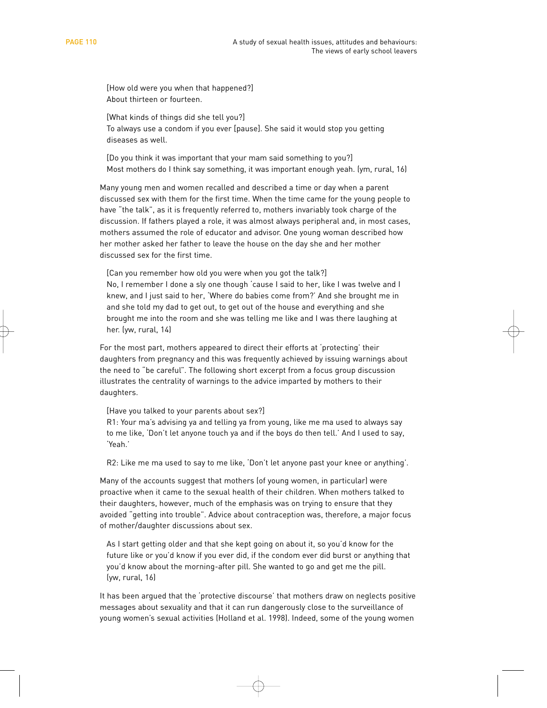[How old were you when that happened?] About thirteen or fourteen.

[What kinds of things did she tell you?] To always use a condom if you ever [pause]. She said it would stop you getting diseases as well.

[Do you think it was important that your mam said something to you?] Most mothers do I think say something, it was important enough yeah. (ym, rural, 16)

Many young men and women recalled and described a time or day when a parent discussed sex with them for the first time. When the time came for the young people to have "the talk", as it is frequently referred to, mothers invariably took charge of the discussion. If fathers played a role, it was almost always peripheral and, in most cases, mothers assumed the role of educator and advisor. One young woman described how her mother asked her father to leave the house on the day she and her mother discussed sex for the first time.

[Can you remember how old you were when you got the talk?] No, I remember I done a sly one though 'cause I said to her, like I was twelve and I knew, and I just said to her, 'Where do babies come from?' And she brought me in and she told my dad to get out, to get out of the house and everything and she brought me into the room and she was telling me like and I was there laughing at her. (yw, rural, 14)

For the most part, mothers appeared to direct their efforts at 'protecting' their daughters from pregnancy and this was frequently achieved by issuing warnings about the need to "be careful". The following short excerpt from a focus group discussion illustrates the centrality of warnings to the advice imparted by mothers to their daughters.

[Have you talked to your parents about sex?]

R1: Your ma's advising ya and telling ya from young, like me ma used to always say to me like, 'Don't let anyone touch ya and if the boys do then tell.' And I used to say, 'Yeah.'

R2: Like me ma used to say to me like, 'Don't let anyone past your knee or anything'.

Many of the accounts suggest that mothers (of young women, in particular) were proactive when it came to the sexual health of their children. When mothers talked to their daughters, however, much of the emphasis was on trying to ensure that they avoided "getting into trouble". Advice about contraception was, therefore, a major focus of mother/daughter discussions about sex.

As I start getting older and that she kept going on about it, so you'd know for the future like or you'd know if you ever did, if the condom ever did burst or anything that you'd know about the morning-after pill. She wanted to go and get me the pill. (yw, rural, 16)

It has been argued that the 'protective discourse' that mothers draw on neglects positive messages about sexuality and that it can run dangerously close to the surveillance of young women's sexual activities (Holland et al. 1998). Indeed, some of the young women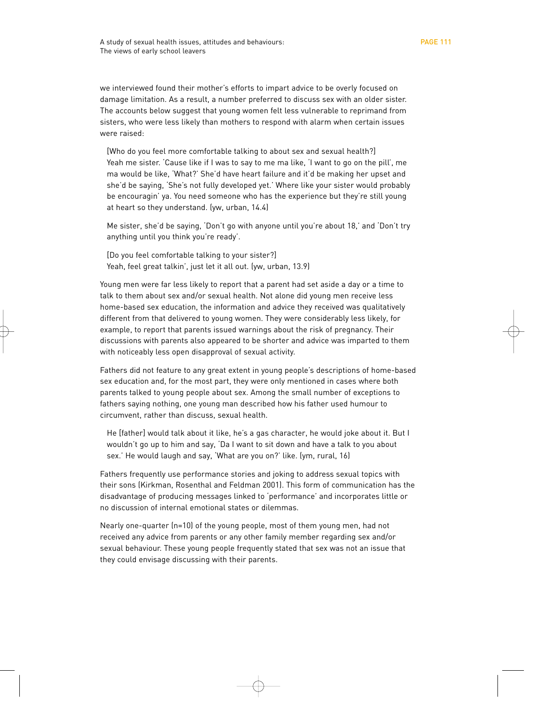we interviewed found their mother's efforts to impart advice to be overly focused on damage limitation. As a result, a number preferred to discuss sex with an older sister. The accounts below suggest that young women felt less vulnerable to reprimand from sisters, who were less likely than mothers to respond with alarm when certain issues were raised:

[Who do you feel more comfortable talking to about sex and sexual health?] Yeah me sister. 'Cause like if I was to say to me ma like, 'I want to go on the pill', me ma would be like, 'What?' She'd have heart failure and it'd be making her upset and she'd be saying, 'She's not fully developed yet.' Where like your sister would probably be encouragin' ya. You need someone who has the experience but they're still young at heart so they understand. (yw, urban, 14.4)

Me sister, she'd be saying, 'Don't go with anyone until you're about 18,' and 'Don't try anything until you think you're ready'.

[Do you feel comfortable talking to your sister?] Yeah, feel great talkin', just let it all out. (yw, urban, 13.9)

Young men were far less likely to report that a parent had set aside a day or a time to talk to them about sex and/or sexual health. Not alone did young men receive less home-based sex education, the information and advice they received was qualitatively different from that delivered to young women. They were considerably less likely, for example, to report that parents issued warnings about the risk of pregnancy. Their discussions with parents also appeared to be shorter and advice was imparted to them with noticeably less open disapproval of sexual activity.

Fathers did not feature to any great extent in young people's descriptions of home-based sex education and, for the most part, they were only mentioned in cases where both parents talked to young people about sex. Among the small number of exceptions to fathers saying nothing, one young man described how his father used humour to circumvent, rather than discuss, sexual health.

He [father] would talk about it like, he's a gas character, he would joke about it. But I wouldn't go up to him and say, 'Da I want to sit down and have a talk to you about sex.' He would laugh and say, 'What are you on?' like. (ym, rural, 16)

Fathers frequently use performance stories and joking to address sexual topics with their sons (Kirkman, Rosenthal and Feldman 2001). This form of communication has the disadvantage of producing messages linked to 'performance' and incorporates little or no discussion of internal emotional states or dilemmas.

Nearly one-quarter (n=10) of the young people, most of them young men, had not received any advice from parents or any other family member regarding sex and/or sexual behaviour. These young people frequently stated that sex was not an issue that they could envisage discussing with their parents.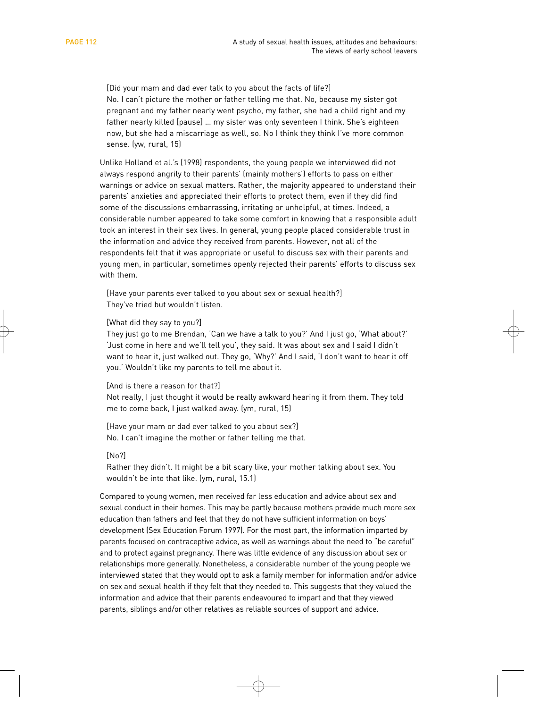[Did your mam and dad ever talk to you about the facts of life?] No. I can't picture the mother or father telling me that. No, because my sister got pregnant and my father nearly went psycho, my father, she had a child right and my father nearly killed [pause] … my sister was only seventeen I think. She's eighteen now, but she had a miscarriage as well, so. No I think they think I've more common sense. (yw, rural, 15)

Unlike Holland et al.'s (1998) respondents, the young people we interviewed did not always respond angrily to their parents' (mainly mothers') efforts to pass on either warnings or advice on sexual matters. Rather, the majority appeared to understand their parents' anxieties and appreciated their efforts to protect them, even if they did find some of the discussions embarrassing, irritating or unhelpful, at times. Indeed, a considerable number appeared to take some comfort in knowing that a responsible adult took an interest in their sex lives. In general, young people placed considerable trust in the information and advice they received from parents. However, not all of the respondents felt that it was appropriate or useful to discuss sex with their parents and young men, in particular, sometimes openly rejected their parents' efforts to discuss sex with them.

[Have your parents ever talked to you about sex or sexual health?] They've tried but wouldn't listen.

## [What did they say to you?]

They just go to me Brendan, 'Can we have a talk to you?' And I just go, 'What about?' 'Just come in here and we'll tell you', they said. It was about sex and I said I didn't want to hear it, just walked out. They go, 'Why?' And I said, 'I don't want to hear it off you.' Wouldn't like my parents to tell me about it.

#### [And is there a reason for that?]

Not really, I just thought it would be really awkward hearing it from them. They told me to come back, I just walked away. (ym, rural, 15)

[Have your mam or dad ever talked to you about sex?] No. I can't imagine the mother or father telling me that.

#### [No?]

Rather they didn't. It might be a bit scary like, your mother talking about sex. You wouldn't be into that like. (ym, rural, 15.1)

Compared to young women, men received far less education and advice about sex and sexual conduct in their homes. This may be partly because mothers provide much more sex education than fathers and feel that they do not have sufficient information on boys' development (Sex Education Forum 1997). For the most part, the information imparted by parents focused on contraceptive advice, as well as warnings about the need to "be careful" and to protect against pregnancy. There was little evidence of any discussion about sex or relationships more generally. Nonetheless, a considerable number of the young people we interviewed stated that they would opt to ask a family member for information and/or advice on sex and sexual health if they felt that they needed to. This suggests that they valued the information and advice that their parents endeavoured to impart and that they viewed parents, siblings and/or other relatives as reliable sources of support and advice.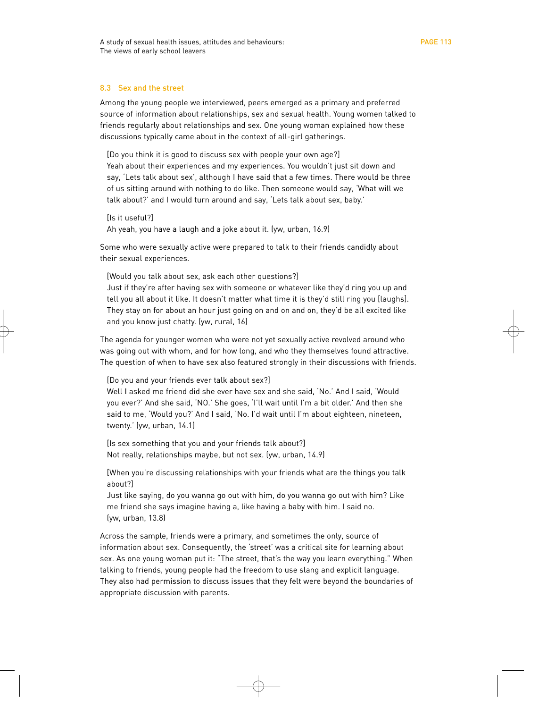## 8.3 Sex and the street

Among the young people we interviewed, peers emerged as a primary and preferred source of information about relationships, sex and sexual health. Young women talked to friends regularly about relationships and sex. One young woman explained how these discussions typically came about in the context of all-girl gatherings.

[Do you think it is good to discuss sex with people your own age?] Yeah about their experiences and my experiences. You wouldn't just sit down and say, 'Lets talk about sex', although I have said that a few times. There would be three of us sitting around with nothing to do like. Then someone would say, 'What will we talk about?' and I would turn around and say, 'Lets talk about sex, baby.'

[Is it useful?] Ah yeah, you have a laugh and a joke about it. (yw, urban, 16.9)

Some who were sexually active were prepared to talk to their friends candidly about their sexual experiences.

[Would you talk about sex, ask each other questions?] Just if they're after having sex with someone or whatever like they'd ring you up and tell you all about it like. It doesn't matter what time it is they'd still ring you [laughs]. They stay on for about an hour just going on and on and on, they'd be all excited like and you know just chatty. (yw, rural, 16)

The agenda for younger women who were not yet sexually active revolved around who was going out with whom, and for how long, and who they themselves found attractive. The question of when to have sex also featured strongly in their discussions with friends.

[Do you and your friends ever talk about sex?]

Well I asked me friend did she ever have sex and she said, 'No.' And I said, 'Would you ever?' And she said, 'NO.' She goes, 'I'll wait until I'm a bit older.' And then she said to me, 'Would you?' And I said, 'No. I'd wait until I'm about eighteen, nineteen, twenty.' (yw, urban, 14.1)

[Is sex something that you and your friends talk about?] Not really, relationships maybe, but not sex. (yw, urban, 14.9)

[When you're discussing relationships with your friends what are the things you talk about?]

Just like saying, do you wanna go out with him, do you wanna go out with him? Like me friend she says imagine having a, like having a baby with him. I said no. (yw, urban, 13.8)

Across the sample, friends were a primary, and sometimes the only, source of information about sex. Consequently, the 'street' was a critical site for learning about sex. As one young woman put it: "The street, that's the way you learn everything." When talking to friends, young people had the freedom to use slang and explicit language. They also had permission to discuss issues that they felt were beyond the boundaries of appropriate discussion with parents.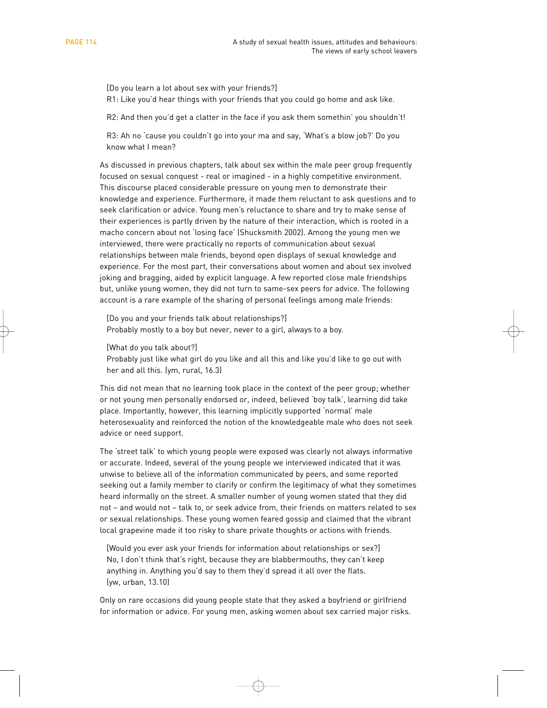[Do you learn a lot about sex with your friends?] R1: Like you'd hear things with your friends that you could go home and ask like.

R2: And then you'd get a clatter in the face if you ask them somethin' you shouldn't!

R3: Ah no 'cause you couldn't go into your ma and say, 'What's a blow job?' Do you know what I mean?

As discussed in previous chapters, talk about sex within the male peer group frequently focused on sexual conquest - real or imagined - in a highly competitive environment. This discourse placed considerable pressure on young men to demonstrate their knowledge and experience. Furthermore, it made them reluctant to ask questions and to seek clarification or advice. Young men's reluctance to share and try to make sense of their experiences is partly driven by the nature of their interaction, which is rooted in a macho concern about not 'losing face' (Shucksmith 2002). Among the young men we interviewed, there were practically no reports of communication about sexual relationships between male friends, beyond open displays of sexual knowledge and experience. For the most part, their conversations about women and about sex involved joking and bragging, aided by explicit language. A few reported close male friendships but, unlike young women, they did not turn to same-sex peers for advice. The following account is a rare example of the sharing of personal feelings among male friends:

[Do you and your friends talk about relationships?] Probably mostly to a boy but never, never to a girl, always to a boy.

[What do you talk about?]

Probably just like what girl do you like and all this and like you'd like to go out with her and all this. (ym, rural, 16.3)

This did not mean that no learning took place in the context of the peer group; whether or not young men personally endorsed or, indeed, believed 'boy talk', learning did take place. Importantly, however, this learning implicitly supported 'normal' male heterosexuality and reinforced the notion of the knowledgeable male who does not seek advice or need support.

The 'street talk' to which young people were exposed was clearly not always informative or accurate. Indeed, several of the young people we interviewed indicated that it was unwise to believe all of the information communicated by peers, and some reported seeking out a family member to clarify or confirm the legitimacy of what they sometimes heard informally on the street. A smaller number of young women stated that they did not – and would not – talk to, or seek advice from, their friends on matters related to sex or sexual relationships. These young women feared gossip and claimed that the vibrant local grapevine made it too risky to share private thoughts or actions with friends.

[Would you ever ask your friends for information about relationships or sex?] No, I don't think that's right, because they are blabbermouths, they can't keep anything in. Anything you'd say to them they'd spread it all over the flats. (yw, urban, 13.10)

Only on rare occasions did young people state that they asked a boyfriend or girlfriend for information or advice. For young men, asking women about sex carried major risks.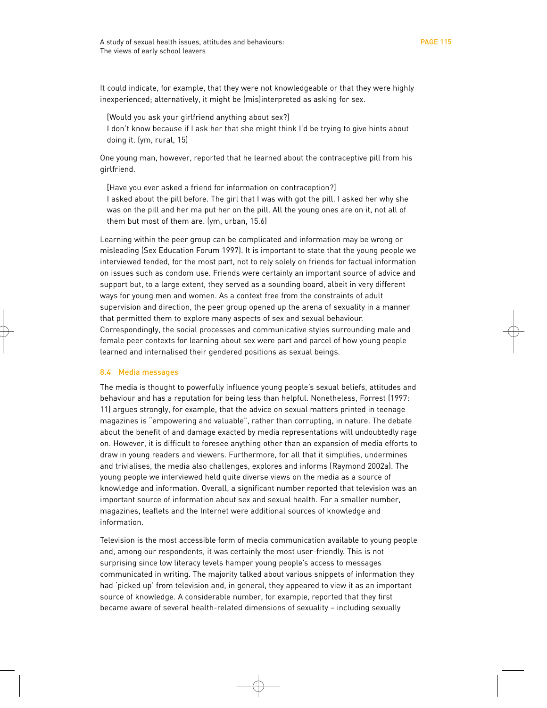It could indicate, for example, that they were not knowledgeable or that they were highly inexperienced; alternatively, it might be (mis)interpreted as asking for sex.

[Would you ask your girlfriend anything about sex?]

I don't know because if I ask her that she might think I'd be trying to give hints about doing it. (ym, rural, 15)

One young man, however, reported that he learned about the contraceptive pill from his girlfriend.

[Have you ever asked a friend for information on contraception?] I asked about the pill before. The girl that I was with got the pill. I asked her why she was on the pill and her ma put her on the pill. All the young ones are on it, not all of them but most of them are. (ym, urban, 15.6)

Learning within the peer group can be complicated and information may be wrong or misleading (Sex Education Forum 1997). It is important to state that the young people we interviewed tended, for the most part, not to rely solely on friends for factual information on issues such as condom use. Friends were certainly an important source of advice and support but, to a large extent, they served as a sounding board, albeit in very different ways for young men and women. As a context free from the constraints of adult supervision and direction, the peer group opened up the arena of sexuality in a manner that permitted them to explore many aspects of sex and sexual behaviour. Correspondingly, the social processes and communicative styles surrounding male and female peer contexts for learning about sex were part and parcel of how young people learned and internalised their gendered positions as sexual beings.

## 8.4 Media messages

The media is thought to powerfully influence young people's sexual beliefs, attitudes and behaviour and has a reputation for being less than helpful. Nonetheless, Forrest (1997: 11) argues strongly, for example, that the advice on sexual matters printed in teenage magazines is "empowering and valuable", rather than corrupting, in nature. The debate about the benefit of and damage exacted by media representations will undoubtedly rage on. However, it is difficult to foresee anything other than an expansion of media efforts to draw in young readers and viewers. Furthermore, for all that it simplifies, undermines and trivialises, the media also challenges, explores and informs (Raymond 2002a). The young people we interviewed held quite diverse views on the media as a source of knowledge and information. Overall, a significant number reported that television was an important source of information about sex and sexual health. For a smaller number, magazines, leaflets and the Internet were additional sources of knowledge and information.

Television is the most accessible form of media communication available to young people and, among our respondents, it was certainly the most user-friendly. This is not surprising since low literacy levels hamper young people's access to messages communicated in writing. The majority talked about various snippets of information they had 'picked up' from television and, in general, they appeared to view it as an important source of knowledge. A considerable number, for example, reported that they first became aware of several health-related dimensions of sexuality – including sexually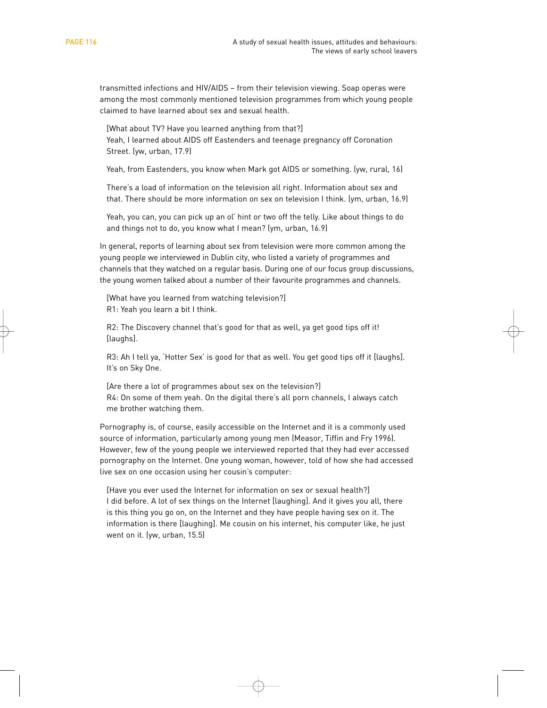transmitted infections and HIV/AIDS – from their television viewing. Soap operas were among the most commonly mentioned television programmes from which young people claimed to have learned about sex and sexual health.

[What about TV? Have you learned anything from that?] Yeah, I learned about AIDS off Eastenders and teenage pregnancy off Coronation Street. (yw, urban, 17.9)

Yeah, from Eastenders, you know when Mark got AIDS or something. (yw, rural, 16)

There's a load of information on the television all right. Information about sex and that. There should be more information on sex on television I think. (ym, urban, 16.9)

Yeah, you can, you can pick up an ol' hint or two off the telly. Like about things to do and things not to do, you know what I mean? (ym, urban, 16.9)

In general, reports of learning about sex from television were more common among the young people we interviewed in Dublin city, who listed a variety of programmes and channels that they watched on a regular basis. During one of our focus group discussions, the young women talked about a number of their favourite programmes and channels.

[What have you learned from watching television?] R1: Yeah you learn a bit I think.

R2: The Discovery channel that's good for that as well, ya get good tips off it! [laughs].

R3: Ah I tell ya, 'Hotter Sex' is good for that as well. You get good tips off it [laughs]. It's on Sky One.

[Are there a lot of programmes about sex on the television?] R4: On some of them yeah. On the digital there's all porn channels, I always catch me brother watching them.

Pornography is, of course, easily accessible on the Internet and it is a commonly used source of information, particularly among young men (Measor, Tiffin and Fry 1996). However, few of the young people we interviewed reported that they had ever accessed pornography on the Internet. One young woman, however, told of how she had accessed live sex on one occasion using her cousin's computer:

[Have you ever used the Internet for information on sex or sexual health?] I did before. A lot of sex things on the Internet [laughing]. And it gives you all, there is this thing you go on, on the Internet and they have people having sex on it. The information is there [laughing]. Me cousin on his internet, his computer like, he just went on it. (yw, urban, 15.5)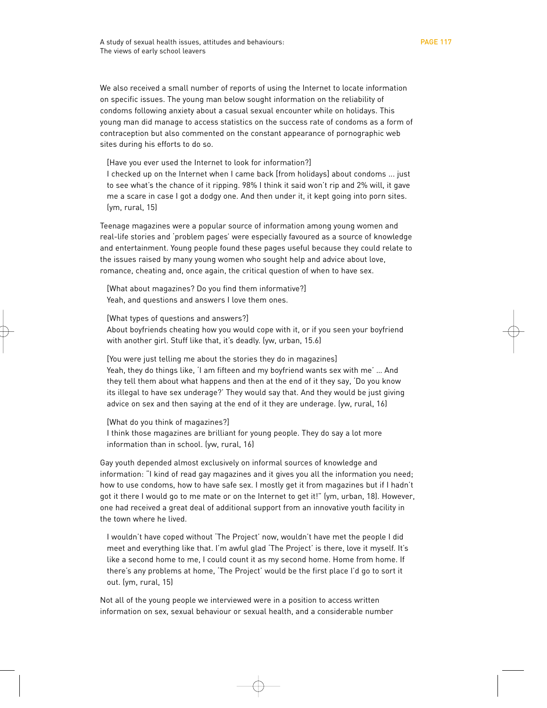We also received a small number of reports of using the Internet to locate information on specific issues. The young man below sought information on the reliability of condoms following anxiety about a casual sexual encounter while on holidays. This young man did manage to access statistics on the success rate of condoms as a form of contraception but also commented on the constant appearance of pornographic web sites during his efforts to do so.

[Have you ever used the Internet to look for information?] I checked up on the Internet when I came back [from holidays] about condoms ... just to see what's the chance of it ripping. 98% I think it said won't rip and 2% will, it gave me a scare in case I got a dodgy one. And then under it, it kept going into porn sites. (ym, rural, 15)

Teenage magazines were a popular source of information among young women and real-life stories and 'problem pages' were especially favoured as a source of knowledge and entertainment. Young people found these pages useful because they could relate to the issues raised by many young women who sought help and advice about love, romance, cheating and, once again, the critical question of when to have sex.

[What about magazines? Do you find them informative?] Yeah, and questions and answers I love them ones.

[What types of questions and answers?]

About boyfriends cheating how you would cope with it, or if you seen your boyfriend with another girl. Stuff like that, it's deadly. (yw, urban, 15.6)

[You were just telling me about the stories they do in magazines] Yeah, they do things like, 'I am fifteen and my boyfriend wants sex with me' … And they tell them about what happens and then at the end of it they say, 'Do you know its illegal to have sex underage?' They would say that. And they would be just giving advice on sex and then saying at the end of it they are underage. (yw, rural, 16)

[What do you think of magazines?] I think those magazines are brilliant for young people. They do say a lot more information than in school. (yw, rural, 16)

Gay youth depended almost exclusively on informal sources of knowledge and information: "I kind of read gay magazines and it gives you all the information you need; how to use condoms, how to have safe sex. I mostly get it from magazines but if I hadn't got it there I would go to me mate or on the Internet to get it!" (ym, urban, 18). However, one had received a great deal of additional support from an innovative youth facility in the town where he lived.

I wouldn't have coped without 'The Project' now, wouldn't have met the people I did meet and everything like that. I'm awful glad 'The Project' is there, love it myself. It's like a second home to me, I could count it as my second home. Home from home. If there's any problems at home, 'The Project' would be the first place I'd go to sort it out. (ym, rural, 15)

Not all of the young people we interviewed were in a position to access written information on sex, sexual behaviour or sexual health, and a considerable number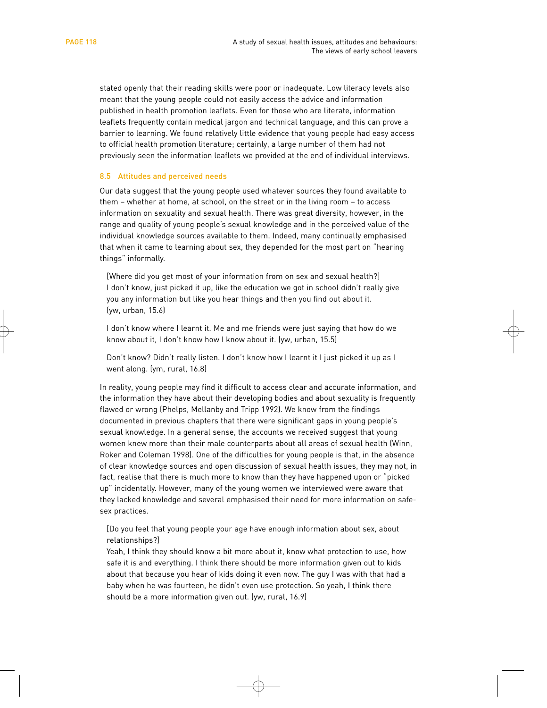stated openly that their reading skills were poor or inadequate. Low literacy levels also meant that the young people could not easily access the advice and information published in health promotion leaflets. Even for those who are literate, information leaflets frequently contain medical jargon and technical language, and this can prove a barrier to learning. We found relatively little evidence that young people had easy access to official health promotion literature; certainly, a large number of them had not previously seen the information leaflets we provided at the end of individual interviews.

## 8.5 Attitudes and perceived needs

Our data suggest that the young people used whatever sources they found available to them – whether at home, at school, on the street or in the living room – to access information on sexuality and sexual health. There was great diversity, however, in the range and quality of young people's sexual knowledge and in the perceived value of the individual knowledge sources available to them. Indeed, many continually emphasised that when it came to learning about sex, they depended for the most part on "hearing things" informally.

[Where did you get most of your information from on sex and sexual health?] I don't know, just picked it up, like the education we got in school didn't really give you any information but like you hear things and then you find out about it. (yw, urban, 15.6)

I don't know where I learnt it. Me and me friends were just saying that how do we know about it, I don't know how I know about it. (yw, urban, 15.5)

Don't know? Didn't really listen. I don't know how I learnt it I just picked it up as I went along. (ym, rural, 16.8)

In reality, young people may find it difficult to access clear and accurate information, and the information they have about their developing bodies and about sexuality is frequently flawed or wrong (Phelps, Mellanby and Tripp 1992). We know from the findings documented in previous chapters that there were significant gaps in young people's sexual knowledge. In a general sense, the accounts we received suggest that young women knew more than their male counterparts about all areas of sexual health (Winn, Roker and Coleman 1998). One of the difficulties for young people is that, in the absence of clear knowledge sources and open discussion of sexual health issues, they may not, in fact, realise that there is much more to know than they have happened upon or "picked up" incidentally. However, many of the young women we interviewed were aware that they lacked knowledge and several emphasised their need for more information on safesex practices.

[Do you feel that young people your age have enough information about sex, about relationships?]

Yeah, I think they should know a bit more about it, know what protection to use, how safe it is and everything. I think there should be more information given out to kids about that because you hear of kids doing it even now. The guy I was with that had a baby when he was fourteen, he didn't even use protection. So yeah, I think there should be a more information given out. (yw, rural, 16.9)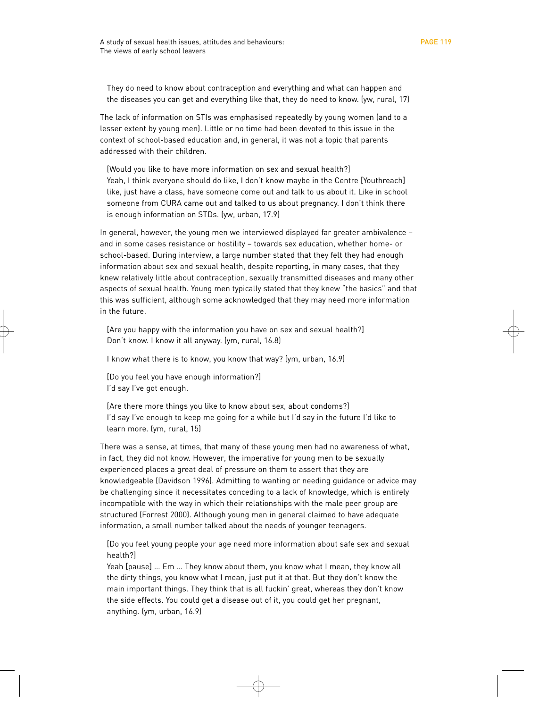The lack of information on STIs was emphasised repeatedly by young women (and to a lesser extent by young men). Little or no time had been devoted to this issue in the context of school-based education and, in general, it was not a topic that parents addressed with their children.

[Would you like to have more information on sex and sexual health?] Yeah, I think everyone should do like, I don't know maybe in the Centre [Youthreach] like, just have a class, have someone come out and talk to us about it. Like in school someone from CURA came out and talked to us about pregnancy. I don't think there is enough information on STDs. (yw, urban, 17.9)

In general, however, the young men we interviewed displayed far greater ambivalence – and in some cases resistance or hostility – towards sex education, whether home- or school-based. During interview, a large number stated that they felt they had enough information about sex and sexual health, despite reporting, in many cases, that they knew relatively little about contraception, sexually transmitted diseases and many other aspects of sexual health. Young men typically stated that they knew "the basics" and that this was sufficient, although some acknowledged that they may need more information in the future.

[Are you happy with the information you have on sex and sexual health?] Don't know. I know it all anyway. (ym, rural, 16.8)

I know what there is to know, you know that way? (ym, urban, 16.9)

[Do you feel you have enough information?] I'd say I've got enough.

[Are there more things you like to know about sex, about condoms?] I'd say I've enough to keep me going for a while but I'd say in the future I'd like to learn more. (ym, rural, 15)

There was a sense, at times, that many of these young men had no awareness of what, in fact, they did not know. However, the imperative for young men to be sexually experienced places a great deal of pressure on them to assert that they are knowledgeable (Davidson 1996). Admitting to wanting or needing guidance or advice may be challenging since it necessitates conceding to a lack of knowledge, which is entirely incompatible with the way in which their relationships with the male peer group are structured (Forrest 2000). Although young men in general claimed to have adequate information, a small number talked about the needs of younger teenagers.

[Do you feel young people your age need more information about safe sex and sexual health?]

Yeah [pause] … Em … They know about them, you know what I mean, they know all the dirty things, you know what I mean, just put it at that. But they don't know the main important things. They think that is all fuckin' great, whereas they don't know the side effects. You could get a disease out of it, you could get her pregnant, anything. (ym, urban, 16.9)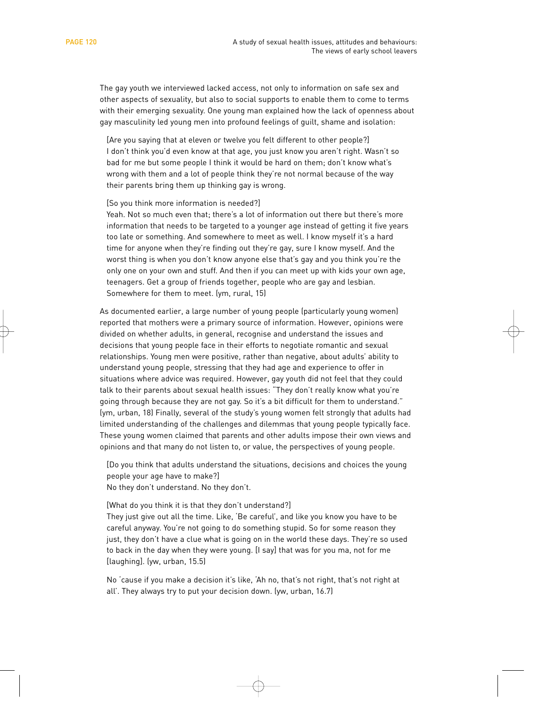The gay youth we interviewed lacked access, not only to information on safe sex and other aspects of sexuality, but also to social supports to enable them to come to terms with their emerging sexuality. One young man explained how the lack of openness about gay masculinity led young men into profound feelings of guilt, shame and isolation:

[Are you saying that at eleven or twelve you felt different to other people?] I don't think you'd even know at that age, you just know you aren't right. Wasn't so bad for me but some people I think it would be hard on them; don't know what's wrong with them and a lot of people think they're not normal because of the way their parents bring them up thinking gay is wrong.

## [So you think more information is needed?]

Yeah. Not so much even that; there's a lot of information out there but there's more information that needs to be targeted to a younger age instead of getting it five years too late or something. And somewhere to meet as well. I know myself it's a hard time for anyone when they're finding out they're gay, sure I know myself. And the worst thing is when you don't know anyone else that's gay and you think you're the only one on your own and stuff. And then if you can meet up with kids your own age, teenagers. Get a group of friends together, people who are gay and lesbian. Somewhere for them to meet. (ym, rural, 15)

As documented earlier, a large number of young people (particularly young women) reported that mothers were a primary source of information. However, opinions were divided on whether adults, in general, recognise and understand the issues and decisions that young people face in their efforts to negotiate romantic and sexual relationships. Young men were positive, rather than negative, about adults' ability to understand young people, stressing that they had age and experience to offer in situations where advice was required. However, gay youth did not feel that they could talk to their parents about sexual health issues: "They don't really know what you're going through because they are not gay. So it's a bit difficult for them to understand." (ym, urban, 18) Finally, several of the study's young women felt strongly that adults had limited understanding of the challenges and dilemmas that young people typically face. These young women claimed that parents and other adults impose their own views and opinions and that many do not listen to, or value, the perspectives of young people.

[Do you think that adults understand the situations, decisions and choices the young people your age have to make?] No they don't understand. No they don't.

[What do you think it is that they don't understand?]

They just give out all the time. Like, 'Be careful', and like you know you have to be careful anyway. You're not going to do something stupid. So for some reason they just, they don't have a clue what is going on in the world these days. They're so used to back in the day when they were young. [I say] that was for you ma, not for me [laughing]. (yw, urban, 15.5)

No 'cause if you make a decision it's like, 'Ah no, that's not right, that's not right at all'. They always try to put your decision down. (yw, urban, 16.7)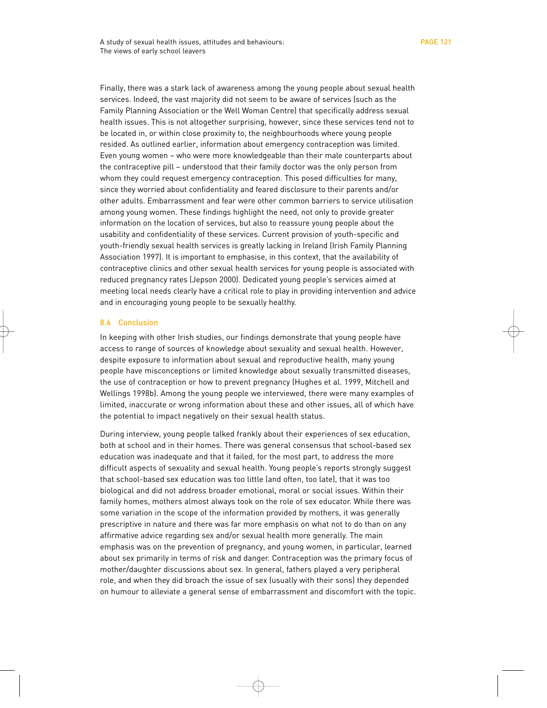Finally, there was a stark lack of awareness among the young people about sexual health services. Indeed, the vast majority did not seem to be aware of services (such as the Family Planning Association or the Well Woman Centre) that specifically address sexual health issues. This is not altogether surprising, however, since these services tend not to be located in, or within close proximity to, the neighbourhoods where young people resided. As outlined earlier, information about emergency contraception was limited. Even young women – who were more knowledgeable than their male counterparts about the contraceptive pill – understood that their family doctor was the only person from whom they could request emergency contraception. This posed difficulties for many, since they worried about confidentiality and feared disclosure to their parents and/or other adults. Embarrassment and fear were other common barriers to service utilisation among young women. These findings highlight the need, not only to provide greater information on the location of services, but also to reassure young people about the usability and confidentiality of these services. Current provision of youth-specific and youth-friendly sexual health services is greatly lacking in Ireland (Irish Family Planning Association 1997). It is important to emphasise, in this context, that the availability of contraceptive clinics and other sexual health services for young people is associated with reduced pregnancy rates (Jepson 2000). Dedicated young people's services aimed at meeting local needs clearly have a critical role to play in providing intervention and advice and in encouraging young people to be sexually healthy.

## 8.6 Conclusion

In keeping with other Irish studies, our findings demonstrate that young people have access to range of sources of knowledge about sexuality and sexual health. However, despite exposure to information about sexual and reproductive health, many young people have misconceptions or limited knowledge about sexually transmitted diseases, the use of contraception or how to prevent pregnancy (Hughes et al. 1999, Mitchell and Wellings 1998b). Among the young people we interviewed, there were many examples of limited, inaccurate or wrong information about these and other issues, all of which have the potential to impact negatively on their sexual health status.

During interview, young people talked frankly about their experiences of sex education, both at school and in their homes. There was general consensus that school-based sex education was inadequate and that it failed, for the most part, to address the more difficult aspects of sexuality and sexual health. Young people's reports strongly suggest that school-based sex education was too little (and often, too late), that it was too biological and did not address broader emotional, moral or social issues. Within their family homes, mothers almost always took on the role of sex educator. While there was some variation in the scope of the information provided by mothers, it was generally prescriptive in nature and there was far more emphasis on what not to do than on any affirmative advice regarding sex and/or sexual health more generally. The main emphasis was on the prevention of pregnancy, and young women, in particular, learned about sex primarily in terms of risk and danger. Contraception was the primary focus of mother/daughter discussions about sex. In general, fathers played a very peripheral role, and when they did broach the issue of sex (usually with their sons) they depended on humour to alleviate a general sense of embarrassment and discomfort with the topic.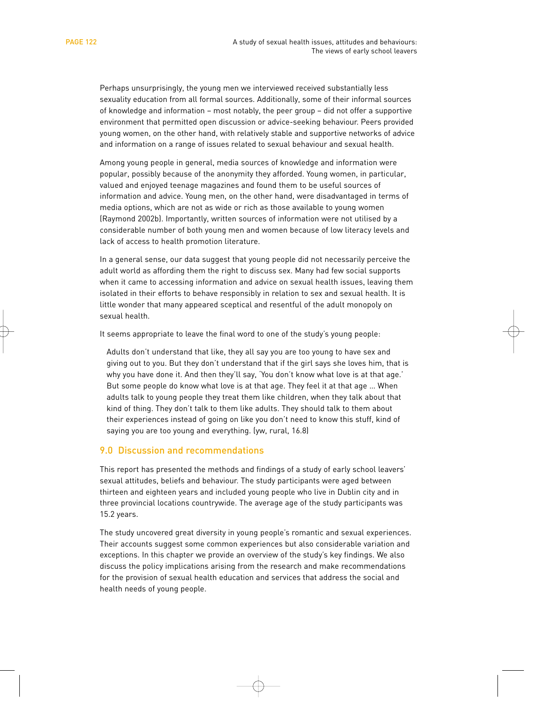Perhaps unsurprisingly, the young men we interviewed received substantially less sexuality education from all formal sources. Additionally, some of their informal sources of knowledge and information – most notably, the peer group – did not offer a supportive environment that permitted open discussion or advice-seeking behaviour. Peers provided young women, on the other hand, with relatively stable and supportive networks of advice and information on a range of issues related to sexual behaviour and sexual health.

Among young people in general, media sources of knowledge and information were popular, possibly because of the anonymity they afforded. Young women, in particular, valued and enjoyed teenage magazines and found them to be useful sources of information and advice. Young men, on the other hand, were disadvantaged in terms of media options, which are not as wide or rich as those available to young women (Raymond 2002b). Importantly, written sources of information were not utilised by a considerable number of both young men and women because of low literacy levels and lack of access to health promotion literature.

In a general sense, our data suggest that young people did not necessarily perceive the adult world as affording them the right to discuss sex. Many had few social supports when it came to accessing information and advice on sexual health issues, leaving them isolated in their efforts to behave responsibly in relation to sex and sexual health. It is little wonder that many appeared sceptical and resentful of the adult monopoly on sexual health.

It seems appropriate to leave the final word to one of the study's young people:

Adults don't understand that like, they all say you are too young to have sex and giving out to you. But they don't understand that if the girl says she loves him, that is why you have done it. And then they'll say, 'You don't know what love is at that age.' But some people do know what love is at that age. They feel it at that age … When adults talk to young people they treat them like children, when they talk about that kind of thing. They don't talk to them like adults. They should talk to them about their experiences instead of going on like you don't need to know this stuff, kind of saying you are too young and everything. (yw, rural, 16.8)

# 9.0 Discussion and recommendations

This report has presented the methods and findings of a study of early school leavers' sexual attitudes, beliefs and behaviour. The study participants were aged between thirteen and eighteen years and included young people who live in Dublin city and in three provincial locations countrywide. The average age of the study participants was 15.2 years.

The study uncovered great diversity in young people's romantic and sexual experiences. Their accounts suggest some common experiences but also considerable variation and exceptions. In this chapter we provide an overview of the study's key findings. We also discuss the policy implications arising from the research and make recommendations for the provision of sexual health education and services that address the social and health needs of young people.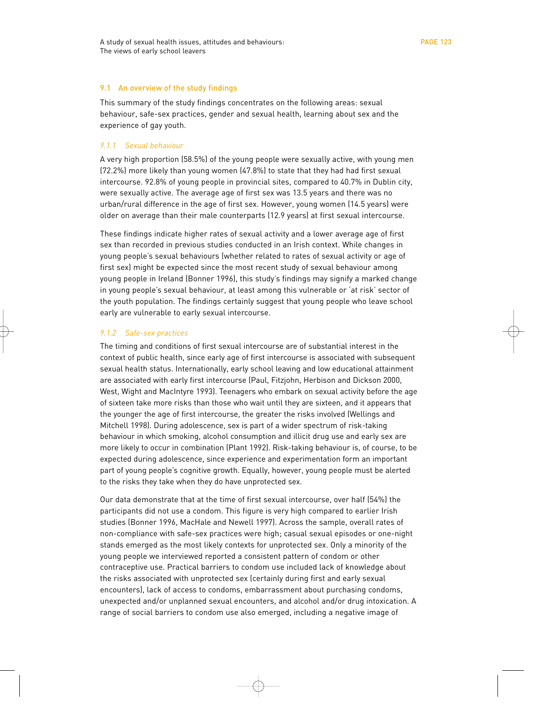## 9.1 An overview of the study findings

This summary of the study findings concentrates on the following areas: sexual behaviour, safe-sex practices, gender and sexual health, learning about sex and the experience of gay youth.

#### *9.1.1 Sexual behaviour*

A very high proportion (58.5%) of the young people were sexually active, with young men (72.2%) more likely than young women (47.8%) to state that they had had first sexual intercourse. 92.8% of young people in provincial sites, compared to 40.7% in Dublin city, were sexually active. The average age of first sex was 13.5 years and there was no urban/rural difference in the age of first sex. However, young women (14.5 years) were older on average than their male counterparts (12.9 years) at first sexual intercourse.

These findings indicate higher rates of sexual activity and a lower average age of first sex than recorded in previous studies conducted in an Irish context. While changes in young people's sexual behaviours (whether related to rates of sexual activity or age of first sex) might be expected since the most recent study of sexual behaviour among young people in Ireland (Bonner 1996), this study's findings may signify a marked change in young people's sexual behaviour, at least among this vulnerable or 'at risk' sector of the youth population. The findings certainly suggest that young people who leave school early are vulnerable to early sexual intercourse.

## *9.1.2 Safe-sex practices*

The timing and conditions of first sexual intercourse are of substantial interest in the context of public health, since early age of first intercourse is associated with subsequent sexual health status. Internationally, early school leaving and low educational attainment are associated with early first intercourse (Paul, Fitzjohn, Herbison and Dickson 2000, West, Wight and MacIntyre 1993). Teenagers who embark on sexual activity before the age of sixteen take more risks than those who wait until they are sixteen, and it appears that the younger the age of first intercourse, the greater the risks involved (Wellings and Mitchell 1998). During adolescence, sex is part of a wider spectrum of risk-taking behaviour in which smoking, alcohol consumption and illicit drug use and early sex are more likely to occur in combination (Plant 1992). Risk-taking behaviour is, of course, to be expected during adolescence, since experience and experimentation form an important part of young people's cognitive growth. Equally, however, young people must be alerted to the risks they take when they do have unprotected sex.

Our data demonstrate that at the time of first sexual intercourse, over half (54%) the participants did not use a condom. This figure is very high compared to earlier Irish studies (Bonner 1996, MacHale and Newell 1997). Across the sample, overall rates of non-compliance with safe-sex practices were high; casual sexual episodes or one-night stands emerged as the most likely contexts for unprotected sex. Only a minority of the young people we interviewed reported a consistent pattern of condom or other contraceptive use. Practical barriers to condom use included lack of knowledge about the risks associated with unprotected sex (certainly during first and early sexual encounters), lack of access to condoms, embarrassment about purchasing condoms, unexpected and/or unplanned sexual encounters, and alcohol and/or drug intoxication. A range of social barriers to condom use also emerged, including a negative image of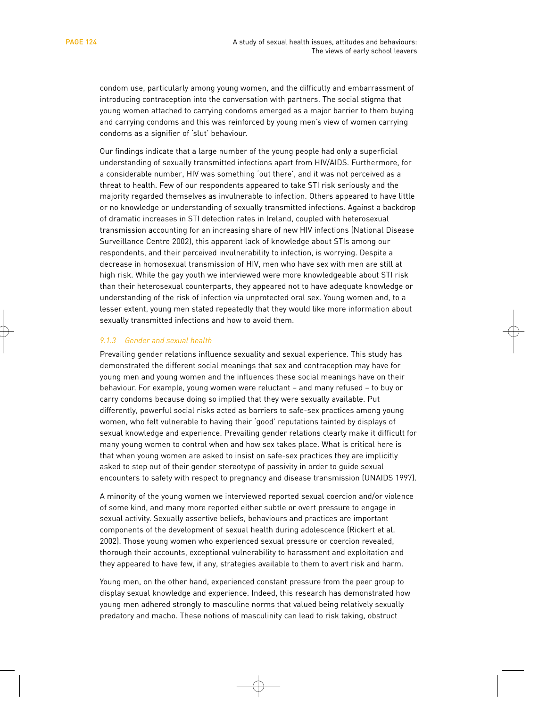condom use, particularly among young women, and the difficulty and embarrassment of introducing contraception into the conversation with partners. The social stigma that young women attached to carrying condoms emerged as a major barrier to them buying and carrying condoms and this was reinforced by young men's view of women carrying condoms as a signifier of 'slut' behaviour.

Our findings indicate that a large number of the young people had only a superficial understanding of sexually transmitted infections apart from HIV/AIDS. Furthermore, for a considerable number, HIV was something 'out there', and it was not perceived as a threat to health. Few of our respondents appeared to take STI risk seriously and the majority regarded themselves as invulnerable to infection. Others appeared to have little or no knowledge or understanding of sexually transmitted infections. Against a backdrop of dramatic increases in STI detection rates in Ireland, coupled with heterosexual transmission accounting for an increasing share of new HIV infections (National Disease Surveillance Centre 2002), this apparent lack of knowledge about STIs among our respondents, and their perceived invulnerability to infection, is worrying. Despite a decrease in homosexual transmission of HIV, men who have sex with men are still at high risk. While the gay youth we interviewed were more knowledgeable about STI risk than their heterosexual counterparts, they appeared not to have adequate knowledge or understanding of the risk of infection via unprotected oral sex. Young women and, to a lesser extent, young men stated repeatedly that they would like more information about sexually transmitted infections and how to avoid them.

# *9.1.3 Gender and sexual health*

Prevailing gender relations influence sexuality and sexual experience. This study has demonstrated the different social meanings that sex and contraception may have for young men and young women and the influences these social meanings have on their behaviour. For example, young women were reluctant – and many refused – to buy or carry condoms because doing so implied that they were sexually available. Put differently, powerful social risks acted as barriers to safe-sex practices among young women, who felt vulnerable to having their 'good' reputations tainted by displays of sexual knowledge and experience. Prevailing gender relations clearly make it difficult for many young women to control when and how sex takes place. What is critical here is that when young women are asked to insist on safe-sex practices they are implicitly asked to step out of their gender stereotype of passivity in order to guide sexual encounters to safety with respect to pregnancy and disease transmission (UNAIDS 1997).

A minority of the young women we interviewed reported sexual coercion and/or violence of some kind, and many more reported either subtle or overt pressure to engage in sexual activity. Sexually assertive beliefs, behaviours and practices are important components of the development of sexual health during adolescence (Rickert et al. 2002). Those young women who experienced sexual pressure or coercion revealed, thorough their accounts, exceptional vulnerability to harassment and exploitation and they appeared to have few, if any, strategies available to them to avert risk and harm.

Young men, on the other hand, experienced constant pressure from the peer group to display sexual knowledge and experience. Indeed, this research has demonstrated how young men adhered strongly to masculine norms that valued being relatively sexually predatory and macho. These notions of masculinity can lead to risk taking, obstruct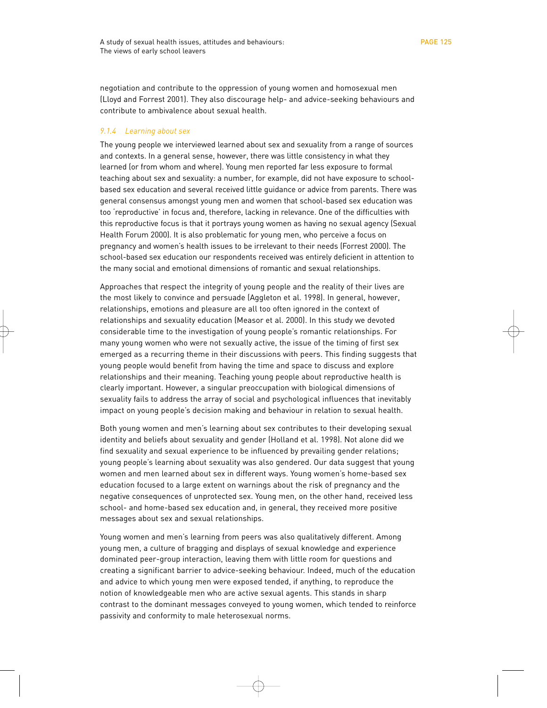negotiation and contribute to the oppression of young women and homosexual men (Lloyd and Forrest 2001). They also discourage help- and advice-seeking behaviours and contribute to ambivalence about sexual health.

## *9.1.4 Learning about sex*

The young people we interviewed learned about sex and sexuality from a range of sources and contexts. In a general sense, however, there was little consistency in what they learned (or from whom and where). Young men reported far less exposure to formal teaching about sex and sexuality: a number, for example, did not have exposure to schoolbased sex education and several received little guidance or advice from parents. There was general consensus amongst young men and women that school-based sex education was too 'reproductive' in focus and, therefore, lacking in relevance. One of the difficulties with this reproductive focus is that it portrays young women as having no sexual agency (Sexual Health Forum 2000). It is also problematic for young men, who perceive a focus on pregnancy and women's health issues to be irrelevant to their needs (Forrest 2000). The school-based sex education our respondents received was entirely deficient in attention to the many social and emotional dimensions of romantic and sexual relationships.

Approaches that respect the integrity of young people and the reality of their lives are the most likely to convince and persuade (Aggleton et al. 1998). In general, however, relationships, emotions and pleasure are all too often ignored in the context of relationships and sexuality education (Measor et al. 2000). In this study we devoted considerable time to the investigation of young people's romantic relationships. For many young women who were not sexually active, the issue of the timing of first sex emerged as a recurring theme in their discussions with peers. This finding suggests that young people would benefit from having the time and space to discuss and explore relationships and their meaning. Teaching young people about reproductive health is clearly important. However, a singular preoccupation with biological dimensions of sexuality fails to address the array of social and psychological influences that inevitably impact on young people's decision making and behaviour in relation to sexual health.

Both young women and men's learning about sex contributes to their developing sexual identity and beliefs about sexuality and gender (Holland et al. 1998). Not alone did we find sexuality and sexual experience to be influenced by prevailing gender relations; young people's learning about sexuality was also gendered. Our data suggest that young women and men learned about sex in different ways. Young women's home-based sex education focused to a large extent on warnings about the risk of pregnancy and the negative consequences of unprotected sex. Young men, on the other hand, received less school- and home-based sex education and, in general, they received more positive messages about sex and sexual relationships.

Young women and men's learning from peers was also qualitatively different. Among young men, a culture of bragging and displays of sexual knowledge and experience dominated peer-group interaction, leaving them with little room for questions and creating a significant barrier to advice-seeking behaviour. Indeed, much of the education and advice to which young men were exposed tended, if anything, to reproduce the notion of knowledgeable men who are active sexual agents. This stands in sharp contrast to the dominant messages conveyed to young women, which tended to reinforce passivity and conformity to male heterosexual norms.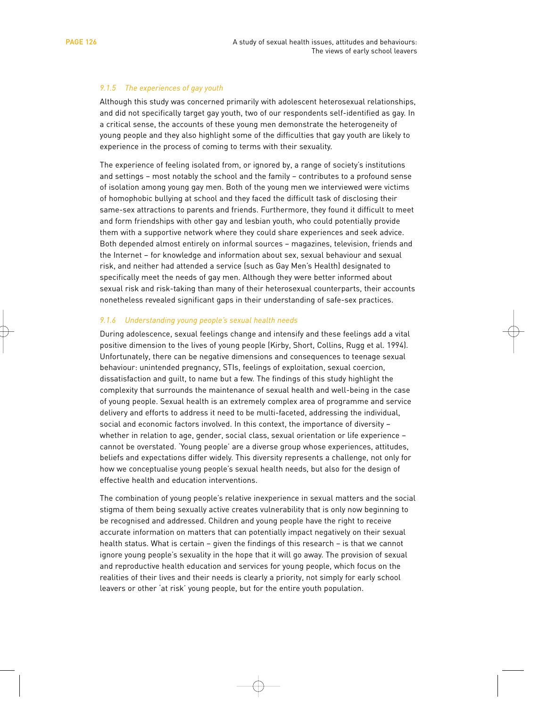## *9.1.5 The experiences of gay youth*

Although this study was concerned primarily with adolescent heterosexual relationships, and did not specifically target gay youth, two of our respondents self-identified as gay. In a critical sense, the accounts of these young men demonstrate the heterogeneity of young people and they also highlight some of the difficulties that gay youth are likely to experience in the process of coming to terms with their sexuality.

The experience of feeling isolated from, or ignored by, a range of society's institutions and settings – most notably the school and the family – contributes to a profound sense of isolation among young gay men. Both of the young men we interviewed were victims of homophobic bullying at school and they faced the difficult task of disclosing their same-sex attractions to parents and friends. Furthermore, they found it difficult to meet and form friendships with other gay and lesbian youth, who could potentially provide them with a supportive network where they could share experiences and seek advice. Both depended almost entirely on informal sources – magazines, television, friends and the Internet – for knowledge and information about sex, sexual behaviour and sexual risk, and neither had attended a service (such as Gay Men's Health) designated to specifically meet the needs of gay men. Although they were better informed about sexual risk and risk-taking than many of their heterosexual counterparts, their accounts nonetheless revealed significant gaps in their understanding of safe-sex practices.

# *9.1.6 Understanding young people's sexual health needs*

During adolescence, sexual feelings change and intensify and these feelings add a vital positive dimension to the lives of young people (Kirby, Short, Collins, Rugg et al. 1994). Unfortunately, there can be negative dimensions and consequences to teenage sexual behaviour: unintended pregnancy, STIs, feelings of exploitation, sexual coercion, dissatisfaction and guilt, to name but a few. The findings of this study highlight the complexity that surrounds the maintenance of sexual health and well-being in the case of young people. Sexual health is an extremely complex area of programme and service delivery and efforts to address it need to be multi-faceted, addressing the individual, social and economic factors involved. In this context, the importance of diversity – whether in relation to age, gender, social class, sexual orientation or life experience – cannot be overstated. 'Young people' are a diverse group whose experiences, attitudes, beliefs and expectations differ widely. This diversity represents a challenge, not only for how we conceptualise young people's sexual health needs, but also for the design of effective health and education interventions.

The combination of young people's relative inexperience in sexual matters and the social stigma of them being sexually active creates vulnerability that is only now beginning to be recognised and addressed. Children and young people have the right to receive accurate information on matters that can potentially impact negatively on their sexual health status. What is certain – given the findings of this research – is that we cannot ignore young people's sexuality in the hope that it will go away. The provision of sexual and reproductive health education and services for young people, which focus on the realities of their lives and their needs is clearly a priority, not simply for early school leavers or other 'at risk' young people, but for the entire youth population.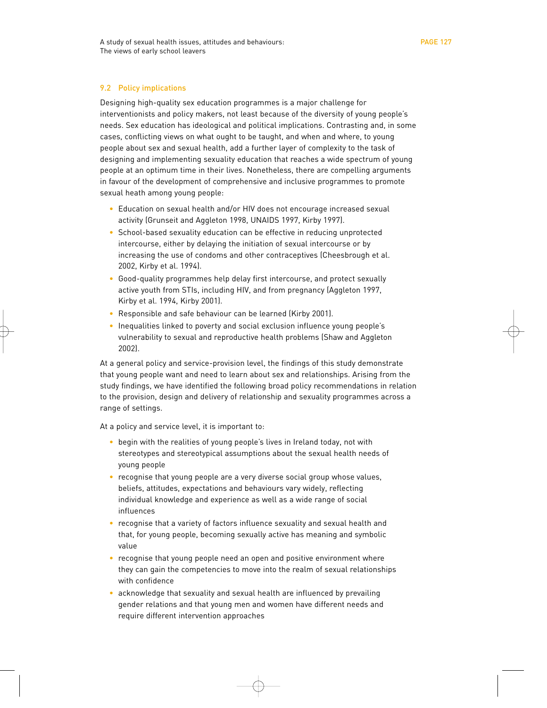# 9.2 Policy implications

Designing high-quality sex education programmes is a major challenge for interventionists and policy makers, not least because of the diversity of young people's needs. Sex education has ideological and political implications. Contrasting and, in some cases, conflicting views on what ought to be taught, and when and where, to young people about sex and sexual health, add a further layer of complexity to the task of designing and implementing sexuality education that reaches a wide spectrum of young people at an optimum time in their lives. Nonetheless, there are compelling arguments in favour of the development of comprehensive and inclusive programmes to promote sexual heath among young people:

- Education on sexual health and/or HIV does not encourage increased sexual activity (Grunseit and Aggleton 1998, UNAIDS 1997, Kirby 1997).
- School-based sexuality education can be effective in reducing unprotected intercourse, either by delaying the initiation of sexual intercourse or by increasing the use of condoms and other contraceptives (Cheesbrough et al. 2002, Kirby et al. 1994).
- Good-quality programmes help delay first intercourse, and protect sexually active youth from STIs, including HIV, and from pregnancy (Aggleton 1997, Kirby et al. 1994, Kirby 2001).
- Responsible and safe behaviour can be learned (Kirby 2001).
- Inequalities linked to poverty and social exclusion influence young people's vulnerability to sexual and reproductive health problems (Shaw and Aggleton 2002).

At a general policy and service-provision level, the findings of this study demonstrate that young people want and need to learn about sex and relationships. Arising from the study findings, we have identified the following broad policy recommendations in relation to the provision, design and delivery of relationship and sexuality programmes across a range of settings.

At a policy and service level, it is important to:

- begin with the realities of young people's lives in Ireland today, not with stereotypes and stereotypical assumptions about the sexual health needs of young people
- recognise that young people are a very diverse social group whose values, beliefs, attitudes, expectations and behaviours vary widely, reflecting individual knowledge and experience as well as a wide range of social influences
- recognise that a variety of factors influence sexuality and sexual health and that, for young people, becoming sexually active has meaning and symbolic value
- recognise that young people need an open and positive environment where they can gain the competencies to move into the realm of sexual relationships with confidence
- acknowledge that sexuality and sexual health are influenced by prevailing gender relations and that young men and women have different needs and require different intervention approaches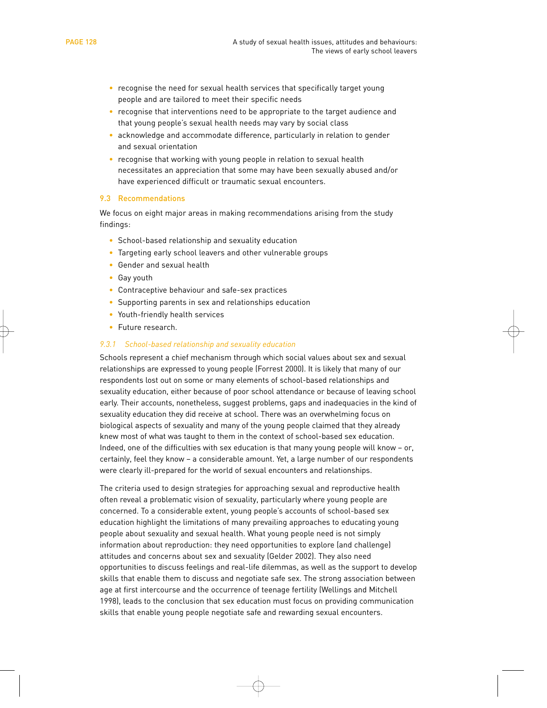- recognise the need for sexual health services that specifically target young people and are tailored to meet their specific needs
- recognise that interventions need to be appropriate to the target audience and that young people's sexual health needs may vary by social class
- acknowledge and accommodate difference, particularly in relation to gender and sexual orientation
- recognise that working with young people in relation to sexual health necessitates an appreciation that some may have been sexually abused and/or have experienced difficult or traumatic sexual encounters.

## 9.3 Recommendations

We focus on eight major areas in making recommendations arising from the study findings:

- School-based relationship and sexuality education
- Targeting early school leavers and other vulnerable groups
- Gender and sexual health
- Gay youth
- Contraceptive behaviour and safe-sex practices
- Supporting parents in sex and relationships education
- Youth-friendly health services
- Future research.

## *9.3.1 School-based relationship and sexuality education*

Schools represent a chief mechanism through which social values about sex and sexual relationships are expressed to young people (Forrest 2000). It is likely that many of our respondents lost out on some or many elements of school-based relationships and sexuality education, either because of poor school attendance or because of leaving school early. Their accounts, nonetheless, suggest problems, gaps and inadequacies in the kind of sexuality education they did receive at school. There was an overwhelming focus on biological aspects of sexuality and many of the young people claimed that they already knew most of what was taught to them in the context of school-based sex education. Indeed, one of the difficulties with sex education is that many young people will know – or, certainly, feel they know – a considerable amount. Yet, a large number of our respondents were clearly ill-prepared for the world of sexual encounters and relationships.

The criteria used to design strategies for approaching sexual and reproductive health often reveal a problematic vision of sexuality, particularly where young people are concerned. To a considerable extent, young people's accounts of school-based sex education highlight the limitations of many prevailing approaches to educating young people about sexuality and sexual health. What young people need is not simply information about reproduction: they need opportunities to explore (and challenge) attitudes and concerns about sex and sexuality (Gelder 2002). They also need opportunities to discuss feelings and real-life dilemmas, as well as the support to develop skills that enable them to discuss and negotiate safe sex. The strong association between age at first intercourse and the occurrence of teenage fertility (Wellings and Mitchell 1998), leads to the conclusion that sex education must focus on providing communication skills that enable young people negotiate safe and rewarding sexual encounters.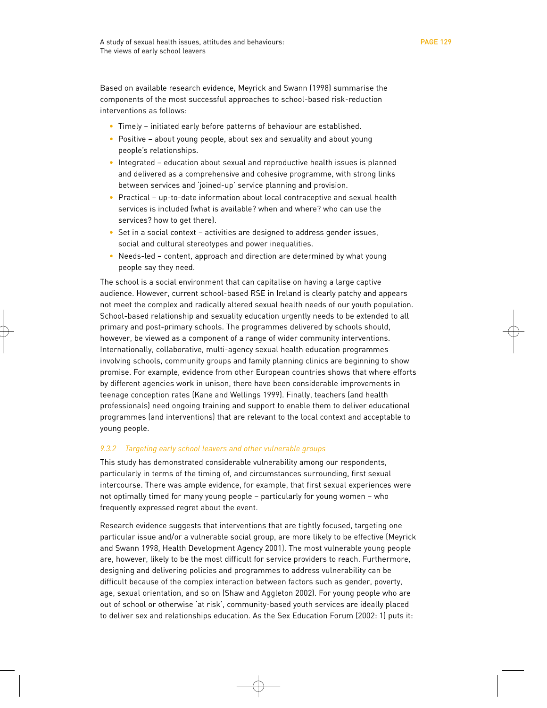Based on available research evidence, Meyrick and Swann (1998) summarise the components of the most successful approaches to school-based risk-reduction interventions as follows:

- Timely initiated early before patterns of behaviour are established.
- Positive about young people, about sex and sexuality and about young people's relationships.
- Integrated education about sexual and reproductive health issues is planned and delivered as a comprehensive and cohesive programme, with strong links between services and 'joined-up' service planning and provision.
- Practical up-to-date information about local contraceptive and sexual health services is included (what is available? when and where? who can use the services? how to get there).
- Set in a social context activities are designed to address gender issues, social and cultural stereotypes and power inequalities.
- Needs-led content, approach and direction are determined by what young people say they need.

The school is a social environment that can capitalise on having a large captive audience. However, current school-based RSE in Ireland is clearly patchy and appears not meet the complex and radically altered sexual health needs of our youth population. School-based relationship and sexuality education urgently needs to be extended to all primary and post-primary schools. The programmes delivered by schools should, however, be viewed as a component of a range of wider community interventions. Internationally, collaborative, multi-agency sexual health education programmes involving schools, community groups and family planning clinics are beginning to show promise. For example, evidence from other European countries shows that where efforts by different agencies work in unison, there have been considerable improvements in teenage conception rates (Kane and Wellings 1999). Finally, teachers (and health professionals) need ongoing training and support to enable them to deliver educational programmes (and interventions) that are relevant to the local context and acceptable to young people.

# *9.3.2 Targeting early school leavers and other vulnerable groups*

This study has demonstrated considerable vulnerability among our respondents, particularly in terms of the timing of, and circumstances surrounding, first sexual intercourse. There was ample evidence, for example, that first sexual experiences were not optimally timed for many young people – particularly for young women – who frequently expressed regret about the event.

Research evidence suggests that interventions that are tightly focused, targeting one particular issue and/or a vulnerable social group, are more likely to be effective (Meyrick and Swann 1998, Health Development Agency 2001). The most vulnerable young people are, however, likely to be the most difficult for service providers to reach. Furthermore, designing and delivering policies and programmes to address vulnerability can be difficult because of the complex interaction between factors such as gender, poverty, age, sexual orientation, and so on (Shaw and Aggleton 2002). For young people who are out of school or otherwise 'at risk', community-based youth services are ideally placed to deliver sex and relationships education. As the Sex Education Forum (2002: 1) puts it: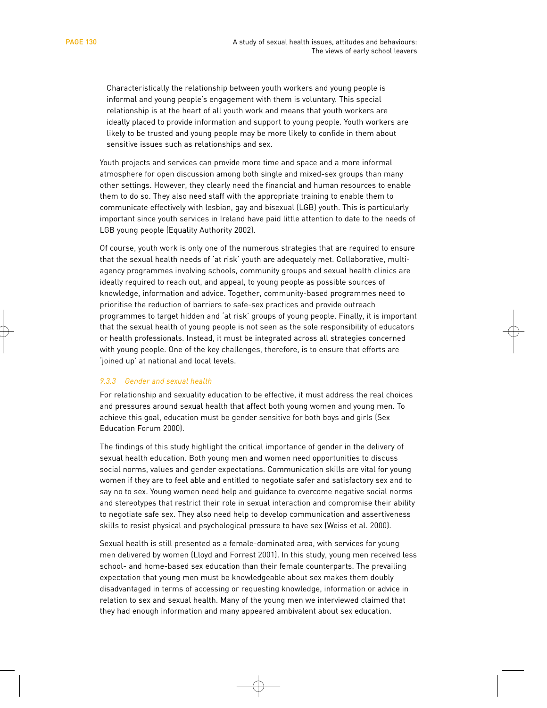Characteristically the relationship between youth workers and young people is informal and young people's engagement with them is voluntary. This special relationship is at the heart of all youth work and means that youth workers are ideally placed to provide information and support to young people. Youth workers are likely to be trusted and young people may be more likely to confide in them about sensitive issues such as relationships and sex.

Youth projects and services can provide more time and space and a more informal atmosphere for open discussion among both single and mixed-sex groups than many other settings. However, they clearly need the financial and human resources to enable them to do so. They also need staff with the appropriate training to enable them to communicate effectively with lesbian, gay and bisexual (LGB) youth. This is particularly important since youth services in Ireland have paid little attention to date to the needs of LGB young people (Equality Authority 2002).

Of course, youth work is only one of the numerous strategies that are required to ensure that the sexual health needs of 'at risk' youth are adequately met. Collaborative, multiagency programmes involving schools, community groups and sexual health clinics are ideally required to reach out, and appeal, to young people as possible sources of knowledge, information and advice. Together, community-based programmes need to prioritise the reduction of barriers to safe-sex practices and provide outreach programmes to target hidden and 'at risk' groups of young people. Finally, it is important that the sexual health of young people is not seen as the sole responsibility of educators or health professionals. Instead, it must be integrated across all strategies concerned with young people. One of the key challenges, therefore, is to ensure that efforts are 'joined up' at national and local levels.

# *9.3.3 Gender and sexual health*

For relationship and sexuality education to be effective, it must address the real choices and pressures around sexual health that affect both young women and young men. To achieve this goal, education must be gender sensitive for both boys and girls (Sex Education Forum 2000).

The findings of this study highlight the critical importance of gender in the delivery of sexual health education. Both young men and women need opportunities to discuss social norms, values and gender expectations. Communication skills are vital for young women if they are to feel able and entitled to negotiate safer and satisfactory sex and to say no to sex. Young women need help and guidance to overcome negative social norms and stereotypes that restrict their role in sexual interaction and compromise their ability to negotiate safe sex. They also need help to develop communication and assertiveness skills to resist physical and psychological pressure to have sex (Weiss et al. 2000).

Sexual health is still presented as a female-dominated area, with services for young men delivered by women (Lloyd and Forrest 2001). In this study, young men received less school- and home-based sex education than their female counterparts. The prevailing expectation that young men must be knowledgeable about sex makes them doubly disadvantaged in terms of accessing or requesting knowledge, information or advice in relation to sex and sexual health. Many of the young men we interviewed claimed that they had enough information and many appeared ambivalent about sex education.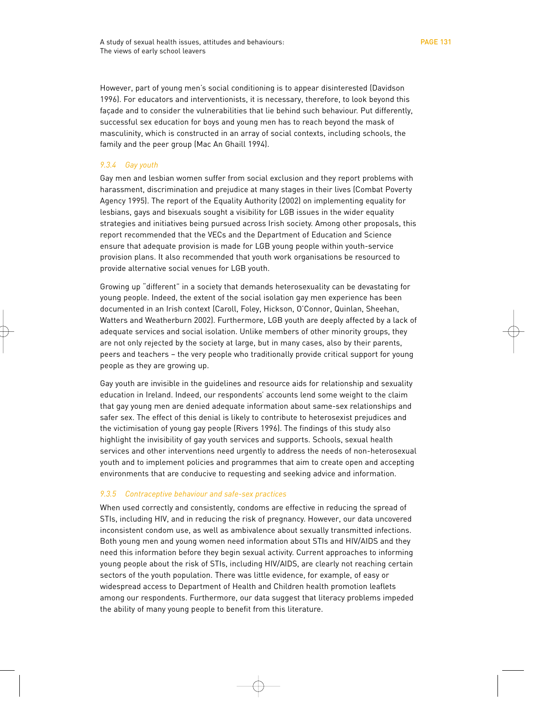However, part of young men's social conditioning is to appear disinterested (Davidson 1996). For educators and interventionists, it is necessary, therefore, to look beyond this façade and to consider the vulnerabilities that lie behind such behaviour. Put differently, successful sex education for boys and young men has to reach beyond the mask of masculinity, which is constructed in an array of social contexts, including schools, the family and the peer group (Mac An Ghaill 1994).

# *9.3.4 Gay youth*

Gay men and lesbian women suffer from social exclusion and they report problems with harassment, discrimination and prejudice at many stages in their lives (Combat Poverty Agency 1995). The report of the Equality Authority (2002) on implementing equality for lesbians, gays and bisexuals sought a visibility for LGB issues in the wider equality strategies and initiatives being pursued across Irish society. Among other proposals, this report recommended that the VECs and the Department of Education and Science ensure that adequate provision is made for LGB young people within youth-service provision plans. It also recommended that youth work organisations be resourced to provide alternative social venues for LGB youth.

Growing up "different" in a society that demands heterosexuality can be devastating for young people. Indeed, the extent of the social isolation gay men experience has been documented in an Irish context (Caroll, Foley, Hickson, O'Connor, Quinlan, Sheehan, Watters and Weatherburn 2002). Furthermore, LGB youth are deeply affected by a lack of adequate services and social isolation. Unlike members of other minority groups, they are not only rejected by the society at large, but in many cases, also by their parents, peers and teachers – the very people who traditionally provide critical support for young people as they are growing up.

Gay youth are invisible in the guidelines and resource aids for relationship and sexuality education in Ireland. Indeed, our respondents' accounts lend some weight to the claim that gay young men are denied adequate information about same-sex relationships and safer sex. The effect of this denial is likely to contribute to heterosexist prejudices and the victimisation of young gay people (Rivers 1996). The findings of this study also highlight the invisibility of gay youth services and supports. Schools, sexual health services and other interventions need urgently to address the needs of non-heterosexual youth and to implement policies and programmes that aim to create open and accepting environments that are conducive to requesting and seeking advice and information.

## *9.3.5 Contraceptive behaviour and safe-sex practices*

When used correctly and consistently, condoms are effective in reducing the spread of STIs, including HIV, and in reducing the risk of pregnancy. However, our data uncovered inconsistent condom use, as well as ambivalence about sexually transmitted infections. Both young men and young women need information about STIs and HIV/AIDS and they need this information before they begin sexual activity. Current approaches to informing young people about the risk of STIs, including HIV/AIDS, are clearly not reaching certain sectors of the youth population. There was little evidence, for example, of easy or widespread access to Department of Health and Children health promotion leaflets among our respondents. Furthermore, our data suggest that literacy problems impeded the ability of many young people to benefit from this literature.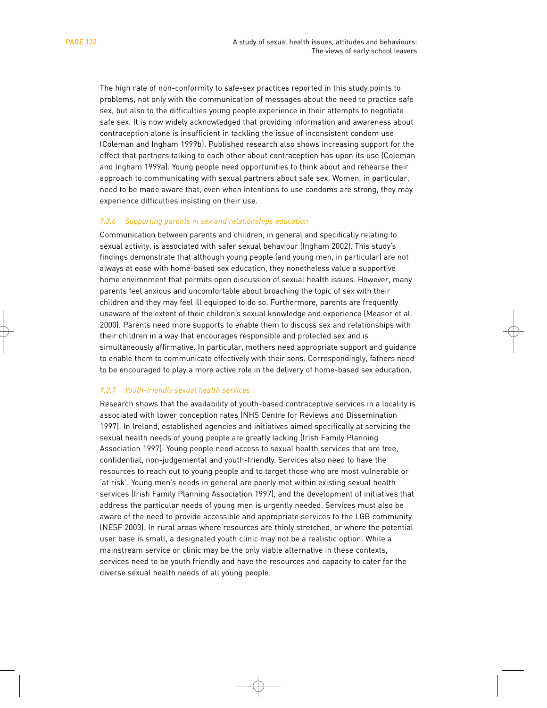The high rate of non-conformity to safe-sex practices reported in this study points to problems, not only with the communication of messages about the need to practice safe sex, but also to the difficulties young people experience in their attempts to negotiate safe sex. It is now widely acknowledged that providing information and awareness about contraception alone is insufficient in tackling the issue of inconsistent condom use (Coleman and Ingham 1999b). Published research also shows increasing support for the effect that partners talking to each other about contraception has upon its use (Coleman and Ingham 1999a). Young people need opportunities to think about and rehearse their approach to communicating with sexual partners about safe sex. Women, in particular, need to be made aware that, even when intentions to use condoms are strong, they may experience difficulties insisting on their use.

# *9.3.6 Supporting parents in sex and relationships education*

Communication between parents and children, in general and specifically relating to sexual activity, is associated with safer sexual behaviour (Ingham 2002). This study's findings demonstrate that although young people (and young men, in particular) are not always at ease with home-based sex education, they nonetheless value a supportive home environment that permits open discussion of sexual health issues. However, many parents feel anxious and uncomfortable about broaching the topic of sex with their children and they may feel ill equipped to do so. Furthermore, parents are frequently unaware of the extent of their children's sexual knowledge and experience (Measor et al. 2000). Parents need more supports to enable them to discuss sex and relationships with their children in a way that encourages responsible and protected sex and is simultaneously affirmative. In particular, mothers need appropriate support and guidance to enable them to communicate effectively with their sons. Correspondingly, fathers need to be encouraged to play a more active role in the delivery of home-based sex education.

## *9.3.7 Youth-friendly sexual health services*

Research shows that the availability of youth-based contraceptive services in a locality is associated with lower conception rates (NHS Centre for Reviews and Dissemination 1997). In Ireland, established agencies and initiatives aimed specifically at servicing the sexual health needs of young people are greatly lacking (Irish Family Planning Association 1997). Young people need access to sexual health services that are free, confidential, non-judgemental and youth-friendly. Services also need to have the resources to reach out to young people and to target those who are most vulnerable or 'at risk'. Young men's needs in general are poorly met within existing sexual health services (Irish Family Planning Association 1997), and the development of initiatives that address the particular needs of young men is urgently needed. Services must also be aware of the need to provide accessible and appropriate services to the LGB community (NESF 2003). In rural areas where resources are thinly stretched, or where the potential user base is small, a designated youth clinic may not be a realistic option. While a mainstream service or clinic may be the only viable alternative in these contexts, services need to be youth friendly and have the resources and capacity to cater for the diverse sexual health needs of all young people.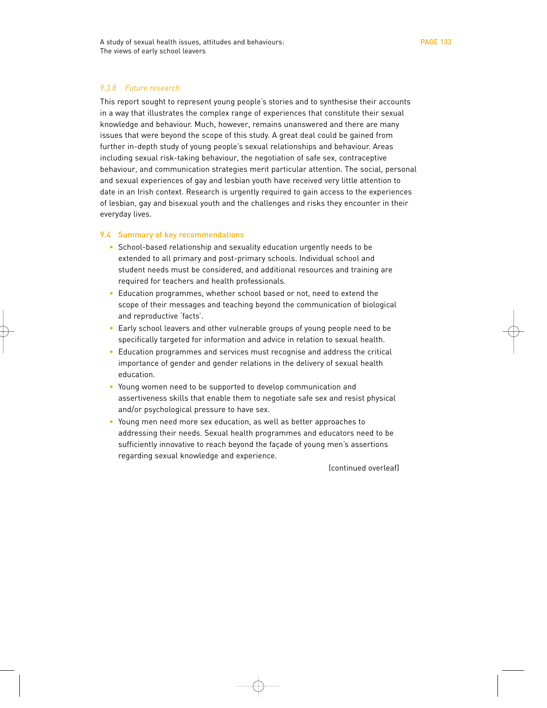# *9.3.8 Future research*

This report sought to represent young people's stories and to synthesise their accounts in a way that illustrates the complex range of experiences that constitute their sexual knowledge and behaviour. Much, however, remains unanswered and there are many issues that were beyond the scope of this study. A great deal could be gained from further in-depth study of young people's sexual relationships and behaviour. Areas including sexual risk-taking behaviour, the negotiation of safe sex, contraceptive behaviour, and communication strategies merit particular attention. The social, personal and sexual experiences of gay and lesbian youth have received very little attention to date in an Irish context. Research is urgently required to gain access to the experiences of lesbian, gay and bisexual youth and the challenges and risks they encounter in their everyday lives.

## 9.4 Summary of key recommendations

- School-based relationship and sexuality education urgently needs to be extended to all primary and post-primary schools. Individual school and student needs must be considered, and additional resources and training are required for teachers and health professionals.
- Education programmes, whether school based or not, need to extend the scope of their messages and teaching beyond the communication of biological and reproductive 'facts'.
- Early school leavers and other vulnerable groups of young people need to be specifically targeted for information and advice in relation to sexual health.
- Education programmes and services must recognise and address the critical importance of gender and gender relations in the delivery of sexual health education.
- Young women need to be supported to develop communication and assertiveness skills that enable them to negotiate safe sex and resist physical and/or psychological pressure to have sex.
- Young men need more sex education, as well as better approaches to addressing their needs. Sexual health programmes and educators need to be sufficiently innovative to reach beyond the façade of young men's assertions regarding sexual knowledge and experience.

(continued overleaf)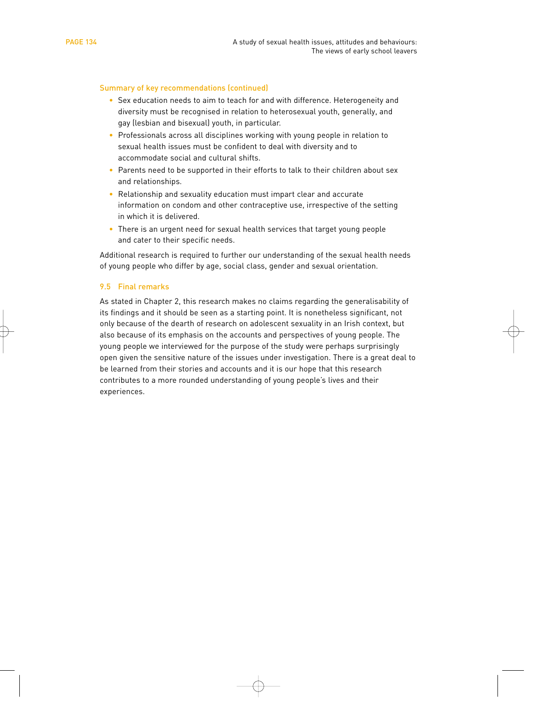#### Summary of key recommendations (continued)

- Sex education needs to aim to teach for and with difference. Heterogeneity and diversity must be recognised in relation to heterosexual youth, generally, and gay (lesbian and bisexual) youth, in particular.
- Professionals across all disciplines working with young people in relation to sexual health issues must be confident to deal with diversity and to accommodate social and cultural shifts.
- Parents need to be supported in their efforts to talk to their children about sex and relationships.
- Relationship and sexuality education must impart clear and accurate information on condom and other contraceptive use, irrespective of the setting in which it is delivered.
- There is an urgent need for sexual health services that target young people and cater to their specific needs.

Additional research is required to further our understanding of the sexual health needs of young people who differ by age, social class, gender and sexual orientation.

#### 9.5 Final remarks

As stated in Chapter 2, this research makes no claims regarding the generalisability of its findings and it should be seen as a starting point. It is nonetheless significant, not only because of the dearth of research on adolescent sexuality in an Irish context, but also because of its emphasis on the accounts and perspectives of young people. The young people we interviewed for the purpose of the study were perhaps surprisingly open given the sensitive nature of the issues under investigation. There is a great deal to be learned from their stories and accounts and it is our hope that this research contributes to a more rounded understanding of young people's lives and their experiences.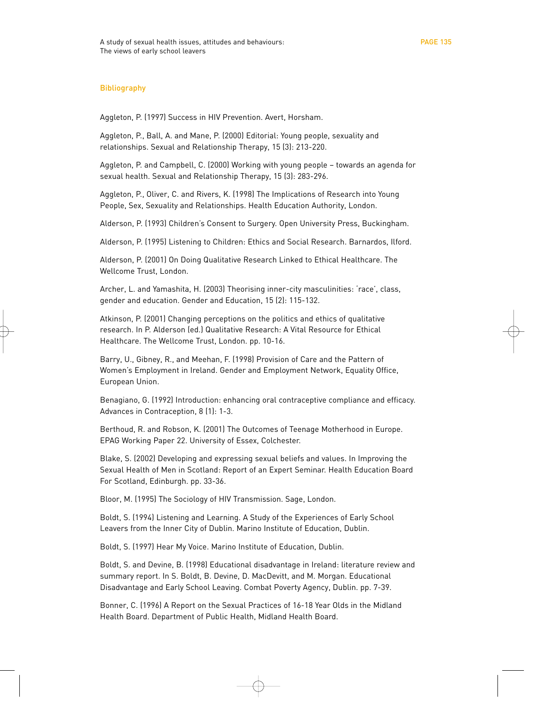## **Bibliography**

Aggleton, P. (1997) Success in HIV Prevention. Avert, Horsham.

Aggleton, P., Ball, A. and Mane, P. (2000) Editorial: Young people, sexuality and relationships. Sexual and Relationship Therapy, 15 (3): 213-220.

Aggleton, P. and Campbell, C. (2000) Working with young people – towards an agenda for sexual health. Sexual and Relationship Therapy, 15 (3): 283-296.

Aggleton, P., Oliver, C. and Rivers, K. (1998) The Implications of Research into Young People, Sex, Sexuality and Relationships. Health Education Authority, London.

Alderson, P. (1993) Children's Consent to Surgery. Open University Press, Buckingham.

Alderson, P. (1995) Listening to Children: Ethics and Social Research. Barnardos, Ilford.

Alderson, P. (2001) On Doing Qualitative Research Linked to Ethical Healthcare. The Wellcome Trust, London.

Archer, L. and Yamashita, H. (2003) Theorising inner-city masculinities: 'race', class, gender and education. Gender and Education, 15 (2): 115-132.

Atkinson, P. (2001) Changing perceptions on the politics and ethics of qualitative research. In P. Alderson (ed.) Qualitative Research: A Vital Resource for Ethical Healthcare. The Wellcome Trust, London. pp. 10-16.

Barry, U., Gibney, R., and Meehan, F. (1998) Provision of Care and the Pattern of Women's Employment in Ireland. Gender and Employment Network, Equality Office, European Union.

Benagiano, G. (1992) Introduction: enhancing oral contraceptive compliance and efficacy. Advances in Contraception, 8 (1): 1-3.

Berthoud, R. and Robson, K. (2001) The Outcomes of Teenage Motherhood in Europe. EPAG Working Paper 22. University of Essex, Colchester.

Blake, S. (2002) Developing and expressing sexual beliefs and values. In Improving the Sexual Health of Men in Scotland: Report of an Expert Seminar. Health Education Board For Scotland, Edinburgh. pp. 33-36.

Bloor, M. (1995) The Sociology of HIV Transmission. Sage, London.

Boldt, S. (1994) Listening and Learning. A Study of the Experiences of Early School Leavers from the Inner City of Dublin. Marino Institute of Education, Dublin.

Boldt, S. (1997) Hear My Voice. Marino Institute of Education, Dublin.

Boldt, S. and Devine, B. (1998) Educational disadvantage in Ireland: literature review and summary report. In S. Boldt, B. Devine, D. MacDevitt, and M. Morgan. Educational Disadvantage and Early School Leaving. Combat Poverty Agency, Dublin. pp. 7-39.

Bonner, C. (1996) A Report on the Sexual Practices of 16-18 Year Olds in the Midland Health Board. Department of Public Health, Midland Health Board.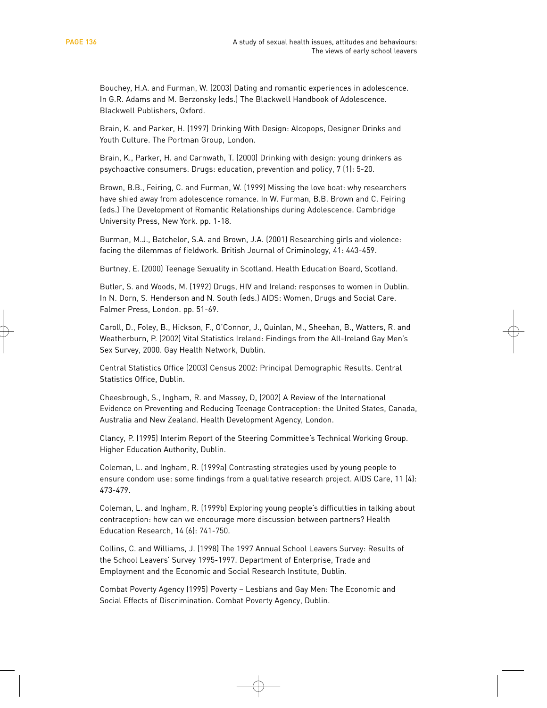Bouchey, H.A. and Furman, W. (2003) Dating and romantic experiences in adolescence. In G.R. Adams and M. Berzonsky (eds.) The Blackwell Handbook of Adolescence. Blackwell Publishers, Oxford.

Brain, K. and Parker, H. (1997) Drinking With Design: Alcopops, Designer Drinks and Youth Culture. The Portman Group, London.

Brain, K., Parker, H. and Carnwath, T. (2000) Drinking with design: young drinkers as psychoactive consumers. Drugs: education, prevention and policy, 7 (1): 5-20.

Brown, B.B., Feiring, C. and Furman, W. (1999) Missing the love boat: why researchers have shied away from adolescence romance. In W. Furman, B.B. Brown and C. Feiring (eds.) The Development of Romantic Relationships during Adolescence. Cambridge University Press, New York. pp. 1-18.

Burman, M.J., Batchelor, S.A. and Brown, J.A. (2001) Researching girls and violence: facing the dilemmas of fieldwork. British Journal of Criminology, 41: 443-459.

Burtney, E. (2000) Teenage Sexuality in Scotland. Health Education Board, Scotland.

Butler, S. and Woods, M. (1992) Drugs, HIV and Ireland: responses to women in Dublin. In N. Dorn, S. Henderson and N. South (eds.) AIDS: Women, Drugs and Social Care. Falmer Press, London. pp. 51-69.

Caroll, D., Foley, B., Hickson, F., O'Connor, J., Quinlan, M., Sheehan, B., Watters, R. and Weatherburn, P. (2002) Vital Statistics Ireland: Findings from the All-Ireland Gay Men's Sex Survey, 2000. Gay Health Network, Dublin.

Central Statistics Office (2003) Census 2002: Principal Demographic Results. Central Statistics Office, Dublin.

Cheesbrough, S., Ingham, R. and Massey, D, (2002) A Review of the International Evidence on Preventing and Reducing Teenage Contraception: the United States, Canada, Australia and New Zealand. Health Development Agency, London.

Clancy, P. (1995) Interim Report of the Steering Committee's Technical Working Group. Higher Education Authority, Dublin.

Coleman, L. and Ingham, R. (1999a) Contrasting strategies used by young people to ensure condom use: some findings from a qualitative research project. AIDS Care, 11 (4): 473-479.

Coleman, L. and Ingham, R. (1999b) Exploring young people's difficulties in talking about contraception: how can we encourage more discussion between partners? Health Education Research, 14 (6): 741-750.

Collins, C. and Williams, J. (1998) The 1997 Annual School Leavers Survey: Results of the School Leavers' Survey 1995-1997. Department of Enterprise, Trade and Employment and the Economic and Social Research Institute, Dublin.

Combat Poverty Agency (1995) Poverty – Lesbians and Gay Men: The Economic and Social Effects of Discrimination. Combat Poverty Agency, Dublin.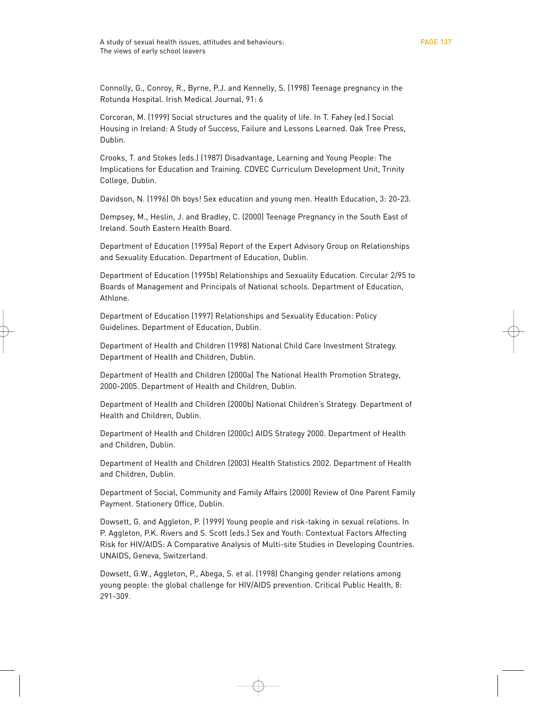Connolly, G., Conroy, R., Byrne, P.J. and Kennelly, S. (1998) Teenage pregnancy in the Rotunda Hospital. Irish Medical Journal, 91: 6

Corcoran, M. (1999) Social structures and the quality of life. In T. Fahey (ed.) Social Housing in Ireland: A Study of Success, Failure and Lessons Learned. Oak Tree Press, Dublin.

Crooks, T. and Stokes (eds.) (1987) Disadvantage, Learning and Young People: The Implications for Education and Training. CDVEC Curriculum Development Unit, Trinity College, Dublin.

Davidson, N. (1996) Oh boys! Sex education and young men. Health Education, 3: 20-23.

Dempsey, M., Heslin, J. and Bradley, C. (2000) Teenage Pregnancy in the South East of Ireland. South Eastern Health Board.

Department of Education (1995a) Report of the Expert Advisory Group on Relationships and Sexuality Education. Department of Education, Dublin.

Department of Education (1995b) Relationships and Sexuality Education. Circular 2/95 to Boards of Management and Principals of National schools. Department of Education, Athlone.

Department of Education (1997) Relationships and Sexuality Education: Policy Guidelines. Department of Education, Dublin.

Department of Health and Children (1998) National Child Care Investment Strategy. Department of Health and Children, Dublin.

Department of Health and Children (2000a) The National Health Promotion Strategy, 2000-2005. Department of Health and Children, Dublin.

Department of Health and Children (2000b) National Children's Strategy. Department of Health and Children, Dublin.

Department of Health and Children (2000c) AIDS Strategy 2000. Department of Health and Children, Dublin.

Department of Health and Children (2003) Health Statistics 2002. Department of Health and Children, Dublin.

Department of Social, Community and Family Affairs (2000) Review of One Parent Family Payment. Stationery Office, Dublin.

Dowsett, G. and Aggleton, P. (1999) Young people and risk-taking in sexual relations. In P. Aggleton, P.K. Rivers and S. Scott (eds.) Sex and Youth: Contextual Factors Affecting Risk for HIV/AIDS: A Comparative Analysis of Multi-site Studies in Developing Countries. UNAIDS, Geneva, Switzerland.

Dowsett, G.W., Aggleton, P., Abega, S. et al. (1998) Changing gender relations among young people: the global challenge for HIV/AIDS prevention. Critical Public Health, 8: 291-309.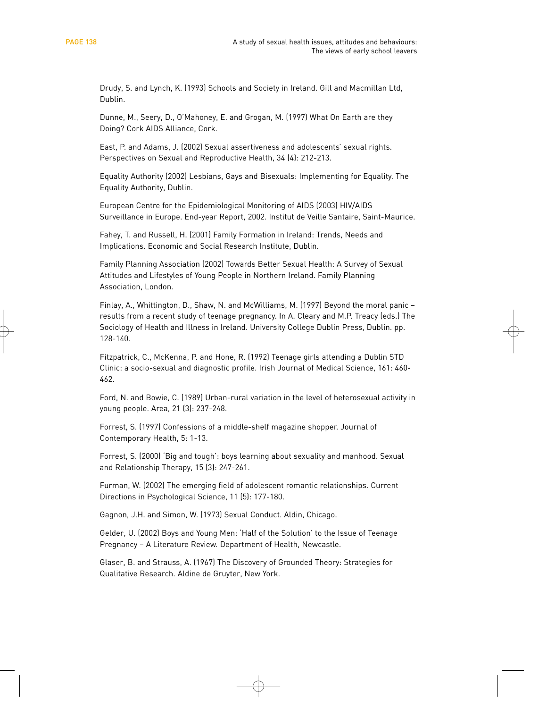Drudy, S. and Lynch, K. (1993) Schools and Society in Ireland. Gill and Macmillan Ltd, Dublin.

Dunne, M., Seery, D., O'Mahoney, E. and Grogan, M. (1997) What On Earth are they Doing? Cork AIDS Alliance, Cork.

East, P. and Adams, J. (2002) Sexual assertiveness and adolescents' sexual rights. Perspectives on Sexual and Reproductive Health, 34 (4): 212-213.

Equality Authority (2002) Lesbians, Gays and Bisexuals: Implementing for Equality. The Equality Authority, Dublin.

European Centre for the Epidemiological Monitoring of AIDS (2003) HIV/AIDS Surveillance in Europe. End-year Report, 2002. Institut de Veille Santaire, Saint-Maurice.

Fahey, T. and Russell, H. (2001) Family Formation in Ireland: Trends, Needs and Implications. Economic and Social Research Institute, Dublin.

Family Planning Association (2002) Towards Better Sexual Health: A Survey of Sexual Attitudes and Lifestyles of Young People in Northern Ireland. Family Planning Association, London.

Finlay, A., Whittington, D., Shaw, N. and McWilliams, M. (1997) Beyond the moral panic – results from a recent study of teenage pregnancy. In A. Cleary and M.P. Treacy (eds.) The Sociology of Health and Illness in Ireland. University College Dublin Press, Dublin. pp. 128-140.

Fitzpatrick, C., McKenna, P. and Hone, R. (1992) Teenage girls attending a Dublin STD Clinic: a socio-sexual and diagnostic profile. Irish Journal of Medical Science, 161: 460- 462.

Ford, N. and Bowie, C. (1989) Urban-rural variation in the level of heterosexual activity in young people. Area, 21 (3): 237-248.

Forrest, S. (1997) Confessions of a middle-shelf magazine shopper. Journal of Contemporary Health, 5: 1-13.

Forrest, S. (2000) 'Big and tough': boys learning about sexuality and manhood. Sexual and Relationship Therapy, 15 (3): 247-261.

Furman, W. (2002) The emerging field of adolescent romantic relationships. Current Directions in Psychological Science, 11 (5): 177-180.

Gagnon, J.H. and Simon, W. (1973) Sexual Conduct. Aldin, Chicago.

Gelder, U. (2002) Boys and Young Men: 'Half of the Solution' to the Issue of Teenage Pregnancy – A Literature Review. Department of Health, Newcastle.

Glaser, B. and Strauss, A. (1967) The Discovery of Grounded Theory: Strategies for Qualitative Research. Aldine de Gruyter, New York.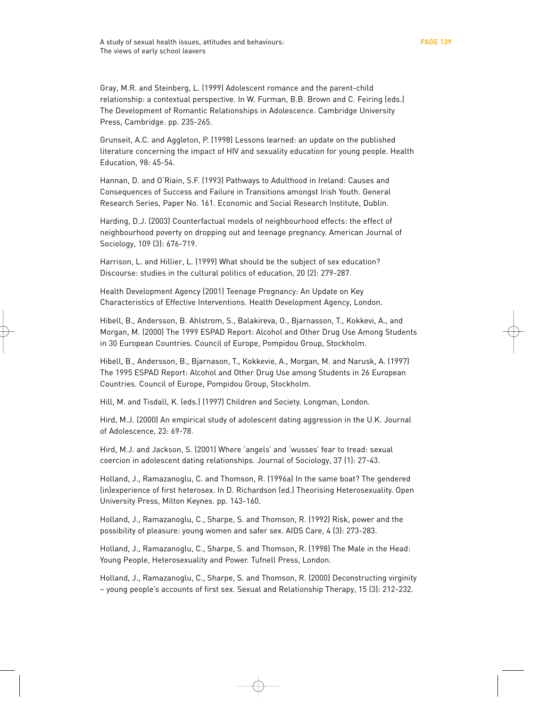Gray, M.R. and Steinberg, L. (1999) Adolescent romance and the parent-child relationship: a contextual perspective. In W. Furman, B.B. Brown and C. Feiring (eds.) The Development of Romantic Relationships in Adolescence. Cambridge University Press, Cambridge. pp. 235-265.

Grunseit, A.C. and Aggleton, P. (1998) Lessons learned: an update on the published literature concerning the impact of HIV and sexuality education for young people. Health Education, 98: 45-54.

Hannan, D. and O'Riain, S.F. (1993) Pathways to Adulthood in Ireland: Causes and Consequences of Success and Failure in Transitions amongst Irish Youth. General Research Series, Paper No. 161. Economic and Social Research Institute, Dublin.

Harding, D.J. (2003) Counterfactual models of neighbourhood effects: the effect of neighbourhood poverty on dropping out and teenage pregnancy. American Journal of Sociology, 109 (3): 676-719.

Harrison, L. and Hillier, L. (1999) What should be the subject of sex education? Discourse: studies in the cultural politics of education, 20 (2): 279-287.

Health Development Agency (2001) Teenage Pregnancy: An Update on Key Characteristics of Effective Interventions. Health Development Agency, London.

Hibell, B., Andersson, B. Ahlstrom, S., Balakireva, O., Bjarnasson, T., Kokkevi, A., and Morgan, M. (2000) The 1999 ESPAD Report: Alcohol and Other Drug Use Among Students in 30 European Countries. Council of Europe, Pompidou Group, Stockholm.

Hibell, B., Andersson, B., Bjarnason, T., Kokkevie, A., Morgan, M. and Narusk, A. (1997) The 1995 ESPAD Report: Alcohol and Other Drug Use among Students in 26 European Countries. Council of Europe, Pompidou Group, Stockholm.

Hill, M. and Tisdall, K. (eds.) (1997) Children and Society. Longman, London.

Hird, M.J. (2000) An empirical study of adolescent dating aggression in the U.K. Journal of Adolescence, 23: 69-78.

Hird, M.J. and Jackson, S. (2001) Where 'angels' and 'wusses' fear to tread: sexual coercion in adolescent dating relationships. Journal of Sociology, 37 (1): 27-43.

Holland, J., Ramazanoglu, C. and Thomson, R. (1996a) In the same boat? The gendered (in)experience of first heterosex. In D. Richardson (ed.) Theorising Heterosexuality. Open University Press, Milton Keynes. pp. 143-160.

Holland, J., Ramazanoglu, C., Sharpe, S. and Thomson, R. (1992) Risk, power and the possibility of pleasure: young women and safer sex. AIDS Care, 4 (3): 273-283.

Holland, J., Ramazanoglu, C., Sharpe, S. and Thomson, R. (1998) The Male in the Head: Young People, Heterosexuality and Power. Tufnell Press, London.

Holland, J., Ramazanoglu, C., Sharpe, S. and Thomson, R. (2000) Deconstructing virginity – young people's accounts of first sex. Sexual and Relationship Therapy, 15 (3): 212-232.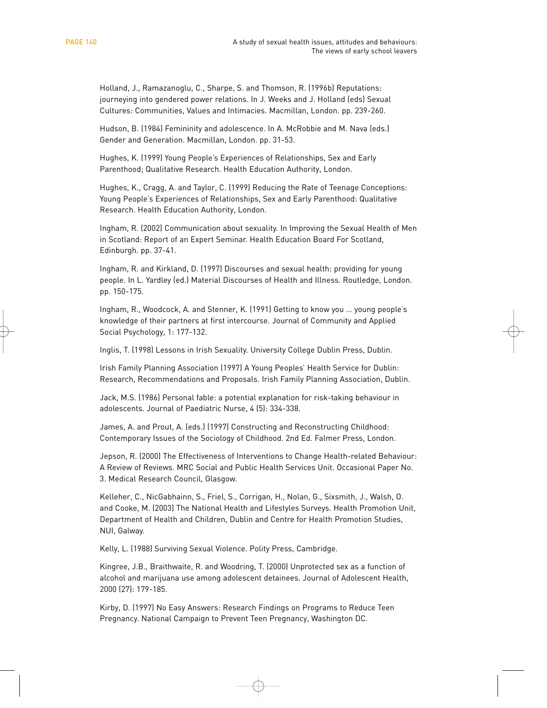Holland, J., Ramazanoglu, C., Sharpe, S. and Thomson, R. (1996b) Reputations: journeying into gendered power relations. In J. Weeks and J. Holland (eds) Sexual Cultures: Communities, Values and Intimacies. Macmillan, London. pp. 239-260.

Hudson, B. (1984) Femininity and adolescence. In A. McRobbie and M. Nava (eds.) Gender and Generation. Macmillan, London. pp. 31-53.

Hughes, K. (1999) Young People's Experiences of Relationships, Sex and Early Parenthood; Qualitative Research. Health Education Authority, London.

Hughes, K., Cragg, A. and Taylor, C. (1999) Reducing the Rate of Teenage Conceptions: Young People's Experiences of Relationships, Sex and Early Parenthood: Qualitative Research. Health Education Authority, London.

Ingham, R. (2002) Communication about sexuality. In Improving the Sexual Health of Men in Scotland: Report of an Expert Seminar. Health Education Board For Scotland, Edinburgh. pp. 37-41.

Ingham, R. and Kirkland, D. (1997) Discourses and sexual health: providing for young people. In L. Yardley (ed.) Material Discourses of Health and Illness. Routledge, London. pp. 150-175.

Ingham, R., Woodcock, A. and Stenner, K. (1991) Getting to know you … young people's knowledge of their partners at first intercourse. Journal of Community and Applied Social Psychology, 1: 177-132.

Inglis, T. (1998) Lessons in Irish Sexuality. University College Dublin Press, Dublin.

Irish Family Planning Association (1997) A Young Peoples' Health Service for Dublin: Research, Recommendations and Proposals. Irish Family Planning Association, Dublin.

Jack, M.S. (1986) Personal fable: a potential explanation for risk-taking behaviour in adolescents. Journal of Paediatric Nurse, 4 (5): 334-338.

James, A. and Prout, A. (eds.) (1997) Constructing and Reconstructing Childhood: Contemporary Issues of the Sociology of Childhood. 2nd Ed. Falmer Press, London.

Jepson, R. (2000) The Effectiveness of Interventions to Change Health-related Behaviour: A Review of Reviews. MRC Social and Public Health Services Unit. Occasional Paper No. 3. Medical Research Council, Glasgow.

Kelleher, C., NicGabhainn, S., Friel, S., Corrigan, H., Nolan, G., Sixsmith, J., Walsh, O. and Cooke, M. (2003) The National Health and Lifestyles Surveys. Health Promotion Unit, Department of Health and Children, Dublin and Centre for Health Promotion Studies, NUI, Galway.

Kelly, L. (1988) Surviving Sexual Violence. Polity Press, Cambridge.

Kingree, J.B., Braithwaite, R. and Woodring, T. (2000) Unprotected sex as a function of alcohol and marijuana use among adolescent detainees. Journal of Adolescent Health, 2000 (27): 179-185.

Kirby, D. (1997) No Easy Answers: Research Findings on Programs to Reduce Teen Pregnancy. National Campaign to Prevent Teen Pregnancy, Washington DC.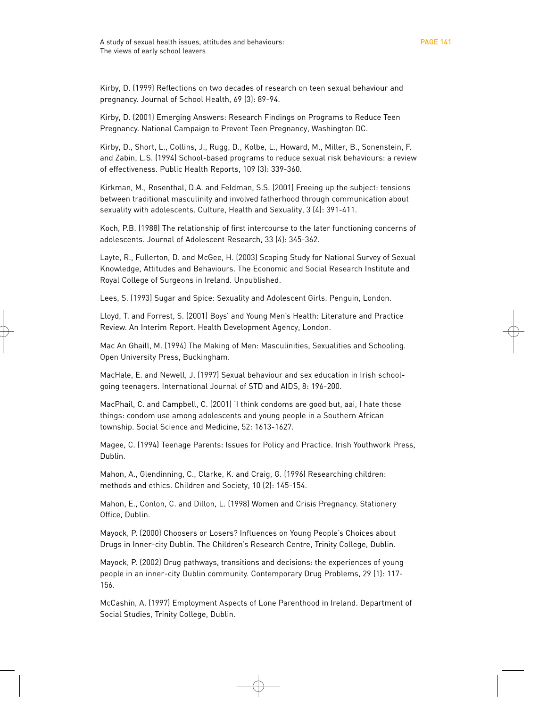Kirby, D. (1999) Reflections on two decades of research on teen sexual behaviour and pregnancy. Journal of School Health, 69 (3): 89-94.

Kirby, D. (2001) Emerging Answers: Research Findings on Programs to Reduce Teen Pregnancy. National Campaign to Prevent Teen Pregnancy, Washington DC.

Kirby, D., Short, L., Collins, J., Rugg, D., Kolbe, L., Howard, M., Miller, B., Sonenstein, F. and Zabin, L.S. (1994) School-based programs to reduce sexual risk behaviours: a review of effectiveness. Public Health Reports, 109 (3): 339-360.

Kirkman, M., Rosenthal, D.A. and Feldman, S.S. (2001) Freeing up the subject: tensions between traditional masculinity and involved fatherhood through communication about sexuality with adolescents. Culture, Health and Sexuality, 3 (4): 391-411.

Koch, P.B. (1988) The relationship of first intercourse to the later functioning concerns of adolescents. Journal of Adolescent Research, 33 (4): 345-362.

Layte, R., Fullerton, D. and McGee, H. (2003) Scoping Study for National Survey of Sexual Knowledge, Attitudes and Behaviours. The Economic and Social Research Institute and Royal College of Surgeons in Ireland. Unpublished.

Lees, S. (1993) Sugar and Spice: Sexuality and Adolescent Girls. Penguin, London.

Lloyd, T. and Forrest, S. (2001) Boys' and Young Men's Health: Literature and Practice Review. An Interim Report. Health Development Agency, London.

Mac An Ghaill, M. (1994) The Making of Men: Masculinities, Sexualities and Schooling. Open University Press, Buckingham.

MacHale, E. and Newell, J. (1997) Sexual behaviour and sex education in Irish schoolgoing teenagers. International Journal of STD and AIDS, 8: 196-200.

MacPhail, C. and Campbell, C. (2001) 'I think condoms are good but, aai, I hate those things: condom use among adolescents and young people in a Southern African township. Social Science and Medicine, 52: 1613-1627.

Magee, C. (1994) Teenage Parents: Issues for Policy and Practice. Irish Youthwork Press, Dublin.

Mahon, A., Glendinning, C., Clarke, K. and Craig, G. (1996) Researching children: methods and ethics. Children and Society, 10 (2): 145-154.

Mahon, E., Conlon, C. and Dillon, L. (1998) Women and Crisis Pregnancy. Stationery Office, Dublin.

Mayock, P. (2000) Choosers or Losers? Influences on Young People's Choices about Drugs in Inner-city Dublin. The Children's Research Centre, Trinity College, Dublin.

Mayock, P. (2002) Drug pathways, transitions and decisions: the experiences of young people in an inner-city Dublin community. Contemporary Drug Problems, 29 (1): 117- 156.

McCashin, A. (1997) Employment Aspects of Lone Parenthood in Ireland. Department of Social Studies, Trinity College, Dublin.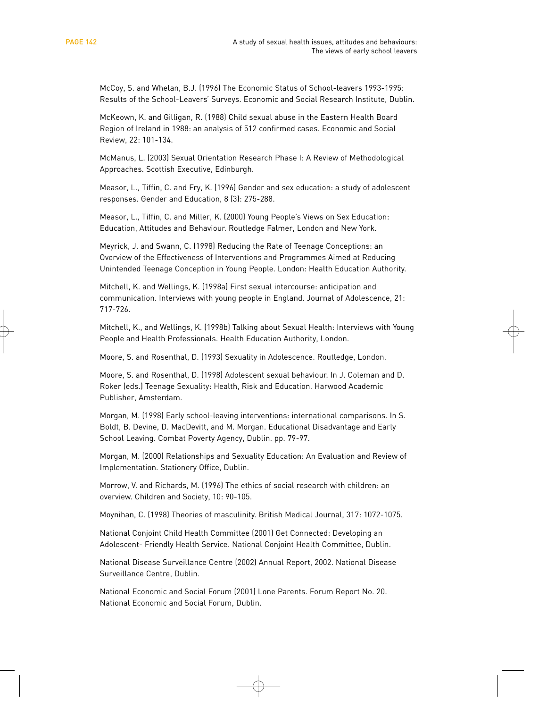McCoy, S. and Whelan, B.J. (1996) The Economic Status of School-leavers 1993-1995: Results of the School-Leavers' Surveys. Economic and Social Research Institute, Dublin.

McKeown, K. and Gilligan, R. (1988) Child sexual abuse in the Eastern Health Board Region of Ireland in 1988: an analysis of 512 confirmed cases. Economic and Social Review, 22: 101-134.

McManus, L. (2003) Sexual Orientation Research Phase I: A Review of Methodological Approaches. Scottish Executive, Edinburgh.

Measor, L., Tiffin, C. and Fry, K. (1996) Gender and sex education: a study of adolescent responses. Gender and Education, 8 (3): 275-288.

Measor, L., Tiffin, C. and Miller, K. (2000) Young People's Views on Sex Education: Education, Attitudes and Behaviour. Routledge Falmer, London and New York.

Meyrick, J. and Swann, C. (1998) Reducing the Rate of Teenage Conceptions: an Overview of the Effectiveness of Interventions and Programmes Aimed at Reducing Unintended Teenage Conception in Young People. London: Health Education Authority.

Mitchell, K. and Wellings, K. (1998a) First sexual intercourse: anticipation and communication. Interviews with young people in England. Journal of Adolescence, 21: 717-726.

Mitchell, K., and Wellings, K. (1998b) Talking about Sexual Health: Interviews with Young People and Health Professionals. Health Education Authority, London.

Moore, S. and Rosenthal, D. (1993) Sexuality in Adolescence. Routledge, London.

Moore, S. and Rosenthal, D. (1998) Adolescent sexual behaviour. In J. Coleman and D. Roker (eds.) Teenage Sexuality: Health, Risk and Education. Harwood Academic Publisher, Amsterdam.

Morgan, M. (1998) Early school-leaving interventions: international comparisons. In S. Boldt, B. Devine, D. MacDevitt, and M. Morgan. Educational Disadvantage and Early School Leaving. Combat Poverty Agency, Dublin. pp. 79-97.

Morgan, M. (2000) Relationships and Sexuality Education: An Evaluation and Review of Implementation. Stationery Office, Dublin.

Morrow, V. and Richards, M. (1996) The ethics of social research with children: an overview. Children and Society, 10: 90-105.

Moynihan, C. (1998) Theories of masculinity. British Medical Journal, 317: 1072-1075.

National Conjoint Child Health Committee (2001) Get Connected: Developing an Adolescent- Friendly Health Service. National Conjoint Health Committee, Dublin.

National Disease Surveillance Centre (2002) Annual Report, 2002. National Disease Surveillance Centre, Dublin.

National Economic and Social Forum (2001) Lone Parents. Forum Report No. 20. National Economic and Social Forum, Dublin.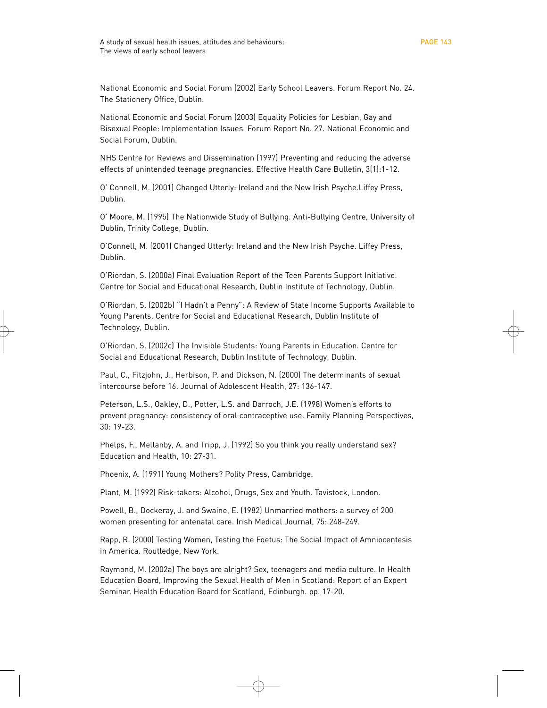National Economic and Social Forum (2002) Early School Leavers. Forum Report No. 24. The Stationery Office, Dublin.

National Economic and Social Forum (2003) Equality Policies for Lesbian, Gay and Bisexual People: Implementation Issues. Forum Report No. 27. National Economic and Social Forum, Dublin.

NHS Centre for Reviews and Dissemination (1997) Preventing and reducing the adverse effects of unintended teenage pregnancies. Effective Health Care Bulletin, 3(1):1-12.

O' Connell, M. (2001) Changed Utterly: Ireland and the New Irish Psyche.Liffey Press, Dublin.

O' Moore, M. (1995) The Nationwide Study of Bullying. Anti-Bullying Centre, University of Dublin, Trinity College, Dublin.

O'Connell, M. (2001) Changed Utterly: Ireland and the New Irish Psyche. Liffey Press, Dublin.

O'Riordan, S. (2000a) Final Evaluation Report of the Teen Parents Support Initiative. Centre for Social and Educational Research, Dublin Institute of Technology, Dublin.

O'Riordan, S. (2002b) "I Hadn't a Penny": A Review of State Income Supports Available to Young Parents. Centre for Social and Educational Research, Dublin Institute of Technology, Dublin.

O'Riordan, S. (2002c) The Invisible Students: Young Parents in Education. Centre for Social and Educational Research, Dublin Institute of Technology, Dublin.

Paul, C., Fitzjohn, J., Herbison, P. and Dickson, N. (2000) The determinants of sexual intercourse before 16. Journal of Adolescent Health, 27: 136-147.

Peterson, L.S., Oakley, D., Potter, L.S. and Darroch, J.E. (1998) Women's efforts to prevent pregnancy: consistency of oral contraceptive use. Family Planning Perspectives, 30: 19-23.

Phelps, F., Mellanby, A. and Tripp, J. (1992) So you think you really understand sex? Education and Health, 10: 27-31.

Phoenix, A. (1991) Young Mothers? Polity Press, Cambridge.

Plant, M. (1992) Risk-takers: Alcohol, Drugs, Sex and Youth. Tavistock, London.

Powell, B., Dockeray, J. and Swaine, E. (1982) Unmarried mothers: a survey of 200 women presenting for antenatal care. Irish Medical Journal, 75: 248-249.

Rapp, R. (2000) Testing Women, Testing the Foetus: The Social Impact of Amniocentesis in America. Routledge, New York.

Raymond, M. (2002a) The boys are alright? Sex, teenagers and media culture. In Health Education Board, Improving the Sexual Health of Men in Scotland: Report of an Expert Seminar. Health Education Board for Scotland, Edinburgh. pp. 17-20.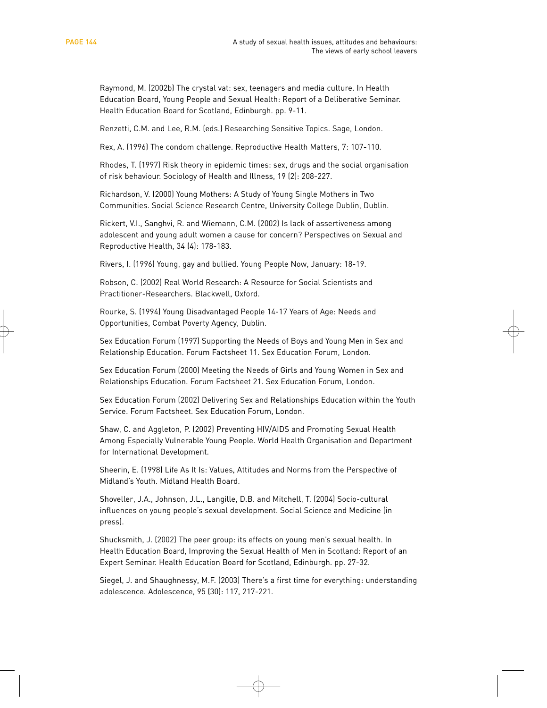Raymond, M. (2002b) The crystal vat: sex, teenagers and media culture. In Health Education Board, Young People and Sexual Health: Report of a Deliberative Seminar. Health Education Board for Scotland, Edinburgh. pp. 9-11.

Renzetti, C.M. and Lee, R.M. (eds.) Researching Sensitive Topics. Sage, London.

Rex, A. (1996) The condom challenge. Reproductive Health Matters, 7: 107-110.

Rhodes, T. (1997) Risk theory in epidemic times: sex, drugs and the social organisation of risk behaviour. Sociology of Health and Illness, 19 (2): 208-227.

Richardson, V. (2000) Young Mothers: A Study of Young Single Mothers in Two Communities. Social Science Research Centre, University College Dublin, Dublin.

Rickert, V.I., Sanghvi, R. and Wiemann, C.M. (2002) Is lack of assertiveness among adolescent and young adult women a cause for concern? Perspectives on Sexual and Reproductive Health, 34 (4): 178-183.

Rivers, I. (1996) Young, gay and bullied. Young People Now, January: 18-19.

Robson, C. (2002) Real World Research: A Resource for Social Scientists and Practitioner-Researchers. Blackwell, Oxford.

Rourke, S. (1994) Young Disadvantaged People 14-17 Years of Age: Needs and Opportunities, Combat Poverty Agency, Dublin.

Sex Education Forum (1997) Supporting the Needs of Boys and Young Men in Sex and Relationship Education. Forum Factsheet 11. Sex Education Forum, London.

Sex Education Forum (2000) Meeting the Needs of Girls and Young Women in Sex and Relationships Education. Forum Factsheet 21. Sex Education Forum, London.

Sex Education Forum (2002) Delivering Sex and Relationships Education within the Youth Service. Forum Factsheet. Sex Education Forum, London.

Shaw, C. and Aggleton, P. (2002) Preventing HIV/AIDS and Promoting Sexual Health Among Especially Vulnerable Young People. World Health Organisation and Department for International Development.

Sheerin, E. (1998) Life As It Is: Values, Attitudes and Norms from the Perspective of Midland's Youth. Midland Health Board.

Shoveller, J.A., Johnson, J.L., Langille, D.B. and Mitchell, T. (2004) Socio-cultural influences on young people's sexual development. Social Science and Medicine (in press).

Shucksmith, J. (2002) The peer group: its effects on young men's sexual health. In Health Education Board, Improving the Sexual Health of Men in Scotland: Report of an Expert Seminar. Health Education Board for Scotland, Edinburgh. pp. 27-32.

Siegel, J. and Shaughnessy, M.F. (2003) There's a first time for everything: understanding adolescence. Adolescence, 95 (30): 117, 217-221.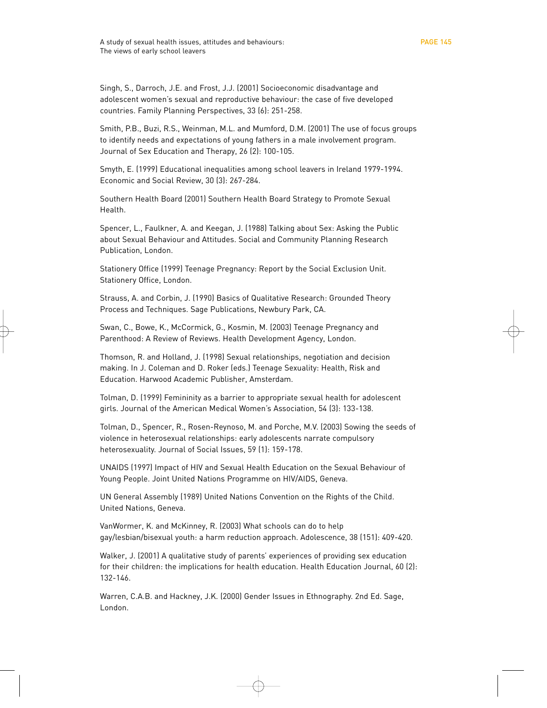Singh, S., Darroch, J.E. and Frost, J.J. (2001) Socioeconomic disadvantage and adolescent women's sexual and reproductive behaviour: the case of five developed countries. Family Planning Perspectives, 33 (6): 251-258.

Smith, P.B., Buzi, R.S., Weinman, M.L. and Mumford, D.M. (2001) The use of focus groups to identify needs and expectations of young fathers in a male involvement program. Journal of Sex Education and Therapy, 26 (2): 100-105.

Smyth, E. (1999) Educational inequalities among school leavers in Ireland 1979-1994. Economic and Social Review, 30 (3): 267-284.

Southern Health Board (2001) Southern Health Board Strategy to Promote Sexual Health.

Spencer, L., Faulkner, A. and Keegan, J. (1988) Talking about Sex: Asking the Public about Sexual Behaviour and Attitudes. Social and Community Planning Research Publication, London.

Stationery Office (1999) Teenage Pregnancy: Report by the Social Exclusion Unit. Stationery Office, London.

Strauss, A. and Corbin, J. (1990) Basics of Qualitative Research: Grounded Theory Process and Techniques. Sage Publications, Newbury Park, CA.

Swan, C., Bowe, K., McCormick, G., Kosmin, M. (2003) Teenage Pregnancy and Parenthood: A Review of Reviews. Health Development Agency, London.

Thomson, R. and Holland, J. (1998) Sexual relationships, negotiation and decision making. In J. Coleman and D. Roker (eds.) Teenage Sexuality: Health, Risk and Education. Harwood Academic Publisher, Amsterdam.

Tolman, D. (1999) Femininity as a barrier to appropriate sexual health for adolescent girls. Journal of the American Medical Women's Association, 54 (3): 133-138.

Tolman, D., Spencer, R., Rosen-Reynoso, M. and Porche, M.V. (2003) Sowing the seeds of violence in heterosexual relationships: early adolescents narrate compulsory heterosexuality. Journal of Social Issues, 59 (1): 159-178.

UNAIDS (1997) Impact of HIV and Sexual Health Education on the Sexual Behaviour of Young People. Joint United Nations Programme on HIV/AIDS, Geneva.

UN General Assembly (1989) United Nations Convention on the Rights of the Child. United Nations, Geneva.

VanWormer, K. and McKinney, R. (2003) What schools can do to help gay/lesbian/bisexual youth: a harm reduction approach. Adolescence, 38 (151): 409-420.

Walker, J. (2001) A qualitative study of parents' experiences of providing sex education for their children: the implications for health education. Health Education Journal, 60 (2): 132-146.

Warren, C.A.B. and Hackney, J.K. (2000) Gender Issues in Ethnography. 2nd Ed. Sage, London.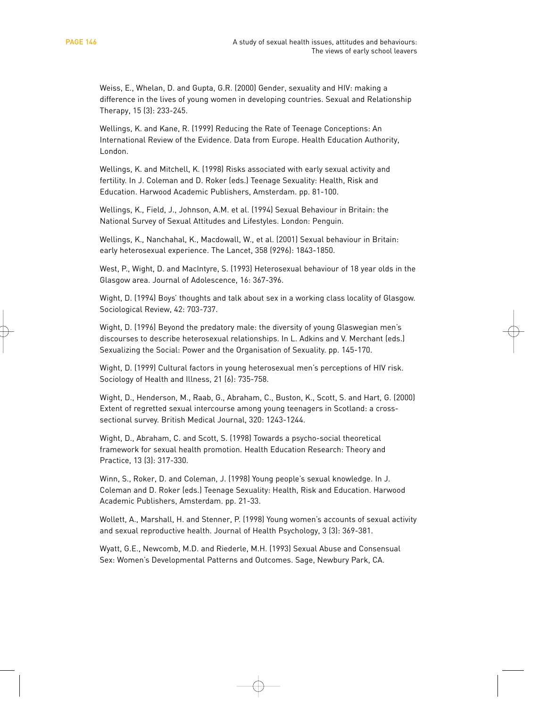Weiss, E., Whelan, D. and Gupta, G.R. (2000) Gender, sexuality and HIV: making a difference in the lives of young women in developing countries. Sexual and Relationship Therapy, 15 (3): 233-245.

Wellings, K. and Kane, R. (1999) Reducing the Rate of Teenage Conceptions: An International Review of the Evidence. Data from Europe. Health Education Authority, London.

Wellings, K. and Mitchell, K. (1998) Risks associated with early sexual activity and fertility. In J. Coleman and D. Roker (eds.) Teenage Sexuality: Health, Risk and Education. Harwood Academic Publishers, Amsterdam. pp. 81-100.

Wellings, K., Field, J., Johnson, A.M. et al. (1994) Sexual Behaviour in Britain: the National Survey of Sexual Attitudes and Lifestyles. London: Penguin.

Wellings, K., Nanchahal, K., Macdowall, W., et al. (2001) Sexual behaviour in Britain: early heterosexual experience. The Lancet, 358 (9296): 1843-1850.

West, P., Wight, D. and MacIntyre, S. (1993) Heterosexual behaviour of 18 year olds in the Glasgow area. Journal of Adolescence, 16: 367-396.

Wight, D. (1994) Boys' thoughts and talk about sex in a working class locality of Glasgow. Sociological Review, 42: 703-737.

Wight, D. (1996) Beyond the predatory male: the diversity of young Glaswegian men's discourses to describe heterosexual relationships. In L. Adkins and V. Merchant (eds.) Sexualizing the Social: Power and the Organisation of Sexuality. pp. 145-170.

Wight, D. (1999) Cultural factors in young heterosexual men's perceptions of HIV risk. Sociology of Health and Illness, 21 (6): 735-758.

Wight, D., Henderson, M., Raab, G., Abraham, C., Buston, K., Scott, S. and Hart, G. (2000) Extent of regretted sexual intercourse among young teenagers in Scotland: a crosssectional survey. British Medical Journal, 320: 1243-1244.

Wight, D., Abraham, C. and Scott, S. (1998) Towards a psycho-social theoretical framework for sexual health promotion. Health Education Research: Theory and Practice, 13 (3): 317-330.

Winn, S., Roker, D. and Coleman, J. (1998) Young people's sexual knowledge. In J. Coleman and D. Roker (eds.) Teenage Sexuality: Health, Risk and Education. Harwood Academic Publishers, Amsterdam. pp. 21-33.

Wollett, A., Marshall, H. and Stenner, P. (1998) Young women's accounts of sexual activity and sexual reproductive health. Journal of Health Psychology, 3 (3): 369-381.

Wyatt, G.E., Newcomb, M.D. and Riederle, M.H. (1993) Sexual Abuse and Consensual Sex: Women's Developmental Patterns and Outcomes. Sage, Newbury Park, CA.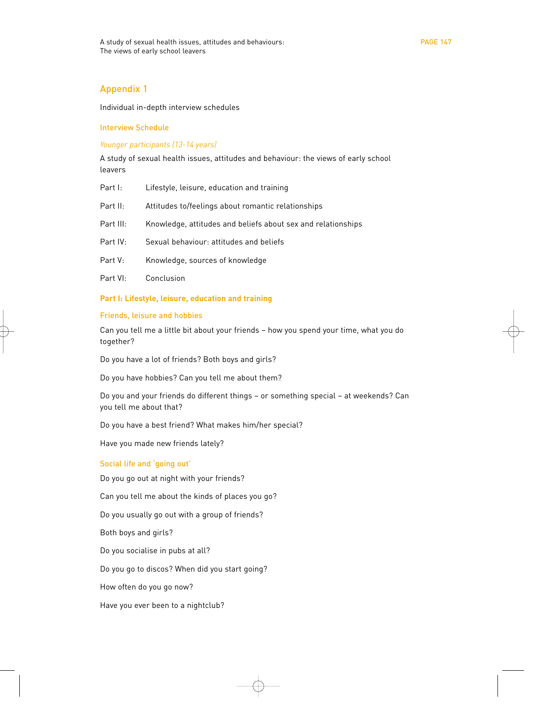### Appendix 1

Individual in-depth interview schedules

#### Interview Schedule

#### *Younger participants (13-14 years)*

A study of sexual health issues, attitudes and behaviour: the views of early school leavers

| Part I:   | Lifestyle, leisure, education and training                   |
|-----------|--------------------------------------------------------------|
| Part II:  | Attitudes to/feelings about romantic relationships           |
| Part III: | Knowledge, attitudes and beliefs about sex and relationships |
| Part IV:  | Sexual behaviour: attitudes and beliefs                      |
| Part V:   | Knowledge, sources of knowledge                              |
| Part VI:  | Conclusion                                                   |

### **Part I: Lifestyle, leisure, education and training**

#### Friends, leisure and hobbies

Can you tell me a little bit about your friends – how you spend your time, what you do together?

Do you have a lot of friends? Both boys and girls?

Do you have hobbies? Can you tell me about them?

Do you and your friends do different things – or something special – at weekends? Can you tell me about that?

Do you have a best friend? What makes him/her special?

Have you made new friends lately?

### Social life and 'going out'

Do you go out at night with your friends?

Can you tell me about the kinds of places you go?

Do you usually go out with a group of friends?

Both boys and girls?

Do you socialise in pubs at all?

Do you go to discos? When did you start going?

How often do you go now?

Have you ever been to a nightclub?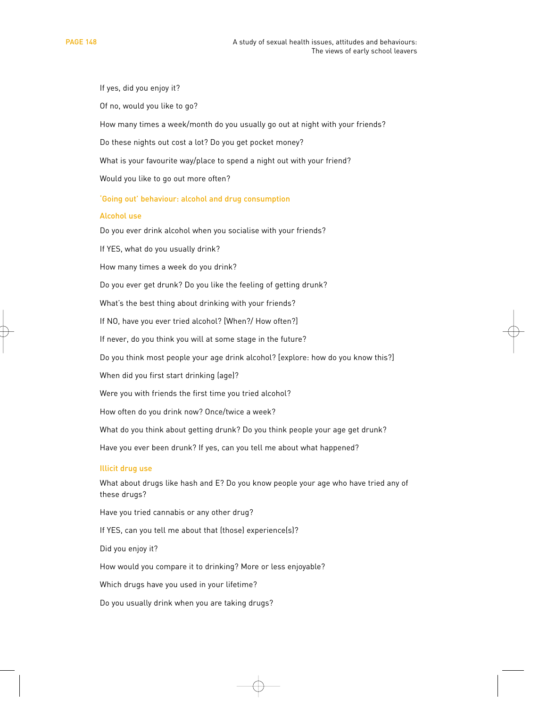If yes, did you enjoy it? Of no, would you like to go? How many times a week/month do you usually go out at night with your friends? Do these nights out cost a lot? Do you get pocket money? What is your favourite way/place to spend a night out with your friend? Would you like to go out more often? 'Going out' behaviour: alcohol and drug consumption Alcohol use Do you ever drink alcohol when you socialise with your friends? If YES, what do you usually drink? How many times a week do you drink? Do you ever get drunk? Do you like the feeling of getting drunk? What's the best thing about drinking with your friends? If NO, have you ever tried alcohol? [When?/ How often?] If never, do you think you will at some stage in the future? Do you think most people your age drink alcohol? [explore: how do you know this?] When did you first start drinking (age)? Were you with friends the first time you tried alcohol? How often do you drink now? Once/twice a week? What do you think about getting drunk? Do you think people your age get drunk? Have you ever been drunk? If yes, can you tell me about what happened? Illicit drug use What about drugs like hash and E? Do you know people your age who have tried any of these drugs? Have you tried cannabis or any other drug? If YES, can you tell me about that (those) experience(s)? Did you enjoy it? How would you compare it to drinking? More or less enjoyable? Which drugs have you used in your lifetime? Do you usually drink when you are taking drugs?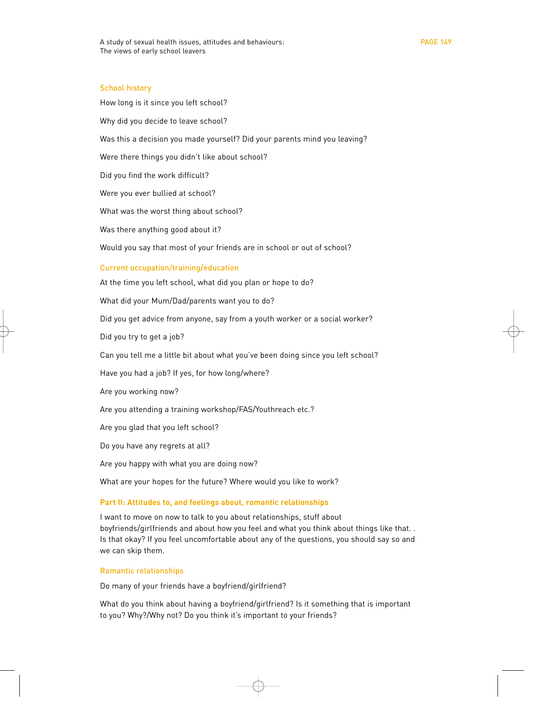#### School history

How long is it since you left school? Why did you decide to leave school? Was this a decision you made yourself? Did your parents mind you leaving? Were there things you didn't like about school? Did you find the work difficult? Were you ever bullied at school? What was the worst thing about school? Was there anything good about it? Would you say that most of your friends are in school or out of school? Current occupation/training/education At the time you left school, what did you plan or hope to do? What did your Mum/Dad/parents want you to do? Did you get advice from anyone, say from a youth worker or a social worker? Did you try to get a job? Can you tell me a little bit about what you've been doing since you left school? Have you had a job? If yes, for how long/where? Are you working now? Are you attending a training workshop/FAS/Youthreach etc.? Are you glad that you left school? Do you have any regrets at all? Are you happy with what you are doing now? What are your hopes for the future? Where would you like to work? **Part II: Attitudes to, and feelings about, romantic relationships**

I want to move on now to talk to you about relationships, stuff about boyfriends/girlfriends and about how you feel and what you think about things like that. . Is that okay? If you feel uncomfortable about any of the questions, you should say so and we can skip them.

### Romantic relationships

Do many of your friends have a boyfriend/girlfriend?

What do you think about having a boyfriend/girlfriend? Is it something that is important to you? Why?/Why not? Do you think it's important to your friends?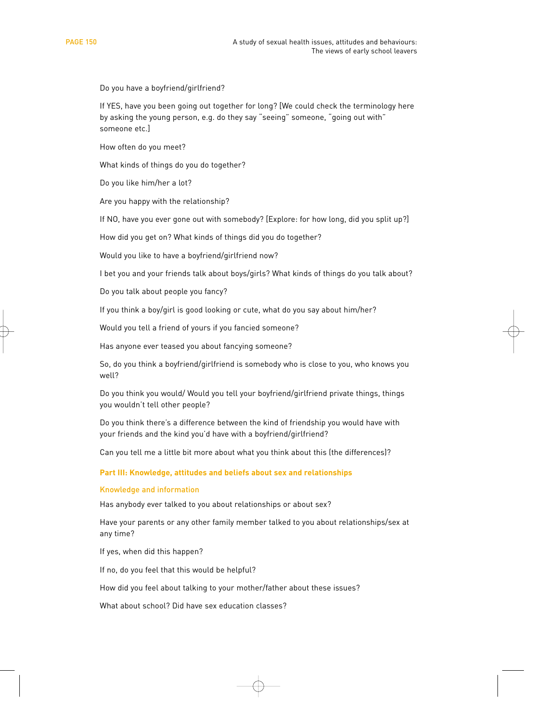Do you have a boyfriend/girlfriend?

If YES, have you been going out together for long? [We could check the terminology here by asking the young person, e.g. do they say "seeing" someone, "going out with" someone etc.]

How often do you meet?

What kinds of things do you do together?

Do you like him/her a lot?

Are you happy with the relationship?

If NO, have you ever gone out with somebody? [Explore: for how long, did you split up?]

How did you get on? What kinds of things did you do together?

Would you like to have a boyfriend/girlfriend now?

I bet you and your friends talk about boys/girls? What kinds of things do you talk about?

Do you talk about people you fancy?

If you think a boy/girl is good looking or cute, what do you say about him/her?

Would you tell a friend of yours if you fancied someone?

Has anyone ever teased you about fancying someone?

So, do you think a boyfriend/girlfriend is somebody who is close to you, who knows you well?

Do you think you would/ Would you tell your boyfriend/girlfriend private things, things you wouldn't tell other people?

Do you think there's a difference between the kind of friendship you would have with your friends and the kind you'd have with a boyfriend/girlfriend?

Can you tell me a little bit more about what you think about this (the differences)?

**Part III: Knowledge, attitudes and beliefs about sex and relationships**

Knowledge and information

Has anybody ever talked to you about relationships or about sex?

Have your parents or any other family member talked to you about relationships/sex at any time?

If yes, when did this happen?

If no, do you feel that this would be helpful?

How did you feel about talking to your mother/father about these issues?

What about school? Did have sex education classes?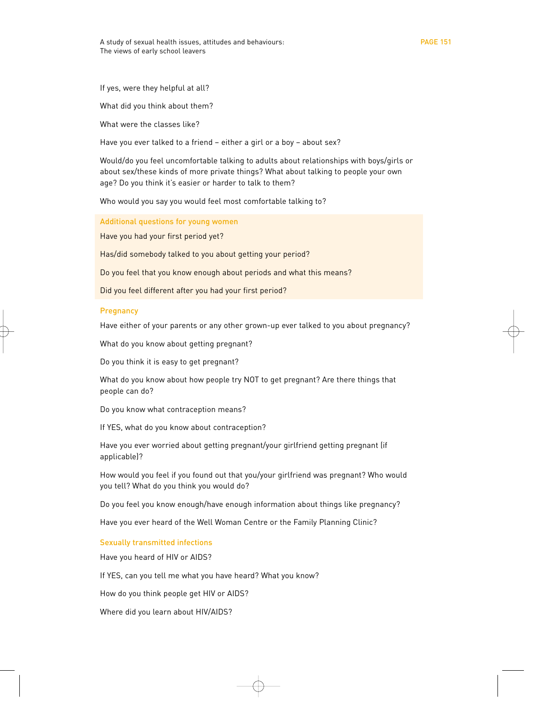If yes, were they helpful at all?

What did you think about them?

What were the classes like?

Have you ever talked to a friend – either a girl or a boy – about sex?

Would/do you feel uncomfortable talking to adults about relationships with boys/girls or about sex/these kinds of more private things? What about talking to people your own age? Do you think it's easier or harder to talk to them?

Who would you say you would feel most comfortable talking to?

Additional questions for young women

Have you had your first period yet?

Has/did somebody talked to you about getting your period?

Do you feel that you know enough about periods and what this means?

Did you feel different after you had your first period?

#### **Pregnancy**

Have either of your parents or any other grown-up ever talked to you about pregnancy?

What do you know about getting pregnant?

Do you think it is easy to get pregnant?

What do you know about how people try NOT to get pregnant? Are there things that people can do?

Do you know what contraception means?

If YES, what do you know about contraception?

Have you ever worried about getting pregnant/your girlfriend getting pregnant (if applicable)?

How would you feel if you found out that you/your girlfriend was pregnant? Who would you tell? What do you think you would do?

Do you feel you know enough/have enough information about things like pregnancy?

Have you ever heard of the Well Woman Centre or the Family Planning Clinic?

Sexually transmitted infections

Have you heard of HIV or AIDS?

If YES, can you tell me what you have heard? What you know?

How do you think people get HIV or AIDS?

Where did you learn about HIV/AIDS?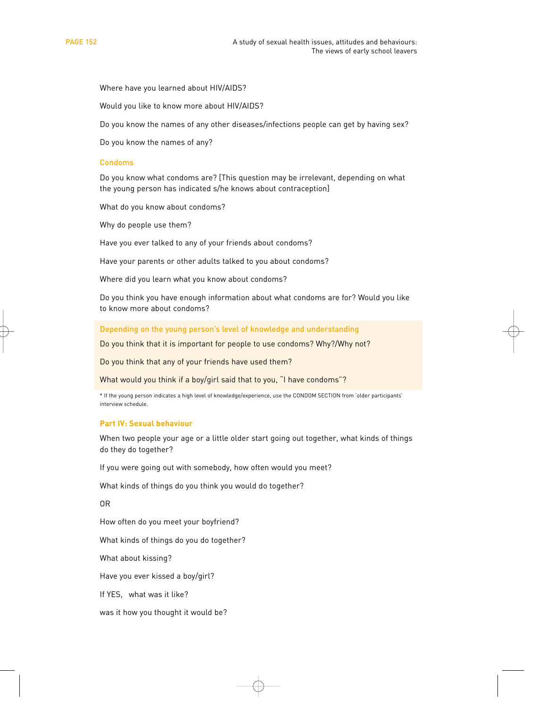Where have you learned about HIV/AIDS?

Would you like to know more about HIV/AIDS?

Do you know the names of any other diseases/infections people can get by having sex?

Do you know the names of any?

#### Condoms

Do you know what condoms are? [This question may be irrelevant, depending on what the young person has indicated s/he knows about contraception]

What do you know about condoms?

Why do people use them?

Have you ever talked to any of your friends about condoms?

Have your parents or other adults talked to you about condoms?

Where did you learn what you know about condoms?

Do you think you have enough information about what condoms are for? Would you like to know more about condoms?

Depending on the young person's level of knowledge and understanding

Do you think that it is important for people to use condoms? Why?/Why not?

Do you think that any of your friends have used them?

What would you think if a boy/girl said that to you, "I have condoms"?

\* If the young person indicates a high level of knowledge/experience, use the CONDOM SECTION from 'older participants' interview schedule.

#### **Part IV: Sexual behaviour**

When two people your age or a little older start going out together, what kinds of things do they do together?

If you were going out with somebody, how often would you meet?

What kinds of things do you think you would do together?

OR

How often do you meet your boyfriend?

What kinds of things do you do together?

What about kissing?

Have you ever kissed a boy/girl?

If YES, what was it like?

was it how you thought it would be?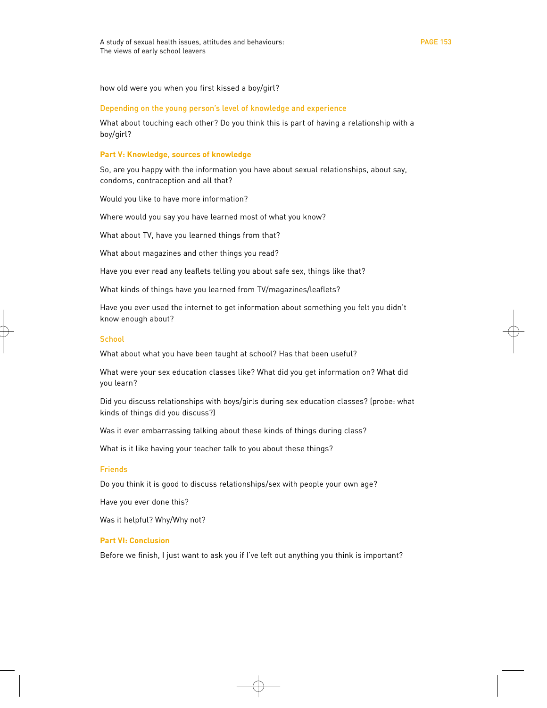how old were you when you first kissed a boy/girl?

#### Depending on the young person's level of knowledge and experience

What about touching each other? Do you think this is part of having a relationship with a boy/girl?

#### **Part V: Knowledge, sources of knowledge**

So, are you happy with the information you have about sexual relationships, about say, condoms, contraception and all that?

Would you like to have more information?

Where would you say you have learned most of what you know?

What about TV, have you learned things from that?

What about magazines and other things you read?

Have you ever read any leaflets telling you about safe sex, things like that?

What kinds of things have you learned from TV/magazines/leaflets?

Have you ever used the internet to get information about something you felt you didn't know enough about?

#### **School**

What about what you have been taught at school? Has that been useful?

What were your sex education classes like? What did you get information on? What did you learn?

Did you discuss relationships with boys/girls during sex education classes? (probe: what kinds of things did you discuss?)

Was it ever embarrassing talking about these kinds of things during class?

What is it like having your teacher talk to you about these things?

### Friends

Do you think it is good to discuss relationships/sex with people your own age?

Have you ever done this?

Was it helpful? Why/Why not?

### **Part VI: Conclusion**

Before we finish, I just want to ask you if I've left out anything you think is important?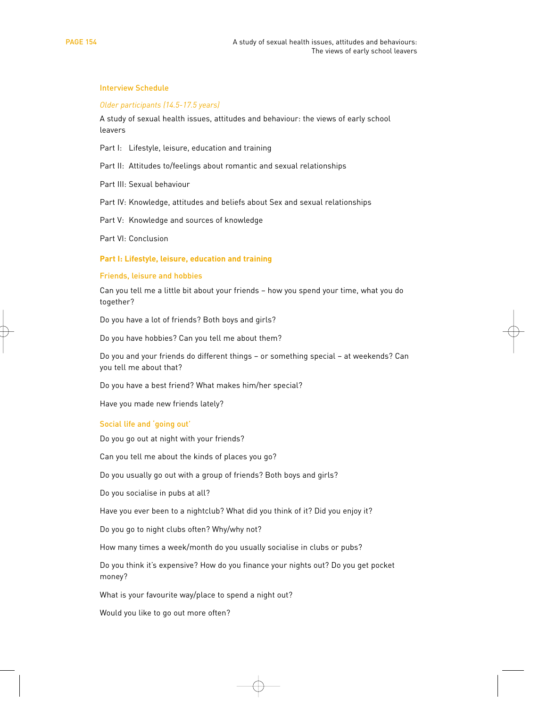#### Interview Schedule

#### *Older participants (14.5-17.5 years)*

A study of sexual health issues, attitudes and behaviour: the views of early school leavers

Part I: Lifestyle, leisure, education and training

Part II: Attitudes to/feelings about romantic and sexual relationships

Part III: Sexual behaviour

Part IV: Knowledge, attitudes and beliefs about Sex and sexual relationships

Part V: Knowledge and sources of knowledge

Part VI: Conclusion

### **Part I: Lifestyle, leisure, education and training**

#### Friends, leisure and hobbies

Can you tell me a little bit about your friends – how you spend your time, what you do together?

Do you have a lot of friends? Both boys and girls?

Do you have hobbies? Can you tell me about them?

Do you and your friends do different things – or something special – at weekends? Can you tell me about that?

Do you have a best friend? What makes him/her special?

Have you made new friends lately?

### Social life and 'going out'

Do you go out at night with your friends?

Can you tell me about the kinds of places you go?

Do you usually go out with a group of friends? Both boys and girls?

Do you socialise in pubs at all?

Have you ever been to a nightclub? What did you think of it? Did you enjoy it?

Do you go to night clubs often? Why/why not?

How many times a week/month do you usually socialise in clubs or pubs?

Do you think it's expensive? How do you finance your nights out? Do you get pocket money?

What is your favourite way/place to spend a night out?

Would you like to go out more often?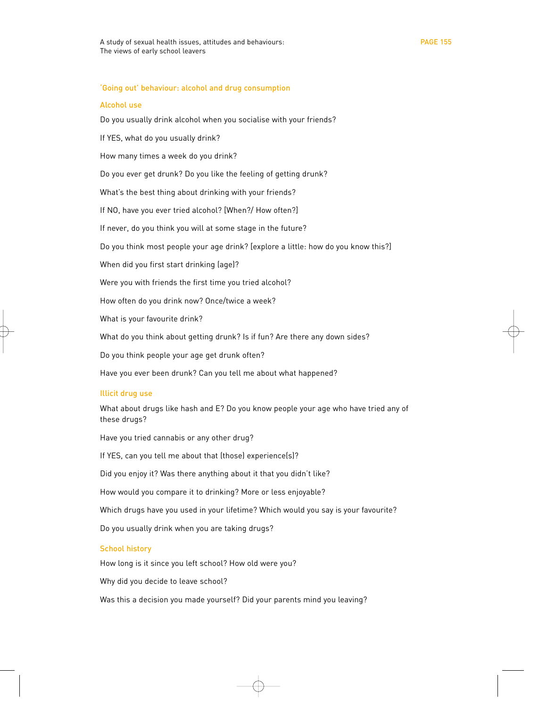#### 'Going out' behaviour: alcohol and drug consumption

#### Alcohol use

Do you usually drink alcohol when you socialise with your friends?

If YES, what do you usually drink?

How many times a week do you drink?

Do you ever get drunk? Do you like the feeling of getting drunk?

What's the best thing about drinking with your friends?

If NO, have you ever tried alcohol? [When?/ How often?]

If never, do you think you will at some stage in the future?

Do you think most people your age drink? [explore a little: how do you know this?]

When did you first start drinking (age)?

Were you with friends the first time you tried alcohol?

How often do you drink now? Once/twice a week?

What is your favourite drink?

What do you think about getting drunk? Is if fun? Are there any down sides?

Do you think people your age get drunk often?

Have you ever been drunk? Can you tell me about what happened?

### Illicit drug use

What about drugs like hash and E? Do you know people your age who have tried any of these drugs?

Have you tried cannabis or any other drug?

If YES, can you tell me about that (those) experience(s)?

Did you enjoy it? Was there anything about it that you didn't like?

How would you compare it to drinking? More or less enjoyable?

Which drugs have you used in your lifetime? Which would you say is your favourite?

Do you usually drink when you are taking drugs?

#### School history

How long is it since you left school? How old were you?

Why did you decide to leave school?

Was this a decision you made yourself? Did your parents mind you leaving?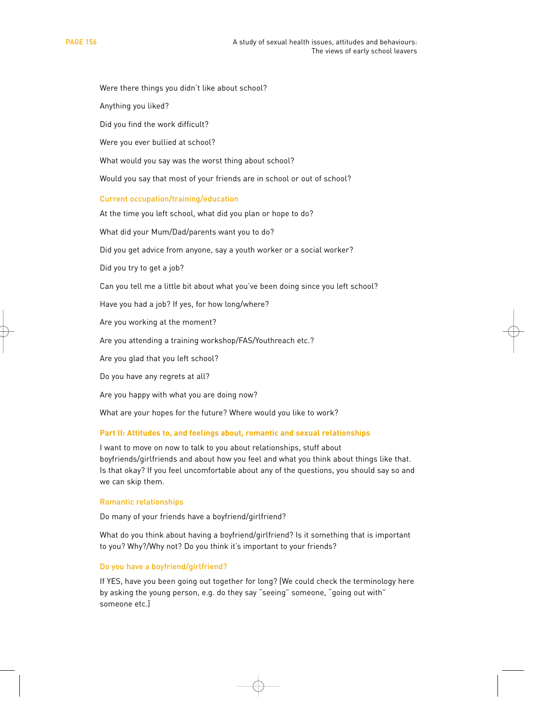Were there things you didn't like about school? Anything you liked? Did you find the work difficult? Were you ever bullied at school? What would you say was the worst thing about school? Would you say that most of your friends are in school or out of school? Current occupation/training/education At the time you left school, what did you plan or hope to do? What did your Mum/Dad/parents want you to do? Did you get advice from anyone, say a youth worker or a social worker? Did you try to get a job? Can you tell me a little bit about what you've been doing since you left school? Have you had a job? If yes, for how long/where? Are you working at the moment? Are you attending a training workshop/FAS/Youthreach etc.? Are you glad that you left school? Do you have any regrets at all? Are you happy with what you are doing now? What are your hopes for the future? Where would you like to work?

#### **Part II: Attitudes to, and feelings about, romantic and sexual relationships**

I want to move on now to talk to you about relationships, stuff about boyfriends/girlfriends and about how you feel and what you think about things like that. Is that okay? If you feel uncomfortable about any of the questions, you should say so and we can skip them.

#### Romantic relationships

Do many of your friends have a boyfriend/girlfriend?

What do you think about having a boyfriend/girlfriend? Is it something that is important to you? Why?/Why not? Do you think it's important to your friends?

#### Do you have a boyfriend/girlfriend?

If YES, have you been going out together for long? [We could check the terminology here by asking the young person, e.g. do they say "seeing" someone, "going out with" someone etc.]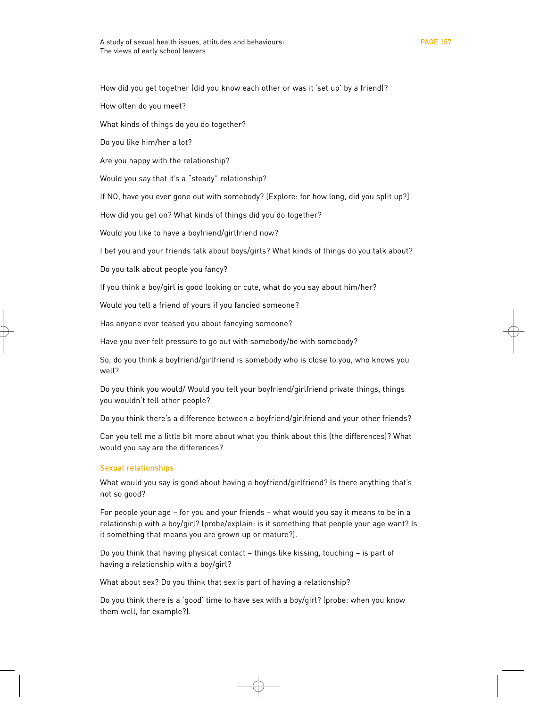How did you get together (did you know each other or was it 'set up' by a friend)?

How often do you meet?

What kinds of things do you do together?

Do you like him/her a lot?

Are you happy with the relationship?

Would you say that it's a "steady" relationship?

If NO, have you ever gone out with somebody? [Explore: for how long, did you split up?]

How did you get on? What kinds of things did you do together?

Would you like to have a boyfriend/girlfriend now?

I bet you and your friends talk about boys/girls? What kinds of things do you talk about?

Do you talk about people you fancy?

If you think a boy/girl is good looking or cute, what do you say about him/her?

Would you tell a friend of yours if you fancied someone?

Has anyone ever teased you about fancying someone?

Have you ever felt pressure to go out with somebody/be with somebody?

So, do you think a boyfriend/girlfriend is somebody who is close to you, who knows you well?

Do you think you would/ Would you tell your boyfriend/girlfriend private things, things you wouldn't tell other people?

Do you think there's a difference between a boyfriend/girlfriend and your other friends?

Can you tell me a little bit more about what you think about this (the differences)? What would you say are the differences?

#### Sexual relationships

What would you say is good about having a boyfriend/girlfriend? Is there anything that's not so good?

For people your age – for you and your friends – what would you say it means to be in a relationship with a boy/girl? (probe/explain: is it something that people your age want? Is it something that means you are grown up or mature?).

Do you think that having physical contact – things like kissing, touching – is part of having a relationship with a boy/girl?

What about sex? Do you think that sex is part of having a relationship?

Do you think there is a 'good' time to have sex with a boy/girl? (probe: when you know them well, for example?).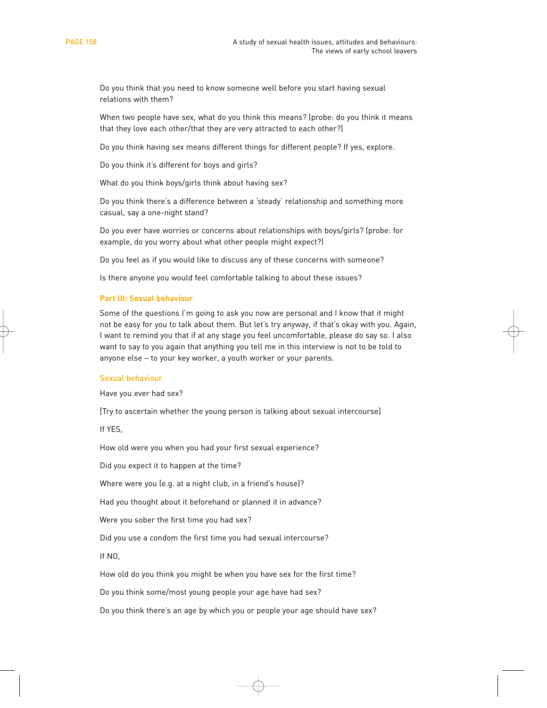Do you think that you need to know someone well before you start having sexual relations with them?

When two people have sex, what do you think this means? (probe: do you think it means that they love each other/that they are very attracted to each other?)

Do you think having sex means different things for different people? If yes, explore.

Do you think it's different for boys and girls?

What do you think boys/girls think about having sex?

Do you think there's a difference between a 'steady' relationship and something more casual, say a one-night stand?

Do you ever have worries or concerns about relationships with boys/girls? (probe: for example, do you worry about what other people might expect?)

Do you feel as if you would like to discuss any of these concerns with someone?

Is there anyone you would feel comfortable talking to about these issues?

#### **Part III: Sexual behaviour**

Some of the questions I'm going to ask you now are personal and I know that it might not be easy for you to talk about them. But let's try anyway, if that's okay with you. Again, I want to remind you that if at any stage you feel uncomfortable, please do say so. I also want to say to you again that anything you tell me in this interview is not to be told to anyone else – to your key worker, a youth worker or your parents.

#### Sexual behaviour

Have you ever had sex?

[Try to ascertain whether the young person is talking about sexual intercourse]

If YES,

How old were you when you had your first sexual experience?

Did you expect it to happen at the time?

Where were you (e.g. at a night club, in a friend's house)?

Had you thought about it beforehand or planned it in advance?

Were you sober the first time you had sex?

Did you use a condom the first time you had sexual intercourse?

If NO,

How old do you think you might be when you have sex for the first time?

Do you think some/most young people your age have had sex?

Do you think there's an age by which you or people your age should have sex?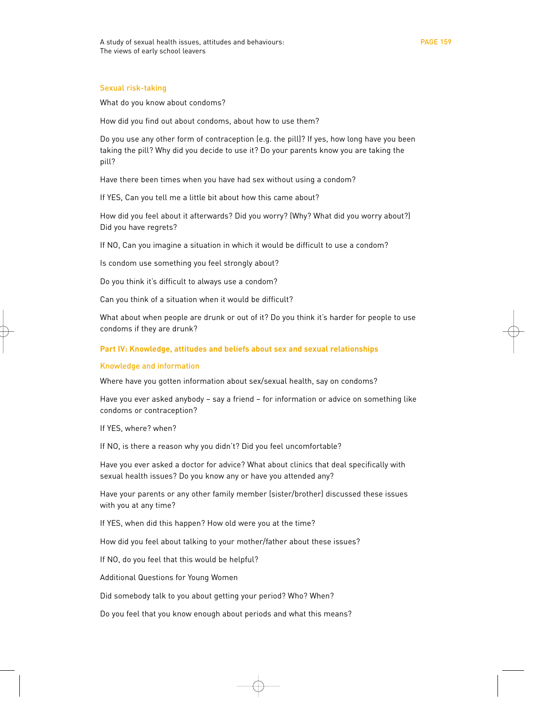#### Sexual risk-taking

What do you know about condoms?

How did you find out about condoms, about how to use them?

Do you use any other form of contraception (e.g. the pill)? If yes, how long have you been taking the pill? Why did you decide to use it? Do your parents know you are taking the pill?

Have there been times when you have had sex without using a condom?

If YES, Can you tell me a little bit about how this came about?

How did you feel about it afterwards? Did you worry? (Why? What did you worry about?) Did you have regrets?

If NO, Can you imagine a situation in which it would be difficult to use a condom?

Is condom use something you feel strongly about?

Do you think it's difficult to always use a condom?

Can you think of a situation when it would be difficult?

What about when people are drunk or out of it? Do you think it's harder for people to use condoms if they are drunk?

#### **Part IV: Knowledge, attitudes and beliefs about sex and sexual relationships**

#### Knowledge and information

Where have you gotten information about sex/sexual health, say on condoms?

Have you ever asked anybody – say a friend – for information or advice on something like condoms or contraception?

If YES, where? when?

If NO, is there a reason why you didn't? Did you feel uncomfortable?

Have you ever asked a doctor for advice? What about clinics that deal specifically with sexual health issues? Do you know any or have you attended any?

Have your parents or any other family member (sister/brother) discussed these issues with you at any time?

If YES, when did this happen? How old were you at the time?

How did you feel about talking to your mother/father about these issues?

If NO, do you feel that this would be helpful?

Additional Questions for Young Women

Did somebody talk to you about getting your period? Who? When?

Do you feel that you know enough about periods and what this means?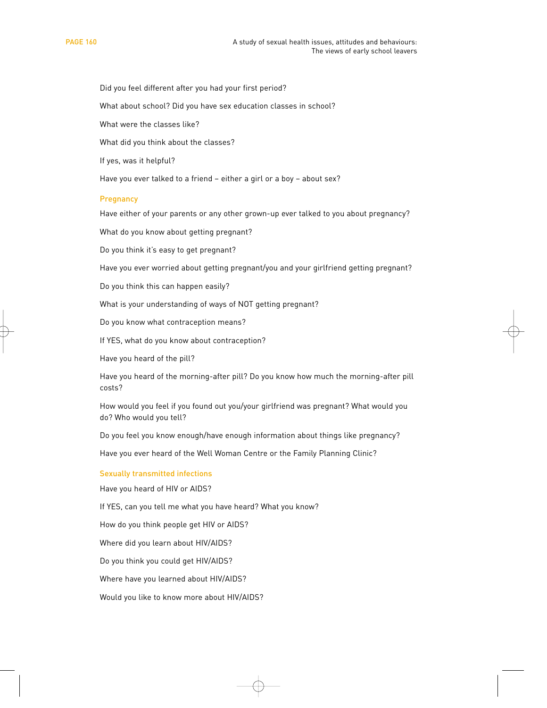Did you feel different after you had your first period?

What about school? Did you have sex education classes in school?

What were the classes like?

What did you think about the classes?

If yes, was it helpful?

Have you ever talked to a friend – either a girl or a boy – about sex?

#### **Pregnancy**

Have either of your parents or any other grown-up ever talked to you about pregnancy?

What do you know about getting pregnant?

Do you think it's easy to get pregnant?

Have you ever worried about getting pregnant/you and your girlfriend getting pregnant?

Do you think this can happen easily?

What is your understanding of ways of NOT getting pregnant?

Do you know what contraception means?

If YES, what do you know about contraception?

Have you heard of the pill?

Have you heard of the morning-after pill? Do you know how much the morning-after pill costs?

How would you feel if you found out you/your girlfriend was pregnant? What would you do? Who would you tell?

Do you feel you know enough/have enough information about things like pregnancy?

Have you ever heard of the Well Woman Centre or the Family Planning Clinic?

#### Sexually transmitted infections

Have you heard of HIV or AIDS?

If YES, can you tell me what you have heard? What you know?

How do you think people get HIV or AIDS?

Where did you learn about HIV/AIDS?

Do you think you could get HIV/AIDS?

Where have you learned about HIV/AIDS?

Would you like to know more about HIV/AIDS?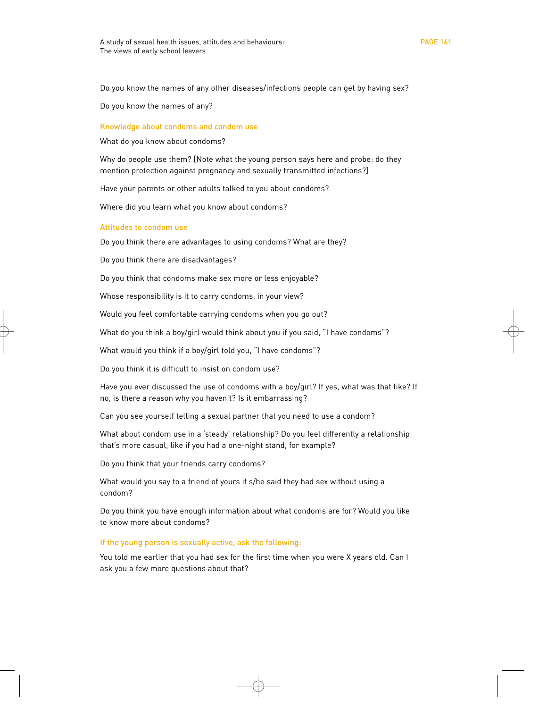Do you know the names of any other diseases/infections people can get by having sex?

Do you know the names of any?

#### Knowledge about condoms and condom use

What do you know about condoms?

Why do people use them? [Note what the young person says here and probe: do they mention protection against pregnancy and sexually transmitted infections?]

Have your parents or other adults talked to you about condoms?

Where did you learn what you know about condoms?

#### Attitudes to condom use

Do you think there are advantages to using condoms? What are they?

Do you think there are disadvantages?

Do you think that condoms make sex more or less enjoyable?

Whose responsibility is it to carry condoms, in your view?

Would you feel comfortable carrying condoms when you go out?

What do you think a boy/girl would think about you if you said, "I have condoms"?

What would you think if a boy/girl told you, "I have condoms"?

Do you think it is difficult to insist on condom use?

Have you ever discussed the use of condoms with a boy/girl? If yes, what was that like? If no, is there a reason why you haven't? Is it embarrassing?

Can you see yourself telling a sexual partner that you need to use a condom?

What about condom use in a 'steady' relationship? Do you feel differently a relationship that's more casual, like if you had a one-night stand, for example?

Do you think that your friends carry condoms?

What would you say to a friend of yours if s/he said they had sex without using a condom?

Do you think you have enough information about what condoms are for? Would you like to know more about condoms?

#### If the young person is sexually active, ask the following:

You told me earlier that you had sex for the first time when you were X years old. Can I ask you a few more questions about that?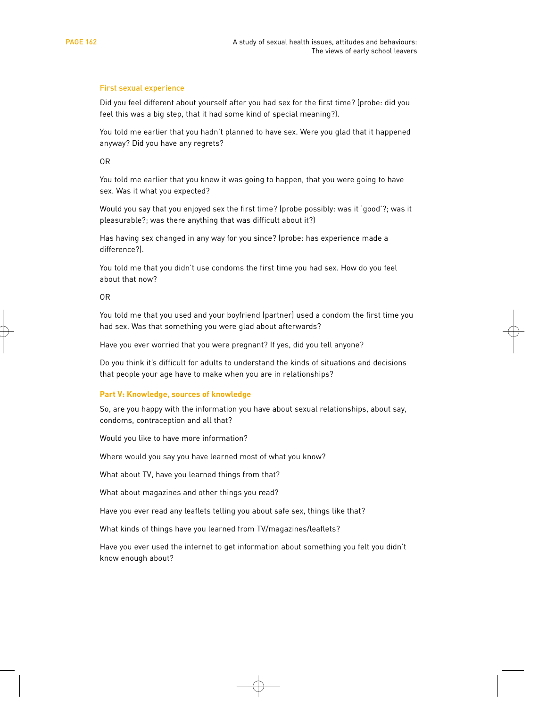#### First sexual experience

Did you feel different about yourself after you had sex for the first time? (probe: did you feel this was a big step, that it had some kind of special meaning?).

You told me earlier that you hadn't planned to have sex. Were you glad that it happened anyway? Did you have any regrets?

OR

You told me earlier that you knew it was going to happen, that you were going to have sex. Was it what you expected?

Would you say that you enjoyed sex the first time? (probe possibly: was it 'good'?; was it pleasurable?; was there anything that was difficult about it?)

Has having sex changed in any way for you since? (probe: has experience made a difference?).

You told me that you didn't use condoms the first time you had sex. How do you feel about that now?

OR

You told me that you used and your boyfriend (partner) used a condom the first time you had sex. Was that something you were glad about afterwards?

Have you ever worried that you were pregnant? If yes, did you tell anyone?

Do you think it's difficult for adults to understand the kinds of situations and decisions that people your age have to make when you are in relationships?

#### **Part V: Knowledge, sources of knowledge**

So, are you happy with the information you have about sexual relationships, about say, condoms, contraception and all that?

Would you like to have more information?

Where would you say you have learned most of what you know?

What about TV, have you learned things from that?

What about magazines and other things you read?

Have you ever read any leaflets telling you about safe sex, things like that?

What kinds of things have you learned from TV/magazines/leaflets?

Have you ever used the internet to get information about something you felt you didn't know enough about?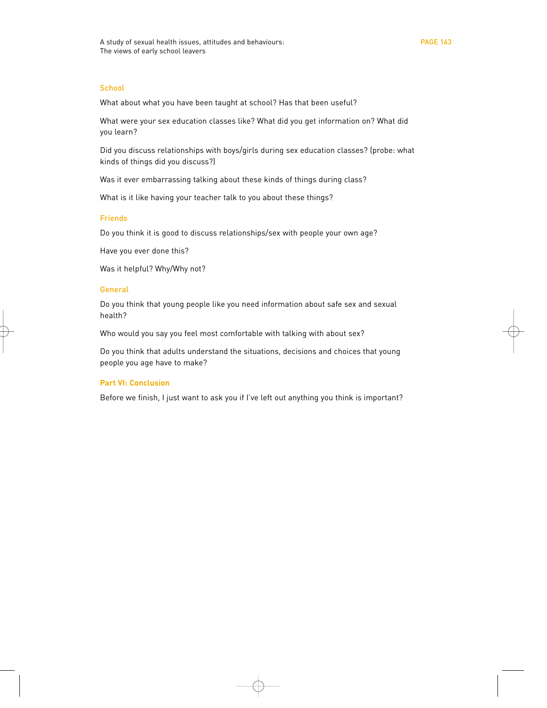### **School**

What about what you have been taught at school? Has that been useful?

What were your sex education classes like? What did you get information on? What did you learn?

Did you discuss relationships with boys/girls during sex education classes? (probe: what kinds of things did you discuss?)

Was it ever embarrassing talking about these kinds of things during class?

What is it like having your teacher talk to you about these things?

### Friends

Do you think it is good to discuss relationships/sex with people your own age?

Have you ever done this?

Was it helpful? Why/Why not?

### General

Do you think that young people like you need information about safe sex and sexual health?

Who would you say you feel most comfortable with talking with about sex?

Do you think that adults understand the situations, decisions and choices that young people you age have to make?

### **Part VI: Conclusion**

Before we finish, I just want to ask you if I've left out anything you think is important?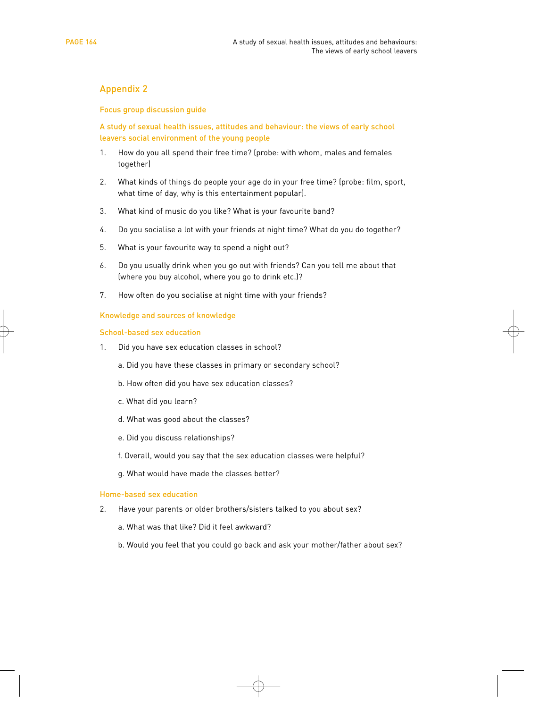### Appendix 2

### Focus group discussion guide

A study of sexual health issues, attitudes and behaviour: the views of early school leavers social environment of the young people

- 1. How do you all spend their free time? (probe: with whom, males and females together)
- 2. What kinds of things do people your age do in your free time? (probe: film, sport, what time of day, why is this entertainment popular).
- 3. What kind of music do you like? What is your favourite band?
- 4. Do you socialise a lot with your friends at night time? What do you do together?
- 5. What is your favourite way to spend a night out?
- 6. Do you usually drink when you go out with friends? Can you tell me about that (where you buy alcohol, where you go to drink etc.)?
- 7. How often do you socialise at night time with your friends?

### Knowledge and sources of knowledge

### School-based sex education

- 1. Did you have sex education classes in school?
	- a. Did you have these classes in primary or secondary school?
	- b. How often did you have sex education classes?
	- c. What did you learn?
	- d. What was good about the classes?
	- e. Did you discuss relationships?
	- f. Overall, would you say that the sex education classes were helpful?
	- g. What would have made the classes better?

#### Home-based sex education

- 2. Have your parents or older brothers/sisters talked to you about sex?
	- a. What was that like? Did it feel awkward?
	- b. Would you feel that you could go back and ask your mother/father about sex?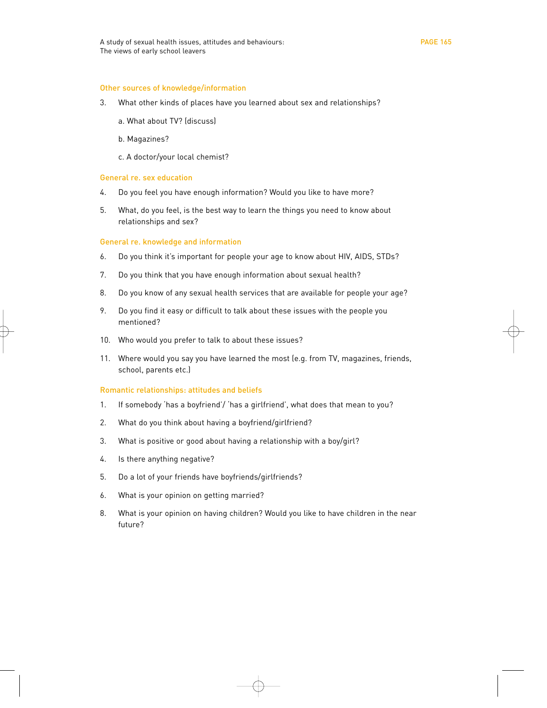#### Other sources of knowledge/information

- 3. What other kinds of places have you learned about sex and relationships?
	- a. What about TV? (discuss)
	- b. Magazines?
	- c. A doctor/your local chemist?

#### General re. sex education

- 4. Do you feel you have enough information? Would you like to have more?
- 5. What, do you feel, is the best way to learn the things you need to know about relationships and sex?

#### General re. knowledge and information

- 6. Do you think it's important for people your age to know about HIV, AIDS, STDs?
- 7. Do you think that you have enough information about sexual health?
- 8. Do you know of any sexual health services that are available for people your age?
- 9. Do you find it easy or difficult to talk about these issues with the people you mentioned?
- 10. Who would you prefer to talk to about these issues?
- 11. Where would you say you have learned the most (e.g. from TV, magazines, friends, school, parents etc.)

#### Romantic relationships: attitudes and beliefs

- 1. If somebody 'has a boyfriend'/ 'has a girlfriend', what does that mean to you?
- 2. What do you think about having a boyfriend/girlfriend?
- 3. What is positive or good about having a relationship with a boy/girl?
- 4. Is there anything negative?
- 5. Do a lot of your friends have boyfriends/girlfriends?
- 6. What is your opinion on getting married?
- 8. What is your opinion on having children? Would you like to have children in the near future?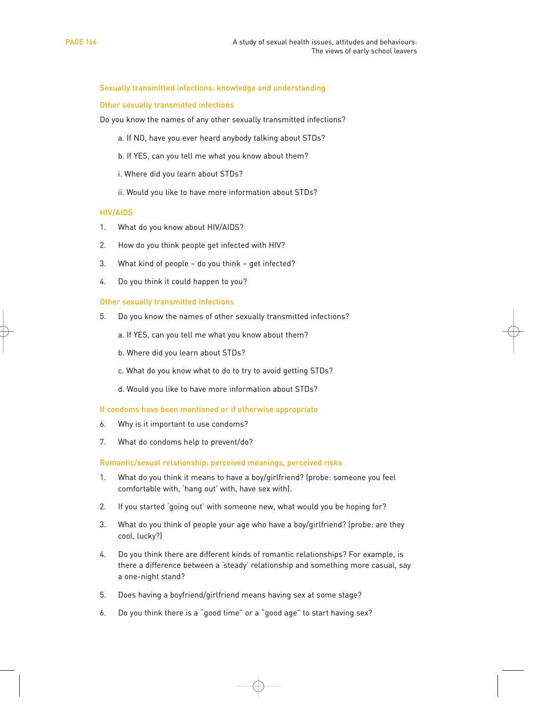### Sexually transmitted infections: knowledge and understanding

#### Other sexually transmitted infections

Do you know the names of any other sexually transmitted infections?

- a. If NO, have you ever heard anybody talking about STDs?
- b. If YES, can you tell me what you know about them?
- i. Where did you learn about STDs?
- ii. Would you like to have more information about STDs?

### HIV/AIDS

- 1. What do you know about HIV/AIDS?
- 2. How do you think people get infected with HIV?
- 3. What kind of people do you think get infected?
- 4. Do you think it could happen to you?

#### Other sexually transmitted infections

- 5. Do you know the names of other sexually transmitted infections?
	- a. If YES, can you tell me what you know about them?
	- b. Where did you learn about STDs?
	- c. What do you know what to do to try to avoid getting STDs?
	- d. Would you like to have more information about STDs?

If condoms have been mentioned or if otherwise appropriate

- 6. Why is it important to use condoms?
- 7. What do condoms help to prevent/do?

### Romantic/sexual relationship: perceived meanings, perceived risks

- 1. What do you think it means to have a boy/girlfriend? (probe: someone you feel comfortable with, 'hang out' with, have sex with).
- 2. If you started 'going out' with someone new, what would you be hoping for?
- 3. What do you think of people your age who have a boy/girlfriend? (probe: are they cool, lucky?)
- 4. Do you think there are different kinds of romantic relationships? For example, is there a difference between a 'steady' relationship and something more casual, say a one-night stand?
- 5. Does having a boyfriend/girlfriend means having sex at some stage?
- 6. Do you think there is a "good time" or a "good age" to start having sex?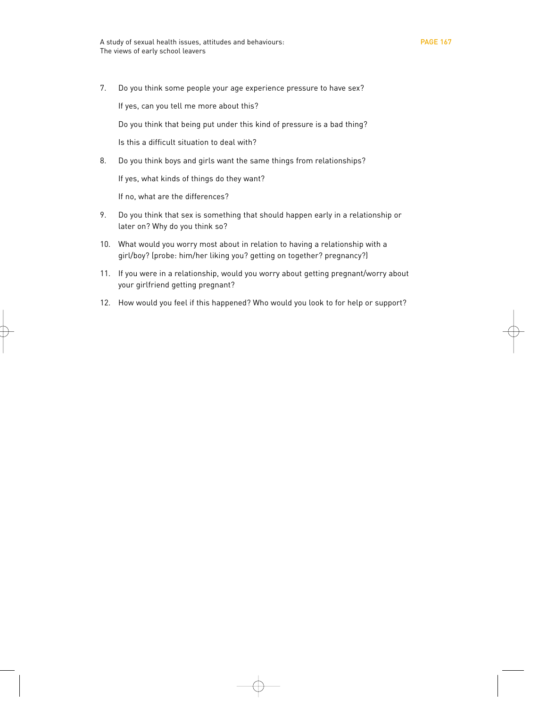7. Do you think some people your age experience pressure to have sex?

If yes, can you tell me more about this?

Do you think that being put under this kind of pressure is a bad thing?

Is this a difficult situation to deal with?

8. Do you think boys and girls want the same things from relationships?

If yes, what kinds of things do they want?

If no, what are the differences?

- 9. Do you think that sex is something that should happen early in a relationship or later on? Why do you think so?
- 10. What would you worry most about in relation to having a relationship with a girl/boy? (probe: him/her liking you? getting on together? pregnancy?)
- 11. If you were in a relationship, would you worry about getting pregnant/worry about your girlfriend getting pregnant?
- 12. How would you feel if this happened? Who would you look to for help or support?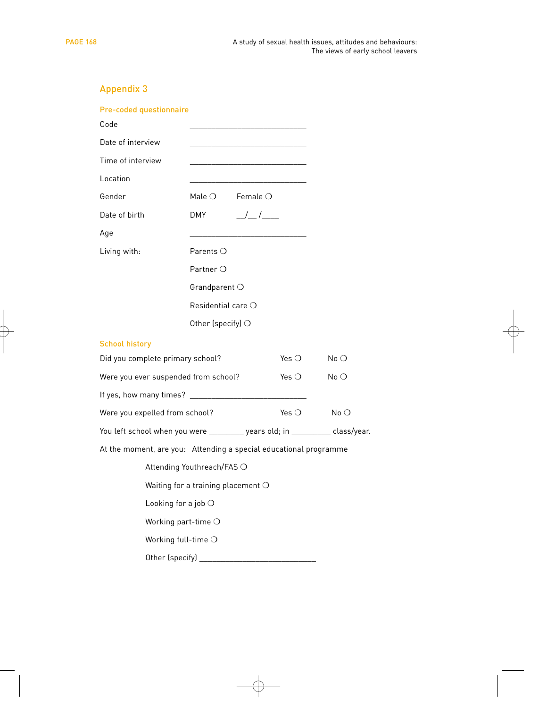# Appendix 3

| <b>Pre-coded questionnaire</b>                                              |                             |                                   |                |          |
|-----------------------------------------------------------------------------|-----------------------------|-----------------------------------|----------------|----------|
| Code                                                                        |                             |                                   |                |          |
| Date of interview                                                           |                             |                                   |                |          |
| Time of interview                                                           |                             |                                   |                |          |
| Location                                                                    |                             |                                   |                |          |
| Gender                                                                      |                             | Male $\bigcirc$ Female $\bigcirc$ |                |          |
| Date of birth                                                               | DMY                         | $\frac{\Delta}{\Delta}$           |                |          |
| Age                                                                         |                             |                                   |                |          |
| Living with:                                                                | Parents $\bigcirc$          |                                   |                |          |
|                                                                             | Partner $\bigcirc$          |                                   |                |          |
|                                                                             | Grandparent $\bigcirc$      |                                   |                |          |
|                                                                             | Residential care $\bigcirc$ |                                   |                |          |
|                                                                             | Other (specify) $\bigcirc$  |                                   |                |          |
| <b>School history</b>                                                       |                             |                                   |                |          |
| Did you complete primary school?                                            |                             |                                   | Yes $\bigcirc$ | $No$ $O$ |
| Were you ever suspended from school?                                        |                             |                                   | Yes $\bigcirc$ | No O     |
|                                                                             |                             |                                   |                |          |
| Were you expelled from school?                                              |                             |                                   | Yes $\bigcirc$ | $No$ $O$ |
| You left school when you were _________ years old; in _________ class/year. |                             |                                   |                |          |
| At the moment, are you: Attending a special educational programme           |                             |                                   |                |          |
|                                                                             | Attending Youthreach/FAS O  |                                   |                |          |
| Waiting for a training placement $\bigcirc$<br>Looking for a job $\bigcirc$ |                             |                                   |                |          |
|                                                                             |                             |                                   |                |          |
| Working part-time $\bigcirc$                                                |                             |                                   |                |          |
| Working full-time O                                                         |                             |                                   |                |          |
| Other (specify) _                                                           |                             |                                   |                |          |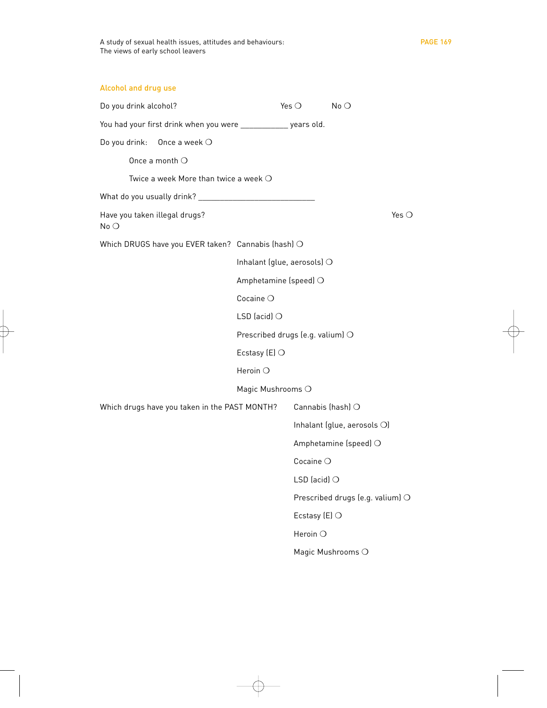### Alcohol and drug use

| Do you drink alcohol?                                          |                                      | Yes $\bigcirc$     | $No$ $O$                         |
|----------------------------------------------------------------|--------------------------------------|--------------------|----------------------------------|
| You had your first drink when you were ____________ years old. |                                      |                    |                                  |
| Do you drink: Once a week $\bigcirc$                           |                                      |                    |                                  |
| Once a month $\bigcirc$                                        |                                      |                    |                                  |
| Twice a week More than twice a week $\bigcirc$                 |                                      |                    |                                  |
|                                                                |                                      |                    |                                  |
| Have you taken illegal drugs?<br>$No$ $O$                      |                                      |                    | Yes $\bigcirc$                   |
| Which DRUGS have you EVER taken? Cannabis (hash) O             |                                      |                    |                                  |
|                                                                | Inhalant (glue, aerosols) $\bigcirc$ |                    |                                  |
|                                                                | Amphetamine (speed) $\bigcirc$       |                    |                                  |
|                                                                | Cocaine $\bigcirc$                   |                    |                                  |
|                                                                | LSD (acid) $\bigcirc$                |                    |                                  |
|                                                                | Prescribed drugs (e.g. valium) O     |                    |                                  |
|                                                                | Ecstasy (E) $\bigcirc$               |                    |                                  |
|                                                                | Heroin $\bigcirc$                    |                    |                                  |
|                                                                | Magic Mushrooms O                    |                    |                                  |
| Which drugs have you taken in the PAST MONTH?                  | Cannabis (hash) O                    |                    |                                  |
|                                                                |                                      |                    | Inhalant (glue, aerosols O)      |
|                                                                |                                      |                    | Amphetamine (speed) O            |
|                                                                |                                      | Cocaine $\bigcirc$ |                                  |
|                                                                |                                      |                    | LSD (acid) $\bigcirc$            |
|                                                                |                                      |                    | Prescribed drugs (e.g. valium) O |
|                                                                |                                      |                    | Ecstasy (E) $\bigcirc$           |
|                                                                |                                      | Heroin $\bigcirc$  |                                  |
|                                                                |                                      |                    | Magic Mushrooms $\bigcirc$       |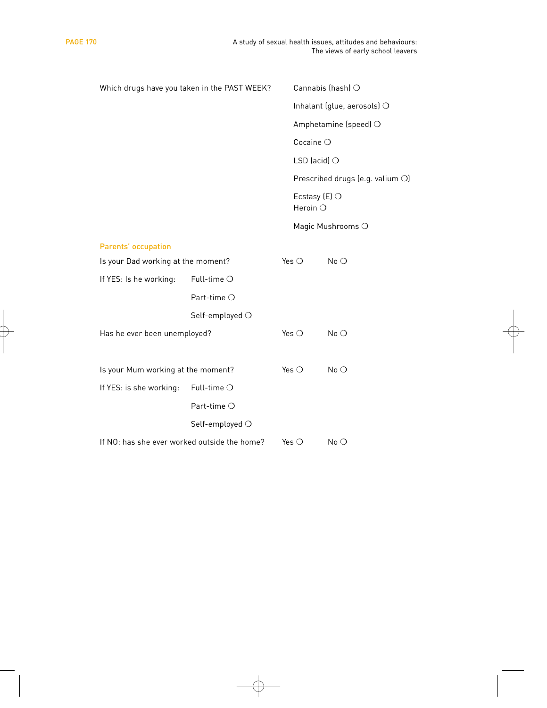| Which drugs have you taken in the PAST WEEK? |                      |  | Cannabis (hash) $\bigcirc$                  |          |  |
|----------------------------------------------|----------------------|--|---------------------------------------------|----------|--|
|                                              |                      |  | Inhalant (glue, aerosols) O                 |          |  |
|                                              |                      |  | Amphetamine (speed) $\bigcirc$              |          |  |
|                                              |                      |  | Cocaine $\bigcirc$                          |          |  |
|                                              |                      |  | LSD (acid) $\bigcirc$                       |          |  |
|                                              |                      |  | Prescribed drugs (e.g. valium O)            |          |  |
|                                              |                      |  | Ecstasy (E) $\bigcirc$<br>Heroin $\bigcirc$ |          |  |
|                                              |                      |  | Magic Mushrooms O                           |          |  |
| Parents' occupation                          |                      |  |                                             |          |  |
| Is your Dad working at the moment?           |                      |  | Yes $\bigcirc$                              | $No$ $O$ |  |
| If YES: Is he working:                       | Full-time $\bigcirc$ |  |                                             |          |  |
|                                              | Part-time $\bigcirc$ |  |                                             |          |  |
|                                              | Self-employed O      |  |                                             |          |  |
| Has he ever been unemployed?                 |                      |  | Yes $\bigcirc$                              | $No$ $O$ |  |
|                                              |                      |  |                                             |          |  |
| Is your Mum working at the moment?           |                      |  | Yes $\bigcirc$                              | $No$ $O$ |  |
| If YES: is she working:                      | Full-time $\bigcirc$ |  |                                             |          |  |
|                                              | Part-time $\bigcirc$ |  |                                             |          |  |
|                                              | Self-employed O      |  |                                             |          |  |
| If NO: has she ever worked outside the home? |                      |  | Yes $\bigcirc$                              | $No$ $O$ |  |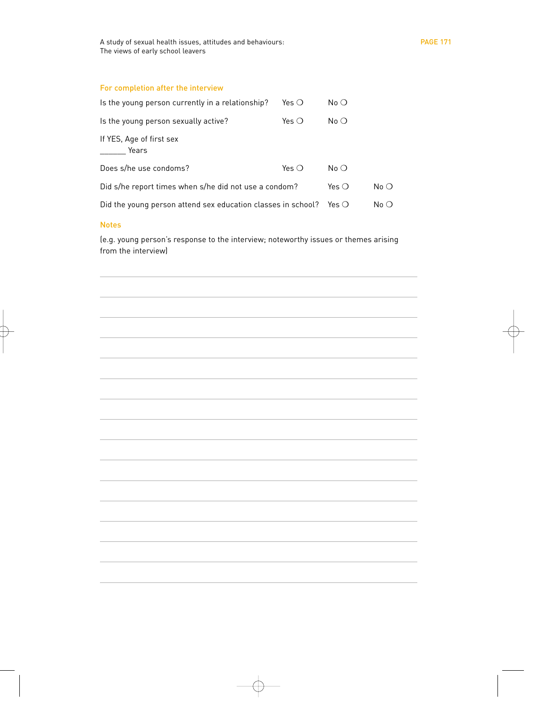### For completion after the interview

| Is the young person currently in a relationship?             | Yes $\bigcirc$ | $No$ $O$      |  |
|--------------------------------------------------------------|----------------|---------------|--|
| Is the young person sexually active?                         | Yes $\bigcirc$ | $No$ $O$      |  |
| If YES, Age of first sex<br>Years                            |                |               |  |
| Does s/he use condoms?                                       | Yes $\bigcirc$ | $No$ $O$      |  |
| Did s/he report times when s/he did not use a condom?        | Yes $\bigcirc$ | $No$ $O$      |  |
| Did the young person attend sex education classes in school? | Yes $\Omega$   | No $\bigcirc$ |  |

### Notes

(e.g. young person's response to the interview; noteworthy issues or themes arising from the interview)

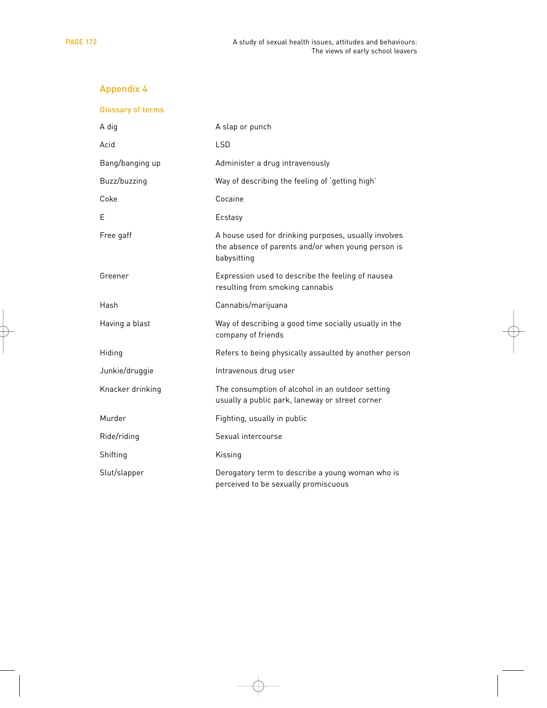# Appendix 4

## Glossary of terms

| A dig            | A slap or punch                                                                                                           |
|------------------|---------------------------------------------------------------------------------------------------------------------------|
| Acid             | <b>LSD</b>                                                                                                                |
| Bang/banging up  | Administer a drug intravenously                                                                                           |
| Buzz/buzzing     | Way of describing the feeling of 'getting high'                                                                           |
| Coke             | Cocaine                                                                                                                   |
| E                | Ecstasy                                                                                                                   |
| Free gaff        | A house used for drinking purposes, usually involves<br>the absence of parents and/or when young person is<br>babysitting |
| Greener          | Expression used to describe the feeling of nausea<br>resulting from smoking cannabis                                      |
| Hash             | Cannabis/marijuana                                                                                                        |
| Having a blast   | Way of describing a good time socially usually in the<br>company of friends                                               |
| Hiding           | Refers to being physically assaulted by another person                                                                    |
| Junkie/druggie   | Intravenous drug user                                                                                                     |
| Knacker drinking | The consumption of alcohol in an outdoor setting<br>usually a public park, laneway or street corner                       |
| Murder           | Fighting, usually in public                                                                                               |
| Ride/riding      | Sexual intercourse                                                                                                        |
| Shifting         | Kissing                                                                                                                   |
| Slut/slapper     | Derogatory term to describe a young woman who is<br>perceived to be sexually promiscuous                                  |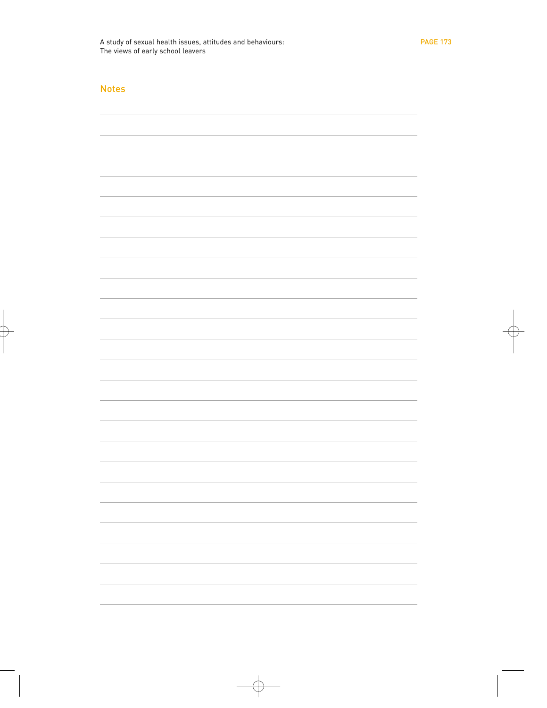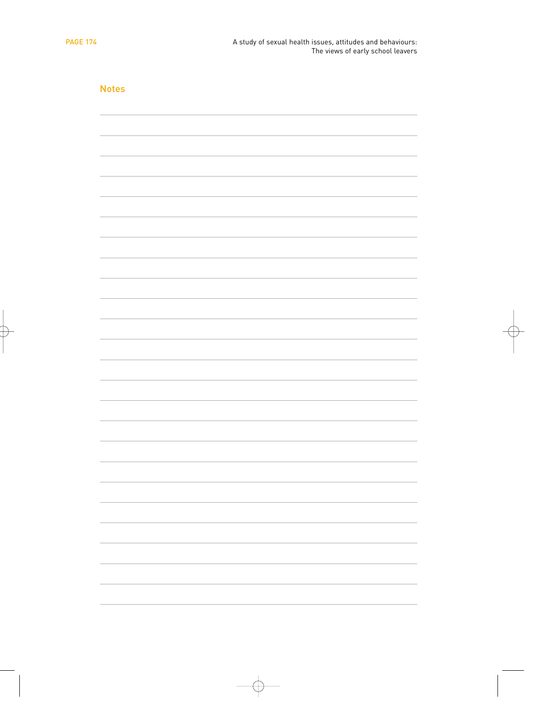| <b>Notes</b> |  |
|--------------|--|
|              |  |
|              |  |
|              |  |
|              |  |
|              |  |
|              |  |
|              |  |
|              |  |
|              |  |
|              |  |
|              |  |
|              |  |
|              |  |
|              |  |
|              |  |
|              |  |
|              |  |
|              |  |
|              |  |
|              |  |
|              |  |
|              |  |
|              |  |
|              |  |
|              |  |
|              |  |
|              |  |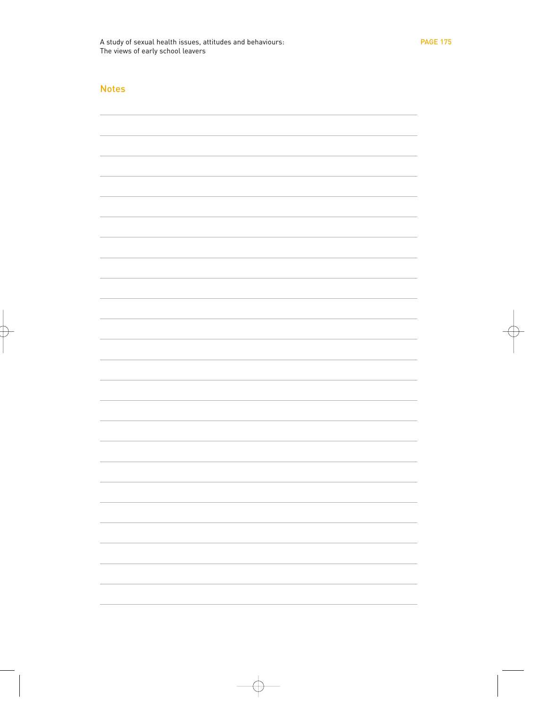